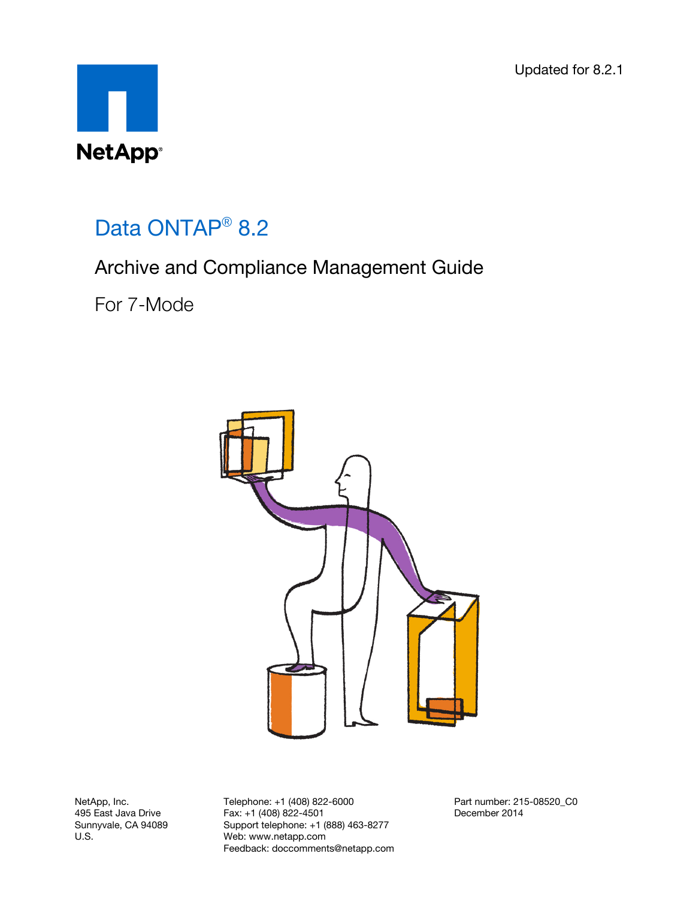Updated for 8.2.1



# Data ONTAP<sup>®</sup> 8.2

## Archive and Compliance Management Guide

For 7-Mode



NetApp, Inc. 495 East Java Drive Sunnyvale, CA 94089 U.S.

Telephone: +1 (408) 822-6000 Fax: +1 (408) 822-4501 Support telephone: +1 (888) 463-8277 Web: www.netapp.com Feedback: doccomments@netapp.com Part number: 215-08520\_C0 December 2014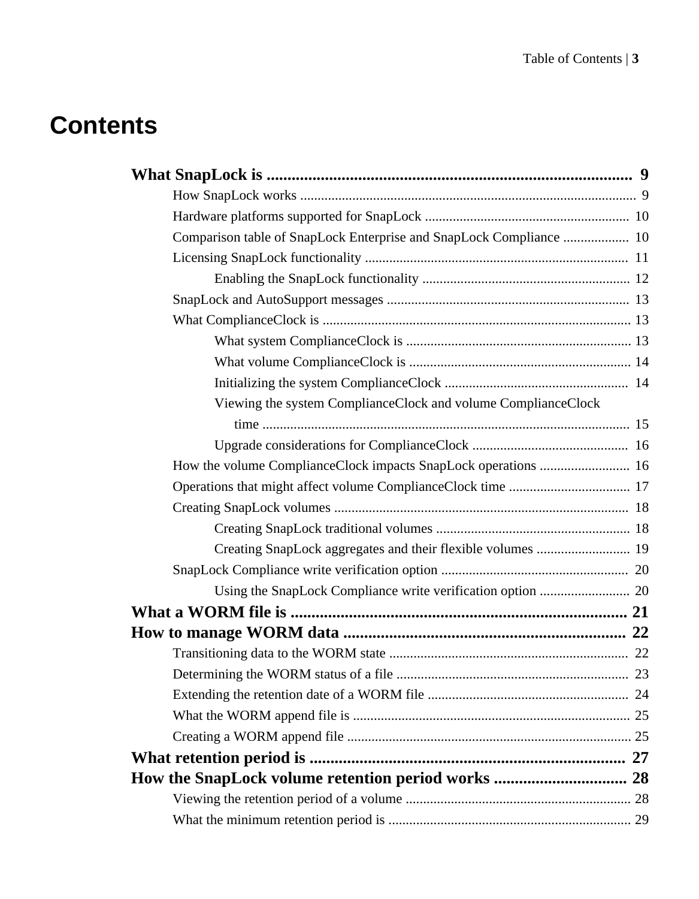# **Contents**

| Comparison table of SnapLock Enterprise and SnapLock Compliance  10 |  |
|---------------------------------------------------------------------|--|
|                                                                     |  |
|                                                                     |  |
|                                                                     |  |
|                                                                     |  |
|                                                                     |  |
|                                                                     |  |
|                                                                     |  |
| Viewing the system ComplianceClock and volume ComplianceClock       |  |
|                                                                     |  |
|                                                                     |  |
| How the volume ComplianceClock impacts SnapLock operations  16      |  |
|                                                                     |  |
|                                                                     |  |
|                                                                     |  |
| Creating SnapLock aggregates and their flexible volumes  19         |  |
|                                                                     |  |
|                                                                     |  |
|                                                                     |  |
|                                                                     |  |
|                                                                     |  |
|                                                                     |  |
|                                                                     |  |
|                                                                     |  |
|                                                                     |  |
|                                                                     |  |
|                                                                     |  |
|                                                                     |  |
|                                                                     |  |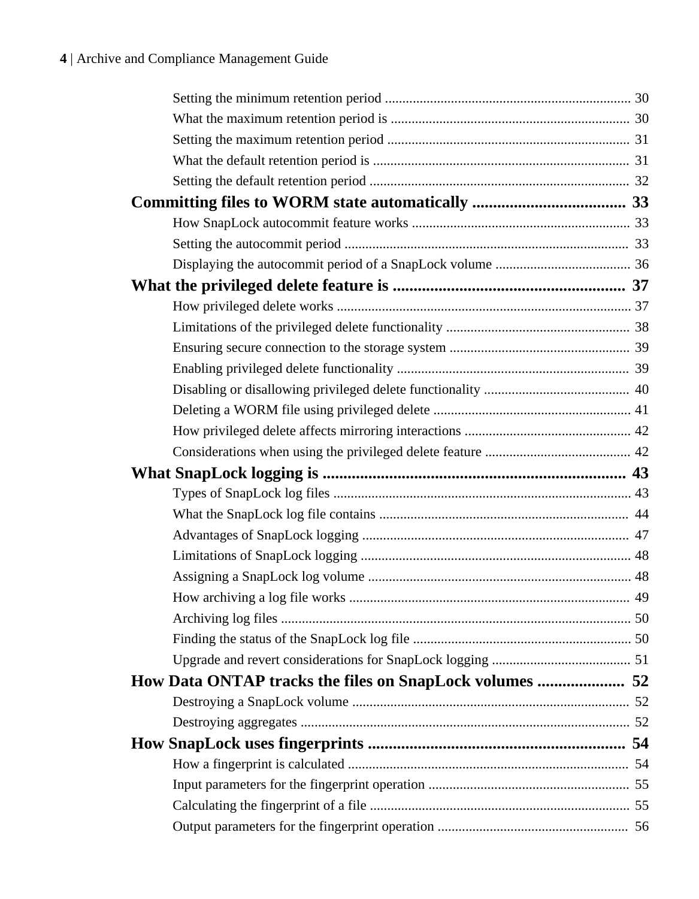| How Data ONTAP tracks the files on SnapLock volumes  52 |  |
|---------------------------------------------------------|--|
|                                                         |  |
|                                                         |  |
|                                                         |  |
|                                                         |  |
|                                                         |  |
|                                                         |  |
|                                                         |  |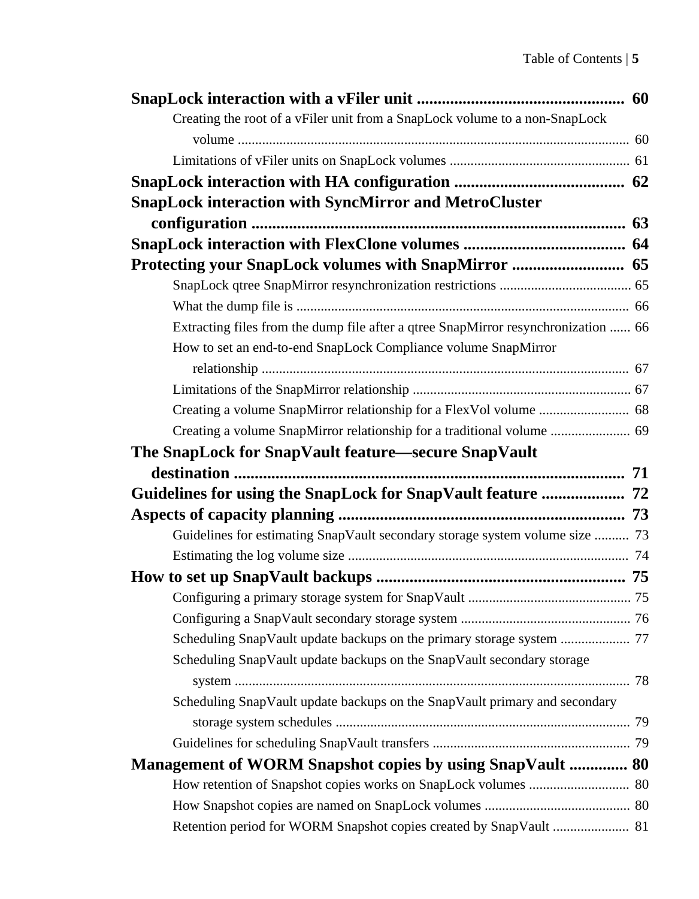| Creating the root of a vFiler unit from a SnapLock volume to a non-SnapLock        |  |
|------------------------------------------------------------------------------------|--|
|                                                                                    |  |
|                                                                                    |  |
|                                                                                    |  |
| <b>SnapLock interaction with SyncMirror and MetroCluster</b>                       |  |
|                                                                                    |  |
|                                                                                    |  |
|                                                                                    |  |
|                                                                                    |  |
|                                                                                    |  |
| Extracting files from the dump file after a qtree SnapMirror resynchronization  66 |  |
| How to set an end-to-end SnapLock Compliance volume SnapMirror                     |  |
|                                                                                    |  |
|                                                                                    |  |
|                                                                                    |  |
| Creating a volume SnapMirror relationship for a traditional volume  69             |  |
| The SnapLock for SnapVault feature—secure SnapVault                                |  |
|                                                                                    |  |
|                                                                                    |  |
|                                                                                    |  |
|                                                                                    |  |
| Guidelines for estimating SnapVault secondary storage system volume size  73       |  |
|                                                                                    |  |
|                                                                                    |  |
|                                                                                    |  |
|                                                                                    |  |
|                                                                                    |  |
| Scheduling SnapVault update backups on the SnapVault secondary storage             |  |
|                                                                                    |  |
| Scheduling SnapVault update backups on the SnapVault primary and secondary         |  |
|                                                                                    |  |
|                                                                                    |  |
| Management of WORM Snapshot copies by using SnapVault  80                          |  |
|                                                                                    |  |
|                                                                                    |  |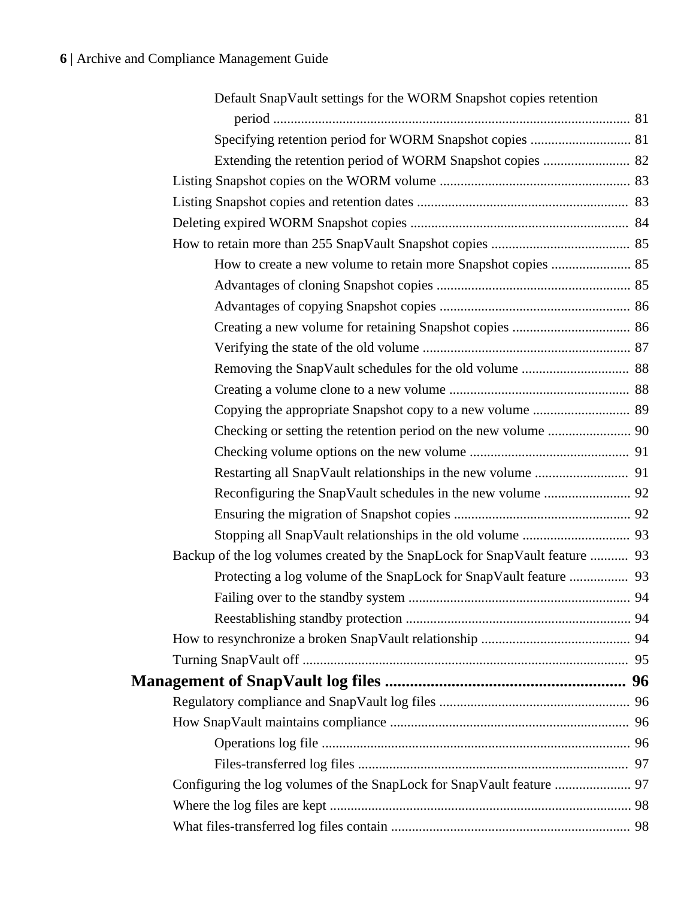| Default SnapVault settings for the WORM Snapshot copies retention           |  |
|-----------------------------------------------------------------------------|--|
|                                                                             |  |
|                                                                             |  |
|                                                                             |  |
|                                                                             |  |
|                                                                             |  |
|                                                                             |  |
|                                                                             |  |
| How to create a new volume to retain more Snapshot copies  85               |  |
|                                                                             |  |
|                                                                             |  |
|                                                                             |  |
|                                                                             |  |
|                                                                             |  |
|                                                                             |  |
| Copying the appropriate Snapshot copy to a new volume  89                   |  |
|                                                                             |  |
|                                                                             |  |
|                                                                             |  |
|                                                                             |  |
|                                                                             |  |
|                                                                             |  |
| Backup of the log volumes created by the SnapLock for SnapVault feature  93 |  |
|                                                                             |  |
|                                                                             |  |
|                                                                             |  |
|                                                                             |  |
|                                                                             |  |
|                                                                             |  |
|                                                                             |  |
|                                                                             |  |
|                                                                             |  |
|                                                                             |  |
| Configuring the log volumes of the SnapLock for SnapVault feature  97       |  |
|                                                                             |  |
|                                                                             |  |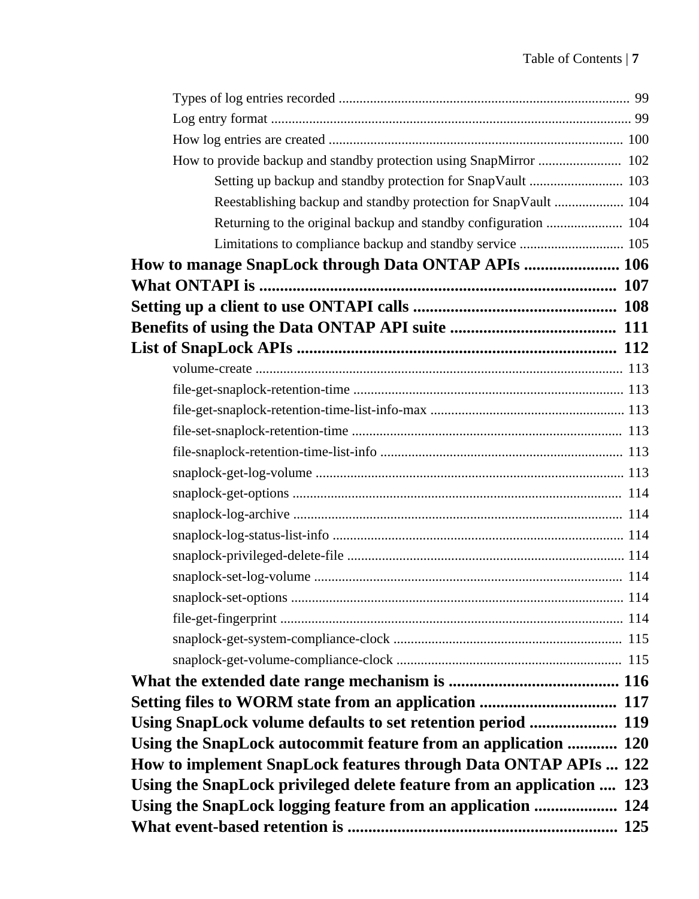| How to provide backup and standby protection using SnapMirror  102    |  |
|-----------------------------------------------------------------------|--|
| Setting up backup and standby protection for SnapVault  103           |  |
| Reestablishing backup and standby protection for SnapVault  104       |  |
| Returning to the original backup and standby configuration  104       |  |
|                                                                       |  |
| How to manage SnapLock through Data ONTAP APIs  106                   |  |
|                                                                       |  |
|                                                                       |  |
|                                                                       |  |
|                                                                       |  |
|                                                                       |  |
|                                                                       |  |
|                                                                       |  |
|                                                                       |  |
|                                                                       |  |
|                                                                       |  |
|                                                                       |  |
|                                                                       |  |
|                                                                       |  |
|                                                                       |  |
|                                                                       |  |
|                                                                       |  |
|                                                                       |  |
|                                                                       |  |
|                                                                       |  |
|                                                                       |  |
|                                                                       |  |
| Using SnapLock volume defaults to set retention period  119           |  |
| Using the SnapLock autocommit feature from an application  120        |  |
| How to implement SnapLock features through Data ONTAP APIs  122       |  |
| Using the SnapLock privileged delete feature from an application  123 |  |
| Using the SnapLock logging feature from an application  124           |  |
|                                                                       |  |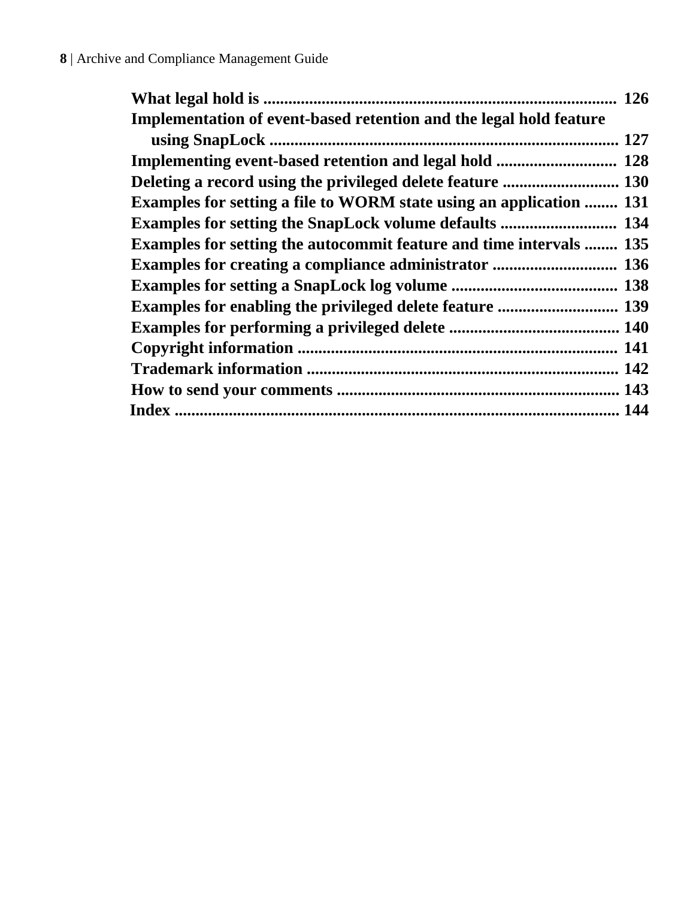|                                                                     | 126 |
|---------------------------------------------------------------------|-----|
| Implementation of event-based retention and the legal hold feature  |     |
|                                                                     | 127 |
|                                                                     |     |
|                                                                     |     |
| Examples for setting a file to WORM state using an application  131 |     |
|                                                                     |     |
| Examples for setting the autocommit feature and time intervals  135 |     |
| <b>Examples for creating a compliance administrator </b> 136        |     |
|                                                                     |     |
| <b>Examples for enabling the privileged delete feature </b> 139     |     |
|                                                                     |     |
|                                                                     |     |
|                                                                     |     |
|                                                                     |     |
|                                                                     |     |
|                                                                     |     |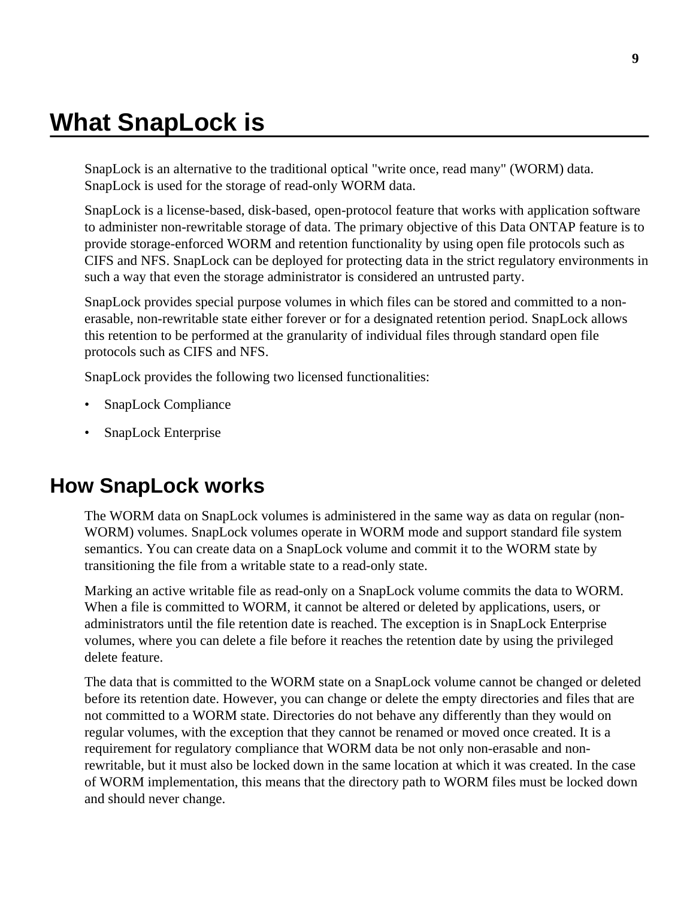# <span id="page-8-0"></span>**What SnapLock is**

SnapLock is an alternative to the traditional optical "write once, read many" (WORM) data. SnapLock is used for the storage of read-only WORM data.

SnapLock is a license-based, disk-based, open-protocol feature that works with application software to administer non-rewritable storage of data. The primary objective of this Data ONTAP feature is to provide storage-enforced WORM and retention functionality by using open file protocols such as CIFS and NFS. SnapLock can be deployed for protecting data in the strict regulatory environments in such a way that even the storage administrator is considered an untrusted party.

SnapLock provides special purpose volumes in which files can be stored and committed to a nonerasable, non-rewritable state either forever or for a designated retention period. SnapLock allows this retention to be performed at the granularity of individual files through standard open file protocols such as CIFS and NFS.

SnapLock provides the following two licensed functionalities:

- SnapLock Compliance
- SnapLock Enterprise

### **How SnapLock works**

The WORM data on SnapLock volumes is administered in the same way as data on regular (non-WORM) volumes. SnapLock volumes operate in WORM mode and support standard file system semantics. You can create data on a SnapLock volume and commit it to the WORM state by transitioning the file from a writable state to a read-only state.

Marking an active writable file as read-only on a SnapLock volume commits the data to WORM. When a file is committed to WORM, it cannot be altered or deleted by applications, users, or administrators until the file retention date is reached. The exception is in SnapLock Enterprise volumes, where you can delete a file before it reaches the retention date by using the privileged delete feature.

The data that is committed to the WORM state on a SnapLock volume cannot be changed or deleted before its retention date. However, you can change or delete the empty directories and files that are not committed to a WORM state. Directories do not behave any differently than they would on regular volumes, with the exception that they cannot be renamed or moved once created. It is a requirement for regulatory compliance that WORM data be not only non-erasable and nonrewritable, but it must also be locked down in the same location at which it was created. In the case of WORM implementation, this means that the directory path to WORM files must be locked down and should never change.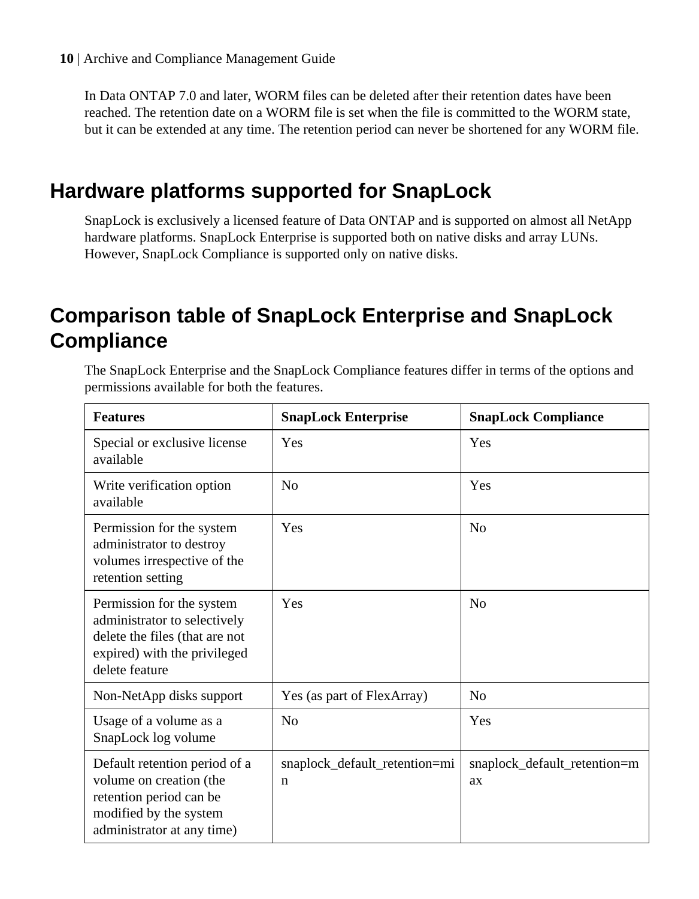<span id="page-9-0"></span>In Data ONTAP 7.0 and later, WORM files can be deleted after their retention dates have been reached. The retention date on a WORM file is set when the file is committed to the WORM state, but it can be extended at any time. The retention period can never be shortened for any WORM file.

## **Hardware platforms supported for SnapLock**

SnapLock is exclusively a licensed feature of Data ONTAP and is supported on almost all NetApp hardware platforms. SnapLock Enterprise is supported both on native disks and array LUNs. However, SnapLock Compliance is supported only on native disks.

## **Comparison table of SnapLock Enterprise and SnapLock Compliance**

The SnapLock Enterprise and the SnapLock Compliance features differ in terms of the options and permissions available for both the features.

| <b>Features</b>                                                                                                                               | <b>SnapLock Enterprise</b>                   | <b>SnapLock Compliance</b>         |  |
|-----------------------------------------------------------------------------------------------------------------------------------------------|----------------------------------------------|------------------------------------|--|
| Special or exclusive license<br>available                                                                                                     | Yes                                          | Yes                                |  |
| Write verification option<br>available                                                                                                        | N <sub>0</sub>                               | Yes                                |  |
| Permission for the system<br>administrator to destroy<br>volumes irrespective of the<br>retention setting                                     | Yes                                          | N <sub>0</sub>                     |  |
| Permission for the system<br>administrator to selectively<br>delete the files (that are not<br>expired) with the privileged<br>delete feature | Yes                                          | N <sub>0</sub>                     |  |
| Non-NetApp disks support                                                                                                                      | Yes (as part of FlexArray)                   | N <sub>o</sub>                     |  |
| Usage of a volume as a<br>SnapLock log volume                                                                                                 | No                                           | Yes                                |  |
| Default retention period of a<br>volume on creation (the<br>retention period can be<br>modified by the system<br>administrator at any time)   | snaplock_default_retention=mi<br>$\mathbf n$ | snaplock_default_retention=m<br>ax |  |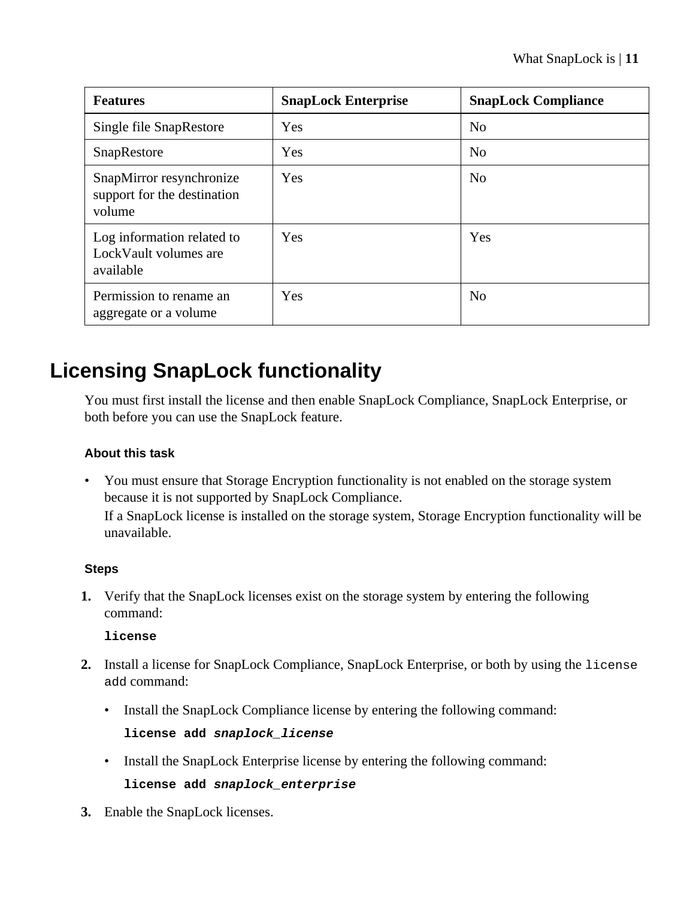<span id="page-10-0"></span>

| <b>Features</b>                                                   | <b>SnapLock Enterprise</b> | <b>SnapLock Compliance</b> |
|-------------------------------------------------------------------|----------------------------|----------------------------|
| Single file SnapRestore                                           | Yes                        | N <sub>0</sub>             |
| SnapRestore                                                       | Yes                        | No                         |
| SnapMirror resynchronize<br>support for the destination<br>volume | <b>Yes</b>                 | N <sub>0</sub>             |
| Log information related to<br>LockVault volumes are<br>available  | <b>Yes</b>                 | Yes                        |
| Permission to rename an<br>aggregate or a volume                  | <b>Yes</b>                 | N <sub>0</sub>             |

# **Licensing SnapLock functionality**

You must first install the license and then enable SnapLock Compliance, SnapLock Enterprise, or both before you can use the SnapLock feature.

### **About this task**

• You must ensure that Storage Encryption functionality is not enabled on the storage system because it is not supported by SnapLock Compliance.

If a SnapLock license is installed on the storage system, Storage Encryption functionality will be unavailable.

#### **Steps**

**1.** Verify that the SnapLock licenses exist on the storage system by entering the following command:

#### **license**

- **2.** Install a license for SnapLock Compliance, SnapLock Enterprise, or both by using the license add command:
	- Install the SnapLock Compliance license by entering the following command:

```
license add snaplock_license
```
• Install the SnapLock Enterprise license by entering the following command:

**license add snaplock\_enterprise**

**3.** Enable the SnapLock licenses.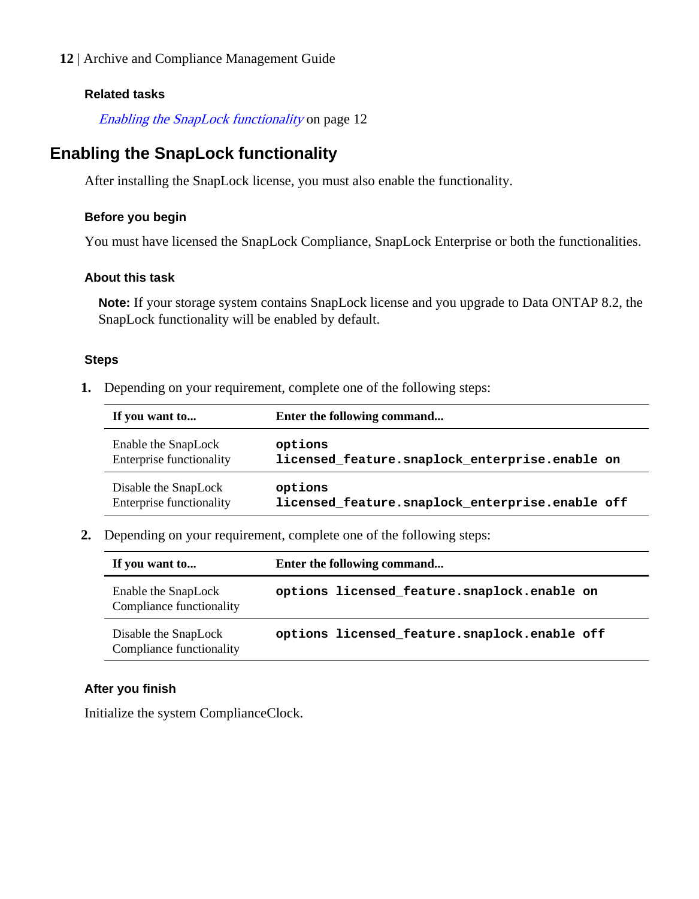#### <span id="page-11-0"></span>**Related tasks**

Enabling the SnapLock functionality on page 12

### **Enabling the SnapLock functionality**

After installing the SnapLock license, you must also enable the functionality.

#### **Before you begin**

You must have licensed the SnapLock Compliance, SnapLock Enterprise or both the functionalities.

#### **About this task**

**Note:** If your storage system contains SnapLock license and you upgrade to Data ONTAP 8.2, the SnapLock functionality will be enabled by default.

#### **Steps**

**1.** Depending on your requirement, complete one of the following steps:

| If you want to           | Enter the following command                      |  |  |
|--------------------------|--------------------------------------------------|--|--|
| Enable the SnapLock      | options                                          |  |  |
| Enterprise functionality | licensed feature. snaplock enterprise. enable on |  |  |
| Disable the SnapLock     | options                                          |  |  |
| Enterprise functionality | licensed feature.snaplock enterprise.enable off  |  |  |

**2.** Depending on your requirement, complete one of the following steps:

| If you want to                                   | Enter the following command                    |  |
|--------------------------------------------------|------------------------------------------------|--|
| Enable the SnapLock<br>Compliance functionality  | options licensed feature.snaplock.enable on    |  |
| Disable the SnapLock<br>Compliance functionality | options licensed feature. snaplock. enable off |  |

#### **After you finish**

Initialize the system ComplianceClock.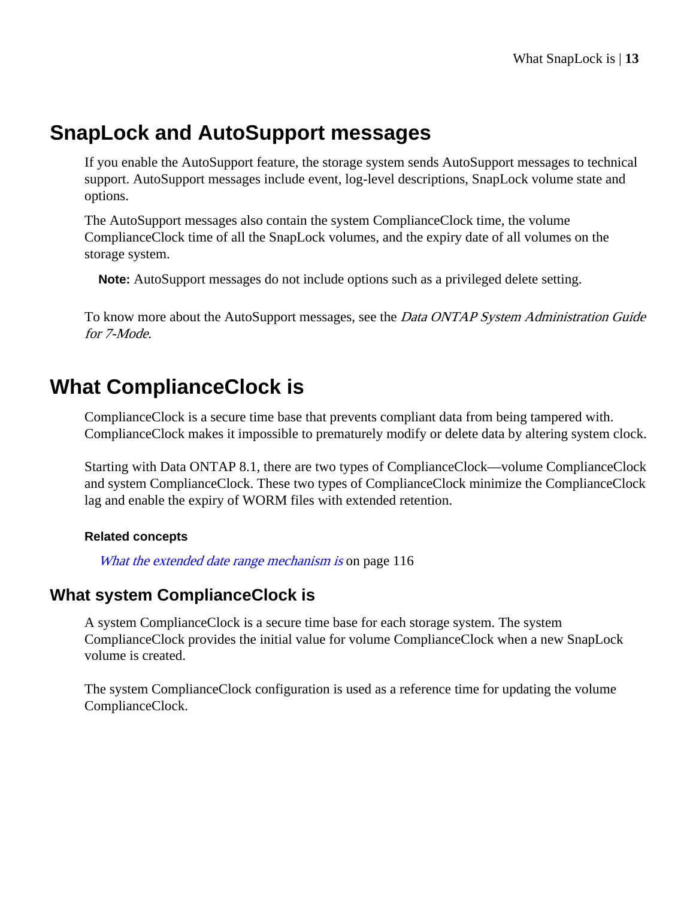## <span id="page-12-0"></span>**SnapLock and AutoSupport messages**

If you enable the AutoSupport feature, the storage system sends AutoSupport messages to technical support. AutoSupport messages include event, log-level descriptions, SnapLock volume state and options.

The AutoSupport messages also contain the system ComplianceClock time, the volume ComplianceClock time of all the SnapLock volumes, and the expiry date of all volumes on the storage system.

**Note:** AutoSupport messages do not include options such as a privileged delete setting.

To know more about the AutoSupport messages, see the *Data ONTAP System Administration Guide* for 7-Mode.

## **What ComplianceClock is**

ComplianceClock is a secure time base that prevents compliant data from being tampered with. ComplianceClock makes it impossible to prematurely modify or delete data by altering system clock.

Starting with Data ONTAP 8.1, there are two types of ComplianceClock—volume ComplianceClock and system ComplianceClock. These two types of ComplianceClock minimize the ComplianceClock lag and enable the expiry of WORM files with extended retention.

#### **Related concepts**

[What the extended date range mechanism is](#page-115-0) on page 116

### **What system ComplianceClock is**

A system ComplianceClock is a secure time base for each storage system. The system ComplianceClock provides the initial value for volume ComplianceClock when a new SnapLock volume is created.

The system ComplianceClock configuration is used as a reference time for updating the volume ComplianceClock.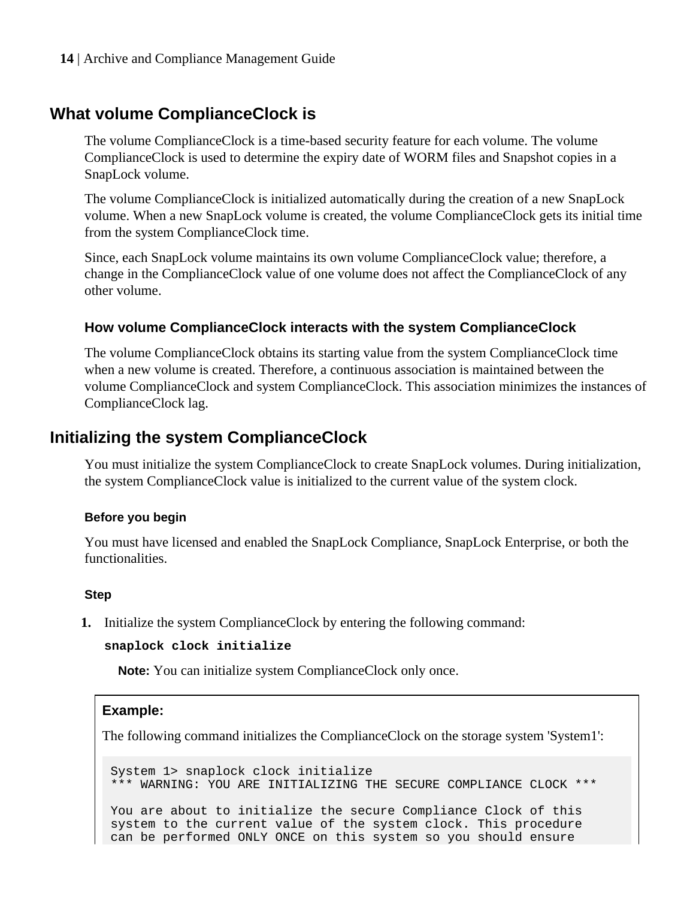### <span id="page-13-0"></span>**What volume ComplianceClock is**

The volume ComplianceClock is a time-based security feature for each volume. The volume ComplianceClock is used to determine the expiry date of WORM files and Snapshot copies in a SnapLock volume.

The volume ComplianceClock is initialized automatically during the creation of a new SnapLock volume. When a new SnapLock volume is created, the volume ComplianceClock gets its initial time from the system ComplianceClock time.

Since, each SnapLock volume maintains its own volume ComplianceClock value; therefore, a change in the ComplianceClock value of one volume does not affect the ComplianceClock of any other volume.

#### **How volume ComplianceClock interacts with the system ComplianceClock**

The volume ComplianceClock obtains its starting value from the system ComplianceClock time when a new volume is created. Therefore, a continuous association is maintained between the volume ComplianceClock and system ComplianceClock. This association minimizes the instances of ComplianceClock lag.

### **Initializing the system ComplianceClock**

You must initialize the system ComplianceClock to create SnapLock volumes. During initialization, the system ComplianceClock value is initialized to the current value of the system clock.

#### **Before you begin**

You must have licensed and enabled the SnapLock Compliance, SnapLock Enterprise, or both the functionalities.

#### **Step**

**1.** Initialize the system ComplianceClock by entering the following command:

```
snaplock clock initialize
```
**Note:** You can initialize system ComplianceClock only once.

#### **Example:**

The following command initializes the ComplianceClock on the storage system 'System1':

```
System 1> snaplock clock initialize
*** WARNING: YOU ARE INITIALIZING THE SECURE COMPLIANCE CLOCK ***
You are about to initialize the secure Compliance Clock of this
system to the current value of the system clock. This procedure
can be performed ONLY ONCE on this system so you should ensure
```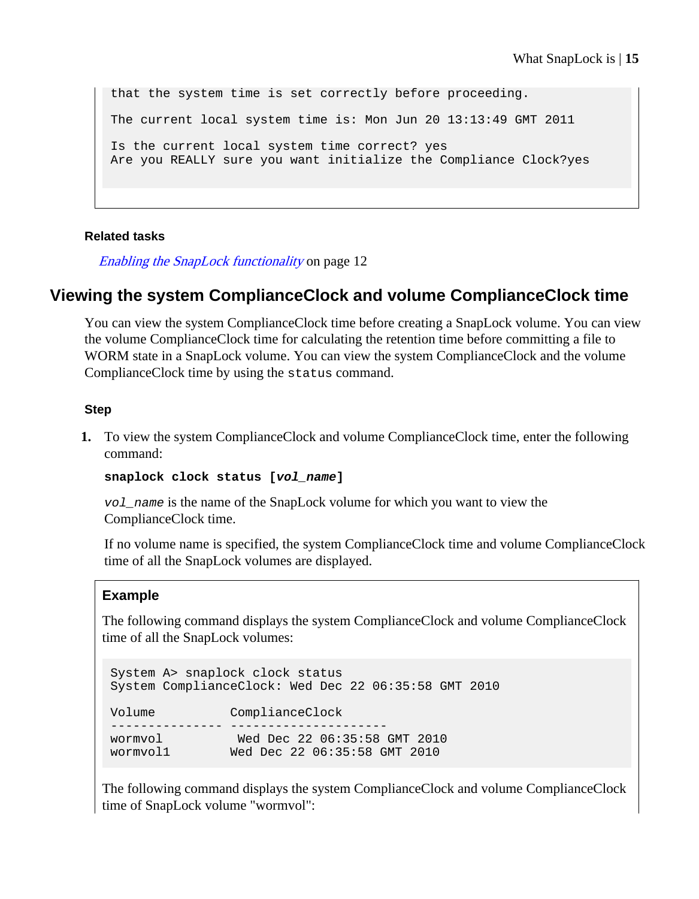<span id="page-14-0"></span>that the system time is set correctly before proceeding. The current local system time is: Mon Jun 20 13:13:49 GMT 2011 Is the current local system time correct? yes Are you REALLY sure you want initialize the Compliance Clock?yes

#### **Related tasks**

[Enabling the SnapLock functionality](#page-11-0) on page 12

### **Viewing the system ComplianceClock and volume ComplianceClock time**

You can view the system ComplianceClock time before creating a SnapLock volume. You can view the volume ComplianceClock time for calculating the retention time before committing a file to WORM state in a SnapLock volume. You can view the system ComplianceClock and the volume ComplianceClock time by using the status command.

#### **Step**

**1.** To view the system ComplianceClock and volume ComplianceClock time, enter the following command:

```
snaplock clock status [vol_name]
```
vol\_name is the name of the SnapLock volume for which you want to view the ComplianceClock time.

If no volume name is specified, the system ComplianceClock time and volume ComplianceClock time of all the SnapLock volumes are displayed.

#### **Example**

The following command displays the system ComplianceClock and volume ComplianceClock time of all the SnapLock volumes:

```
System A> snaplock clock status
System ComplianceClock: Wed Dec 22 06:35:58 GMT 2010
Volume ComplianceClock
--------------- ---------------------
wormvol Wed Dec 22 06:35:58 GMT 2010
wormvol1 Wed Dec 22 06:35:58 GMT 2010
```
The following command displays the system ComplianceClock and volume ComplianceClock time of SnapLock volume "wormvol":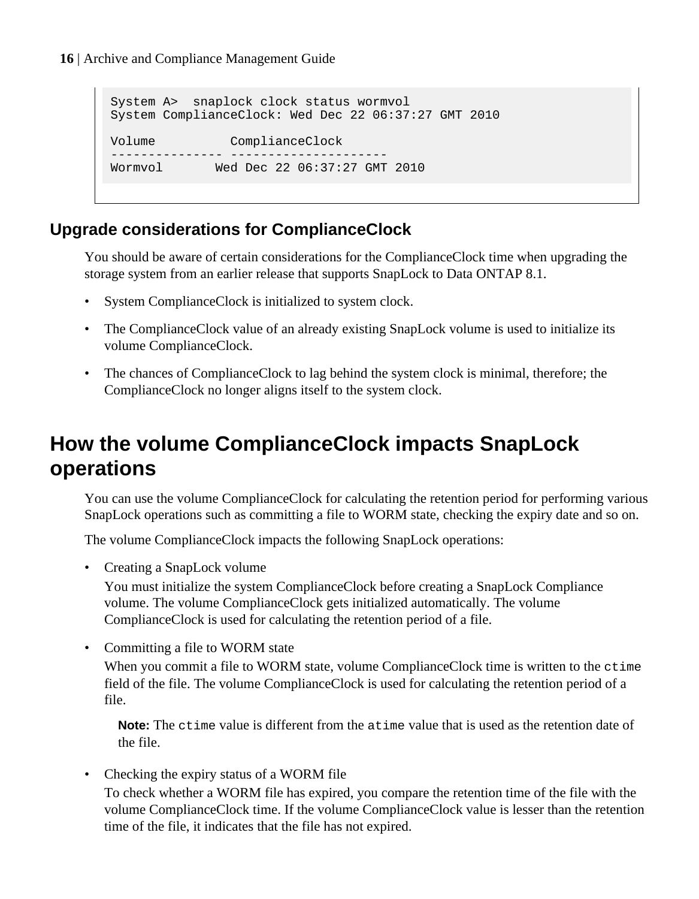```
System A> snaplock clock status wormvol
System ComplianceClock: Wed Dec 22 06:37:27 GMT 2010
Volume ComplianceClock
--------------- ---------------------
Wormvol Wed Dec 22 06:37:27 GMT 2010
```
### **Upgrade considerations for ComplianceClock**

You should be aware of certain considerations for the ComplianceClock time when upgrading the storage system from an earlier release that supports SnapLock to Data ONTAP 8.1.

- System ComplianceClock is initialized to system clock.
- The ComplianceClock value of an already existing SnapLock volume is used to initialize its volume ComplianceClock.
- The chances of ComplianceClock to lag behind the system clock is minimal, therefore; the ComplianceClock no longer aligns itself to the system clock.

## **How the volume ComplianceClock impacts SnapLock operations**

You can use the volume ComplianceClock for calculating the retention period for performing various SnapLock operations such as committing a file to WORM state, checking the expiry date and so on.

The volume ComplianceClock impacts the following SnapLock operations:

• Creating a SnapLock volume

You must initialize the system ComplianceClock before creating a SnapLock Compliance volume. The volume ComplianceClock gets initialized automatically. The volume ComplianceClock is used for calculating the retention period of a file.

• Committing a file to WORM state

When you commit a file to WORM state, volume ComplianceClock time is written to the ctime field of the file. The volume ComplianceClock is used for calculating the retention period of a file.

**Note:** The ctime value is different from the atime value that is used as the retention date of the file.

• Checking the expiry status of a WORM file

To check whether a WORM file has expired, you compare the retention time of the file with the volume ComplianceClock time. If the volume ComplianceClock value is lesser than the retention time of the file, it indicates that the file has not expired.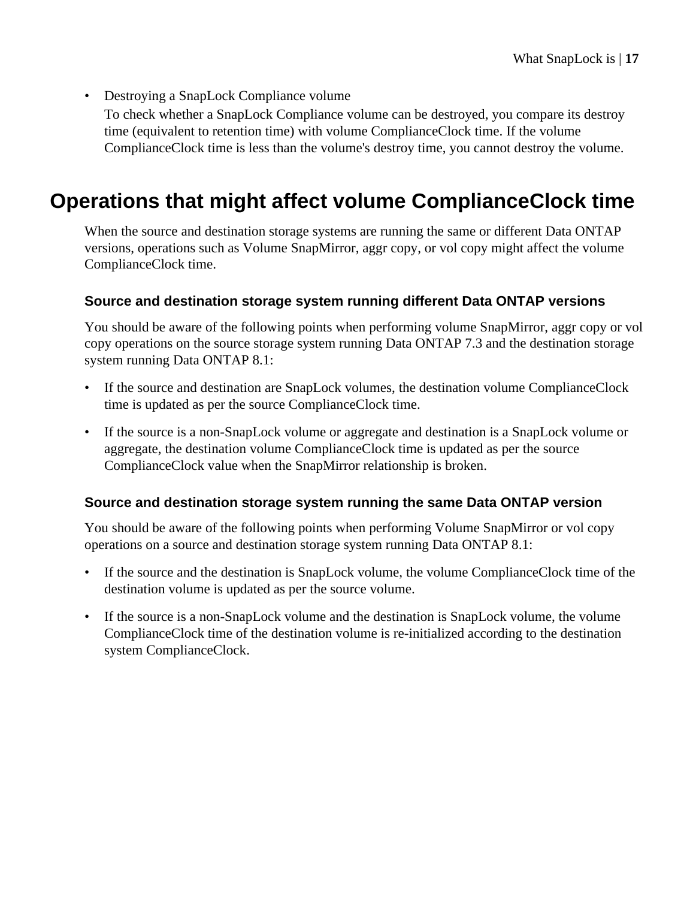<span id="page-16-0"></span>• Destroying a SnapLock Compliance volume To check whether a SnapLock Compliance volume can be destroyed, you compare its destroy time (equivalent to retention time) with volume ComplianceClock time. If the volume ComplianceClock time is less than the volume's destroy time, you cannot destroy the volume.

# **Operations that might affect volume ComplianceClock time**

When the source and destination storage systems are running the same or different Data ONTAP versions, operations such as Volume SnapMirror, aggr copy, or vol copy might affect the volume ComplianceClock time.

#### **Source and destination storage system running different Data ONTAP versions**

You should be aware of the following points when performing volume SnapMirror, aggr copy or vol copy operations on the source storage system running Data ONTAP 7.3 and the destination storage system running Data ONTAP 8.1:

- If the source and destination are SnapLock volumes, the destination volume ComplianceClock time is updated as per the source ComplianceClock time.
- If the source is a non-SnapLock volume or aggregate and destination is a SnapLock volume or aggregate, the destination volume ComplianceClock time is updated as per the source ComplianceClock value when the SnapMirror relationship is broken.

#### **Source and destination storage system running the same Data ONTAP version**

You should be aware of the following points when performing Volume SnapMirror or vol copy operations on a source and destination storage system running Data ONTAP 8.1:

- If the source and the destination is SnapLock volume, the volume ComplianceClock time of the destination volume is updated as per the source volume.
- If the source is a non-SnapLock volume and the destination is SnapLock volume, the volume ComplianceClock time of the destination volume is re-initialized according to the destination system ComplianceClock.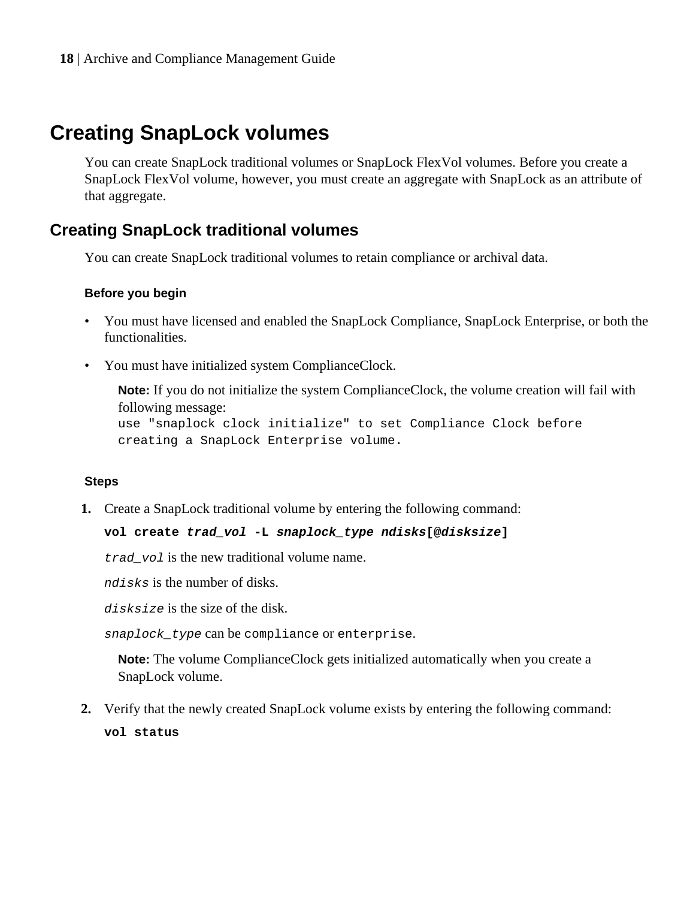## <span id="page-17-0"></span>**Creating SnapLock volumes**

You can create SnapLock traditional volumes or SnapLock FlexVol volumes. Before you create a SnapLock FlexVol volume, however, you must create an aggregate with SnapLock as an attribute of that aggregate.

### **Creating SnapLock traditional volumes**

You can create SnapLock traditional volumes to retain compliance or archival data.

#### **Before you begin**

- You must have licensed and enabled the SnapLock Compliance, SnapLock Enterprise, or both the functionalities.
- You must have initialized system ComplianceClock.

**Note:** If you do not initialize the system ComplianceClock, the volume creation will fail with following message:

use "snaplock clock initialize" to set Compliance Clock before creating a SnapLock Enterprise volume.

#### **Steps**

**1.** Create a SnapLock traditional volume by entering the following command:

#### **vol create trad\_vol -L snaplock\_type ndisks[@disksize]**

trad\_vol is the new traditional volume name.

ndisks is the number of disks.

disksize is the size of the disk.

snaplock type can be compliance or enterprise.

**Note:** The volume ComplianceClock gets initialized automatically when you create a SnapLock volume.

**2.** Verify that the newly created SnapLock volume exists by entering the following command: **vol status**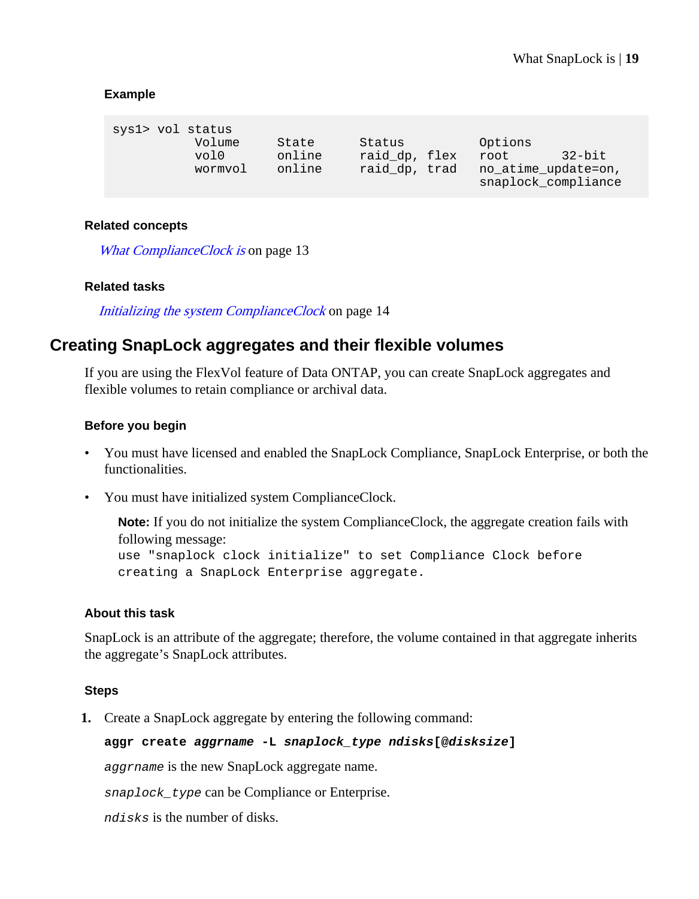#### <span id="page-18-0"></span>**Example**

| sys1> vol status |                |                 |                         |                                            |           |
|------------------|----------------|-----------------|-------------------------|--------------------------------------------|-----------|
|                  | Volume<br>vol0 | State<br>online | Status<br>raid dp, flex | Options<br>root                            | $32$ -bit |
|                  | wormvol        | online          | raid dp, trad           | no atime update=on,<br>snaplock_compliance |           |

#### **Related concepts**

[What ComplianceClock is](#page-12-0) on page 13

#### **Related tasks**

[Initializing the system ComplianceClock](#page-13-0) on page 14

### **Creating SnapLock aggregates and their flexible volumes**

If you are using the FlexVol feature of Data ONTAP, you can create SnapLock aggregates and flexible volumes to retain compliance or archival data.

#### **Before you begin**

- You must have licensed and enabled the SnapLock Compliance, SnapLock Enterprise, or both the functionalities.
- You must have initialized system ComplianceClock.

**Note:** If you do not initialize the system ComplianceClock, the aggregate creation fails with following message: use "snaplock clock initialize" to set Compliance Clock before creating a SnapLock Enterprise aggregate.

#### **About this task**

SnapLock is an attribute of the aggregate; therefore, the volume contained in that aggregate inherits the aggregate's SnapLock attributes.

#### **Steps**

**1.** Create a SnapLock aggregate by entering the following command:

#### **aggr create aggrname -L snaplock\_type ndisks[@disksize]**

aggrname is the new SnapLock aggregate name.

snaplock\_type can be Compliance or Enterprise.

ndisks is the number of disks.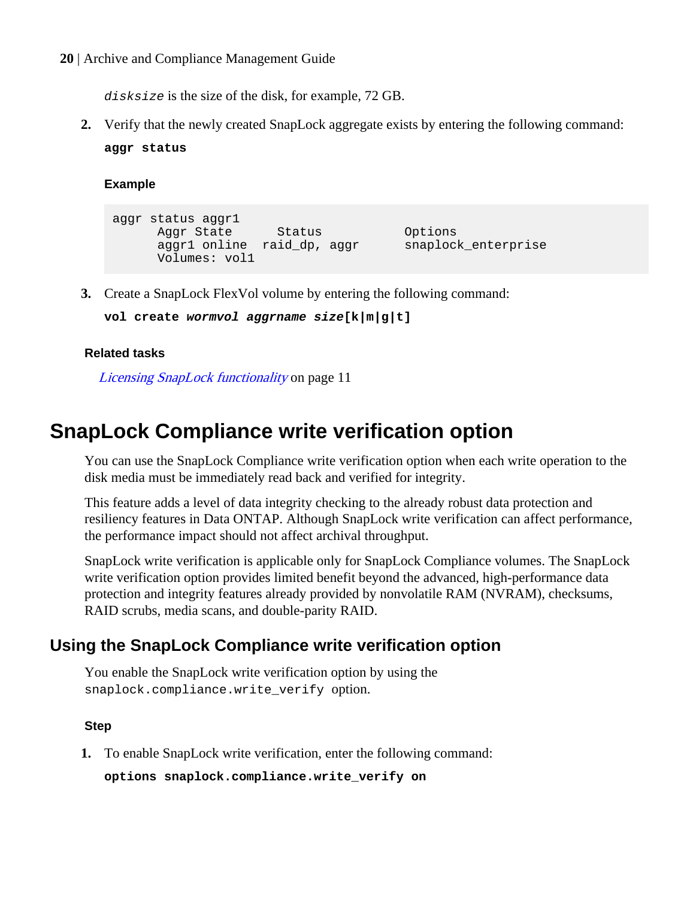<span id="page-19-0"></span>disksize is the size of the disk, for example, 72 GB.

**2.** Verify that the newly created SnapLock aggregate exists by entering the following command: **aggr status**

**Example**

```
aggr status aggr1
      Aggr State Status Options<br>aggr1 online raid dp, aggr snaplock enterprise
      aggr1 online raid_dp, aggr
       Volumes: vol1
```
**3.** Create a SnapLock FlexVol volume by entering the following command:

```
vol create wormvol aggrname size[k|m|g|t]
```
#### **Related tasks**

[Licensing SnapLock functionality](#page-10-0) on page 11

### **SnapLock Compliance write verification option**

You can use the SnapLock Compliance write verification option when each write operation to the disk media must be immediately read back and verified for integrity.

This feature adds a level of data integrity checking to the already robust data protection and resiliency features in Data ONTAP. Although SnapLock write verification can affect performance, the performance impact should not affect archival throughput.

SnapLock write verification is applicable only for SnapLock Compliance volumes. The SnapLock write verification option provides limited benefit beyond the advanced, high-performance data protection and integrity features already provided by nonvolatile RAM (NVRAM), checksums, RAID scrubs, media scans, and double-parity RAID.

### **Using the SnapLock Compliance write verification option**

You enable the SnapLock write verification option by using the snaplock.compliance.write\_verify option.

#### **Step**

**1.** To enable SnapLock write verification, enter the following command:

**options snaplock.compliance.write\_verify on**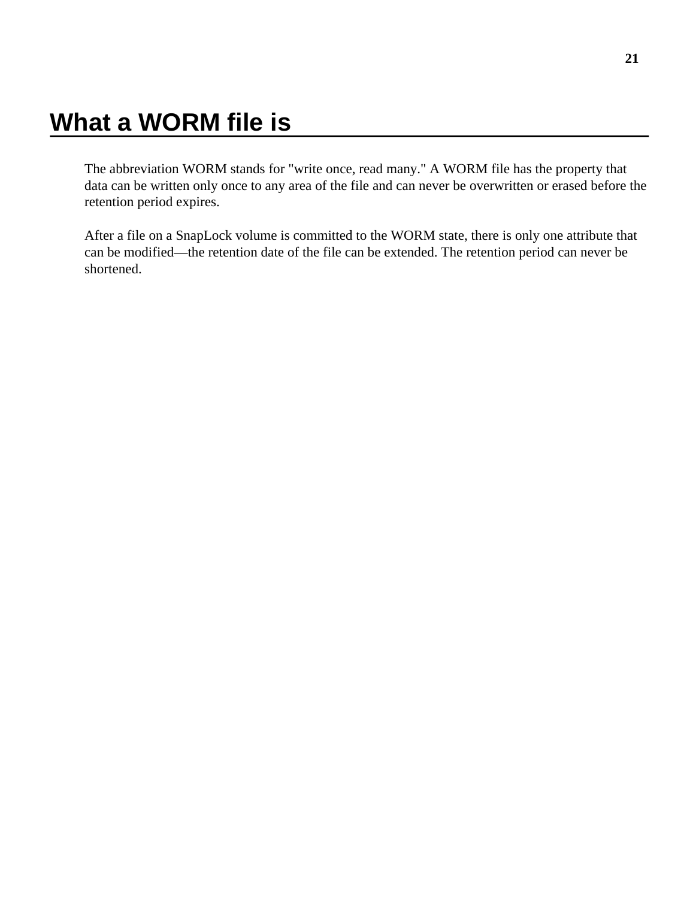# <span id="page-20-0"></span>**What a WORM file is**

The abbreviation WORM stands for "write once, read many." A WORM file has the property that data can be written only once to any area of the file and can never be overwritten or erased before the retention period expires.

After a file on a SnapLock volume is committed to the WORM state, there is only one attribute that can be modified—the retention date of the file can be extended. The retention period can never be shortened.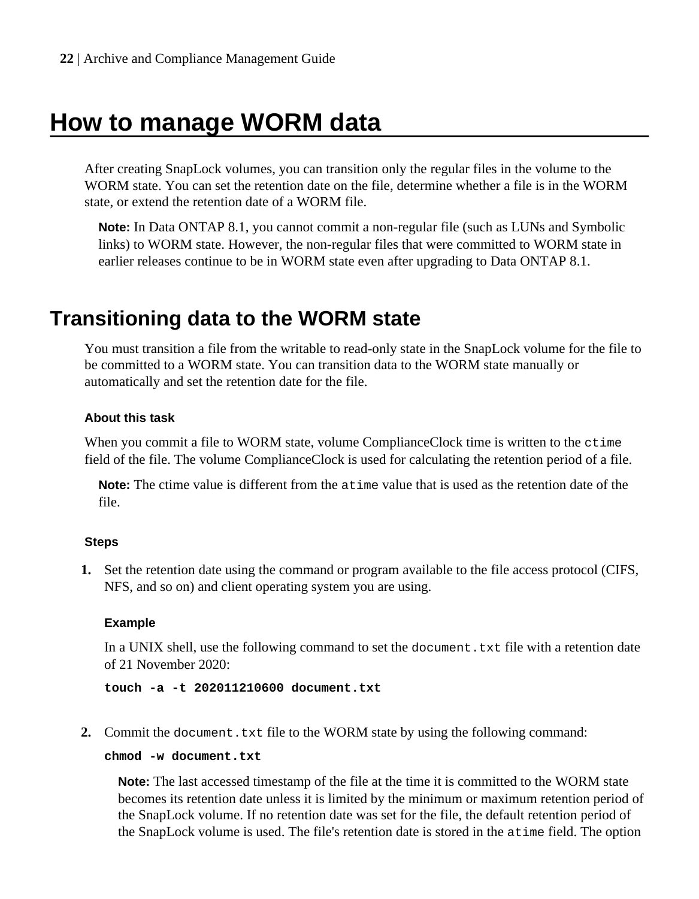# <span id="page-21-0"></span>**How to manage WORM data**

After creating SnapLock volumes, you can transition only the regular files in the volume to the WORM state. You can set the retention date on the file, determine whether a file is in the WORM state, or extend the retention date of a WORM file.

**Note:** In Data ONTAP 8.1, you cannot commit a non-regular file (such as LUNs and Symbolic links) to WORM state. However, the non-regular files that were committed to WORM state in earlier releases continue to be in WORM state even after upgrading to Data ONTAP 8.1.

### **Transitioning data to the WORM state**

You must transition a file from the writable to read-only state in the SnapLock volume for the file to be committed to a WORM state. You can transition data to the WORM state manually or automatically and set the retention date for the file.

#### **About this task**

When you commit a file to WORM state, volume ComplianceClock time is written to the  $\text{ctime}$ field of the file. The volume ComplianceClock is used for calculating the retention period of a file.

**Note:** The ctime value is different from the atime value that is used as the retention date of the file.

#### **Steps**

**1.** Set the retention date using the command or program available to the file access protocol (CIFS, NFS, and so on) and client operating system you are using.

#### **Example**

In a UNIX shell, use the following command to set the document. txt file with a retention date of 21 November 2020:

**touch -a -t 202011210600 document.txt**

**2.** Commit the document.txt file to the WORM state by using the following command:

#### **chmod -w document.txt**

**Note:** The last accessed timestamp of the file at the time it is committed to the WORM state becomes its retention date unless it is limited by the minimum or maximum retention period of the SnapLock volume. If no retention date was set for the file, the default retention period of the SnapLock volume is used. The file's retention date is stored in the atime field. The option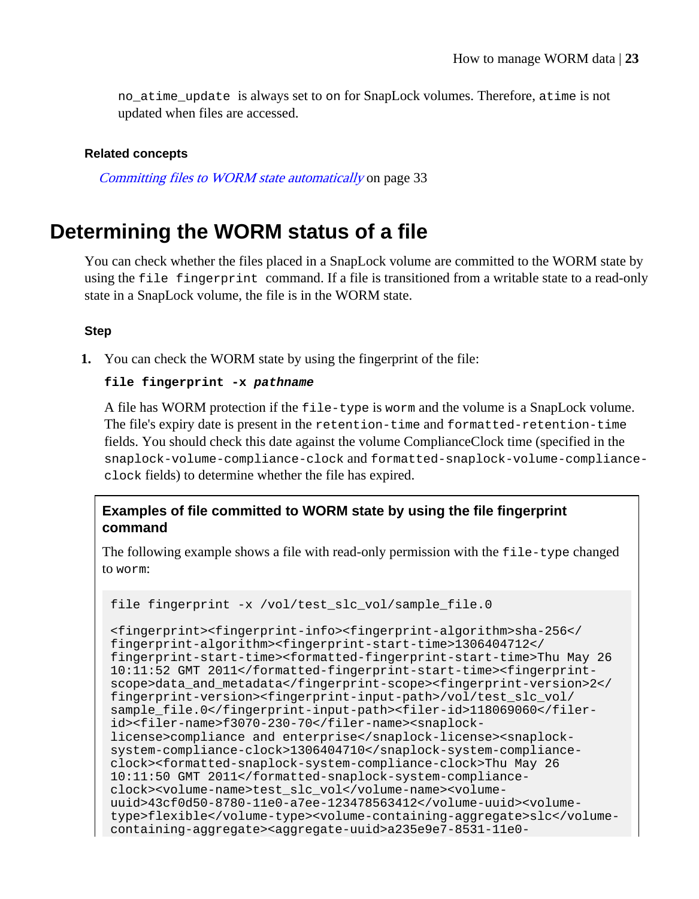<span id="page-22-0"></span>no\_atime\_update is always set to on for SnapLock volumes. Therefore, atime is not updated when files are accessed.

#### **Related concepts**

[Committing files to WORM state automatically](#page-32-0) on page 33

### **Determining the WORM status of a file**

You can check whether the files placed in a SnapLock volume are committed to the WORM state by using the file fingerprint command. If a file is transitioned from a writable state to a read-only state in a SnapLock volume, the file is in the WORM state.

#### **Step**

**1.** You can check the WORM state by using the fingerprint of the file:

#### **file fingerprint -x pathname**

A file has WORM protection if the file-type is worm and the volume is a SnapLock volume. The file's expiry date is present in the retention-time and formatted-retention-time fields. You should check this date against the volume ComplianceClock time (specified in the snaplock-volume-compliance-clock and formatted-snaplock-volume-complianceclock fields) to determine whether the file has expired.

#### **Examples of file committed to WORM state by using the file fingerprint command**

The following example shows a file with read-only permission with the file-type changed to worm:

```
file fingerprint -x /vol/test_slc_vol/sample_file.0
```

```
<fingerprint><fingerprint-info><fingerprint-algorithm>sha-256</
fingerprint-algorithm><fingerprint-start-time>1306404712</
fingerprint-start-time><formatted-fingerprint-start-time>Thu May 26 
10:11:52 GMT 2011</formatted-fingerprint-start-time><fingerprint-
scope>data_and_metadata</fingerprint-scope><fingerprint-version>2</
fingerprint-version><fingerprint-input-path>/vol/test_slc_vol/
sample_file.0</fingerprint-input-path><filer-id>118069060</filer-
id><filer-name>f3070-230-70</filer-name><snaplock-
license>compliance and enterprise</snaplock-license><snaplock-
system-compliance-clock>1306404710</snaplock-system-compliance-
clock><formatted-snaplock-system-compliance-clock>Thu May 26 
10:11:50 GMT 2011</formatted-snaplock-system-compliance-
clock><volume-name>test_slc_vol</volume-name><volume-
uuid>43cf0d50-8780-11e0-a7ee-123478563412</volume-uuid><volume-
type>flexible</volume-type><volume-containing-aggregate>slc</volume-
containing-aggregate><aggregate-uuid>a235e9e7-8531-11e0-
```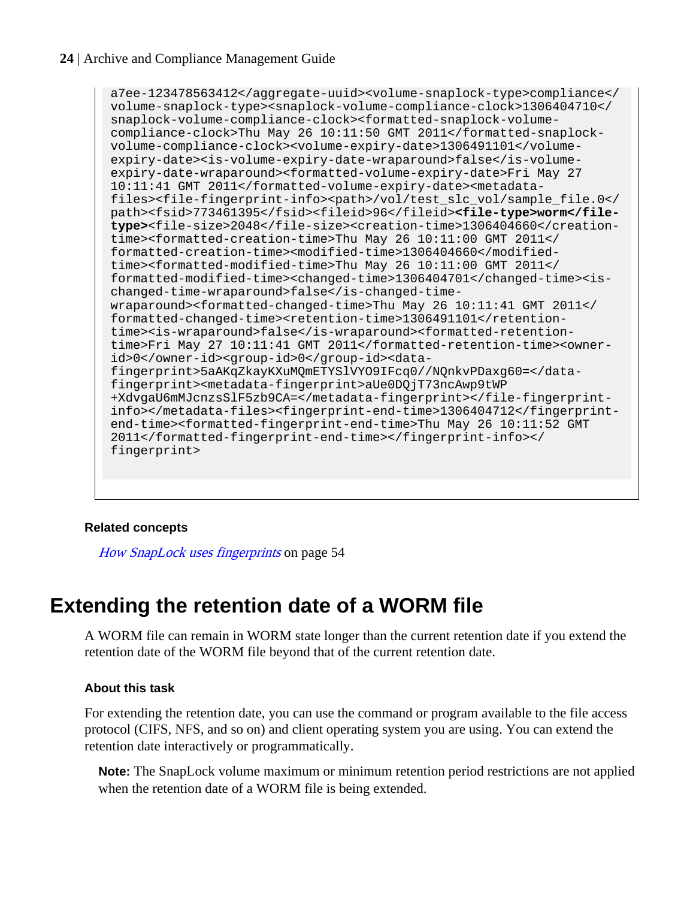<span id="page-23-0"></span>a7ee-123478563412</aggregate-uuid><volume-snaplock-type>compliance</ volume-snaplock-type><snaplock-volume-compliance-clock>1306404710</ snaplock-volume-compliance-clock><formatted-snaplock-volumecompliance-clock>Thu May 26 10:11:50 GMT 2011</formatted-snaplockvolume-compliance-clock><volume-expiry-date>1306491101</volumeexpiry-date><is-volume-expiry-date-wraparound>false</is-volumeexpiry-date-wraparound><formatted-volume-expiry-date>Fri May 27 10:11:41 GMT 2011</formatted-volume-expiry-date><metadatafiles><file-fingerprint-info><path>/vol/test\_slc\_vol/sample\_file.0</ path><fsid>773461395</fsid><fileid>96</fileid>**<file-type>worm</filetype>**<file-size>2048</file-size><creation-time>1306404660</creationtime><formatted-creation-time>Thu May 26 10:11:00 GMT 2011</ formatted-creation-time><modified-time>1306404660</modifiedtime><formatted-modified-time>Thu May 26 10:11:00 GMT 2011</ formatted-modified-time><changed-time>1306404701</changed-time><ischanged-time-wraparound>false</is-changed-timewraparound><formatted-changed-time>Thu May 26 10:11:41 GMT 2011</ formatted-changed-time><retention-time>1306491101</retentiontime><is-wraparound>false</is-wraparound><formatted-retentiontime>Fri May 27 10:11:41 GMT 2011</formatted-retention-time><ownerid>0</owner-id><group-id>0</group-id><datafingerprint>5aAKqZkayKXuMQmETYSlVYO9IFcq0//NQnkvPDaxg60=</datafingerprint><metadata-fingerprint>aUe0DQjT73ncAwp9tWP +XdvgaU6mMJcnzsSlF5zb9CA=</metadata-fingerprint></file-fingerprintinfo></metadata-files><fingerprint-end-time>1306404712</fingerprintend-time><formatted-fingerprint-end-time>Thu May 26 10:11:52 GMT 2011</formatted-fingerprint-end-time></fingerprint-info></ fingerprint>

#### **Related concepts**

[How SnapLock uses fingerprints](#page-53-0) on page 54

### **Extending the retention date of a WORM file**

A WORM file can remain in WORM state longer than the current retention date if you extend the retention date of the WORM file beyond that of the current retention date.

#### **About this task**

For extending the retention date, you can use the command or program available to the file access protocol (CIFS, NFS, and so on) and client operating system you are using. You can extend the retention date interactively or programmatically.

**Note:** The SnapLock volume maximum or minimum retention period restrictions are not applied when the retention date of a WORM file is being extended.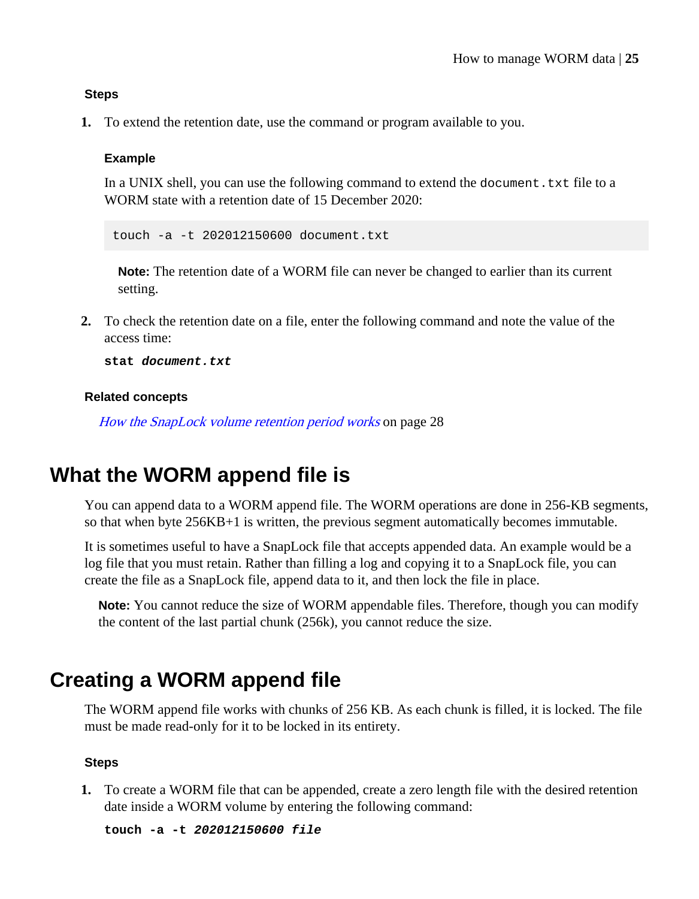#### <span id="page-24-0"></span>**Steps**

**1.** To extend the retention date, use the command or program available to you.

#### **Example**

In a UNIX shell, you can use the following command to extend the document.txt file to a WORM state with a retention date of 15 December 2020:

touch -a -t 202012150600 document.txt

**Note:** The retention date of a WORM file can never be changed to earlier than its current setting.

**2.** To check the retention date on a file, enter the following command and note the value of the access time:

**stat document.txt**

#### **Related concepts**

[How the SnapLock volume retention period works](#page-27-0) on page 28

### **What the WORM append file is**

You can append data to a WORM append file. The WORM operations are done in 256-KB segments, so that when byte 256KB+1 is written, the previous segment automatically becomes immutable.

It is sometimes useful to have a SnapLock file that accepts appended data. An example would be a log file that you must retain. Rather than filling a log and copying it to a SnapLock file, you can create the file as a SnapLock file, append data to it, and then lock the file in place.

**Note:** You cannot reduce the size of WORM appendable files. Therefore, though you can modify the content of the last partial chunk (256k), you cannot reduce the size.

### **Creating a WORM append file**

The WORM append file works with chunks of 256 KB. As each chunk is filled, it is locked. The file must be made read-only for it to be locked in its entirety.

#### **Steps**

**1.** To create a WORM file that can be appended, create a zero length file with the desired retention date inside a WORM volume by entering the following command:

**touch -a -t 202012150600 file**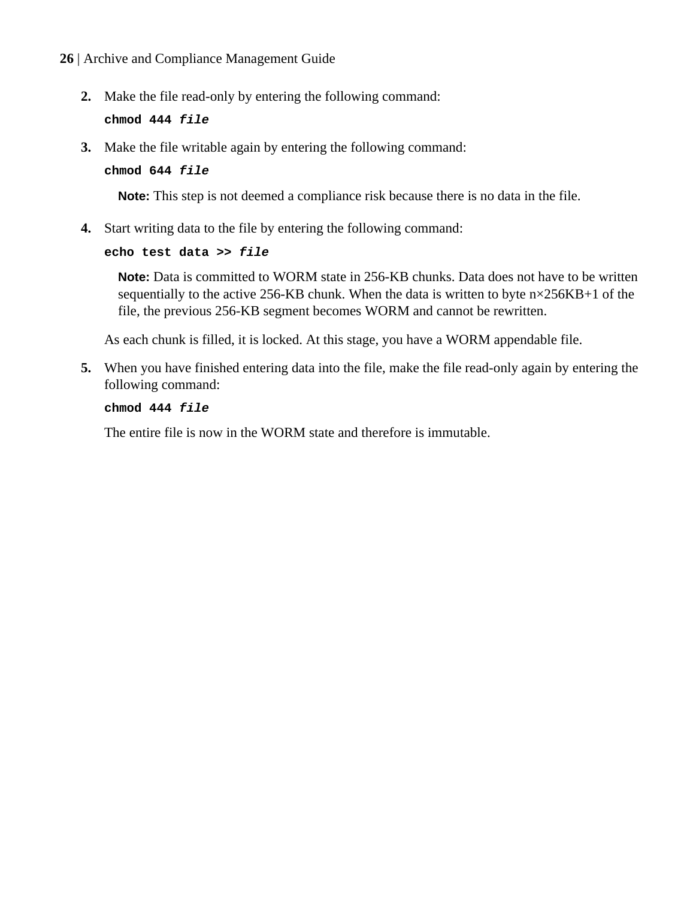**2.** Make the file read-only by entering the following command:

**chmod 444 file**

**3.** Make the file writable again by entering the following command:

**chmod 644 file**

**Note:** This step is not deemed a compliance risk because there is no data in the file.

**4.** Start writing data to the file by entering the following command:

#### **echo test data >> file**

**Note:** Data is committed to WORM state in 256-KB chunks. Data does not have to be written sequentially to the active 256-KB chunk. When the data is written to byte  $n \times 256KB+1$  of the file, the previous 256-KB segment becomes WORM and cannot be rewritten.

As each chunk is filled, it is locked. At this stage, you have a WORM appendable file.

**5.** When you have finished entering data into the file, make the file read-only again by entering the following command:

#### **chmod 444 file**

The entire file is now in the WORM state and therefore is immutable.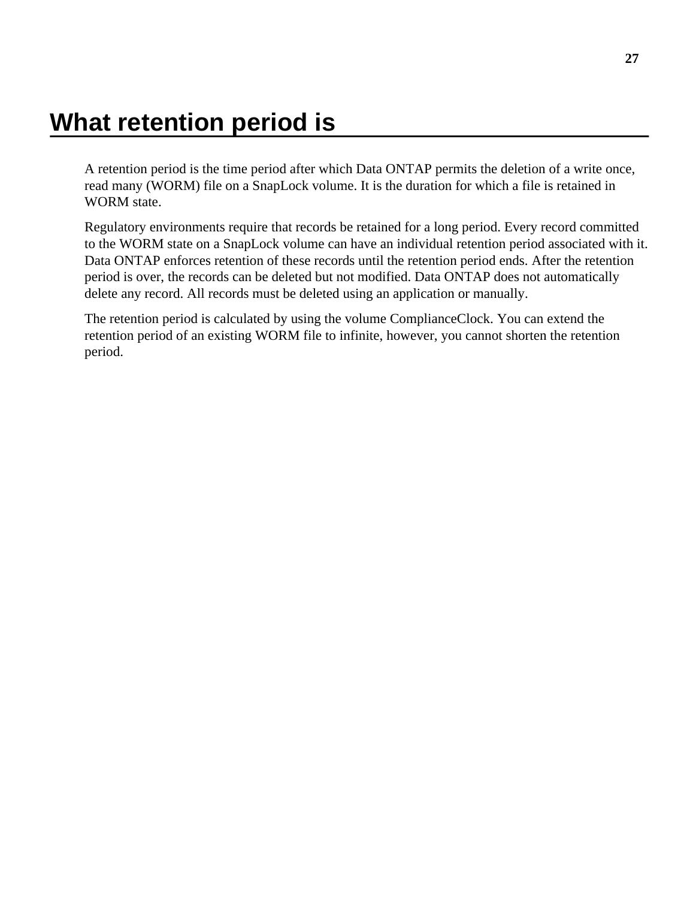# <span id="page-26-0"></span>**What retention period is**

A retention period is the time period after which Data ONTAP permits the deletion of a write once, read many (WORM) file on a SnapLock volume. It is the duration for which a file is retained in WORM state.

Regulatory environments require that records be retained for a long period. Every record committed to the WORM state on a SnapLock volume can have an individual retention period associated with it. Data ONTAP enforces retention of these records until the retention period ends. After the retention period is over, the records can be deleted but not modified. Data ONTAP does not automatically delete any record. All records must be deleted using an application or manually.

The retention period is calculated by using the volume ComplianceClock. You can extend the retention period of an existing WORM file to infinite, however, you cannot shorten the retention period.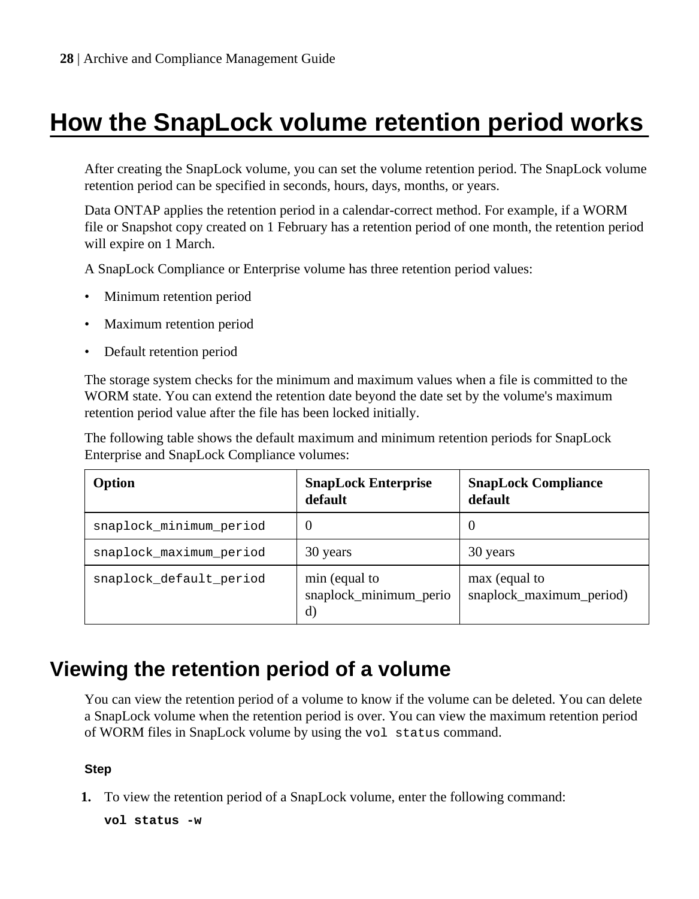# <span id="page-27-0"></span>**How the SnapLock volume retention period works**

After creating the SnapLock volume, you can set the volume retention period. The SnapLock volume retention period can be specified in seconds, hours, days, months, or years.

Data ONTAP applies the retention period in a calendar-correct method. For example, if a WORM file or Snapshot copy created on 1 February has a retention period of one month, the retention period will expire on 1 March.

A SnapLock Compliance or Enterprise volume has three retention period values:

- Minimum retention period
- Maximum retention period
- Default retention period

The storage system checks for the minimum and maximum values when a file is committed to the WORM state. You can extend the retention date beyond the date set by the volume's maximum retention period value after the file has been locked initially.

The following table shows the default maximum and minimum retention periods for SnapLock Enterprise and SnapLock Compliance volumes:

| Option                  | <b>SnapLock Enterprise</b><br>default         | <b>SnapLock Compliance</b><br>default     |
|-------------------------|-----------------------------------------------|-------------------------------------------|
| snaplock_minimum_period | $\theta$                                      | $\theta$                                  |
| snaplock maximum period | 30 years                                      | 30 years                                  |
| snaplock default period | min (equal to<br>snaplock_minimum_perio<br>d) | max (equal to<br>snaplock_maximum_period) |

## **Viewing the retention period of a volume**

You can view the retention period of a volume to know if the volume can be deleted. You can delete a SnapLock volume when the retention period is over. You can view the maximum retention period of WORM files in SnapLock volume by using the vol status command.

#### **Step**

**1.** To view the retention period of a SnapLock volume, enter the following command:

**vol status -w**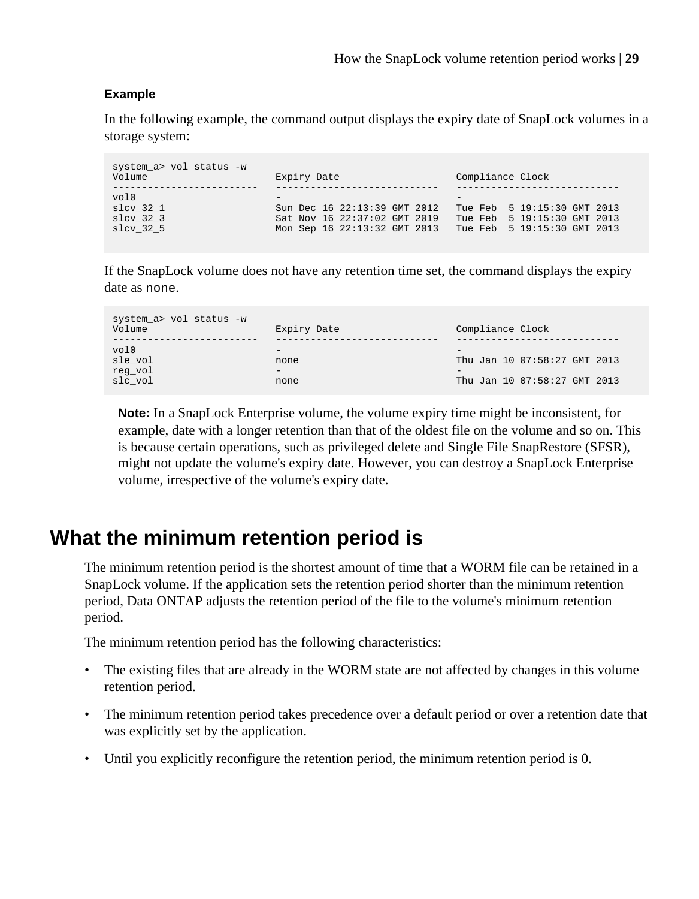#### <span id="page-28-0"></span>**Example**

In the following example, the command output displays the expiry date of SnapLock volumes in a storage system:

```
system_a> vol status -w
                                      Expiry Date Compliance Clock
------------------------- ---------------------------- ----------------------------
\mathsf{vol}\,0 - \qquad - \qquad - \qquad - \qquad - \qquad - \qquad - \qquad - \qquad - \qquad - \qquad - \qquad - \qquad - \qquad - \qquad - \qquad - \qquad - \qquad - \qquad - \qquad - \qquad - \qquad - \qquad - \qquad - \qquad - \qquad - \qquad - 
slcv_32_1 Sun Dec 16 22:13:39 GMT 2012 Tue Feb 5 19:15:30 GMT 2013<br>slcv_32_3 Sat Nov 16 22:37:02 GMT 2019 Tue Feb 5 19:15:30 GMT 2013
slcv_32_3 Sat Nov 16 22:37:02 GMT 2019 Tue Feb 5 19:15:30 GMT 2013
                                      Mon Sep 16 22:13:32 GMT 2013 Tue Feb 5 19:15:30 GMT 2013
```
If the SnapLock volume does not have any retention time set, the command displays the expiry date as none.

| system a> vol status -w<br>Volume | Expiry Date              | Compliance Clock             |
|-----------------------------------|--------------------------|------------------------------|
|                                   |                          |                              |
| vol0                              | $\overline{\phantom{a}}$ | $\overline{\phantom{a}}$     |
| sle vol                           | none                     | Thu Jan 10 07:58:27 GMT 2013 |
| reg vol                           | $\overline{\phantom{a}}$ | $\overline{\phantom{a}}$     |
| slc vol                           | none                     | Thu Jan 10 07:58:27 GMT 2013 |

**Note:** In a SnapLock Enterprise volume, the volume expiry time might be inconsistent, for example, date with a longer retention than that of the oldest file on the volume and so on. This is because certain operations, such as privileged delete and Single File SnapRestore (SFSR), might not update the volume's expiry date. However, you can destroy a SnapLock Enterprise volume, irrespective of the volume's expiry date.

### **What the minimum retention period is**

The minimum retention period is the shortest amount of time that a WORM file can be retained in a SnapLock volume. If the application sets the retention period shorter than the minimum retention period, Data ONTAP adjusts the retention period of the file to the volume's minimum retention period.

The minimum retention period has the following characteristics:

- The existing files that are already in the WORM state are not affected by changes in this volume retention period.
- The minimum retention period takes precedence over a default period or over a retention date that was explicitly set by the application.
- Until you explicitly reconfigure the retention period, the minimum retention period is 0.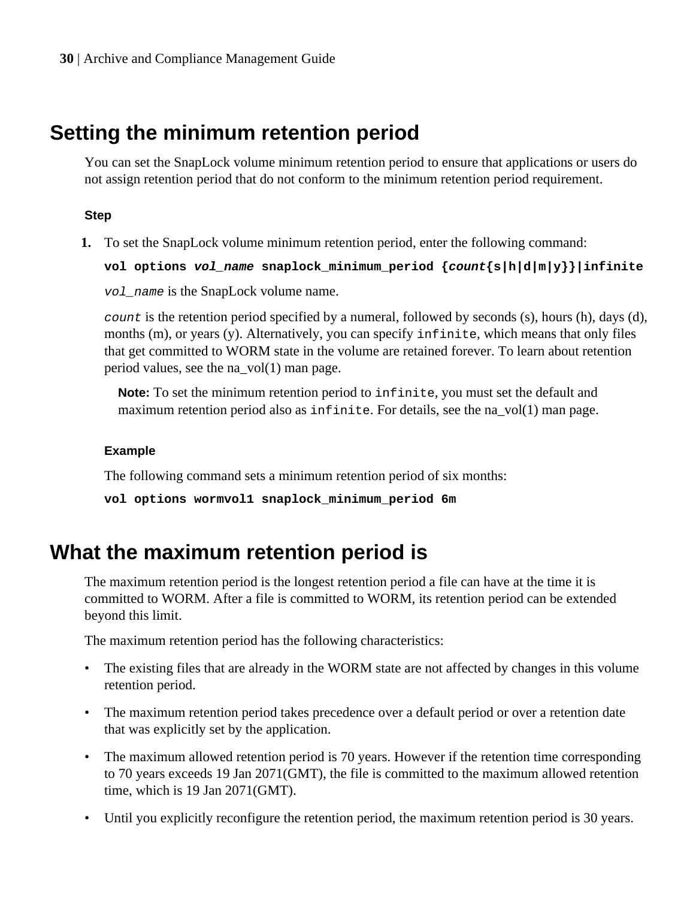## <span id="page-29-0"></span>**Setting the minimum retention period**

You can set the SnapLock volume minimum retention period to ensure that applications or users do not assign retention period that do not conform to the minimum retention period requirement.

#### **Step**

**1.** To set the SnapLock volume minimum retention period, enter the following command:

```
vol options vol_name snaplock_minimum_period {count{s|h|d|m|y}}|infinite
```
vol\_name is the SnapLock volume name.

count is the retention period specified by a numeral, followed by seconds (s), hours (h), days (d), months (m), or years (y). Alternatively, you can specify infinite, which means that only files that get committed to WORM state in the volume are retained forever. To learn about retention period values, see the na\_vol(1) man page.

**Note:** To set the minimum retention period to infinite, you must set the default and maximum retention period also as infinite. For details, see the na  $vol(1)$  man page.

#### **Example**

The following command sets a minimum retention period of six months:

```
vol options wormvol1 snaplock_minimum_period 6m
```
### **What the maximum retention period is**

The maximum retention period is the longest retention period a file can have at the time it is committed to WORM. After a file is committed to WORM, its retention period can be extended beyond this limit.

The maximum retention period has the following characteristics:

- The existing files that are already in the WORM state are not affected by changes in this volume retention period.
- The maximum retention period takes precedence over a default period or over a retention date that was explicitly set by the application.
- The maximum allowed retention period is 70 years. However if the retention time corresponding to 70 years exceeds 19 Jan 2071(GMT), the file is committed to the maximum allowed retention time, which is 19 Jan 2071(GMT).
- Until you explicitly reconfigure the retention period, the maximum retention period is 30 years.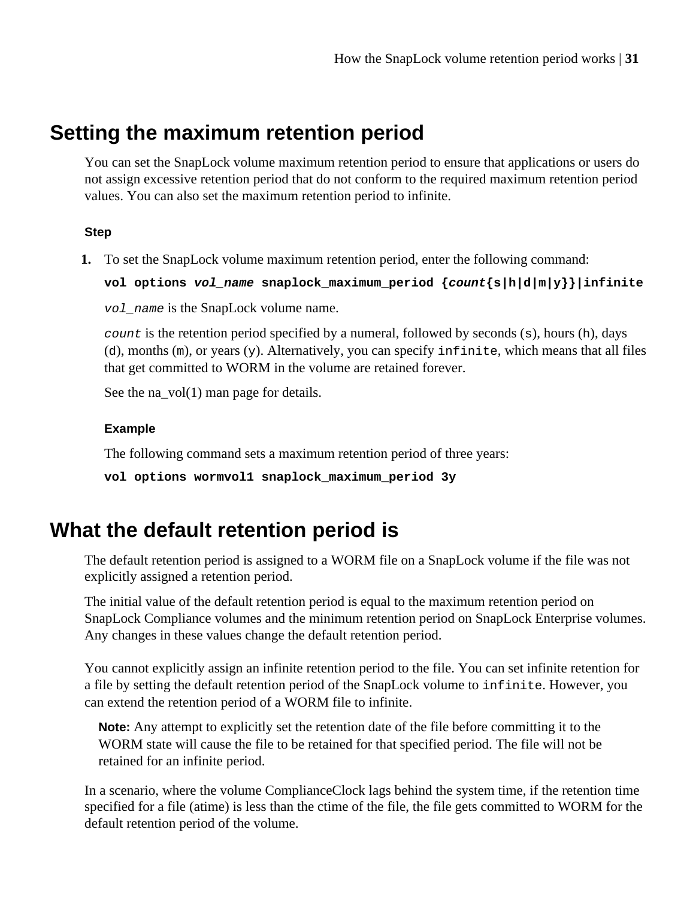## <span id="page-30-0"></span>**Setting the maximum retention period**

You can set the SnapLock volume maximum retention period to ensure that applications or users do not assign excessive retention period that do not conform to the required maximum retention period values. You can also set the maximum retention period to infinite.

#### **Step**

**1.** To set the SnapLock volume maximum retention period, enter the following command:

**vol options vol\_name snaplock\_maximum\_period {count{s|h|d|m|y}}|infinite** vol\_name is the SnapLock volume name.

count is the retention period specified by a numeral, followed by seconds  $(s)$ , hours  $(h)$ , days (d), months (m), or years (y). Alternatively, you can specify infinite, which means that all files that get committed to WORM in the volume are retained forever.

See the na\_vol(1) man page for details.

#### **Example**

The following command sets a maximum retention period of three years:

```
vol options wormvol1 snaplock_maximum_period 3y
```
## **What the default retention period is**

The default retention period is assigned to a WORM file on a SnapLock volume if the file was not explicitly assigned a retention period.

The initial value of the default retention period is equal to the maximum retention period on SnapLock Compliance volumes and the minimum retention period on SnapLock Enterprise volumes. Any changes in these values change the default retention period.

You cannot explicitly assign an infinite retention period to the file. You can set infinite retention for a file by setting the default retention period of the SnapLock volume to infinite. However, you can extend the retention period of a WORM file to infinite.

**Note:** Any attempt to explicitly set the retention date of the file before committing it to the WORM state will cause the file to be retained for that specified period. The file will not be retained for an infinite period.

In a scenario, where the volume ComplianceClock lags behind the system time, if the retention time specified for a file (atime) is less than the ctime of the file, the file gets committed to WORM for the default retention period of the volume.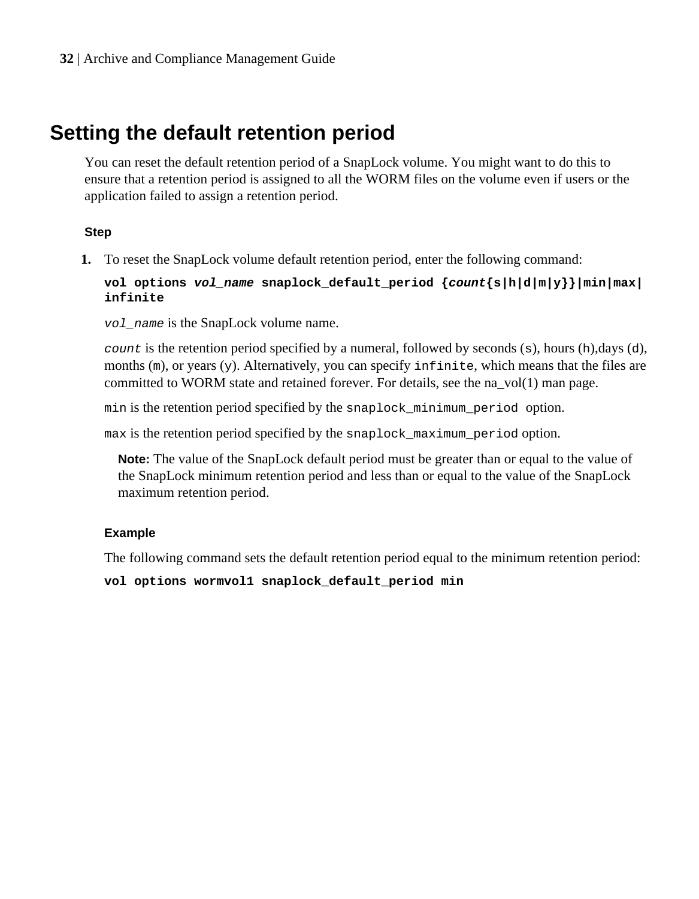## <span id="page-31-0"></span>**Setting the default retention period**

You can reset the default retention period of a SnapLock volume. You might want to do this to ensure that a retention period is assigned to all the WORM files on the volume even if users or the application failed to assign a retention period.

#### **Step**

**1.** To reset the SnapLock volume default retention period, enter the following command:

**vol options vol\_name snaplock\_default\_period {count{s|h|d|m|y}}|min|max| infinite**

vol\_name is the SnapLock volume name.

count is the retention period specified by a numeral, followed by seconds  $(s)$ , hours  $(h)$ ,days  $(d)$ , months  $(m)$ , or years  $(y)$ . Alternatively, you can specify infinite, which means that the files are committed to WORM state and retained forever. For details, see the na  $vol(1)$  man page.

min is the retention period specified by the snaplock\_minimum\_period option.

max is the retention period specified by the snaplock maximum period option.

**Note:** The value of the SnapLock default period must be greater than or equal to the value of the SnapLock minimum retention period and less than or equal to the value of the SnapLock maximum retention period.

#### **Example**

The following command sets the default retention period equal to the minimum retention period:

**vol options wormvol1 snaplock\_default\_period min**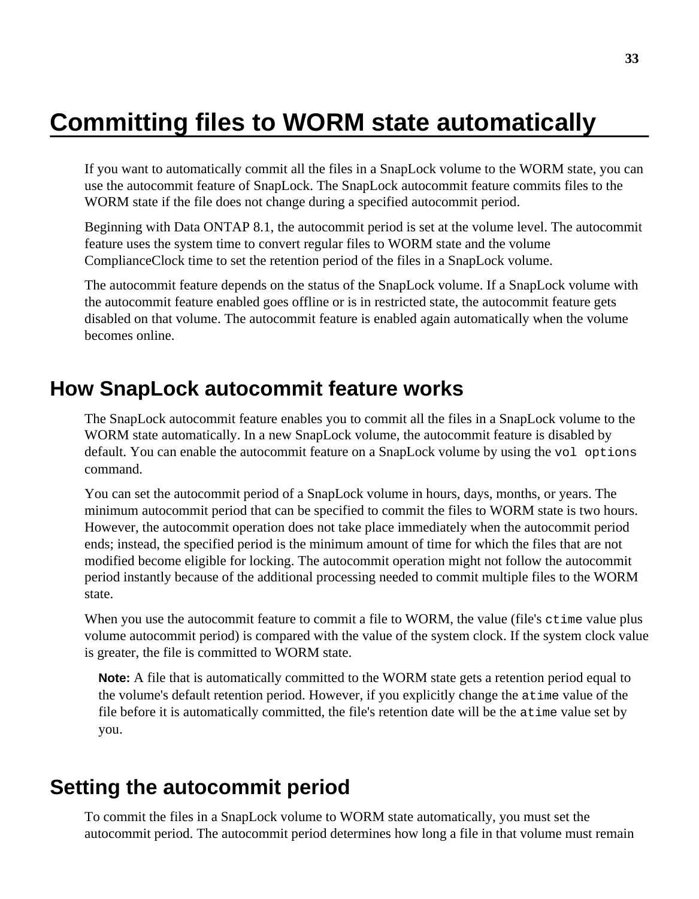# <span id="page-32-0"></span>**Committing files to WORM state automatically**

If you want to automatically commit all the files in a SnapLock volume to the WORM state, you can use the autocommit feature of SnapLock. The SnapLock autocommit feature commits files to the WORM state if the file does not change during a specified autocommit period.

Beginning with Data ONTAP 8.1, the autocommit period is set at the volume level. The autocommit feature uses the system time to convert regular files to WORM state and the volume ComplianceClock time to set the retention period of the files in a SnapLock volume.

The autocommit feature depends on the status of the SnapLock volume. If a SnapLock volume with the autocommit feature enabled goes offline or is in restricted state, the autocommit feature gets disabled on that volume. The autocommit feature is enabled again automatically when the volume becomes online.

### **How SnapLock autocommit feature works**

The SnapLock autocommit feature enables you to commit all the files in a SnapLock volume to the WORM state automatically. In a new SnapLock volume, the autocommit feature is disabled by default. You can enable the autocommit feature on a SnapLock volume by using the vol options command.

You can set the autocommit period of a SnapLock volume in hours, days, months, or years. The minimum autocommit period that can be specified to commit the files to WORM state is two hours. However, the autocommit operation does not take place immediately when the autocommit period ends; instead, the specified period is the minimum amount of time for which the files that are not modified become eligible for locking. The autocommit operation might not follow the autocommit period instantly because of the additional processing needed to commit multiple files to the WORM state.

When you use the autocommit feature to commit a file to WORM, the value (file's ctime value plus volume autocommit period) is compared with the value of the system clock. If the system clock value is greater, the file is committed to WORM state.

**Note:** A file that is automatically committed to the WORM state gets a retention period equal to the volume's default retention period. However, if you explicitly change the atime value of the file before it is automatically committed, the file's retention date will be the atime value set by you.

### **Setting the autocommit period**

To commit the files in a SnapLock volume to WORM state automatically, you must set the autocommit period. The autocommit period determines how long a file in that volume must remain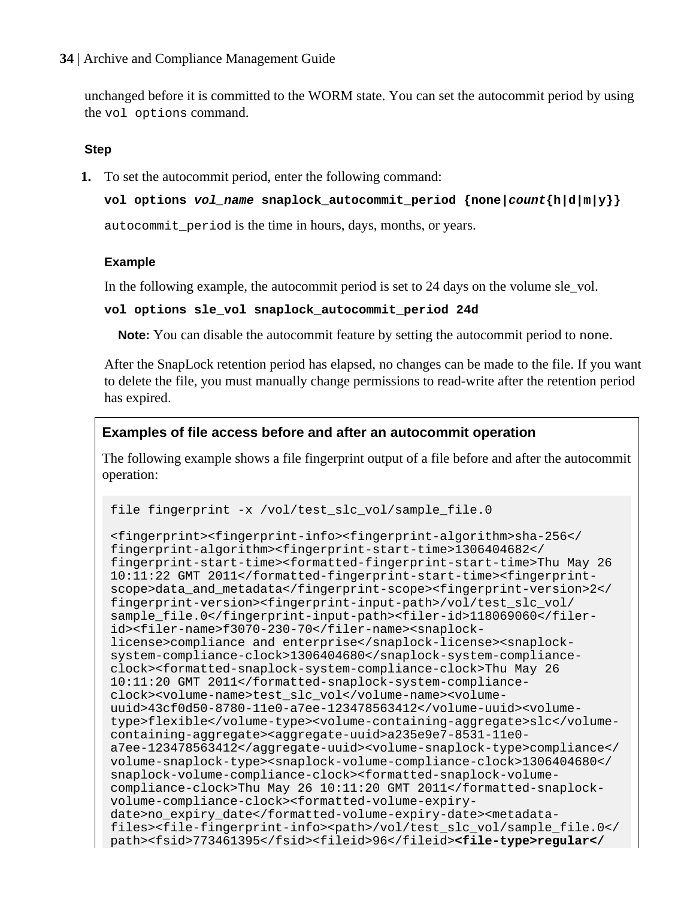unchanged before it is committed to the WORM state. You can set the autocommit period by using the vol options command.

#### **Step**

**1.** To set the autocommit period, enter the following command:

```
vol options vol_name snaplock_autocommit_period {none|count{h|d|m|y}}
```
autocommit\_period is the time in hours, days, months, or years.

#### **Example**

In the following example, the autocommit period is set to 24 days on the volume sle\_vol.

#### **vol options sle\_vol snaplock\_autocommit\_period 24d**

**Note:** You can disable the autocommit feature by setting the autocommit period to none.

After the SnapLock retention period has elapsed, no changes can be made to the file. If you want to delete the file, you must manually change permissions to read-write after the retention period has expired.

#### **Examples of file access before and after an autocommit operation**

The following example shows a file fingerprint output of a file before and after the autocommit operation:

```
file fingerprint -x /vol/test_slc_vol/sample_file.0
```

```
<fingerprint><fingerprint-info><fingerprint-algorithm>sha-256</
fingerprint-algorithm><fingerprint-start-time>1306404682</
fingerprint-start-time><formatted-fingerprint-start-time>Thu May 26 
10:11:22 GMT 2011</formatted-fingerprint-start-time><fingerprint-
scope>data_and_metadata</fingerprint-scope><fingerprint-version>2</
fingerprint-version><fingerprint-input-path>/vol/test_slc_vol/
sample_file.0</fingerprint-input-path><filer-id>118069060</filer-
id><filer-name>f3070-230-70</filer-name><snaplock-
license>compliance and enterprise</snaplock-license><snaplock-
system-compliance-clock>1306404680</snaplock-system-compliance-
clock><formatted-snaplock-system-compliance-clock>Thu May 26 
10:11:20 GMT 2011</formatted-snaplock-system-compliance-
clock><volume-name>test_slc_vol</volume-name><volume-
uuid>43cf0d50-8780-11e0-a7ee-123478563412</volume-uuid><volume-
type>flexible</volume-type><volume-containing-aggregate>slc</volume-
containing-aggregate><aggregate-uuid>a235e9e7-8531-11e0-
a7ee-123478563412</aggregate-uuid><volume-snaplock-type>compliance</
volume-snaplock-type><snaplock-volume-compliance-clock>1306404680</
snaplock-volume-compliance-clock><formatted-snaplock-volume-
compliance-clock>Thu May 26 10:11:20 GMT 2011</formatted-snaplock-
volume-compliance-clock><formatted-volume-expiry-
date>no_expiry_date</formatted-volume-expiry-date><metadata-
files><file-fingerprint-info><path>/vol/test_slc_vol/sample_file.0</
path><fsid>773461395</fsid><fileid>96</fileid><file-type>regular</
```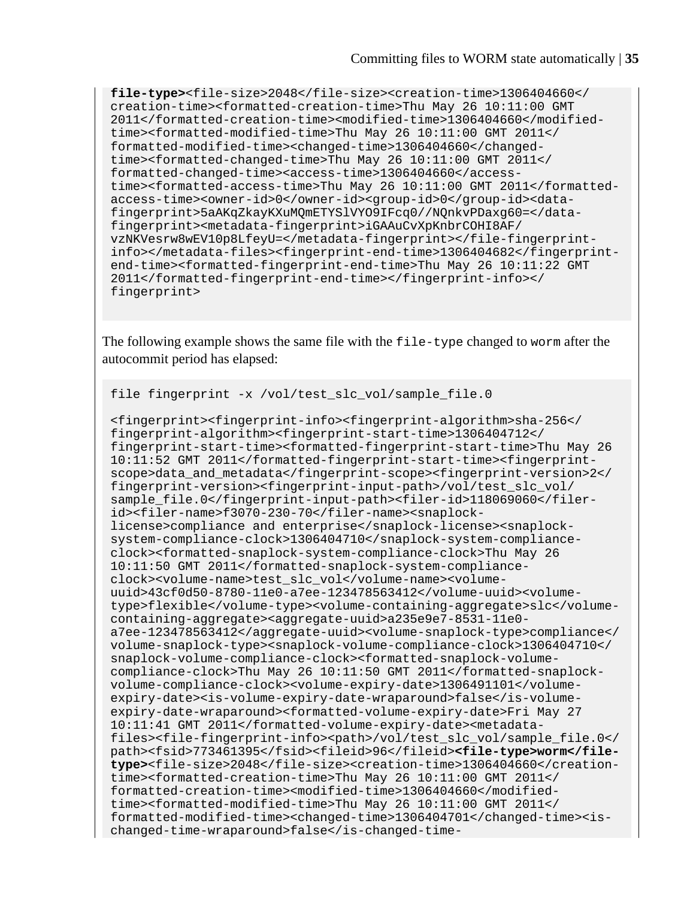**file-type>**<file-size>2048</file-size><creation-time>1306404660</ creation-time><formatted-creation-time>Thu May 26 10:11:00 GMT 2011</formatted-creation-time><modified-time>1306404660</modifiedtime><formatted-modified-time>Thu May 26 10:11:00 GMT 2011</ formatted-modified-time><changed-time>1306404660</changedtime><formatted-changed-time>Thu May 26 10:11:00 GMT 2011</ formatted-changed-time><access-time>1306404660</accesstime><formatted-access-time>Thu May 26 10:11:00 GMT 2011</formattedaccess-time><owner-id>0</owner-id><group-id>0</group-id><datafingerprint>5aAKqZkayKXuMQmETYSlVYO9IFcq0//NQnkvPDaxg60=</datafingerprint><metadata-fingerprint>iGAAuCvXpKnbrCOHI8AF/ vzNKVesrw8wEV10p8LfeyU=</metadata-fingerprint></file-fingerprintinfo></metadata-files><fingerprint-end-time>1306404682</fingerprintend-time><formatted-fingerprint-end-time>Thu May 26 10:11:22 GMT 2011</formatted-fingerprint-end-time></fingerprint-info></ fingerprint>

The following example shows the same file with the file-type changed to worm after the autocommit period has elapsed:

```
file fingerprint -x /vol/test slc vol/sample file.0
```

```
<fingerprint><fingerprint-info><fingerprint-algorithm>sha-256</
fingerprint-algorithm><fingerprint-start-time>1306404712</
fingerprint-start-time><formatted-fingerprint-start-time>Thu May 26 
10:11:52 GMT 2011</formatted-fingerprint-start-time><fingerprint-
scope>data_and_metadata</fingerprint-scope><fingerprint-version>2</
fingerprint-version><fingerprint-input-path>/vol/test_slc_vol/
sample file.0</fingerprint-input-path><filer-id>118069060</filer-
id><filer-name>f3070-230-70</filer-name><snaplock-
license>compliance and enterprise</snaplock-license><snaplock-
system-compliance-clock>1306404710</snaplock-system-compliance-
clock><formatted-snaplock-system-compliance-clock>Thu May 26 
10:11:50 GMT 2011</formatted-snaplock-system-compliance-
clock><volume-name>test_slc_vol</volume-name><volume-
uuid>43cf0d50-8780-11e0-a7ee-123478563412</volume-uuid><volume-
type>flexible</volume-type><volume-containing-aggregate>slc</volume-
containing-aggregate><aggregate-uuid>a235e9e7-8531-11e0-
a7ee-123478563412</aggregate-uuid><volume-snaplock-type>compliance</
volume-snaplock-type><snaplock-volume-compliance-clock>1306404710</
snaplock-volume-compliance-clock><formatted-snaplock-volume-
compliance-clock>Thu May 26 10:11:50 GMT 2011</formatted-snaplock-
volume-compliance-clock><volume-expiry-date>1306491101</volume-
expiry-date><is-volume-expiry-date-wraparound>false</is-volume-
expiry-date-wraparound><formatted-volume-expiry-date>Fri May 27 
10:11:41 GMT 2011</formatted-volume-expiry-date><metadata-
files><file-fingerprint-info><path>/vol/test_slc_vol/sample_file.0</
path><fsid>773461395</fsid><fileid>96</fileid><file-type>worm</file-
type><file-size>2048</file-size><creation-time>1306404660</creation-
time><formatted-creation-time>Thu May 26 10:11:00 GMT 2011</
formatted-creation-time><modified-time>1306404660</modified-
time><formatted-modified-time>Thu May 26 10:11:00 GMT 2011</
formatted-modified-time><changed-time>1306404701</changed-time><is-
changed-time-wraparound>false</is-changed-time-
```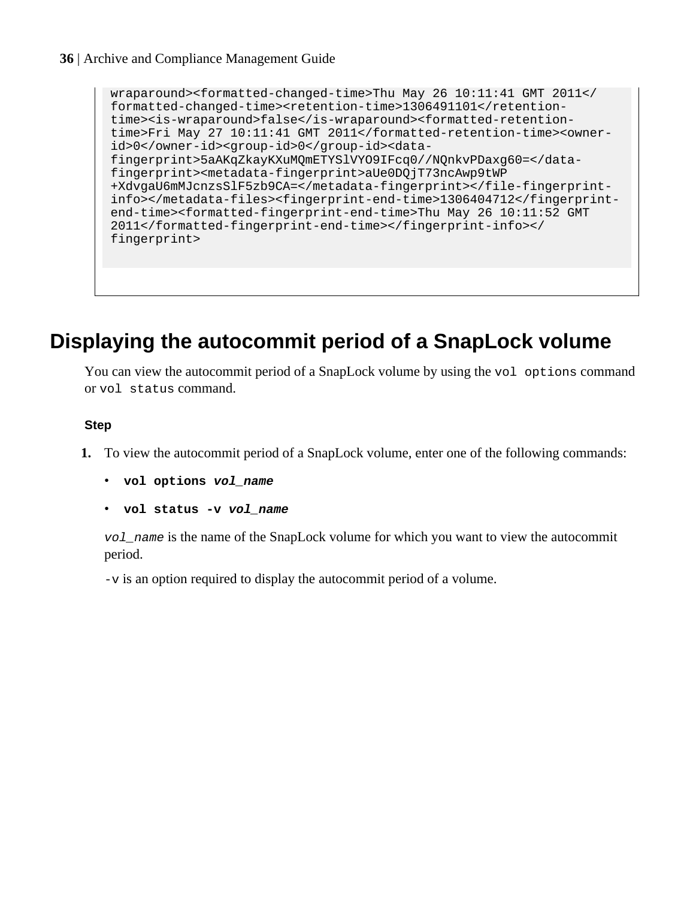```
wraparound><formatted-changed-time>Thu May 26 10:11:41 GMT 2011</
formatted-changed-time><retention-time>1306491101</retention-
time><is-wraparound>false</is-wraparound><formatted-retention-
time>Fri May 27 10:11:41 GMT 2011</formatted-retention-time><owner-
id>0</owner-id><group-id>0</group-id><data-
fingerprint>5aAKqZkayKXuMQmETYSlVYO9IFcq0//NQnkvPDaxg60=</data-
fingerprint><metadata-fingerprint>aUe0DQjT73ncAwp9tWP
+XdvgaU6mMJcnzsSlF5zb9CA=</metadata-fingerprint></file-fingerprint-
info></metadata-files><fingerprint-end-time>1306404712</fingerprint-
end-time><formatted-fingerprint-end-time>Thu May 26 10:11:52 GMT 
2011</formatted-fingerprint-end-time></fingerprint-info></
fingerprint>
```
## **Displaying the autocommit period of a SnapLock volume**

You can view the autocommit period of a SnapLock volume by using the vol options command or vol status command.

#### **Step**

- **1.** To view the autocommit period of a SnapLock volume, enter one of the following commands:
	- **vol options vol\_name**
	- **vol status -v vol\_name**

vol\_name is the name of the SnapLock volume for which you want to view the autocommit period.

-v is an option required to display the autocommit period of a volume.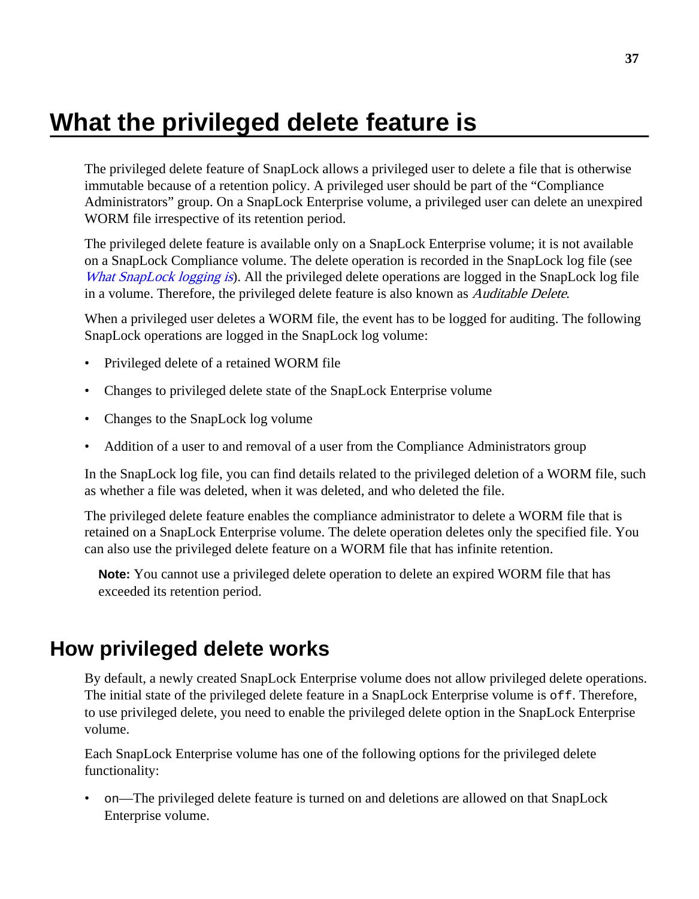# <span id="page-36-0"></span>**What the privileged delete feature is**

The privileged delete feature of SnapLock allows a privileged user to delete a file that is otherwise immutable because of a retention policy. A privileged user should be part of the "Compliance Administrators" group. On a SnapLock Enterprise volume, a privileged user can delete an unexpired WORM file irrespective of its retention period.

The privileged delete feature is available only on a SnapLock Enterprise volume; it is not available on a SnapLock Compliance volume. The delete operation is recorded in the SnapLock log file (see [What SnapLock logging is](#page-42-0)). All the privileged delete operations are logged in the SnapLock log file in a volume. Therefore, the privileged delete feature is also known as *Auditable Delete*.

When a privileged user deletes a WORM file, the event has to be logged for auditing. The following SnapLock operations are logged in the SnapLock log volume:

- Privileged delete of a retained WORM file
- Changes to privileged delete state of the SnapLock Enterprise volume
- Changes to the SnapLock log volume
- Addition of a user to and removal of a user from the Compliance Administrators group

In the SnapLock log file, you can find details related to the privileged deletion of a WORM file, such as whether a file was deleted, when it was deleted, and who deleted the file.

The privileged delete feature enables the compliance administrator to delete a WORM file that is retained on a SnapLock Enterprise volume. The delete operation deletes only the specified file. You can also use the privileged delete feature on a WORM file that has infinite retention.

**Note:** You cannot use a privileged delete operation to delete an expired WORM file that has exceeded its retention period.

## **How privileged delete works**

By default, a newly created SnapLock Enterprise volume does not allow privileged delete operations. The initial state of the privileged delete feature in a SnapLock Enterprise volume is  $\sigma$ ff. Therefore, to use privileged delete, you need to enable the privileged delete option in the SnapLock Enterprise volume.

Each SnapLock Enterprise volume has one of the following options for the privileged delete functionality:

• on—The privileged delete feature is turned on and deletions are allowed on that SnapLock Enterprise volume.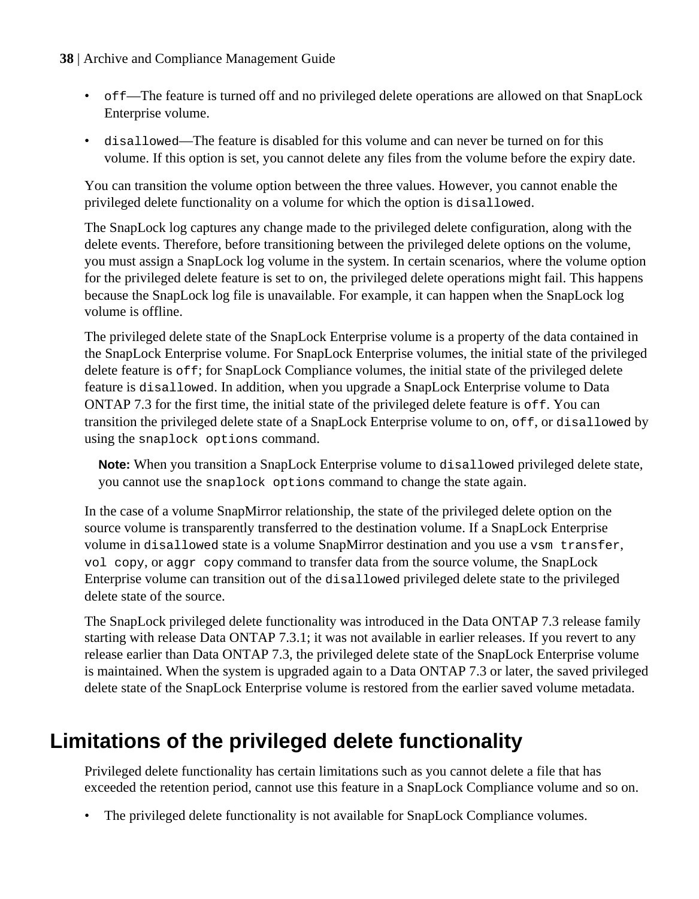## **38** | Archive and Compliance Management Guide

- off—The feature is turned off and no privileged delete operations are allowed on that SnapLock Enterprise volume.
- disallowed—The feature is disabled for this volume and can never be turned on for this volume. If this option is set, you cannot delete any files from the volume before the expiry date.

You can transition the volume option between the three values. However, you cannot enable the privileged delete functionality on a volume for which the option is disallowed.

The SnapLock log captures any change made to the privileged delete configuration, along with the delete events. Therefore, before transitioning between the privileged delete options on the volume, you must assign a SnapLock log volume in the system. In certain scenarios, where the volume option for the privileged delete feature is set to on, the privileged delete operations might fail. This happens because the SnapLock log file is unavailable. For example, it can happen when the SnapLock log volume is offline.

The privileged delete state of the SnapLock Enterprise volume is a property of the data contained in the SnapLock Enterprise volume. For SnapLock Enterprise volumes, the initial state of the privileged delete feature is  $\circ$  f f; for SnapLock Compliance volumes, the initial state of the privileged delete feature is disallowed. In addition, when you upgrade a SnapLock Enterprise volume to Data ONTAP 7.3 for the first time, the initial state of the privileged delete feature is  $\sigma$ ff. You can transition the privileged delete state of a SnapLock Enterprise volume to on, off, or disallowed by using the snaplock options command.

**Note:** When you transition a SnapLock Enterprise volume to disallowed privileged delete state, you cannot use the snaplock options command to change the state again.

In the case of a volume SnapMirror relationship, the state of the privileged delete option on the source volume is transparently transferred to the destination volume. If a SnapLock Enterprise volume in disallowed state is a volume SnapMirror destination and you use a vsm transfer, vol copy, or aggr copy command to transfer data from the source volume, the SnapLock Enterprise volume can transition out of the disallowed privileged delete state to the privileged delete state of the source.

The SnapLock privileged delete functionality was introduced in the Data ONTAP 7.3 release family starting with release Data ONTAP 7.3.1; it was not available in earlier releases. If you revert to any release earlier than Data ONTAP 7.3, the privileged delete state of the SnapLock Enterprise volume is maintained. When the system is upgraded again to a Data ONTAP 7.3 or later, the saved privileged delete state of the SnapLock Enterprise volume is restored from the earlier saved volume metadata.

# **Limitations of the privileged delete functionality**

Privileged delete functionality has certain limitations such as you cannot delete a file that has exceeded the retention period, cannot use this feature in a SnapLock Compliance volume and so on.

The privileged delete functionality is not available for SnapLock Compliance volumes.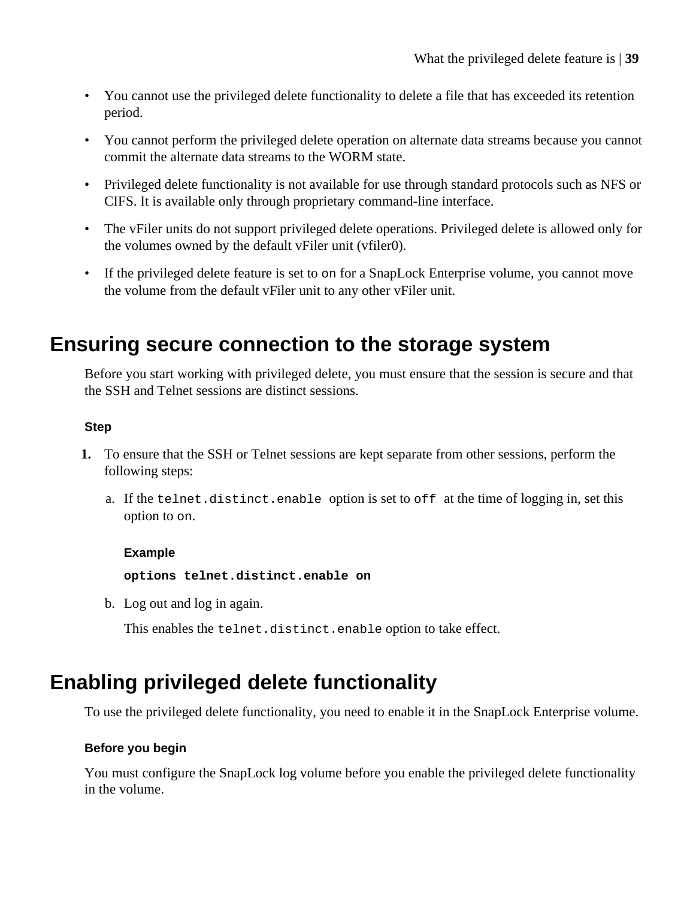- You cannot use the privileged delete functionality to delete a file that has exceeded its retention period.
- You cannot perform the privileged delete operation on alternate data streams because you cannot commit the alternate data streams to the WORM state.
- Privileged delete functionality is not available for use through standard protocols such as NFS or CIFS. It is available only through proprietary command-line interface.
- The vFiler units do not support privileged delete operations. Privileged delete is allowed only for the volumes owned by the default vFiler unit (vfiler0).
- If the privileged delete feature is set to on for a SnapLock Enterprise volume, you cannot move the volume from the default vFiler unit to any other vFiler unit.

## **Ensuring secure connection to the storage system**

Before you start working with privileged delete, you must ensure that the session is secure and that the SSH and Telnet sessions are distinct sessions.

### **Step**

- **1.** To ensure that the SSH or Telnet sessions are kept separate from other sessions, perform the following steps:
	- a. If the telnet.distinct.enable option is set to off at the time of logging in, set this option to on.

### **Example**

**options telnet.distinct.enable on**

b. Log out and log in again.

This enables the telnet.distinct.enable option to take effect.

## **Enabling privileged delete functionality**

To use the privileged delete functionality, you need to enable it in the SnapLock Enterprise volume.

### **Before you begin**

You must configure the SnapLock log volume before you enable the privileged delete functionality in the volume.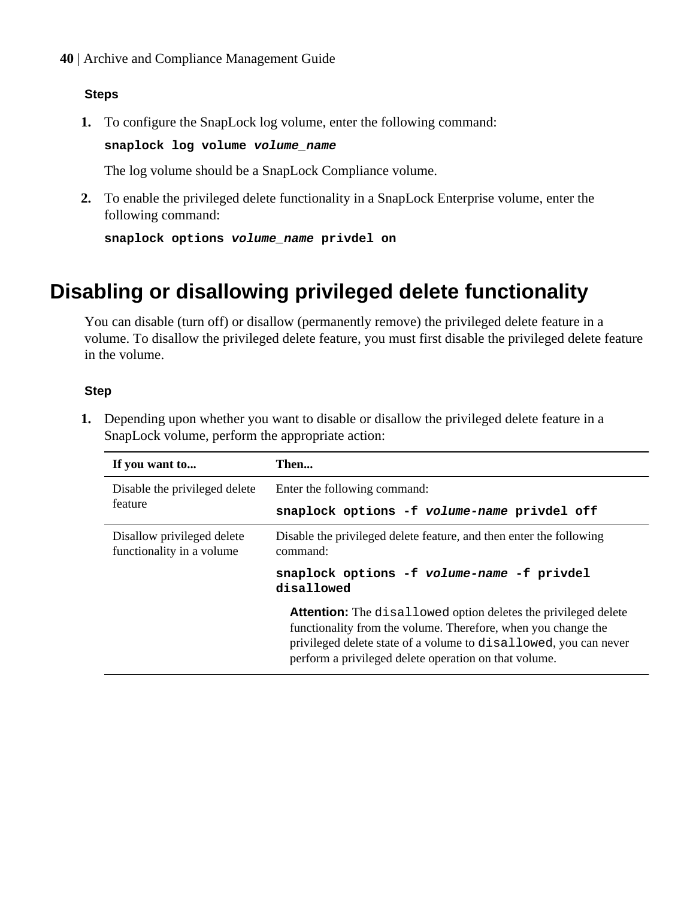**40** | Archive and Compliance Management Guide

### **Steps**

**1.** To configure the SnapLock log volume, enter the following command:

**snaplock log volume volume\_name**

The log volume should be a SnapLock Compliance volume.

**2.** To enable the privileged delete functionality in a SnapLock Enterprise volume, enter the following command:

```
snaplock options volume_name privdel on
```
# **Disabling or disallowing privileged delete functionality**

You can disable (turn off) or disallow (permanently remove) the privileged delete feature in a volume. To disallow the privileged delete feature, you must first disable the privileged delete feature in the volume.

### **Step**

**1.** Depending upon whether you want to disable or disallow the privileged delete feature in a SnapLock volume, perform the appropriate action:

| If you want to                                          | Then                                                                                                                                                                                                                                                                |
|---------------------------------------------------------|---------------------------------------------------------------------------------------------------------------------------------------------------------------------------------------------------------------------------------------------------------------------|
| Disable the privileged delete                           | Enter the following command:                                                                                                                                                                                                                                        |
| feature                                                 | snaplock options -f volume-name privdel off                                                                                                                                                                                                                         |
| Disallow privileged delete<br>functionality in a volume | Disable the privileged delete feature, and then enter the following<br>command:                                                                                                                                                                                     |
|                                                         | snaplock options -f volume-name -f privdel<br>disallowed                                                                                                                                                                                                            |
|                                                         | <b>Attention:</b> The disallowed option deletes the privileged delete<br>functionality from the volume. Therefore, when you change the<br>privileged delete state of a volume to disallowed, you can never<br>perform a privileged delete operation on that volume. |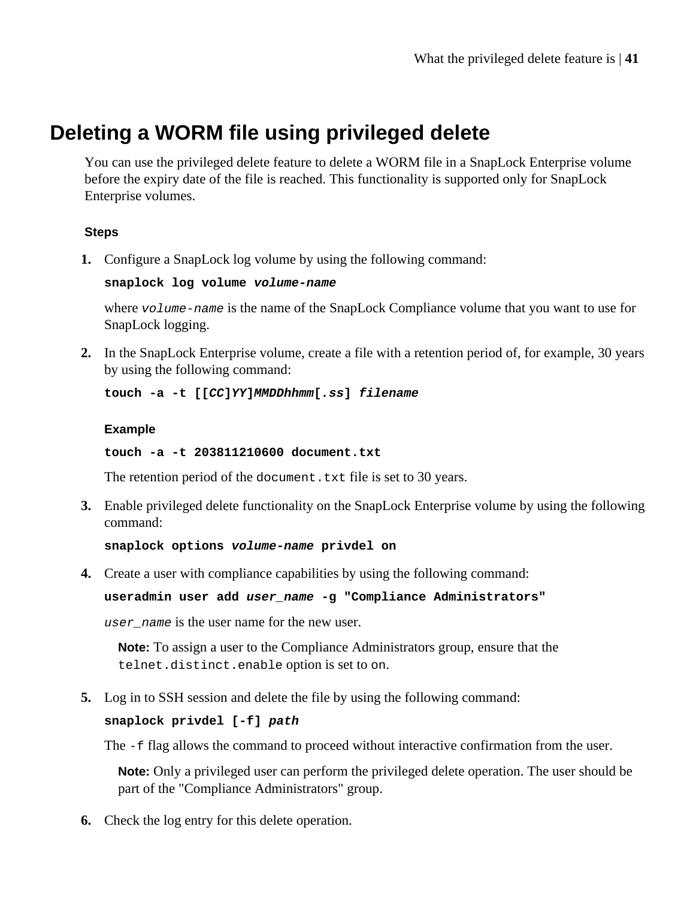## **Deleting a WORM file using privileged delete**

You can use the privileged delete feature to delete a WORM file in a SnapLock Enterprise volume before the expiry date of the file is reached. This functionality is supported only for SnapLock Enterprise volumes.

## **Steps**

**1.** Configure a SnapLock log volume by using the following command:

**snaplock log volume volume-name**

where  $volume$ -name is the name of the SnapLock Compliance volume that you want to use for SnapLock logging.

**2.** In the SnapLock Enterprise volume, create a file with a retention period of, for example, 30 years by using the following command:

**touch -a -t [[CC]YY]MMDDhhmm[.ss] filename**

### **Example**

**touch -a -t 203811210600 document.txt**

The retention period of the document.txt file is set to 30 years.

**3.** Enable privileged delete functionality on the SnapLock Enterprise volume by using the following command:

**snaplock options volume-name privdel on**

**4.** Create a user with compliance capabilities by using the following command:

### **useradmin user add user\_name -g "Compliance Administrators"**

user\_name is the user name for the new user.

**Note:** To assign a user to the Compliance Administrators group, ensure that the telnet.distinct.enable option is set to on.

**5.** Log in to SSH session and delete the file by using the following command:

### **snaplock privdel [-f] path**

The -f flag allows the command to proceed without interactive confirmation from the user.

**Note:** Only a privileged user can perform the privileged delete operation. The user should be part of the "Compliance Administrators" group.

**6.** Check the log entry for this delete operation.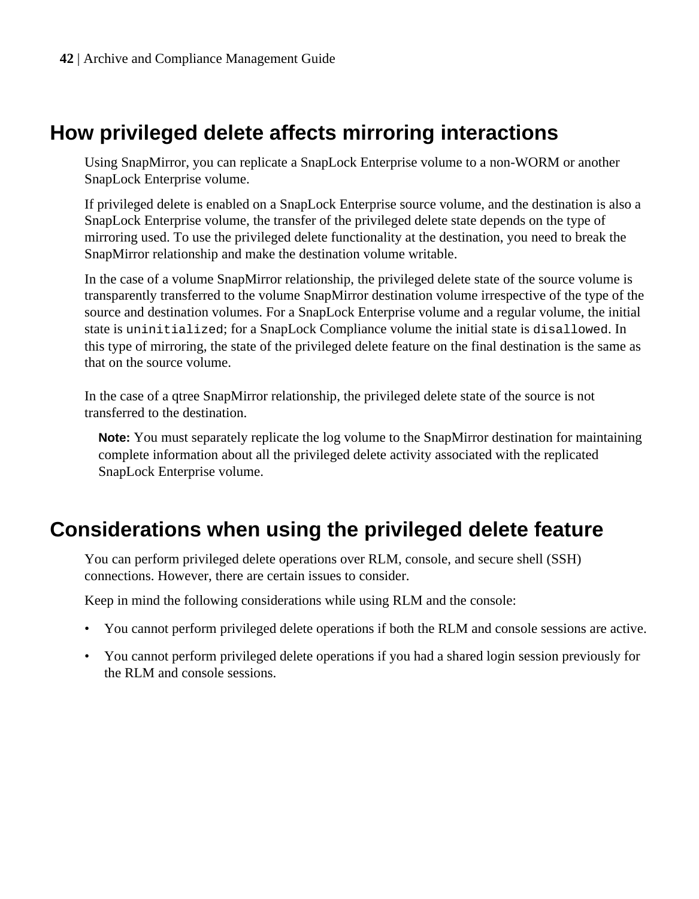## **How privileged delete affects mirroring interactions**

Using SnapMirror, you can replicate a SnapLock Enterprise volume to a non-WORM or another SnapLock Enterprise volume.

If privileged delete is enabled on a SnapLock Enterprise source volume, and the destination is also a SnapLock Enterprise volume, the transfer of the privileged delete state depends on the type of mirroring used. To use the privileged delete functionality at the destination, you need to break the SnapMirror relationship and make the destination volume writable.

In the case of a volume SnapMirror relationship, the privileged delete state of the source volume is transparently transferred to the volume SnapMirror destination volume irrespective of the type of the source and destination volumes. For a SnapLock Enterprise volume and a regular volume, the initial state is uninitialized; for a SnapLock Compliance volume the initial state is disallowed. In this type of mirroring, the state of the privileged delete feature on the final destination is the same as that on the source volume.

In the case of a qtree SnapMirror relationship, the privileged delete state of the source is not transferred to the destination.

**Note:** You must separately replicate the log volume to the SnapMirror destination for maintaining complete information about all the privileged delete activity associated with the replicated SnapLock Enterprise volume.

## **Considerations when using the privileged delete feature**

You can perform privileged delete operations over RLM, console, and secure shell (SSH) connections. However, there are certain issues to consider.

Keep in mind the following considerations while using RLM and the console:

- You cannot perform privileged delete operations if both the RLM and console sessions are active.
- You cannot perform privileged delete operations if you had a shared login session previously for the RLM and console sessions.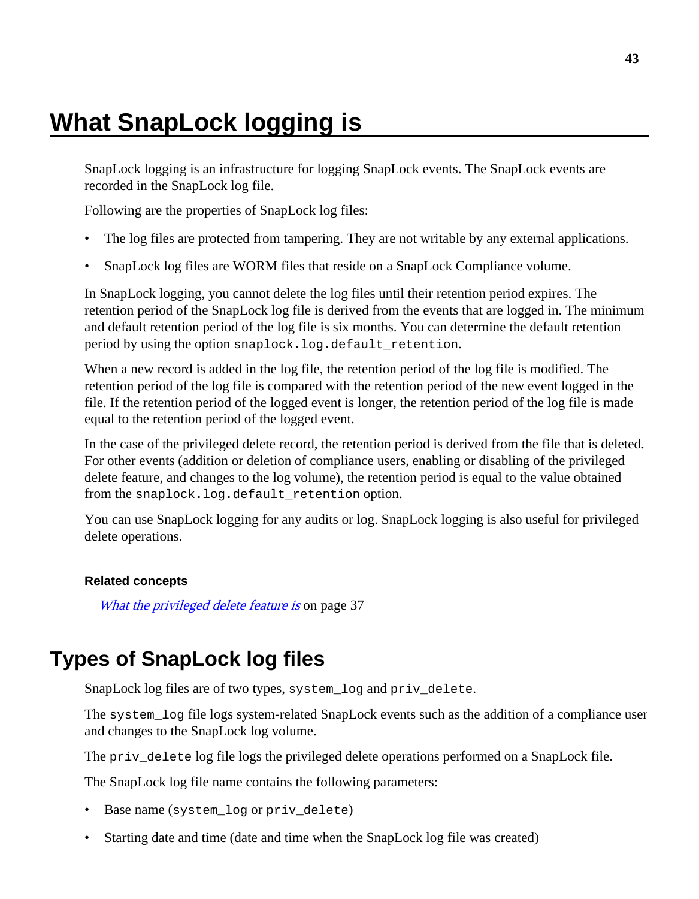# <span id="page-42-0"></span>**What SnapLock logging is**

SnapLock logging is an infrastructure for logging SnapLock events. The SnapLock events are recorded in the SnapLock log file.

Following are the properties of SnapLock log files:

- The log files are protected from tampering. They are not writable by any external applications.
- SnapLock log files are WORM files that reside on a SnapLock Compliance volume.

In SnapLock logging, you cannot delete the log files until their retention period expires. The retention period of the SnapLock log file is derived from the events that are logged in. The minimum and default retention period of the log file is six months. You can determine the default retention period by using the option snaplock.log.default\_retention.

When a new record is added in the log file, the retention period of the log file is modified. The retention period of the log file is compared with the retention period of the new event logged in the file. If the retention period of the logged event is longer, the retention period of the log file is made equal to the retention period of the logged event.

In the case of the privileged delete record, the retention period is derived from the file that is deleted. For other events (addition or deletion of compliance users, enabling or disabling of the privileged delete feature, and changes to the log volume), the retention period is equal to the value obtained from the snaplock.log.default\_retention option.

You can use SnapLock logging for any audits or log. SnapLock logging is also useful for privileged delete operations.

#### **Related concepts**

[What the privileged delete feature is](#page-36-0) on page 37

## **Types of SnapLock log files**

SnapLock log files are of two types, system\_log and priv\_delete.

The system\_log file logs system-related SnapLock events such as the addition of a compliance user and changes to the SnapLock log volume.

The priv\_delete log file logs the privileged delete operations performed on a SnapLock file.

The SnapLock log file name contains the following parameters:

- Base name (system\_log or priv\_delete)
- Starting date and time (date and time when the SnapLock log file was created)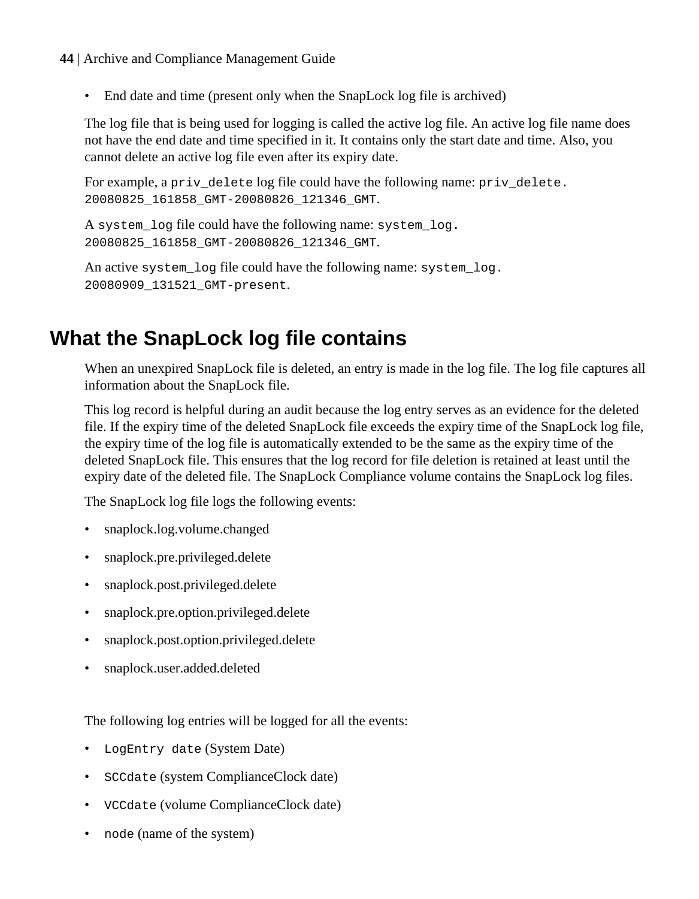- **44** | Archive and Compliance Management Guide
	- End date and time (present only when the SnapLock log file is archived)

The log file that is being used for logging is called the active log file. An active log file name does not have the end date and time specified in it. It contains only the start date and time. Also, you cannot delete an active log file even after its expiry date.

For example, a priv\_delete log file could have the following name: priv\_delete. 20080825\_161858\_GMT-20080826\_121346\_GMT.

A system log file could have the following name: system log. 20080825\_161858\_GMT-20080826\_121346\_GMT.

An active system log file could have the following name: system log. 20080909\_131521\_GMT-present.

# **What the SnapLock log file contains**

When an unexpired SnapLock file is deleted, an entry is made in the log file. The log file captures all information about the SnapLock file.

This log record is helpful during an audit because the log entry serves as an evidence for the deleted file. If the expiry time of the deleted SnapLock file exceeds the expiry time of the SnapLock log file, the expiry time of the log file is automatically extended to be the same as the expiry time of the deleted SnapLock file. This ensures that the log record for file deletion is retained at least until the expiry date of the deleted file. The SnapLock Compliance volume contains the SnapLock log files.

The SnapLock log file logs the following events:

- snaplock.log.volume.changed
- snaplock.pre.privileged.delete
- snaplock.post.privileged.delete
- snaplock.pre.option.privileged.delete
- snaplock.post.option.privileged.delete
- snaplock.user.added.deleted

The following log entries will be logged for all the events:

- LogEntry date (System Date)
- SCCdate (system ComplianceClock date)
- VCCdate (volume ComplianceClock date)
- node (name of the system)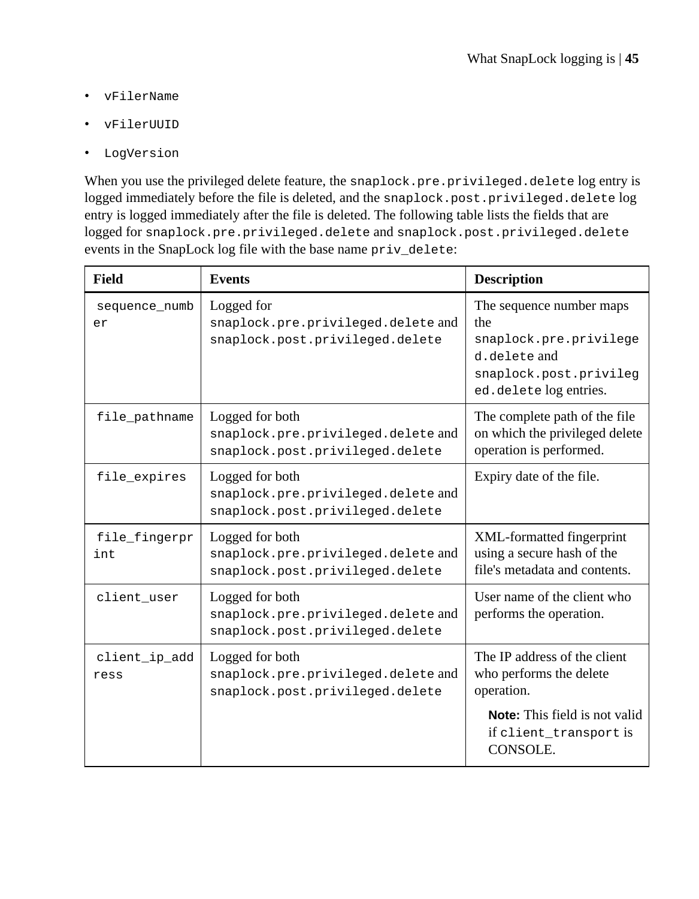- vFilerName
- vFilerUUID
- LogVersion

When you use the privileged delete feature, the snaplock.pre.privileged.delete log entry is logged immediately before the file is deleted, and the snaplock.post.privileged.delete log entry is logged immediately after the file is deleted. The following table lists the fields that are logged for snaplock.pre.privileged.delete and snaplock.post.privileged.delete events in the SnapLock log file with the base name priv\_delete:

| Field                 | <b>Events</b>                                                                            | <b>Description</b>                                                                                                          |
|-----------------------|------------------------------------------------------------------------------------------|-----------------------------------------------------------------------------------------------------------------------------|
| sequence numb<br>er   | Logged for<br>snaplock.pre.privileged.delete and<br>snaplock.post.privileged.delete      | The sequence number maps<br>the<br>snaplock.pre.privilege<br>d.delete and<br>snaplock.post.privileq<br>ed.deletelogentries. |
| file_pathname         | Logged for both<br>snaplock.pre.privileged.delete and<br>snaplock.post.privileged.delete | The complete path of the file<br>on which the privileged delete<br>operation is performed.                                  |
| file_expires          | Logged for both<br>snaplock.pre.privileged.delete and<br>snaplock.post.privileged.delete | Expiry date of the file.                                                                                                    |
| file_fingerpr<br>int  | Logged for both<br>snaplock.pre.privileged.delete and<br>snaplock.post.privileged.delete | XML-formatted fingerprint<br>using a secure hash of the<br>file's metadata and contents.                                    |
| client user           | Logged for both<br>snaplock.pre.privileged.delete and<br>snaplock.post.privileged.delete | User name of the client who<br>performs the operation.                                                                      |
| client_ip_add<br>ress | Logged for both<br>snaplock.pre.privileged.delete and<br>snaplock.post.privileged.delete | The IP address of the client<br>who performs the delete<br>operation.                                                       |
|                       |                                                                                          | <b>Note:</b> This field is not valid<br>if client transport is<br>CONSOLE.                                                  |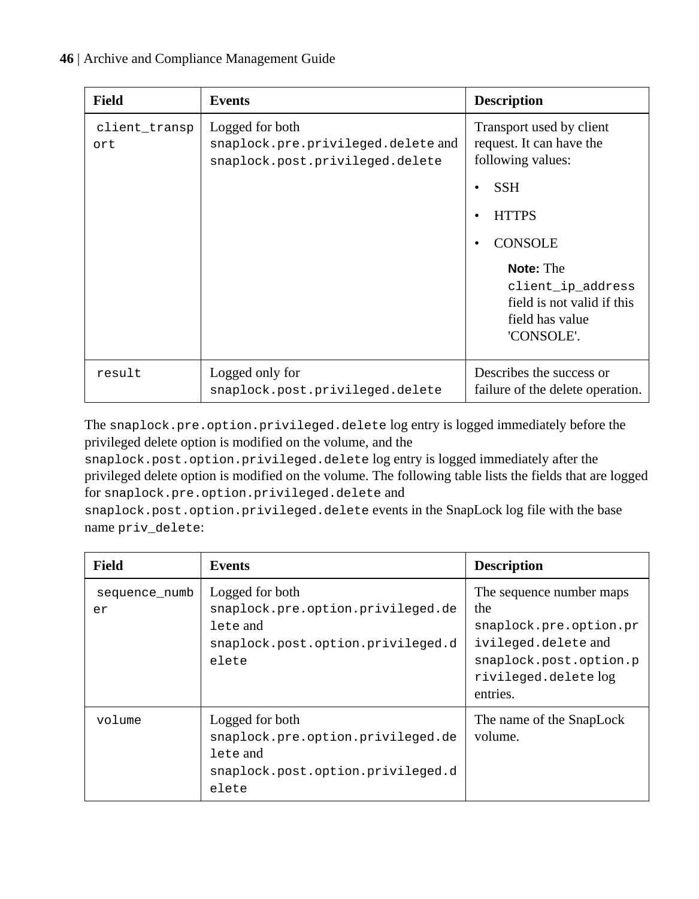| Field                | <b>Events</b>                                                                            | <b>Description</b>                                                                                   |
|----------------------|------------------------------------------------------------------------------------------|------------------------------------------------------------------------------------------------------|
| client_transp<br>ort | Logged for both<br>snaplock.pre.privileged.delete and<br>snaplock.post.privileged.delete | Transport used by client<br>request. It can have the<br>following values:                            |
|                      |                                                                                          | <b>SSH</b>                                                                                           |
|                      |                                                                                          | <b>HTTPS</b>                                                                                         |
|                      |                                                                                          | <b>CONSOLE</b>                                                                                       |
|                      |                                                                                          | <b>Note:</b> The<br>client ip address<br>field is not valid if this<br>field has value<br>'CONSOLE'. |
| result               | Logged only for<br>snaplock.post.privileged.delete                                       | Describes the success or<br>failure of the delete operation.                                         |

The snaplock.pre.option.privileged.delete log entry is logged immediately before the privileged delete option is modified on the volume, and the

snaplock.post.option.privileged.delete log entry is logged immediately after the privileged delete option is modified on the volume. The following table lists the fields that are logged for snaplock.pre.option.privileged.delete and

snaplock.post.option.privileged.delete events in the SnapLock log file with the base name priv\_delete:

| Field               | <b>Events</b>                                                                                                  | <b>Description</b>                                                                                                                            |
|---------------------|----------------------------------------------------------------------------------------------------------------|-----------------------------------------------------------------------------------------------------------------------------------------------|
| sequence numb<br>er | Logged for both<br>snaplock.pre.option.privileged.de<br>lete and<br>snaplock.post.option.privileged.d<br>elete | The sequence number maps<br>the<br>snaplock.pre.option.pr<br>ivileged.delete and<br>snaplock.post.option.p<br>rivileged.deletelog<br>entries. |
| volume              | Logged for both<br>snaplock.pre.option.privileged.de<br>lete and<br>snaplock.post.option.privileged.d<br>elete | The name of the SnapLock<br>volume.                                                                                                           |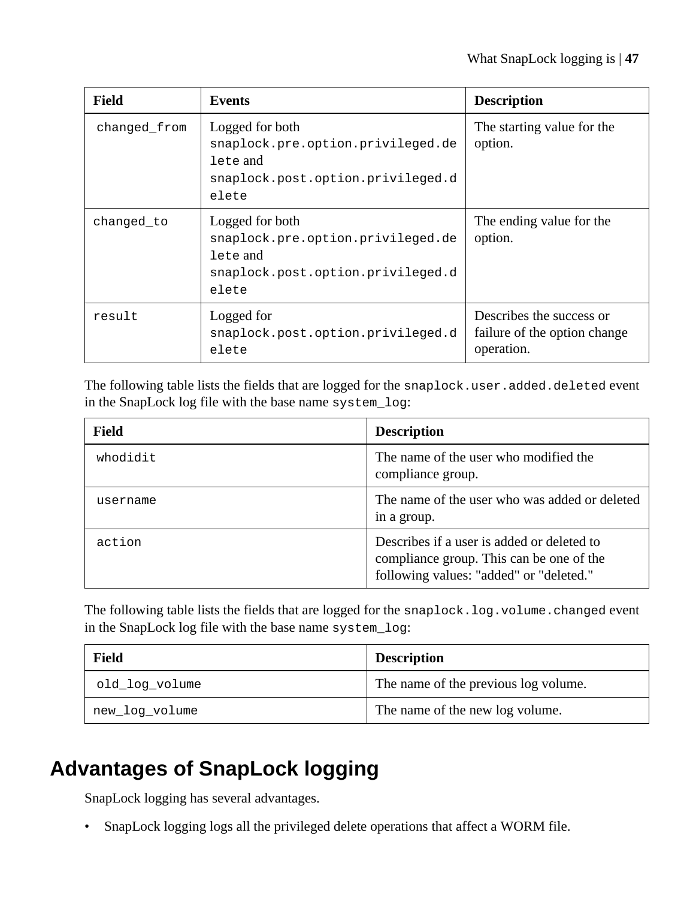| Field        | <b>Events</b>                                                                                                  | <b>Description</b>                                                     |
|--------------|----------------------------------------------------------------------------------------------------------------|------------------------------------------------------------------------|
| changed from | Logged for both<br>snaplock.pre.option.privileged.de<br>lete and<br>snaplock.post.option.privileged.d<br>elete | The starting value for the<br>option.                                  |
| changed_to   | Logged for both<br>snaplock.pre.option.privileged.de<br>lete and<br>snaplock.post.option.privileged.d<br>elete | The ending value for the<br>option.                                    |
| result       | Logged for<br>snaplock.post.option.privileged.d<br>elete                                                       | Describes the success or<br>failure of the option change<br>operation. |

The following table lists the fields that are logged for the snaplock.user.added.deleted event in the SnapLock log file with the base name system\_log:

| Field    | <b>Description</b>                                                                                                                |
|----------|-----------------------------------------------------------------------------------------------------------------------------------|
| whodidit | The name of the user who modified the<br>compliance group.                                                                        |
| username | The name of the user who was added or deleted<br>in a group.                                                                      |
| action   | Describes if a user is added or deleted to<br>compliance group. This can be one of the<br>following values: "added" or "deleted." |

The following table lists the fields that are logged for the snaplock.log.volume.changed event in the SnapLock log file with the base name system\_log:

| Field          | <b>Description</b>                   |
|----------------|--------------------------------------|
| old log volume | The name of the previous log volume. |
| new log volume | The name of the new log volume.      |

# **Advantages of SnapLock logging**

SnapLock logging has several advantages.

• SnapLock logging logs all the privileged delete operations that affect a WORM file.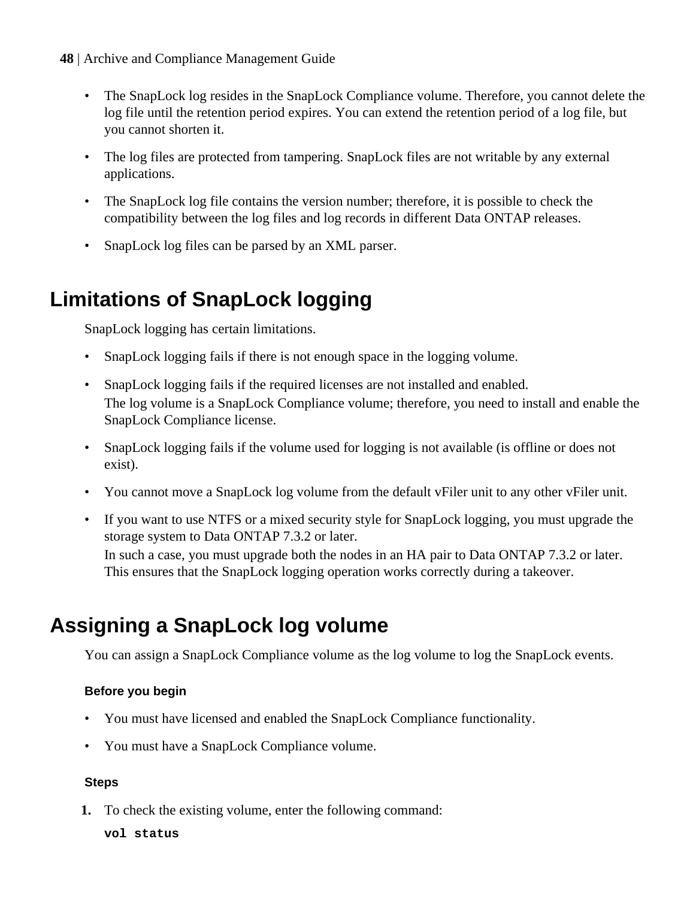- **48** | Archive and Compliance Management Guide
	- The SnapLock log resides in the SnapLock Compliance volume. Therefore, you cannot delete the log file until the retention period expires. You can extend the retention period of a log file, but you cannot shorten it.
	- The log files are protected from tampering. SnapLock files are not writable by any external applications.
	- The SnapLock log file contains the version number; therefore, it is possible to check the compatibility between the log files and log records in different Data ONTAP releases.
	- SnapLock log files can be parsed by an XML parser.

# **Limitations of SnapLock logging**

SnapLock logging has certain limitations.

- SnapLock logging fails if there is not enough space in the logging volume.
- SnapLock logging fails if the required licenses are not installed and enabled. The log volume is a SnapLock Compliance volume; therefore, you need to install and enable the SnapLock Compliance license.
- SnapLock logging fails if the volume used for logging is not available (is offline or does not exist).
- You cannot move a SnapLock log volume from the default vFiler unit to any other vFiler unit.
- If you want to use NTFS or a mixed security style for SnapLock logging, you must upgrade the storage system to Data ONTAP 7.3.2 or later.

In such a case, you must upgrade both the nodes in an HA pair to Data ONTAP 7.3.2 or later. This ensures that the SnapLock logging operation works correctly during a takeover.

# **Assigning a SnapLock log volume**

You can assign a SnapLock Compliance volume as the log volume to log the SnapLock events.

## **Before you begin**

- You must have licensed and enabled the SnapLock Compliance functionality.
- You must have a SnapLock Compliance volume.

## **Steps**

**1.** To check the existing volume, enter the following command:

**vol status**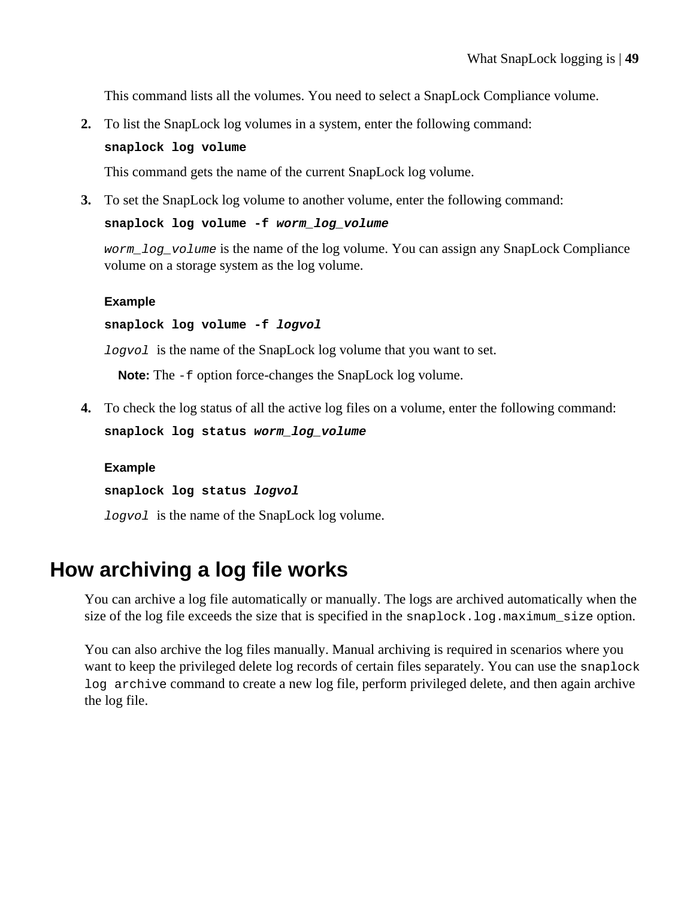This command lists all the volumes. You need to select a SnapLock Compliance volume.

**2.** To list the SnapLock log volumes in a system, enter the following command:

#### **snaplock log volume**

This command gets the name of the current SnapLock log volume.

**3.** To set the SnapLock log volume to another volume, enter the following command:

**snaplock log volume -f worm\_log\_volume**

worm log volume is the name of the log volume. You can assign any SnapLock Compliance volume on a storage system as the log volume.

#### **Example**

**snaplock log volume -f logvol**

logvol is the name of the SnapLock log volume that you want to set.

**Note:** The -f option force-changes the SnapLock log volume.

**4.** To check the log status of all the active log files on a volume, enter the following command: **snaplock log status worm\_log\_volume**

### **Example**

**snaplock log status logvol**

logvol is the name of the SnapLock log volume.

## **How archiving a log file works**

You can archive a log file automatically or manually. The logs are archived automatically when the size of the log file exceeds the size that is specified in the snaplock.log.maximum\_size option.

You can also archive the log files manually. Manual archiving is required in scenarios where you want to keep the privileged delete log records of certain files separately. You can use the snaplock log archive command to create a new log file, perform privileged delete, and then again archive the log file.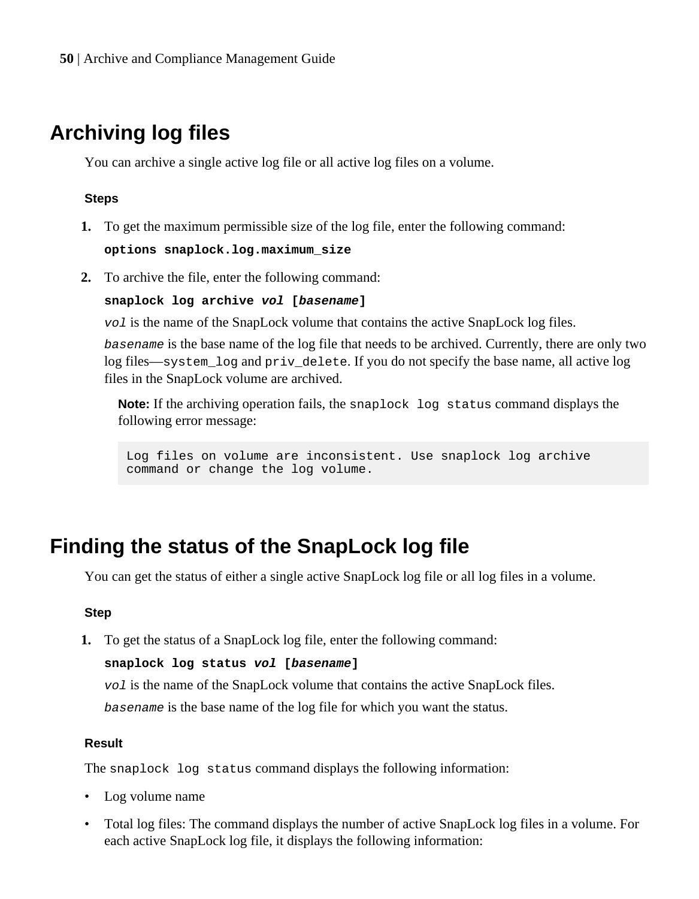## **Archiving log files**

You can archive a single active log file or all active log files on a volume.

### **Steps**

- **1.** To get the maximum permissible size of the log file, enter the following command: **options snaplock.log.maximum\_size**
- **2.** To archive the file, enter the following command:

**snaplock log archive vol [basename]**

vol is the name of the SnapLock volume that contains the active SnapLock log files.

basename is the base name of the log file that needs to be archived. Currently, there are only two log files—system\_log and priv\_delete. If you do not specify the base name, all active log files in the SnapLock volume are archived.

**Note:** If the archiving operation fails, the snaplock log status command displays the following error message:

Log files on volume are inconsistent. Use snaplock log archive command or change the log volume.

## **Finding the status of the SnapLock log file**

You can get the status of either a single active SnapLock log file or all log files in a volume.

### **Step**

**1.** To get the status of a SnapLock log file, enter the following command:

**snaplock log status vol [basename]**

vol is the name of the SnapLock volume that contains the active SnapLock files. basename is the base name of the log file for which you want the status.

### **Result**

The snaplock log status command displays the following information:

- Log volume name
- Total log files: The command displays the number of active SnapLock log files in a volume. For each active SnapLock log file, it displays the following information: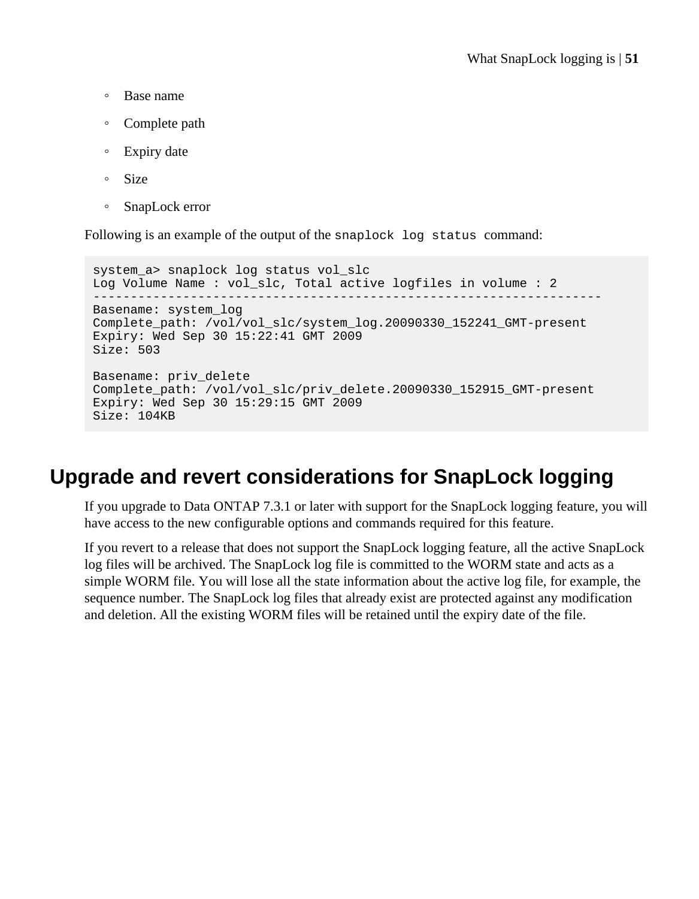- Base name
- Complete path
- Expiry date
- Size
- SnapLock error

Following is an example of the output of the snaplock log status command:

system\_a> snaplock log status vol\_slc Log Volume Name : vol\_slc, Total active logfiles in volume : 2 -------------------------------------------------------------------- Basename: system\_log Complete path: /vol/vol slc/system log.20090330\_152241\_GMT-present Expiry: Wed Sep 30 15:22:41 GMT 2009 Size: 503 Basename: priv\_delete Complete\_path: /vol/vol\_slc/priv\_delete.20090330\_152915\_GMT-present Expiry: Wed Sep 30 15:29:15 GMT 2009 Size: 104KB

## **Upgrade and revert considerations for SnapLock logging**

If you upgrade to Data ONTAP 7.3.1 or later with support for the SnapLock logging feature, you will have access to the new configurable options and commands required for this feature.

If you revert to a release that does not support the SnapLock logging feature, all the active SnapLock log files will be archived. The SnapLock log file is committed to the WORM state and acts as a simple WORM file. You will lose all the state information about the active log file, for example, the sequence number. The SnapLock log files that already exist are protected against any modification and deletion. All the existing WORM files will be retained until the expiry date of the file.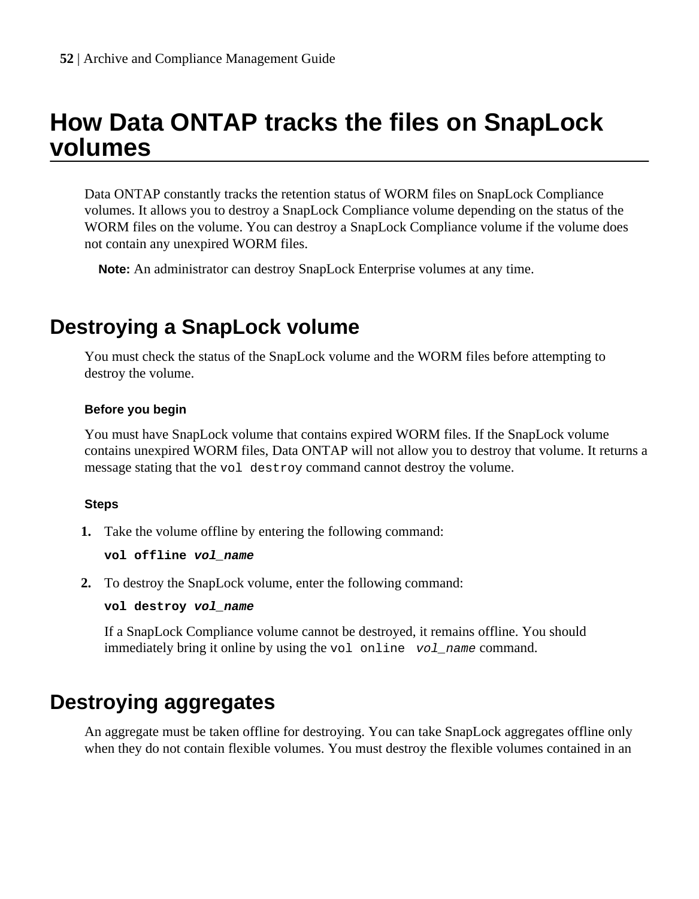# **How Data ONTAP tracks the files on SnapLock volumes**

Data ONTAP constantly tracks the retention status of WORM files on SnapLock Compliance volumes. It allows you to destroy a SnapLock Compliance volume depending on the status of the WORM files on the volume. You can destroy a SnapLock Compliance volume if the volume does not contain any unexpired WORM files.

**Note:** An administrator can destroy SnapLock Enterprise volumes at any time.

## **Destroying a SnapLock volume**

You must check the status of the SnapLock volume and the WORM files before attempting to destroy the volume.

### **Before you begin**

You must have SnapLock volume that contains expired WORM files. If the SnapLock volume contains unexpired WORM files, Data ONTAP will not allow you to destroy that volume. It returns a message stating that the vol destroy command cannot destroy the volume.

#### **Steps**

**1.** Take the volume offline by entering the following command:

**vol offline vol\_name**

**2.** To destroy the SnapLock volume, enter the following command:

**vol destroy vol\_name**

If a SnapLock Compliance volume cannot be destroyed, it remains offline. You should immediately bring it online by using the vol online vol name command.

## **Destroying aggregates**

An aggregate must be taken offline for destroying. You can take SnapLock aggregates offline only when they do not contain flexible volumes. You must destroy the flexible volumes contained in an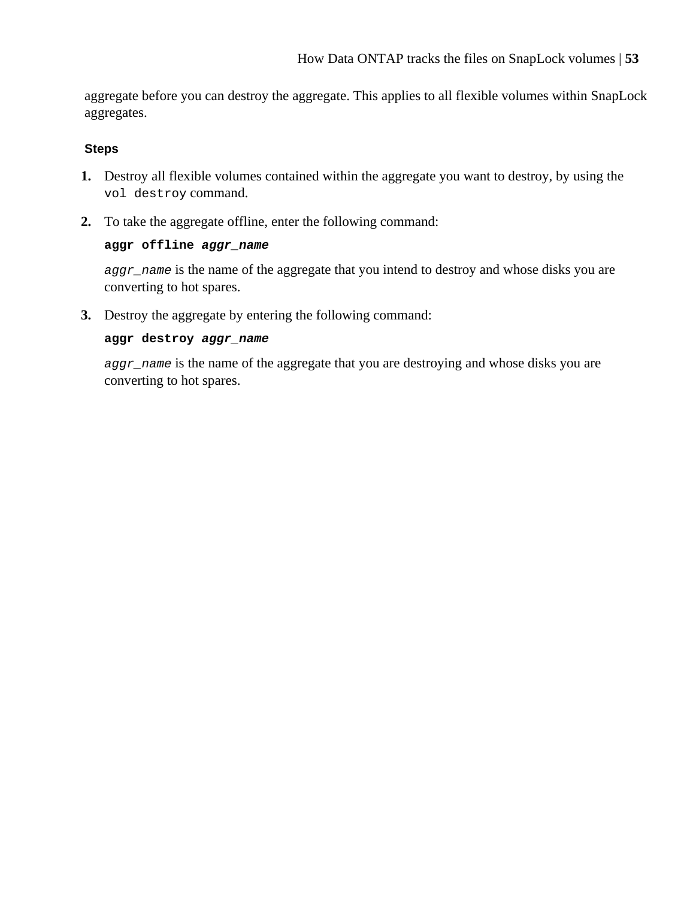aggregate before you can destroy the aggregate. This applies to all flexible volumes within SnapLock aggregates.

### **Steps**

- **1.** Destroy all flexible volumes contained within the aggregate you want to destroy, by using the vol destroy command.
- **2.** To take the aggregate offline, enter the following command:

### **aggr offline aggr\_name**

aggr\_name is the name of the aggregate that you intend to destroy and whose disks you are converting to hot spares.

**3.** Destroy the aggregate by entering the following command:

### **aggr destroy aggr\_name**

aggr\_name is the name of the aggregate that you are destroying and whose disks you are converting to hot spares.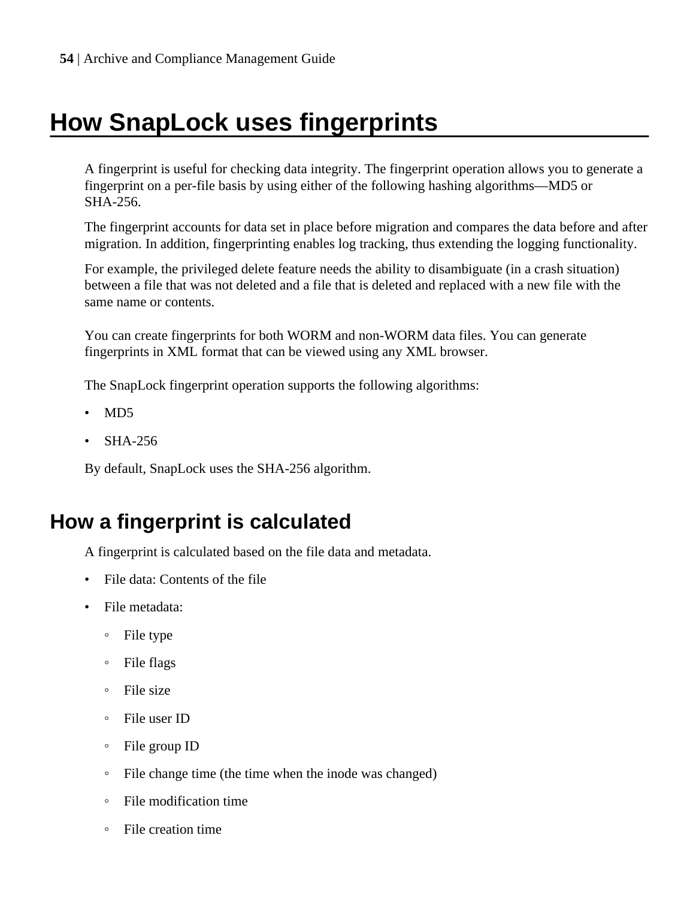# **How SnapLock uses fingerprints**

A fingerprint is useful for checking data integrity. The fingerprint operation allows you to generate a fingerprint on a per-file basis by using either of the following hashing algorithms—MD5 or SHA-256.

The fingerprint accounts for data set in place before migration and compares the data before and after migration. In addition, fingerprinting enables log tracking, thus extending the logging functionality.

For example, the privileged delete feature needs the ability to disambiguate (in a crash situation) between a file that was not deleted and a file that is deleted and replaced with a new file with the same name or contents.

You can create fingerprints for both WORM and non-WORM data files. You can generate fingerprints in XML format that can be viewed using any XML browser.

The SnapLock fingerprint operation supports the following algorithms:

- MD5
- SHA-256

By default, SnapLock uses the SHA-256 algorithm.

# **How a fingerprint is calculated**

A fingerprint is calculated based on the file data and metadata.

- File data: Contents of the file
- File metadata:
	- File type
	- File flags
	- File size
	- File user ID
	- File group ID
	- File change time (the time when the inode was changed)
	- File modification time
	- File creation time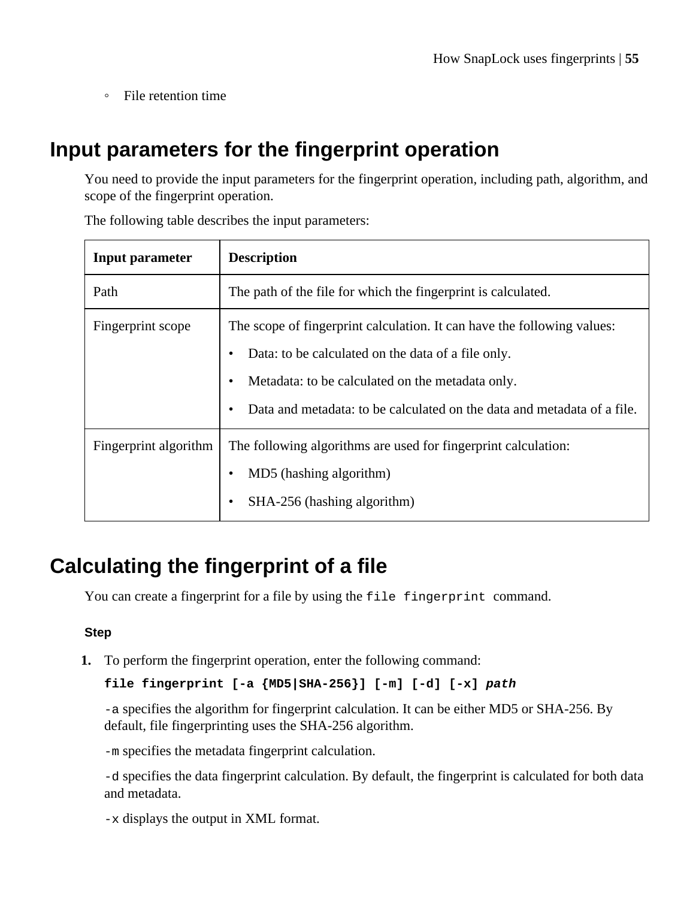◦ File retention time

## **Input parameters for the fingerprint operation**

You need to provide the input parameters for the fingerprint operation, including path, algorithm, and scope of the fingerprint operation.

| <b>Input parameter</b> | <b>Description</b>                                                                                                                                                                                                                                           |
|------------------------|--------------------------------------------------------------------------------------------------------------------------------------------------------------------------------------------------------------------------------------------------------------|
| Path                   | The path of the file for which the fingerprint is calculated.                                                                                                                                                                                                |
| Fingerprint scope      | The scope of fingerprint calculation. It can have the following values:<br>Data: to be calculated on the data of a file only.<br>Metadata: to be calculated on the metadata only.<br>Data and metadata: to be calculated on the data and metadata of a file. |
| Fingerprint algorithm  | The following algorithms are used for fingerprint calculation:<br>MD5 (hashing algorithm)<br>SHA-256 (hashing algorithm)<br>٠                                                                                                                                |

The following table describes the input parameters:

## **Calculating the fingerprint of a file**

You can create a fingerprint for a file by using the file fingerprint command.

### **Step**

**1.** To perform the fingerprint operation, enter the following command:

### **file fingerprint [-a {MD5|SHA-256}] [-m] [-d] [-x] path**

-a specifies the algorithm for fingerprint calculation. It can be either MD5 or SHA-256. By default, file fingerprinting uses the SHA-256 algorithm.

-m specifies the metadata fingerprint calculation.

-d specifies the data fingerprint calculation. By default, the fingerprint is calculated for both data and metadata.

-x displays the output in XML format.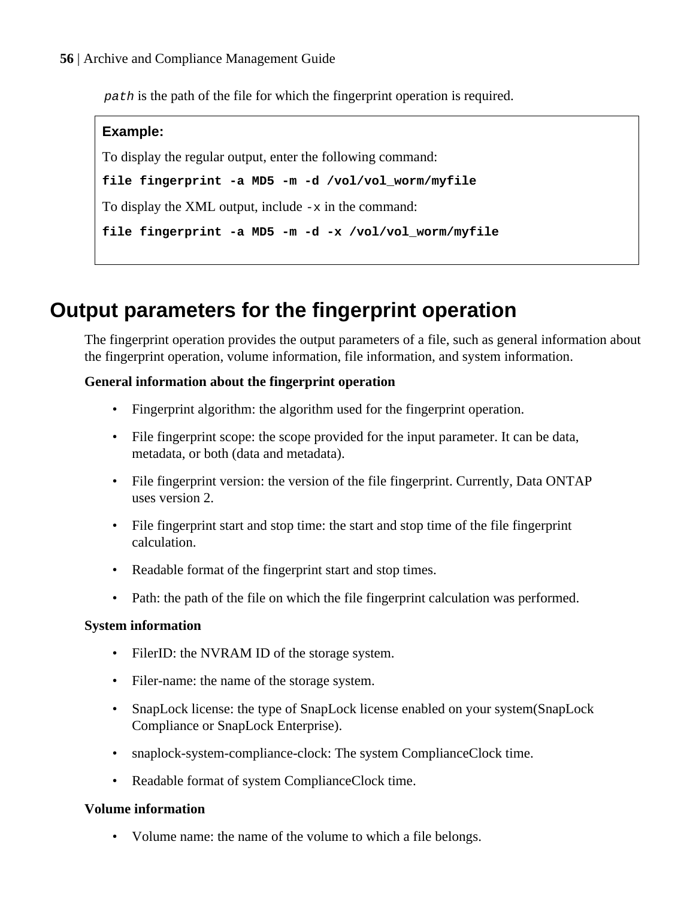path is the path of the file for which the fingerprint operation is required.

# **Example:** To display the regular output, enter the following command: **file fingerprint -a MD5 -m -d /vol/vol\_worm/myfile** To display the XML output, include  $-x$  in the command: **file fingerprint -a MD5 -m -d -x /vol/vol\_worm/myfile**

# **Output parameters for the fingerprint operation**

The fingerprint operation provides the output parameters of a file, such as general information about the fingerprint operation, volume information, file information, and system information.

## **General information about the fingerprint operation**

- Fingerprint algorithm: the algorithm used for the fingerprint operation.
- File fingerprint scope: the scope provided for the input parameter. It can be data, metadata, or both (data and metadata).
- File fingerprint version: the version of the file fingerprint. Currently, Data ONTAP uses version 2.
- File fingerprint start and stop time: the start and stop time of the file fingerprint calculation.
- Readable format of the fingerprint start and stop times.
- Path: the path of the file on which the file fingerprint calculation was performed.

### **System information**

- FilerID: the NVRAM ID of the storage system.
- Filer-name: the name of the storage system.
- SnapLock license: the type of SnapLock license enabled on your system(SnapLock Compliance or SnapLock Enterprise).
- snaplock-system-compliance-clock: The system ComplianceClock time.
- Readable format of system ComplianceClock time.

### **Volume information**

• Volume name: the name of the volume to which a file belongs.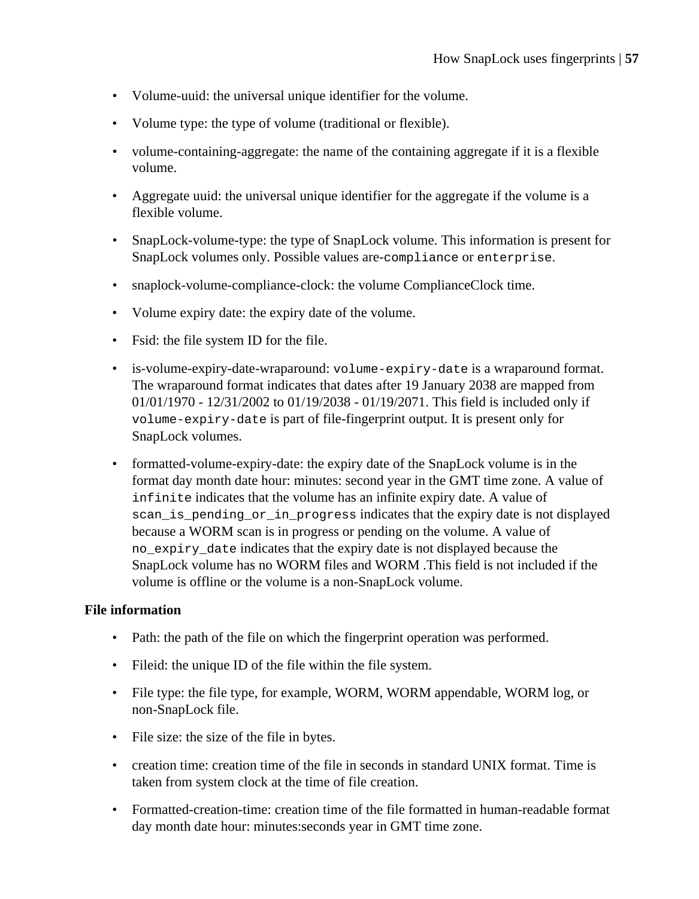- Volume-uuid: the universal unique identifier for the volume.
- Volume type: the type of volume (traditional or flexible).
- volume-containing-aggregate: the name of the containing aggregate if it is a flexible volume.
- Aggregate uuid: the universal unique identifier for the aggregate if the volume is a flexible volume.
- SnapLock-volume-type: the type of SnapLock volume. This information is present for SnapLock volumes only. Possible values are-compliance or enterprise.
- snaplock-volume-compliance-clock: the volume ComplianceClock time.
- Volume expiry date: the expiry date of the volume.
- Fsid: the file system ID for the file.
- is-volume-expiry-date-wraparound: volume-expiry-date is a wraparound format. The wraparound format indicates that dates after 19 January 2038 are mapped from 01/01/1970 - 12/31/2002 to 01/19/2038 - 01/19/2071. This field is included only if volume-expiry-date is part of file-fingerprint output. It is present only for SnapLock volumes.
- formatted-volume-expiry-date: the expiry date of the SnapLock volume is in the format day month date hour: minutes: second year in the GMT time zone. A value of infinite indicates that the volume has an infinite expiry date. A value of scan\_is\_pending\_or\_in\_progress indicates that the expiry date is not displayed because a WORM scan is in progress or pending on the volume. A value of no\_expiry\_date indicates that the expiry date is not displayed because the SnapLock volume has no WORM files and WORM .This field is not included if the volume is offline or the volume is a non-SnapLock volume.

### **File information**

- Path: the path of the file on which the fingerprint operation was performed.
- Fileid: the unique ID of the file within the file system.
- File type: the file type, for example, WORM, WORM appendable, WORM log, or non-SnapLock file.
- File size: the size of the file in bytes.
- creation time: creation time of the file in seconds in standard UNIX format. Time is taken from system clock at the time of file creation.
- Formatted-creation-time: creation time of the file formatted in human-readable format day month date hour: minutes:seconds year in GMT time zone.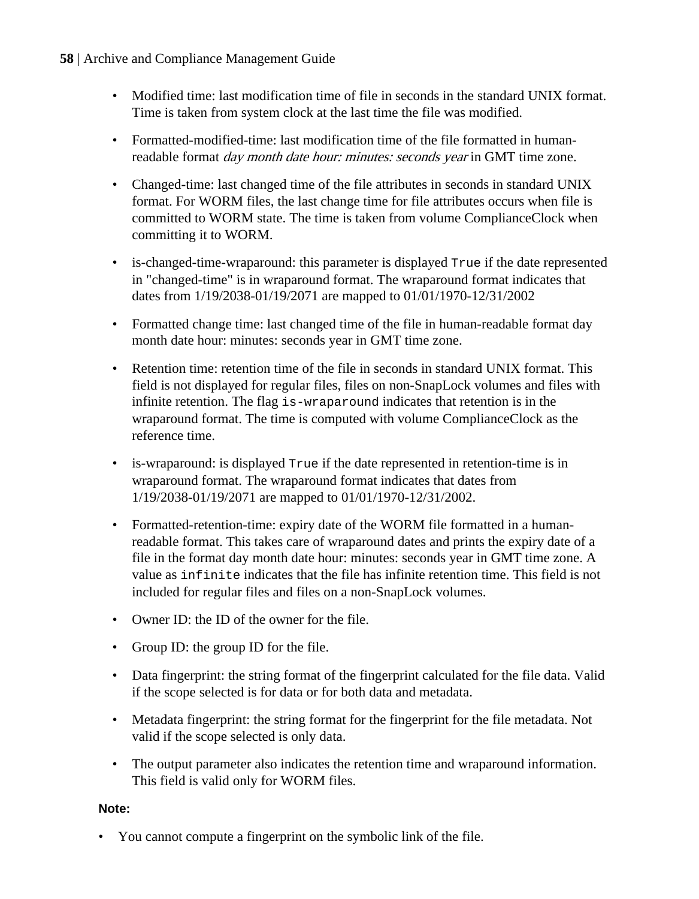## **58** | Archive and Compliance Management Guide

- Modified time: last modification time of file in seconds in the standard UNIX format. Time is taken from system clock at the last time the file was modified.
- Formatted-modified-time: last modification time of the file formatted in humanreadable format *day month date hour: minutes: seconds year* in GMT time zone.
- Changed-time: last changed time of the file attributes in seconds in standard UNIX format. For WORM files, the last change time for file attributes occurs when file is committed to WORM state. The time is taken from volume ComplianceClock when committing it to WORM.
- is-changed-time-wraparound: this parameter is displayed  $True$  if the date represented in "changed-time" is in wraparound format. The wraparound format indicates that dates from 1/19/2038-01/19/2071 are mapped to 01/01/1970-12/31/2002
- Formatted change time: last changed time of the file in human-readable format day month date hour: minutes: seconds year in GMT time zone.
- Retention time: retention time of the file in seconds in standard UNIX format. This field is not displayed for regular files, files on non-SnapLock volumes and files with infinite retention. The flag is-wraparound indicates that retention is in the wraparound format. The time is computed with volume ComplianceClock as the reference time.
- is-wraparound: is displayed  $True$  if the date represented in retention-time is in wraparound format. The wraparound format indicates that dates from 1/19/2038-01/19/2071 are mapped to 01/01/1970-12/31/2002.
- Formatted-retention-time: expiry date of the WORM file formatted in a humanreadable format. This takes care of wraparound dates and prints the expiry date of a file in the format day month date hour: minutes: seconds year in GMT time zone. A value as infinite indicates that the file has infinite retention time. This field is not included for regular files and files on a non-SnapLock volumes.
- Owner ID: the ID of the owner for the file.
- Group ID: the group ID for the file.
- Data fingerprint: the string format of the fingerprint calculated for the file data. Valid if the scope selected is for data or for both data and metadata.
- Metadata fingerprint: the string format for the fingerprint for the file metadata. Not valid if the scope selected is only data.
- The output parameter also indicates the retention time and wraparound information. This field is valid only for WORM files.

### **Note:**

• You cannot compute a fingerprint on the symbolic link of the file.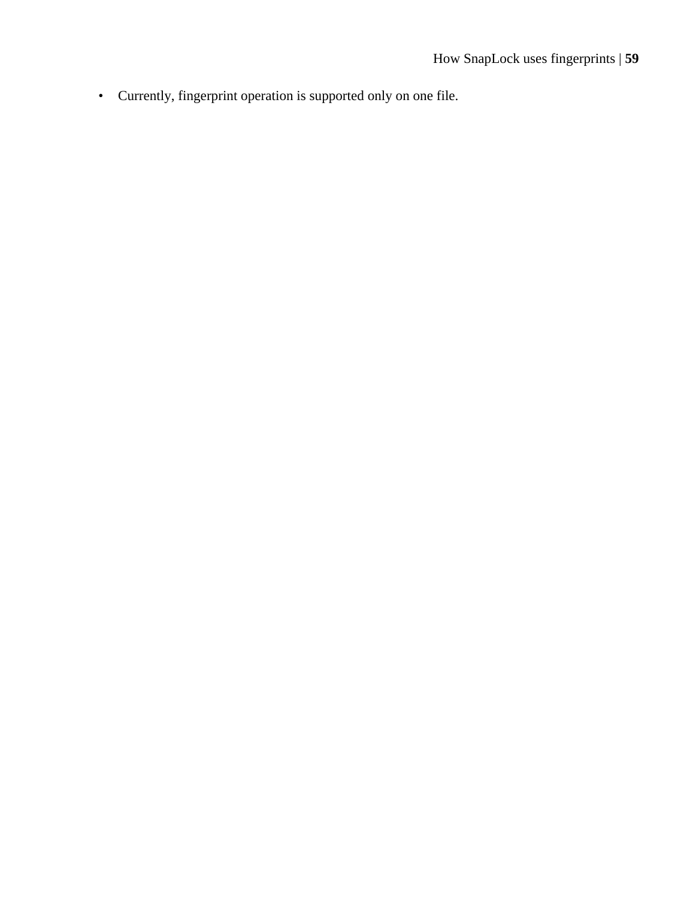• Currently, fingerprint operation is supported only on one file.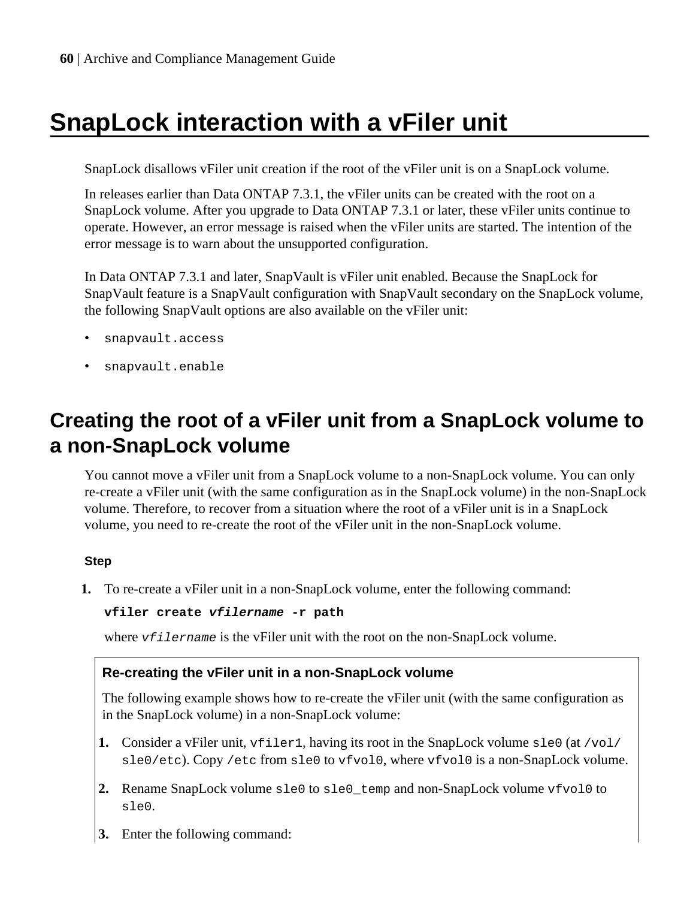# **SnapLock interaction with a vFiler unit**

SnapLock disallows vFiler unit creation if the root of the vFiler unit is on a SnapLock volume.

In releases earlier than Data ONTAP 7.3.1, the vFiler units can be created with the root on a SnapLock volume. After you upgrade to Data ONTAP 7.3.1 or later, these vFiler units continue to operate. However, an error message is raised when the vFiler units are started. The intention of the error message is to warn about the unsupported configuration.

In Data ONTAP 7.3.1 and later, SnapVault is vFiler unit enabled. Because the SnapLock for SnapVault feature is a SnapVault configuration with SnapVault secondary on the SnapLock volume, the following SnapVault options are also available on the vFiler unit:

- snapvault.access
- snapvault.enable

# **Creating the root of a vFiler unit from a SnapLock volume to a non-SnapLock volume**

You cannot move a vFiler unit from a SnapLock volume to a non-SnapLock volume. You can only re-create a vFiler unit (with the same configuration as in the SnapLock volume) in the non-SnapLock volume. Therefore, to recover from a situation where the root of a vFiler unit is in a SnapLock volume, you need to re-create the root of the vFiler unit in the non-SnapLock volume.

### **Step**

**1.** To re-create a vFiler unit in a non-SnapLock volume, enter the following command:

```
vfiler create vfilername -r path
```
where  $v$ *f*  $i$  le $r$  name is the vFiler unit with the root on the non-SnapLock volume.

### **Re-creating the vFiler unit in a non-SnapLock volume**

The following example shows how to re-create the vFiler unit (with the same configuration as in the SnapLock volume) in a non-SnapLock volume:

- **1.** Consider a vFiler unit, vfiler1, having its root in the SnapLock volume sle0 (at /vol/ sle0/etc). Copy /etc from sle0 to vfvol0, where vfvol0 is a non-SnapLock volume.
- **2.** Rename SnapLock volume sle0 to sle0\_temp and non-SnapLock volume vfvol0 to sle0.
- **3.** Enter the following command: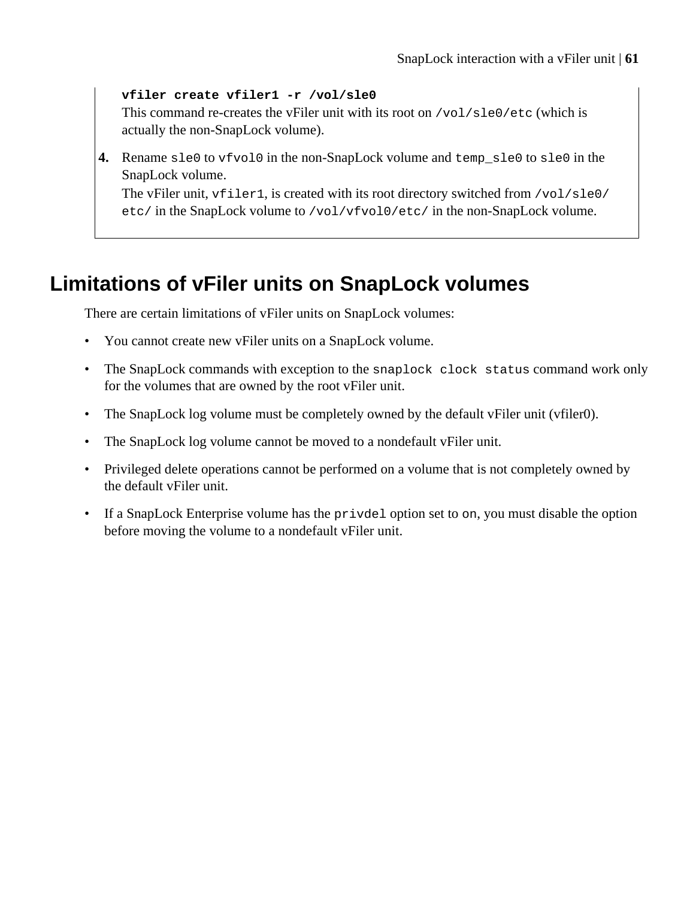### **vfiler create vfiler1 -r /vol/sle0**

This command re-creates the vFiler unit with its root on  $/\text{vol/sle0/etc}$  (which is actually the non-SnapLock volume).

**4.** Rename sle0 to vfvol0 in the non-SnapLock volume and temp\_sle0 to sle0 in the SnapLock volume.

The vFiler unit, vfiler1, is created with its root directory switched from /vol/sle0/ etc/ in the SnapLock volume to /vol/vfvol0/etc/ in the non-SnapLock volume.

## **Limitations of vFiler units on SnapLock volumes**

There are certain limitations of vFiler units on SnapLock volumes:

- You cannot create new vFiler units on a SnapLock volume.
- The SnapLock commands with exception to the snaplock clock status command work only for the volumes that are owned by the root vFiler unit.
- The SnapLock log volume must be completely owned by the default vFiler unit (vfiler0).
- The SnapLock log volume cannot be moved to a nondefault vFiler unit.
- Privileged delete operations cannot be performed on a volume that is not completely owned by the default vFiler unit.
- If a SnapLock Enterprise volume has the privdel option set to on, you must disable the option before moving the volume to a nondefault vFiler unit.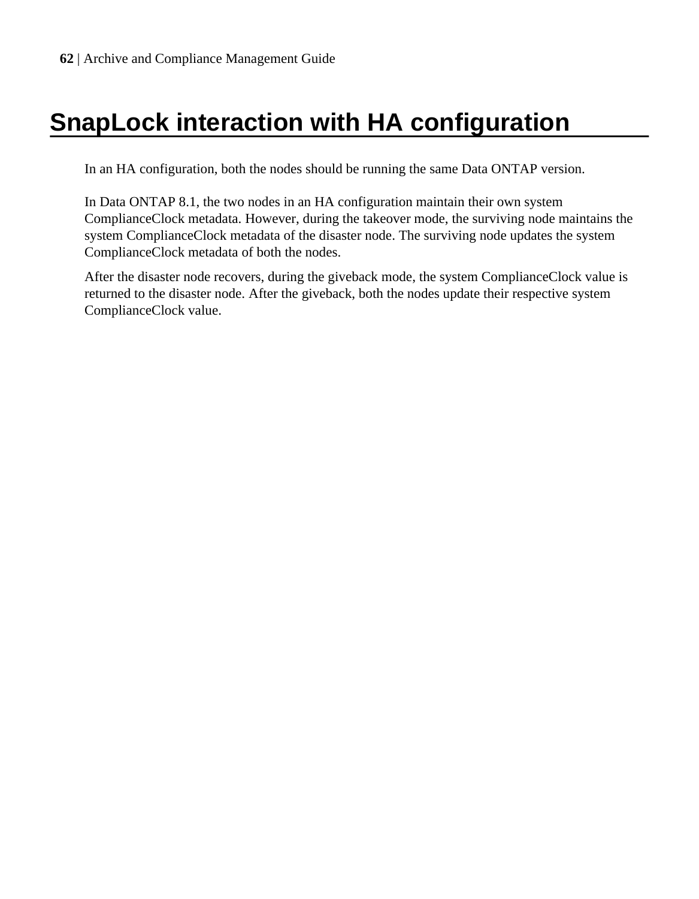# **SnapLock interaction with HA configuration**

In an HA configuration, both the nodes should be running the same Data ONTAP version.

In Data ONTAP 8.1, the two nodes in an HA configuration maintain their own system ComplianceClock metadata. However, during the takeover mode, the surviving node maintains the system ComplianceClock metadata of the disaster node. The surviving node updates the system ComplianceClock metadata of both the nodes.

After the disaster node recovers, during the giveback mode, the system ComplianceClock value is returned to the disaster node. After the giveback, both the nodes update their respective system ComplianceClock value.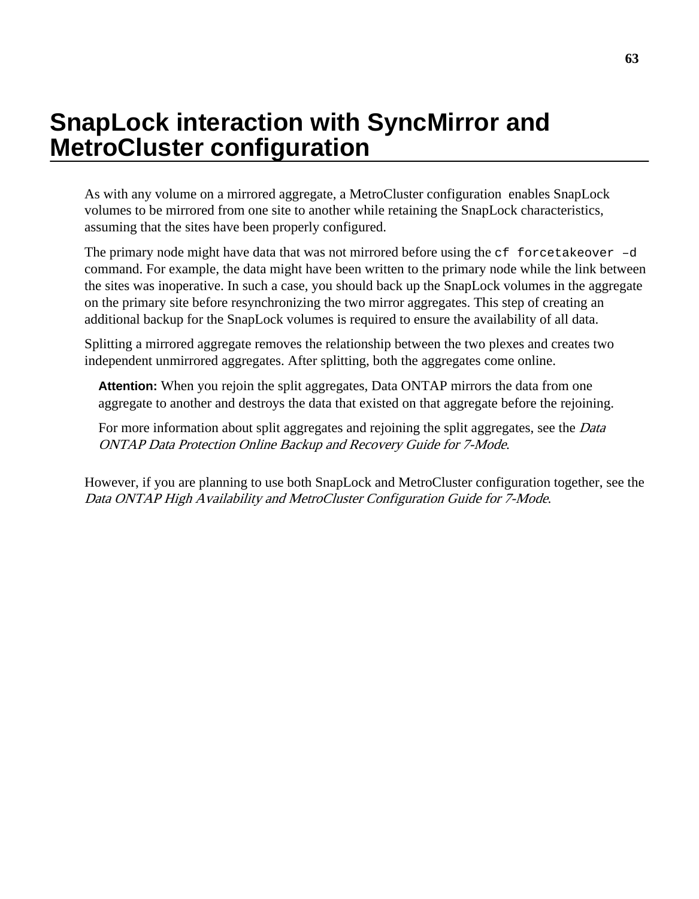# **SnapLock interaction with SyncMirror and MetroCluster configuration**

As with any volume on a mirrored aggregate, a MetroCluster configuration enables SnapLock volumes to be mirrored from one site to another while retaining the SnapLock characteristics, assuming that the sites have been properly configured.

The primary node might have data that was not mirrored before using the  $cf$  forcetakeover  $-d$ command. For example, the data might have been written to the primary node while the link between the sites was inoperative. In such a case, you should back up the SnapLock volumes in the aggregate on the primary site before resynchronizing the two mirror aggregates. This step of creating an additional backup for the SnapLock volumes is required to ensure the availability of all data.

Splitting a mirrored aggregate removes the relationship between the two plexes and creates two independent unmirrored aggregates. After splitting, both the aggregates come online.

**Attention:** When you rejoin the split aggregates, Data ONTAP mirrors the data from one aggregate to another and destroys the data that existed on that aggregate before the rejoining.

For more information about split aggregates and rejoining the split aggregates, see the *Data* ONTAP Data Protection Online Backup and Recovery Guide for 7-Mode.

However, if you are planning to use both SnapLock and MetroCluster configuration together, see the Data ONTAP High Availability and MetroCluster Configuration Guide for 7-Mode.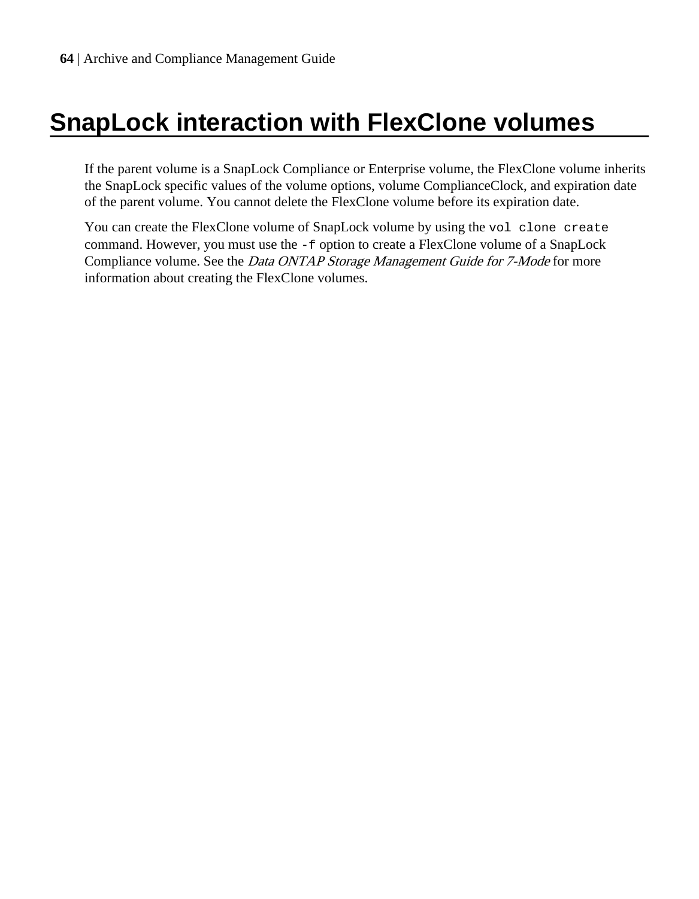# **SnapLock interaction with FlexClone volumes**

If the parent volume is a SnapLock Compliance or Enterprise volume, the FlexClone volume inherits the SnapLock specific values of the volume options, volume ComplianceClock, and expiration date of the parent volume. You cannot delete the FlexClone volume before its expiration date.

You can create the FlexClone volume of SnapLock volume by using the vol clone create command. However, you must use the -f option to create a FlexClone volume of a SnapLock Compliance volume. See the *Data ONTAP Storage Management Guide for 7-Mode* for more information about creating the FlexClone volumes.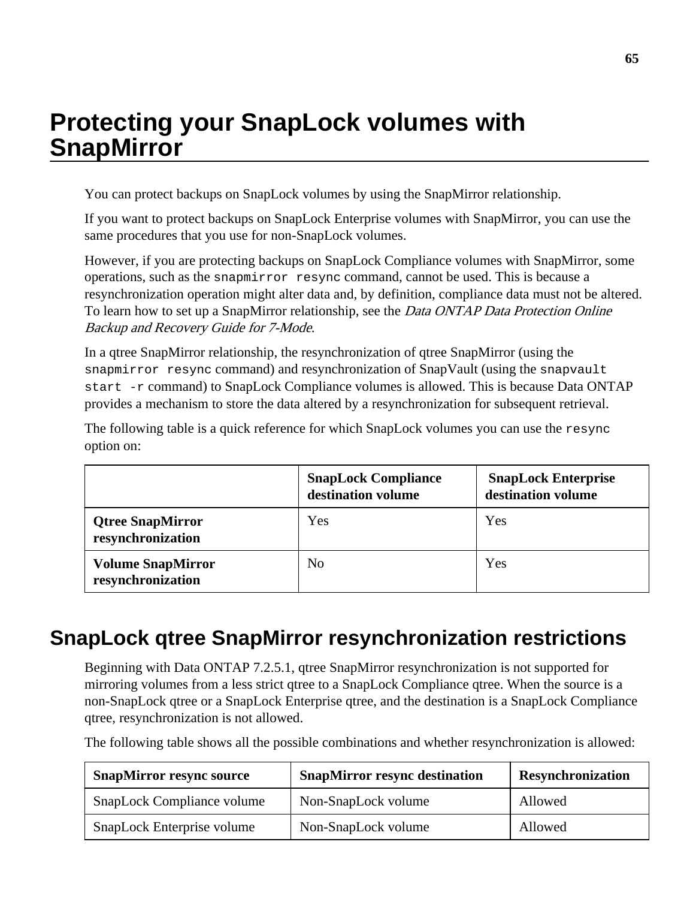# **Protecting your SnapLock volumes with SnapMirror**

You can protect backups on SnapLock volumes by using the SnapMirror relationship.

If you want to protect backups on SnapLock Enterprise volumes with SnapMirror, you can use the same procedures that you use for non-SnapLock volumes.

However, if you are protecting backups on SnapLock Compliance volumes with SnapMirror, some operations, such as the snapmirror resync command, cannot be used. This is because a resynchronization operation might alter data and, by definition, compliance data must not be altered. To learn how to set up a SnapMirror relationship, see the *Data ONTAP Data Protection Online* Backup and Recovery Guide for 7-Mode.

In a qtree SnapMirror relationship, the resynchronization of qtree SnapMirror (using the snapmirror resync command) and resynchronization of SnapVault (using the snapvault start -r command) to SnapLock Compliance volumes is allowed. This is because Data ONTAP provides a mechanism to store the data altered by a resynchronization for subsequent retrieval.

The following table is a quick reference for which SnapLock volumes you can use the resync option on:

|                                               | <b>SnapLock Compliance</b><br>destination volume | <b>SnapLock Enterprise</b><br>destination volume |
|-----------------------------------------------|--------------------------------------------------|--------------------------------------------------|
| <b>Qtree SnapMirror</b><br>resynchronization  | Yes                                              | Yes                                              |
| <b>Volume SnapMirror</b><br>resynchronization | No                                               | Yes                                              |

## **SnapLock qtree SnapMirror resynchronization restrictions**

Beginning with Data ONTAP 7.2.5.1, qtree SnapMirror resynchronization is not supported for mirroring volumes from a less strict qtree to a SnapLock Compliance qtree. When the source is a non-SnapLock qtree or a SnapLock Enterprise qtree, and the destination is a SnapLock Compliance qtree, resynchronization is not allowed.

The following table shows all the possible combinations and whether resynchronization is allowed:

| <b>SnapMirror resync source</b> | <b>SnapMirror resync destination</b> | <b>Resynchronization</b> |
|---------------------------------|--------------------------------------|--------------------------|
| SnapLock Compliance volume      | Non-SnapLock volume                  | Allowed                  |
| SnapLock Enterprise volume      | Non-SnapLock volume                  | Allowed                  |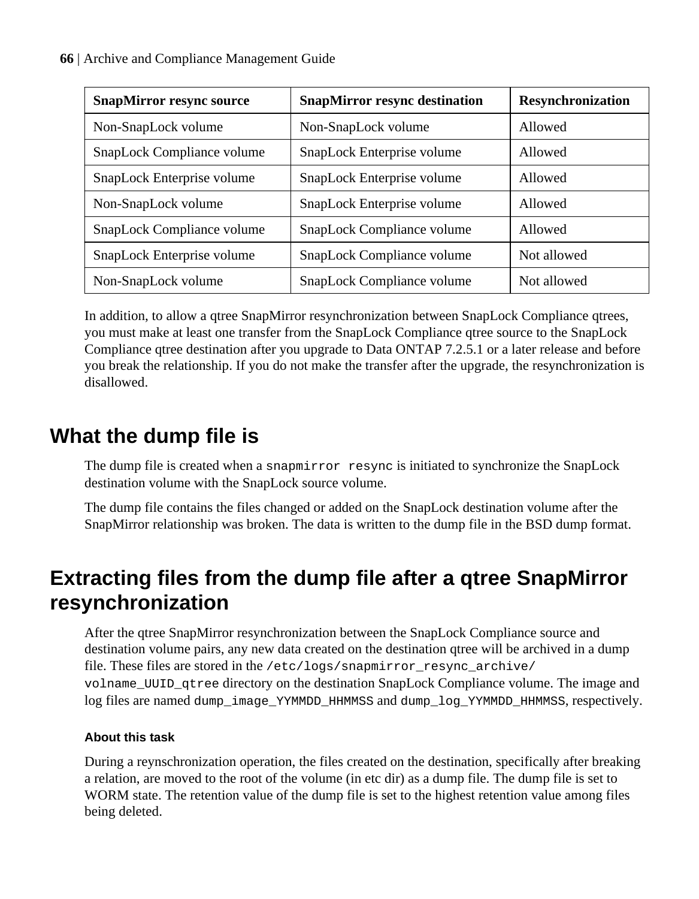| <b>SnapMirror resync source</b> | <b>SnapMirror resync destination</b> | Resynchronization |
|---------------------------------|--------------------------------------|-------------------|
| Non-SnapLock volume             | Non-SnapLock volume                  | Allowed           |
| SnapLock Compliance volume      | SnapLock Enterprise volume           | Allowed           |
| SnapLock Enterprise volume      | SnapLock Enterprise volume           | Allowed           |
| Non-SnapLock volume             | SnapLock Enterprise volume           | Allowed           |
| SnapLock Compliance volume      | SnapLock Compliance volume           | Allowed           |
| SnapLock Enterprise volume      | SnapLock Compliance volume           | Not allowed       |
| Non-SnapLock volume             | SnapLock Compliance volume           | Not allowed       |

In addition, to allow a qtree SnapMirror resynchronization between SnapLock Compliance qtrees, you must make at least one transfer from the SnapLock Compliance qtree source to the SnapLock Compliance qtree destination after you upgrade to Data ONTAP 7.2.5.1 or a later release and before you break the relationship. If you do not make the transfer after the upgrade, the resynchronization is disallowed.

# **What the dump file is**

The dump file is created when a snapmirror resync is initiated to synchronize the SnapLock destination volume with the SnapLock source volume.

The dump file contains the files changed or added on the SnapLock destination volume after the SnapMirror relationship was broken. The data is written to the dump file in the BSD dump format.

# **Extracting files from the dump file after a qtree SnapMirror resynchronization**

After the qtree SnapMirror resynchronization between the SnapLock Compliance source and destination volume pairs, any new data created on the destination qtree will be archived in a dump file. These files are stored in the /etc/logs/snapmirror resync archive/ volname\_UUID\_qtree directory on the destination SnapLock Compliance volume. The image and log files are named dump\_image\_YYMMDD\_HHMMSS and dump\_log\_YYMMDD\_HHMMSS, respectively.

## **About this task**

During a reynschronization operation, the files created on the destination, specifically after breaking a relation, are moved to the root of the volume (in etc dir) as a dump file. The dump file is set to WORM state. The retention value of the dump file is set to the highest retention value among files being deleted.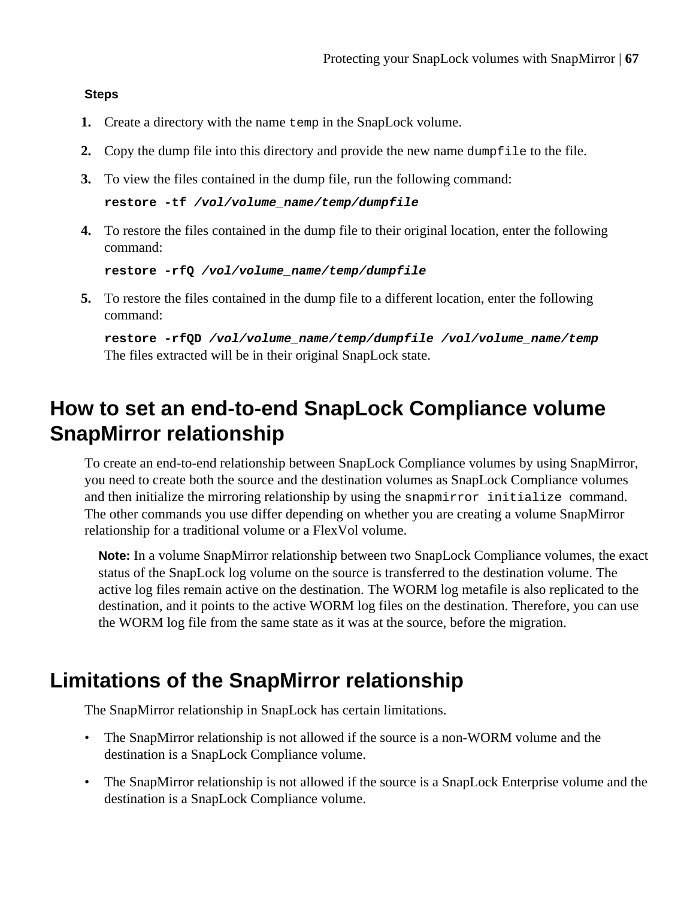### **Steps**

- **1.** Create a directory with the name temp in the SnapLock volume.
- **2.** Copy the dump file into this directory and provide the new name dumpfile to the file.
- **3.** To view the files contained in the dump file, run the following command:

```
restore -tf /vol/volume_name/temp/dumpfile
```
**4.** To restore the files contained in the dump file to their original location, enter the following command:

```
restore -rfQ /vol/volume_name/temp/dumpfile
```
**5.** To restore the files contained in the dump file to a different location, enter the following command:

**restore -rfQD /vol/volume\_name/temp/dumpfile /vol/volume\_name/temp** The files extracted will be in their original SnapLock state.

# **How to set an end-to-end SnapLock Compliance volume SnapMirror relationship**

To create an end-to-end relationship between SnapLock Compliance volumes by using SnapMirror, you need to create both the source and the destination volumes as SnapLock Compliance volumes and then initialize the mirroring relationship by using the snapmirror initialize command. The other commands you use differ depending on whether you are creating a volume SnapMirror relationship for a traditional volume or a FlexVol volume.

**Note:** In a volume SnapMirror relationship between two SnapLock Compliance volumes, the exact status of the SnapLock log volume on the source is transferred to the destination volume. The active log files remain active on the destination. The WORM log metafile is also replicated to the destination, and it points to the active WORM log files on the destination. Therefore, you can use the WORM log file from the same state as it was at the source, before the migration.

## **Limitations of the SnapMirror relationship**

The SnapMirror relationship in SnapLock has certain limitations.

- The SnapMirror relationship is not allowed if the source is a non-WORM volume and the destination is a SnapLock Compliance volume.
- The SnapMirror relationship is not allowed if the source is a SnapLock Enterprise volume and the destination is a SnapLock Compliance volume.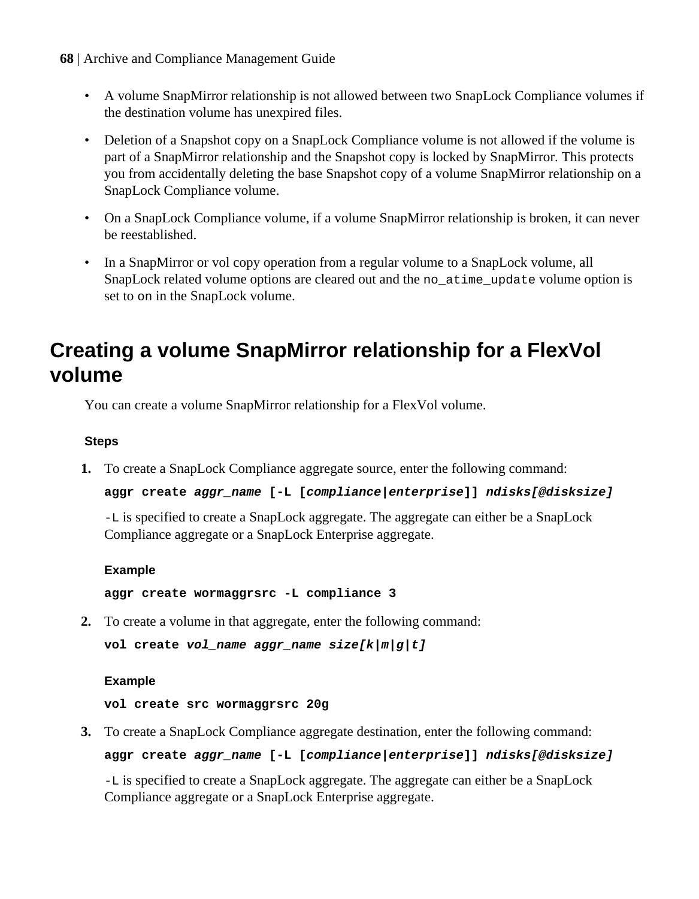- **68** | Archive and Compliance Management Guide
	- A volume SnapMirror relationship is not allowed between two SnapLock Compliance volumes if the destination volume has unexpired files.
	- Deletion of a Snapshot copy on a SnapLock Compliance volume is not allowed if the volume is part of a SnapMirror relationship and the Snapshot copy is locked by SnapMirror. This protects you from accidentally deleting the base Snapshot copy of a volume SnapMirror relationship on a SnapLock Compliance volume.
	- On a SnapLock Compliance volume, if a volume SnapMirror relationship is broken, it can never be reestablished.
	- In a SnapMirror or vol copy operation from a regular volume to a SnapLock volume, all SnapLock related volume options are cleared out and the no\_atime\_update volume option is set to on in the SnapLock volume.

# **Creating a volume SnapMirror relationship for a FlexVol volume**

You can create a volume SnapMirror relationship for a FlexVol volume.

## **Steps**

**1.** To create a SnapLock Compliance aggregate source, enter the following command:

```
aggr create aggr_name [-L [compliance|enterprise]] ndisks[@disksize]
```
-L is specified to create a SnapLock aggregate. The aggregate can either be a SnapLock Compliance aggregate or a SnapLock Enterprise aggregate.

### **Example**

**aggr create wormaggrsrc -L compliance 3**

**2.** To create a volume in that aggregate, enter the following command:

```
vol create vol_name aggr_name size[k|m|g|t]
```
### **Example**

**vol create src wormaggrsrc 20g**

**3.** To create a SnapLock Compliance aggregate destination, enter the following command:

**aggr create aggr\_name [-L [compliance|enterprise]] ndisks[@disksize]**

-L is specified to create a SnapLock aggregate. The aggregate can either be a SnapLock Compliance aggregate or a SnapLock Enterprise aggregate.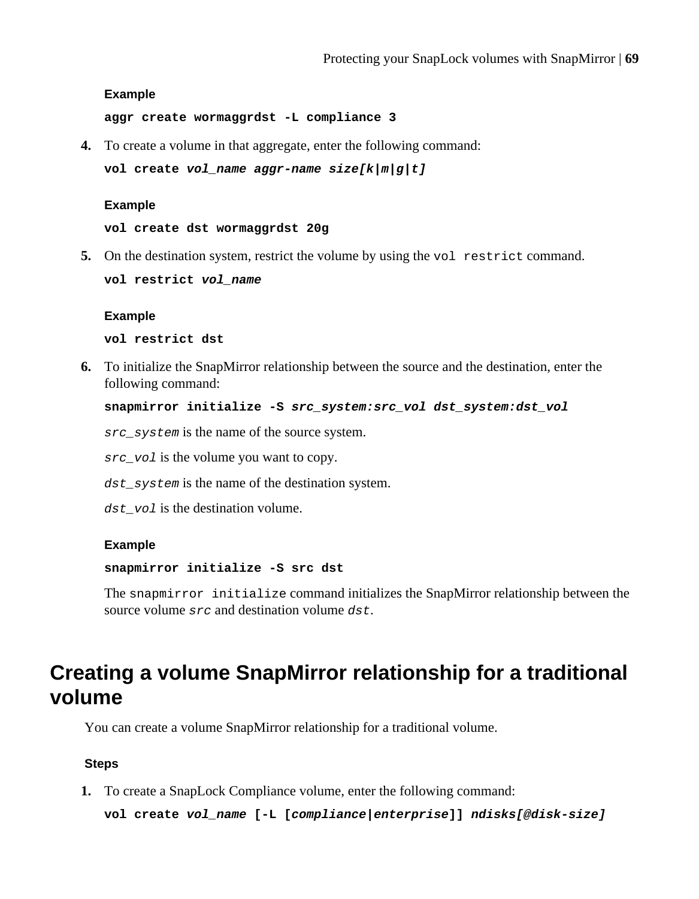#### **Example**

**aggr create wormaggrdst -L compliance 3**

**4.** To create a volume in that aggregate, enter the following command:

```
vol create vol_name aggr-name size[k|m|g|t]
```
#### **Example**

**vol create dst wormaggrdst 20g**

**5.** On the destination system, restrict the volume by using the vol restrict command.

**vol restrict vol\_name**

#### **Example**

**vol restrict dst**

**6.** To initialize the SnapMirror relationship between the source and the destination, enter the following command:

```
snapmirror initialize -S src_system:src_vol dst_system:dst_vol
```
src\_system is the name of the source system.

src\_vol is the volume you want to copy.

dst system is the name of the destination system.

 $dst$  vol is the destination volume.

#### **Example**

#### **snapmirror initialize -S src dst**

The snapmirror initialize command initializes the SnapMirror relationship between the source volume src and destination volume dst.

## **Creating a volume SnapMirror relationship for a traditional volume**

You can create a volume SnapMirror relationship for a traditional volume.

#### **Steps**

**1.** To create a SnapLock Compliance volume, enter the following command:

```
vol create vol_name [-L [compliance|enterprise]] ndisks[@disk-size]
```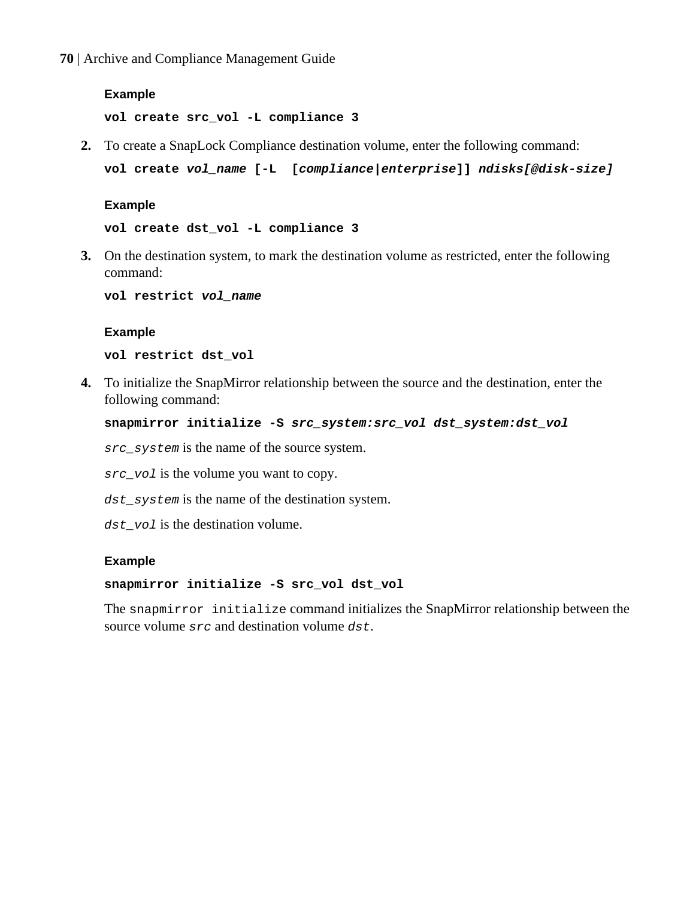**70** | Archive and Compliance Management Guide

#### **Example**

**vol create src\_vol -L compliance 3**

**2.** To create a SnapLock Compliance destination volume, enter the following command:

**vol create vol\_name [-L [compliance|enterprise]] ndisks[@disk-size]**

#### **Example**

**vol create dst\_vol -L compliance 3**

**3.** On the destination system, to mark the destination volume as restricted, enter the following command:

**vol restrict vol\_name**

#### **Example**

**vol restrict dst\_vol**

**4.** To initialize the SnapMirror relationship between the source and the destination, enter the following command:

```
snapmirror initialize -S src_system:src_vol dst_system:dst_vol
```
src\_system is the name of the source system.

src vol is the volume you want to copy.

dst\_system is the name of the destination system.

dst vol is the destination volume.

#### **Example**

#### **snapmirror initialize -S src\_vol dst\_vol**

The snapmirror initialize command initializes the SnapMirror relationship between the source volume src and destination volume dst.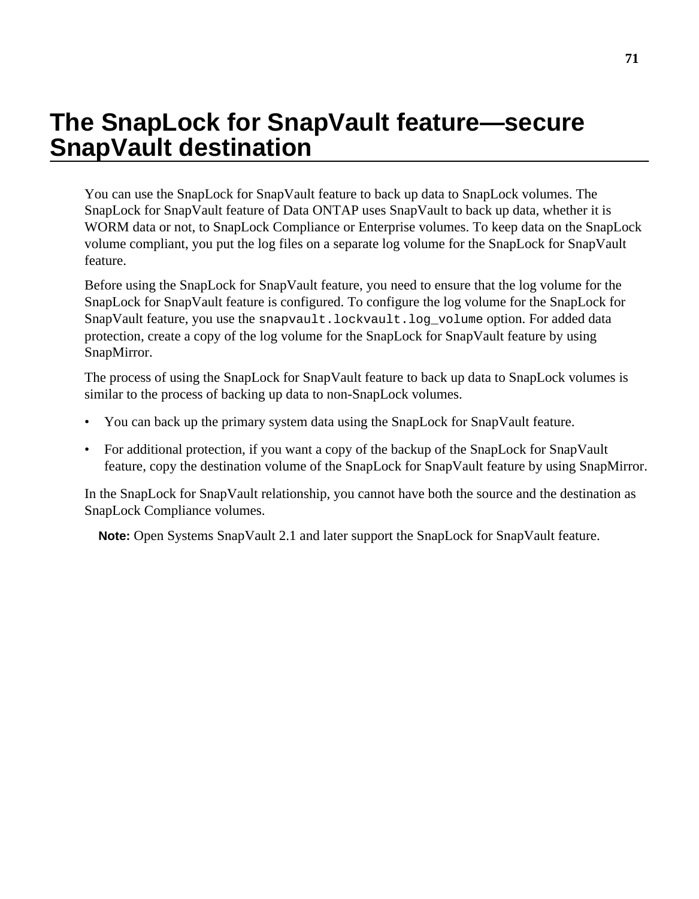# **The SnapLock for SnapVault feature—secure SnapVault destination**

You can use the SnapLock for SnapVault feature to back up data to SnapLock volumes. The SnapLock for SnapVault feature of Data ONTAP uses SnapVault to back up data, whether it is WORM data or not, to SnapLock Compliance or Enterprise volumes. To keep data on the SnapLock volume compliant, you put the log files on a separate log volume for the SnapLock for SnapVault feature.

Before using the SnapLock for SnapVault feature, you need to ensure that the log volume for the SnapLock for SnapVault feature is configured. To configure the log volume for the SnapLock for SnapVault feature, you use the snapvault.lockvault.log\_volume option. For added data protection, create a copy of the log volume for the SnapLock for SnapVault feature by using SnapMirror.

The process of using the SnapLock for SnapVault feature to back up data to SnapLock volumes is similar to the process of backing up data to non-SnapLock volumes.

- You can back up the primary system data using the SnapLock for SnapVault feature.
- For additional protection, if you want a copy of the backup of the SnapLock for SnapVault feature, copy the destination volume of the SnapLock for SnapVault feature by using SnapMirror.

In the SnapLock for SnapVault relationship, you cannot have both the source and the destination as SnapLock Compliance volumes.

**Note:** Open Systems SnapVault 2.1 and later support the SnapLock for SnapVault feature.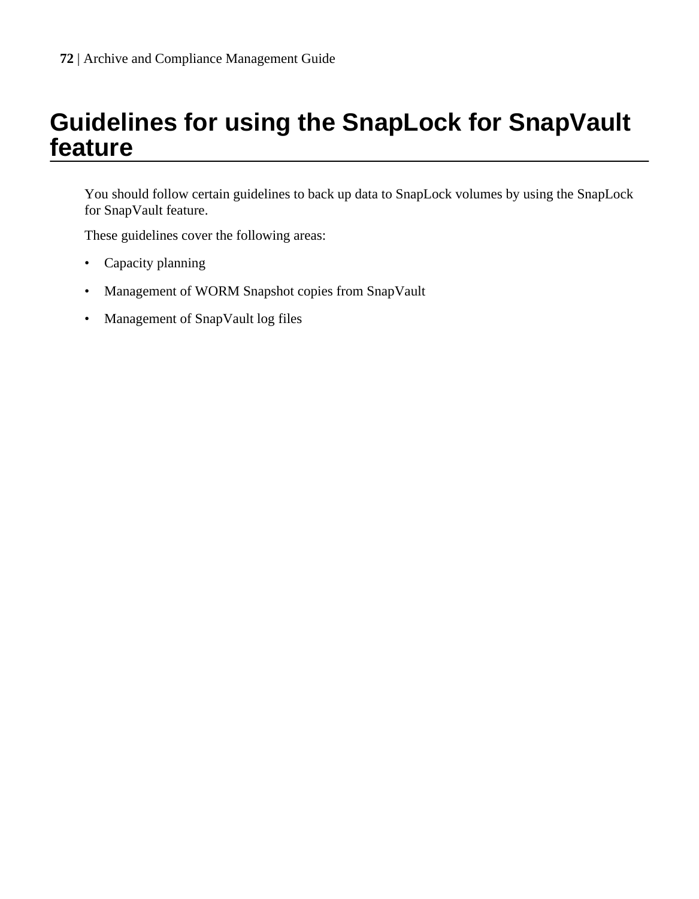# **Guidelines for using the SnapLock for SnapVault feature**

You should follow certain guidelines to back up data to SnapLock volumes by using the SnapLock for SnapVault feature.

These guidelines cover the following areas:

- Capacity planning
- Management of WORM Snapshot copies from SnapVault
- Management of SnapVault log files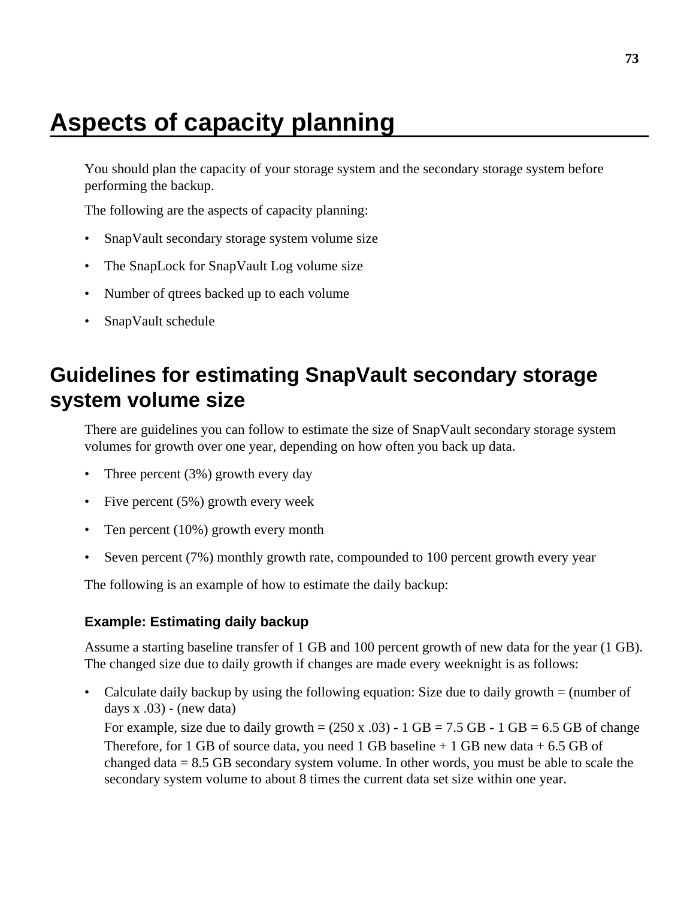# **Aspects of capacity planning**

You should plan the capacity of your storage system and the secondary storage system before performing the backup.

The following are the aspects of capacity planning:

- SnapVault secondary storage system volume size
- The SnapLock for SnapVault Log volume size
- Number of qtrees backed up to each volume
- SnapVault schedule

## **Guidelines for estimating SnapVault secondary storage system volume size**

There are guidelines you can follow to estimate the size of SnapVault secondary storage system volumes for growth over one year, depending on how often you back up data.

- Three percent (3%) growth every day
- Five percent (5%) growth every week
- Ten percent (10%) growth every month
- Seven percent (7%) monthly growth rate, compounded to 100 percent growth every year

The following is an example of how to estimate the daily backup:

## **Example: Estimating daily backup**

Assume a starting baseline transfer of 1 GB and 100 percent growth of new data for the year (1 GB). The changed size due to daily growth if changes are made every weeknight is as follows:

• Calculate daily backup by using the following equation: Size due to daily growth = (number of days  $x .03$ ) - (new data)

For example, size due to daily growth =  $(250 \text{ x } .03)$  - 1 GB = 7.5 GB - 1 GB = 6.5 GB of change Therefore, for 1 GB of source data, you need 1 GB baseline  $+1$  GB new data  $+6.5$  GB of changed data  $= 8.5$  GB secondary system volume. In other words, you must be able to scale the secondary system volume to about 8 times the current data set size within one year.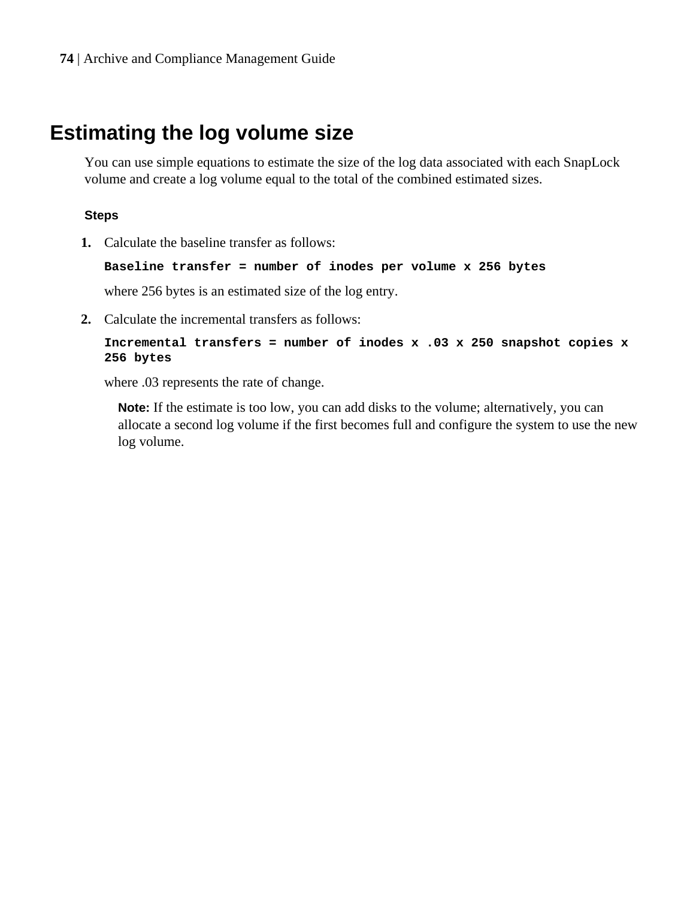## **Estimating the log volume size**

You can use simple equations to estimate the size of the log data associated with each SnapLock volume and create a log volume equal to the total of the combined estimated sizes.

### **Steps**

**1.** Calculate the baseline transfer as follows:

```
Baseline transfer = number of inodes per volume x 256 bytes
```
where 256 bytes is an estimated size of the log entry.

**2.** Calculate the incremental transfers as follows:

```
Incremental transfers = number of inodes x .03 x 250 snapshot copies x
256 bytes
```
where .03 represents the rate of change.

**Note:** If the estimate is too low, you can add disks to the volume; alternatively, you can allocate a second log volume if the first becomes full and configure the system to use the new log volume.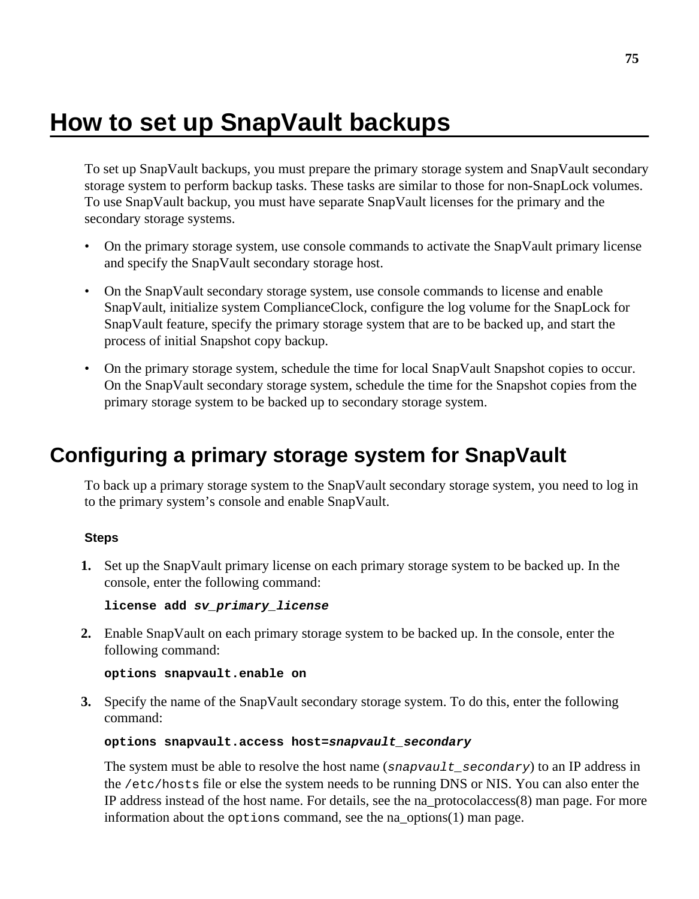# **How to set up SnapVault backups**

To set up SnapVault backups, you must prepare the primary storage system and SnapVault secondary storage system to perform backup tasks. These tasks are similar to those for non-SnapLock volumes. To use SnapVault backup, you must have separate SnapVault licenses for the primary and the secondary storage systems.

- On the primary storage system, use console commands to activate the SnapVault primary license and specify the SnapVault secondary storage host.
- On the SnapVault secondary storage system, use console commands to license and enable SnapVault, initialize system ComplianceClock, configure the log volume for the SnapLock for SnapVault feature, specify the primary storage system that are to be backed up, and start the process of initial Snapshot copy backup.
- On the primary storage system, schedule the time for local SnapVault Snapshot copies to occur. On the SnapVault secondary storage system, schedule the time for the Snapshot copies from the primary storage system to be backed up to secondary storage system.

## **Configuring a primary storage system for SnapVault**

To back up a primary storage system to the SnapVault secondary storage system, you need to log in to the primary system's console and enable SnapVault.

### **Steps**

**1.** Set up the SnapVault primary license on each primary storage system to be backed up. In the console, enter the following command:

```
license add sv_primary_license
```
**2.** Enable SnapVault on each primary storage system to be backed up. In the console, enter the following command:

#### **options snapvault.enable on**

**3.** Specify the name of the SnapVault secondary storage system. To do this, enter the following command:

#### **options snapvault.access host=snapvault\_secondary**

The system must be able to resolve the host name (snapvault\_secondary) to an IP address in the /etc/hosts file or else the system needs to be running DNS or NIS. You can also enter the IP address instead of the host name. For details, see the na\_protocolaccess(8) man page. For more information about the options command, see the na\_options(1) man page.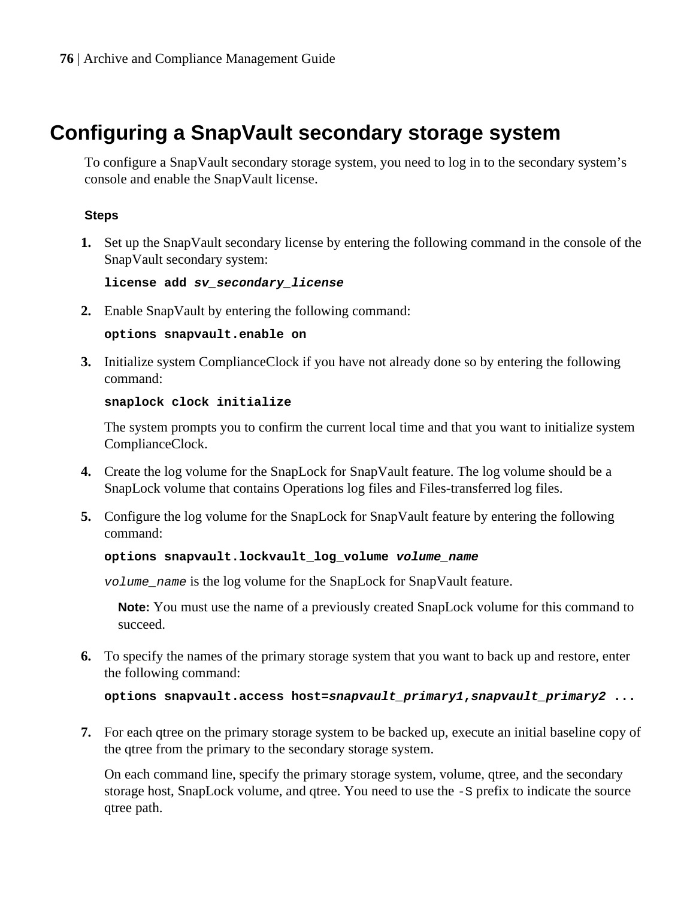## **Configuring a SnapVault secondary storage system**

To configure a SnapVault secondary storage system, you need to log in to the secondary system's console and enable the SnapVault license.

## **Steps**

**1.** Set up the SnapVault secondary license by entering the following command in the console of the SnapVault secondary system:

**license add sv\_secondary\_license**

**2.** Enable SnapVault by entering the following command:

**options snapvault.enable on**

**3.** Initialize system ComplianceClock if you have not already done so by entering the following command:

#### **snaplock clock initialize**

The system prompts you to confirm the current local time and that you want to initialize system ComplianceClock.

- **4.** Create the log volume for the SnapLock for SnapVault feature. The log volume should be a SnapLock volume that contains Operations log files and Files-transferred log files.
- **5.** Configure the log volume for the SnapLock for SnapVault feature by entering the following command:

#### **options snapvault.lockvault\_log\_volume volume\_name**

volume\_name is the log volume for the SnapLock for SnapVault feature.

**Note:** You must use the name of a previously created SnapLock volume for this command to succeed.

**6.** To specify the names of the primary storage system that you want to back up and restore, enter the following command:

**options snapvault.access host=snapvault\_primary1,snapvault\_primary2 ...**

**7.** For each qtree on the primary storage system to be backed up, execute an initial baseline copy of the qtree from the primary to the secondary storage system.

On each command line, specify the primary storage system, volume, gtree, and the secondary storage host, SnapLock volume, and qtree. You need to use the  $-$ S prefix to indicate the source qtree path.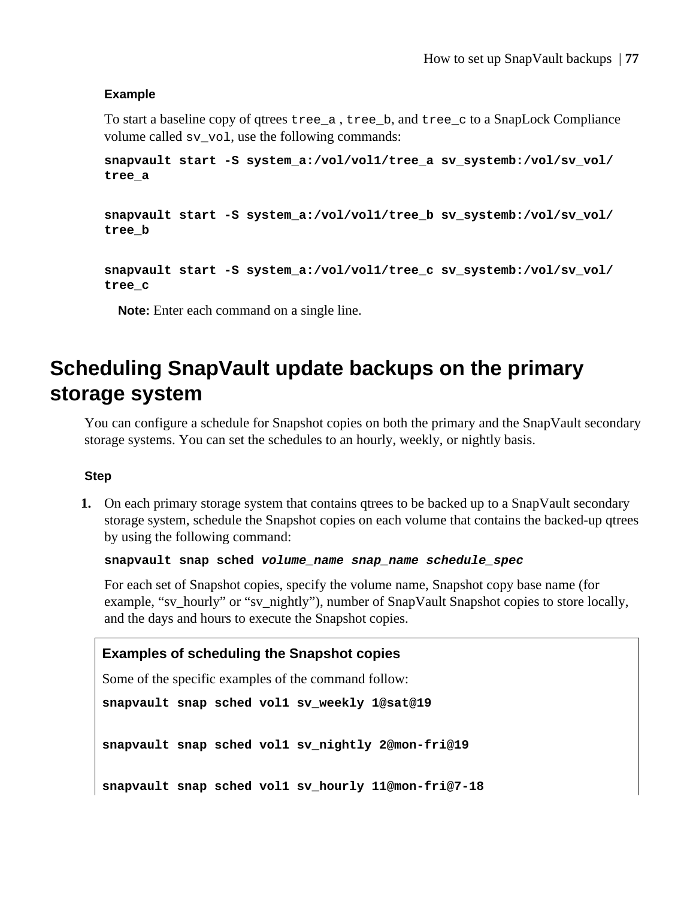### **Example**

To start a baseline copy of qtrees tree\_a , tree\_b, and tree\_c to a SnapLock Compliance volume called sv\_vol, use the following commands:

**snapvault start -S system\_a:/vol/vol1/tree\_a sv\_systemb:/vol/sv\_vol/ tree\_a**

**snapvault start -S system\_a:/vol/vol1/tree\_b sv\_systemb:/vol/sv\_vol/ tree\_b**

```
snapvault start -S system_a:/vol/vol1/tree_c sv_systemb:/vol/sv_vol/
tree_c
```
**Note:** Enter each command on a single line.

## **Scheduling SnapVault update backups on the primary storage system**

You can configure a schedule for Snapshot copies on both the primary and the SnapVault secondary storage systems. You can set the schedules to an hourly, weekly, or nightly basis.

### **Step**

**1.** On each primary storage system that contains gtrees to be backed up to a SnapVault secondary storage system, schedule the Snapshot copies on each volume that contains the backed-up qtrees by using the following command:

**snapvault snap sched volume\_name snap\_name schedule\_spec**

For each set of Snapshot copies, specify the volume name, Snapshot copy base name (for example, "sv\_hourly" or "sv\_nightly"), number of SnapVault Snapshot copies to store locally, and the days and hours to execute the Snapshot copies.

### **Examples of scheduling the Snapshot copies**

Some of the specific examples of the command follow:

**snapvault snap sched vol1 sv\_weekly 1@sat@19**

**snapvault snap sched vol1 sv\_nightly 2@mon-fri@19**

**snapvault snap sched vol1 sv\_hourly 11@mon-fri@7-18**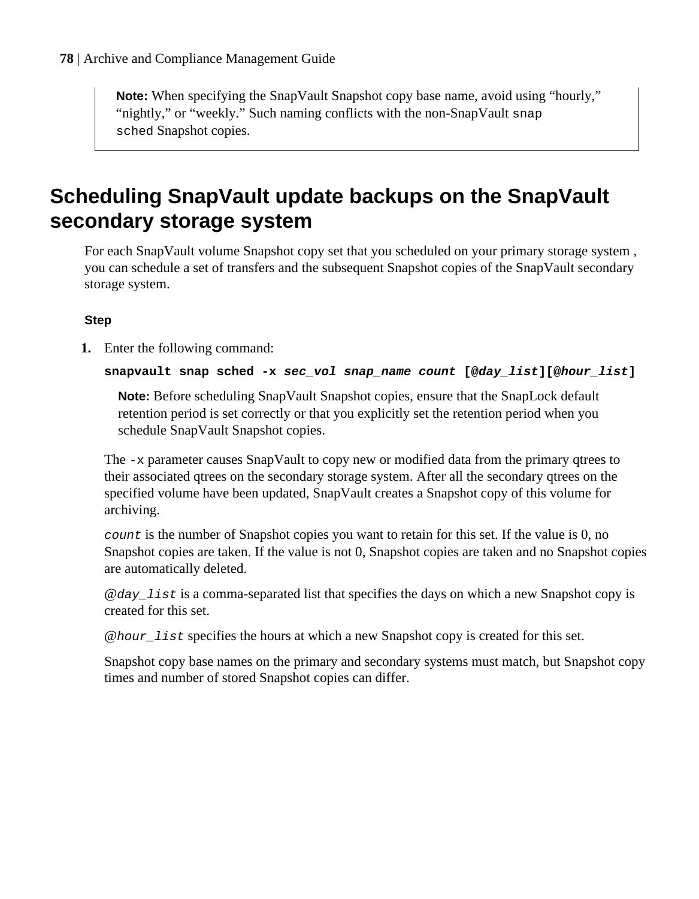**Note:** When specifying the SnapVault Snapshot copy base name, avoid using "hourly," "nightly," or "weekly." Such naming conflicts with the non-SnapVault snap sched Snapshot copies.

## **Scheduling SnapVault update backups on the SnapVault secondary storage system**

For each SnapVault volume Snapshot copy set that you scheduled on your primary storage system , you can schedule a set of transfers and the subsequent Snapshot copies of the SnapVault secondary storage system.

## **Step**

**1.** Enter the following command:

**snapvault snap sched -x sec\_vol snap\_name count [@day\_list][@hour\_list]**

**Note:** Before scheduling SnapVault Snapshot copies, ensure that the SnapLock default retention period is set correctly or that you explicitly set the retention period when you schedule SnapVault Snapshot copies.

The  $-x$  parameter causes SnapVault to copy new or modified data from the primary qtrees to their associated qtrees on the secondary storage system. After all the secondary qtrees on the specified volume have been updated, SnapVault creates a Snapshot copy of this volume for archiving.

count is the number of Snapshot copies you want to retain for this set. If the value is 0, no Snapshot copies are taken. If the value is not 0, Snapshot copies are taken and no Snapshot copies are automatically deleted.

 $\omega$ *day* list is a comma-separated list that specifies the days on which a new Snapshot copy is created for this set.

@hour\_list specifies the hours at which a new Snapshot copy is created for this set.

Snapshot copy base names on the primary and secondary systems must match, but Snapshot copy times and number of stored Snapshot copies can differ.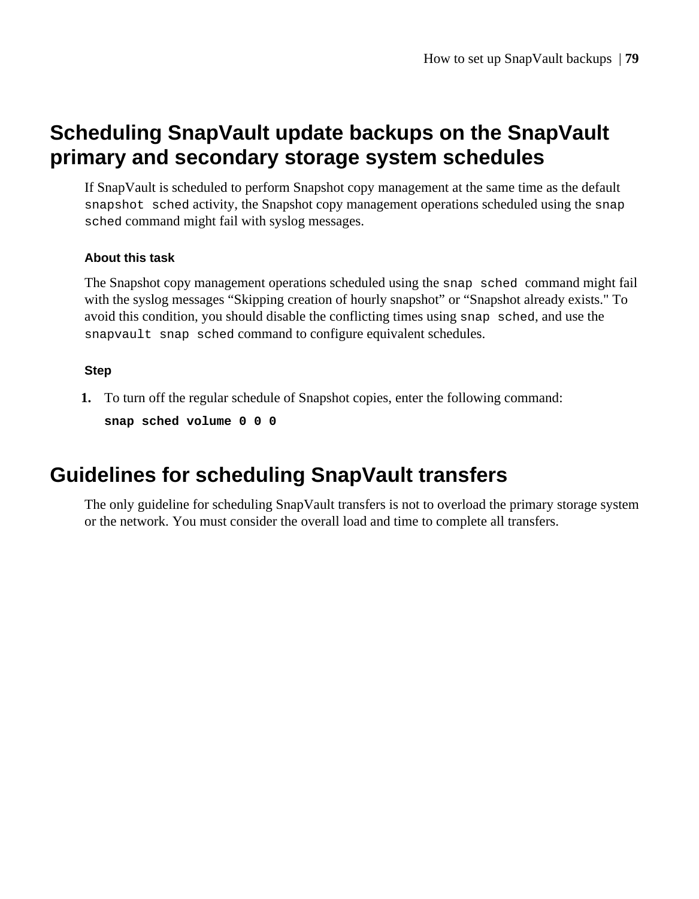## **Scheduling SnapVault update backups on the SnapVault primary and secondary storage system schedules**

If SnapVault is scheduled to perform Snapshot copy management at the same time as the default snapshot sched activity, the Snapshot copy management operations scheduled using the snap sched command might fail with syslog messages.

### **About this task**

The Snapshot copy management operations scheduled using the snap sched command might fail with the syslog messages "Skipping creation of hourly snapshot" or "Snapshot already exists." To avoid this condition, you should disable the conflicting times using snap sched, and use the snapvault snap sched command to configure equivalent schedules.

### **Step**

**1.** To turn off the regular schedule of Snapshot copies, enter the following command:

```
snap sched volume 0 0 0
```
## **Guidelines for scheduling SnapVault transfers**

The only guideline for scheduling SnapVault transfers is not to overload the primary storage system or the network. You must consider the overall load and time to complete all transfers.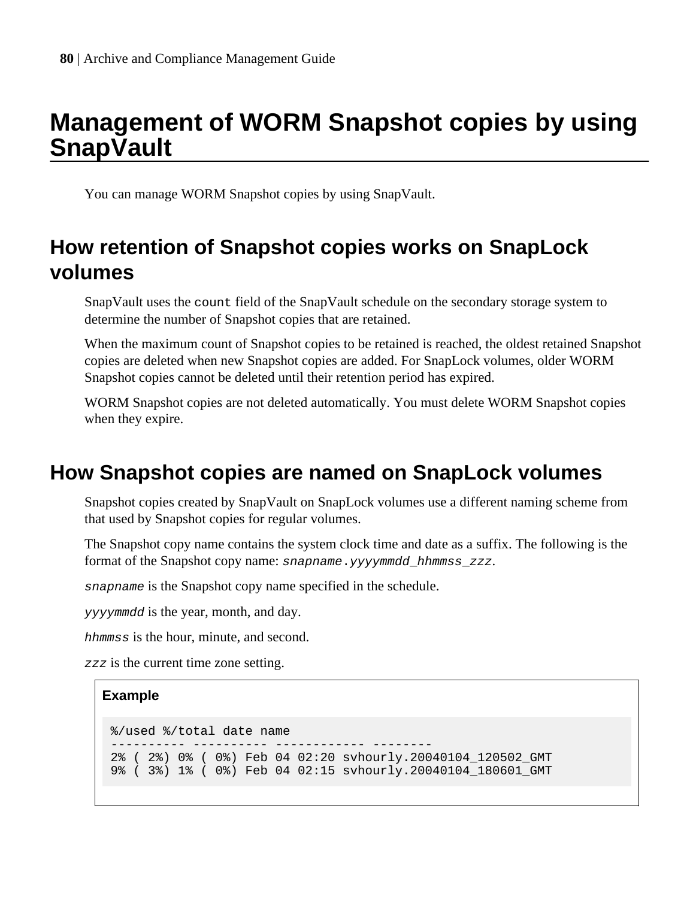# **Management of WORM Snapshot copies by using SnapVault**

You can manage WORM Snapshot copies by using SnapVault.

## **How retention of Snapshot copies works on SnapLock volumes**

SnapVault uses the count field of the SnapVault schedule on the secondary storage system to determine the number of Snapshot copies that are retained.

When the maximum count of Snapshot copies to be retained is reached, the oldest retained Snapshot copies are deleted when new Snapshot copies are added. For SnapLock volumes, older WORM Snapshot copies cannot be deleted until their retention period has expired.

WORM Snapshot copies are not deleted automatically. You must delete WORM Snapshot copies when they expire.

## **How Snapshot copies are named on SnapLock volumes**

Snapshot copies created by SnapVault on SnapLock volumes use a different naming scheme from that used by Snapshot copies for regular volumes.

The Snapshot copy name contains the system clock time and date as a suffix. The following is the format of the Snapshot copy name: snapname.yyyymmdd\_hhmmss\_zzz.

snapname is the Snapshot copy name specified in the schedule.

yyyymmdd is the year, month, and day.

hhmmss is the hour, minute, and second.

zzz is the current time zone setting.

### **Example**

```
%/used %/total date name
                           ---------- ---------- ------------ --------
2% ( 2%) 0% ( 0%) Feb 04 02:20 svhourly.20040104_120502_GMT
9% ( 3%) 1% ( 0%) Feb 04 02:15 svhourly.20040104_180601_GMT
```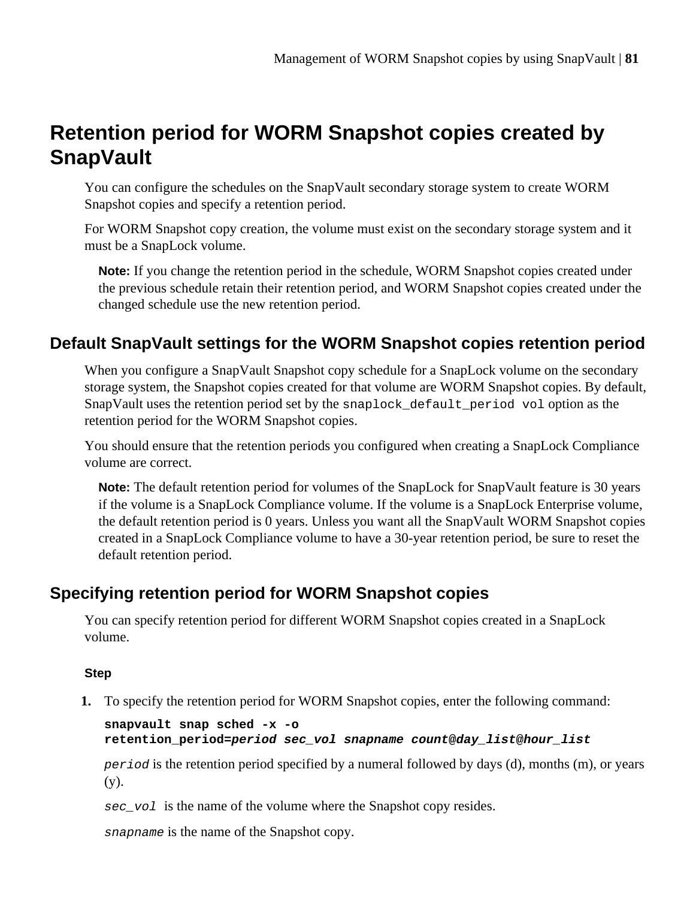## **Retention period for WORM Snapshot copies created by SnapVault**

You can configure the schedules on the SnapVault secondary storage system to create WORM Snapshot copies and specify a retention period.

For WORM Snapshot copy creation, the volume must exist on the secondary storage system and it must be a SnapLock volume.

**Note:** If you change the retention period in the schedule, WORM Snapshot copies created under the previous schedule retain their retention period, and WORM Snapshot copies created under the changed schedule use the new retention period.

## **Default SnapVault settings for the WORM Snapshot copies retention period**

When you configure a SnapVault Snapshot copy schedule for a SnapLock volume on the secondary storage system, the Snapshot copies created for that volume are WORM Snapshot copies. By default, SnapVault uses the retention period set by the snaplock default period vol option as the retention period for the WORM Snapshot copies.

You should ensure that the retention periods you configured when creating a SnapLock Compliance volume are correct.

**Note:** The default retention period for volumes of the SnapLock for SnapVault feature is 30 years if the volume is a SnapLock Compliance volume. If the volume is a SnapLock Enterprise volume, the default retention period is 0 years. Unless you want all the SnapVault WORM Snapshot copies created in a SnapLock Compliance volume to have a 30-year retention period, be sure to reset the default retention period.

## **Specifying retention period for WORM Snapshot copies**

You can specify retention period for different WORM Snapshot copies created in a SnapLock volume.

## **Step**

**1.** To specify the retention period for WORM Snapshot copies, enter the following command:

```
snapvault snap sched -x -o
retention_period=period sec_vol snapname count@day_list@hour_list
```
period is the retention period specified by a numeral followed by days (d), months (m), or years (y).

sec vol is the name of the volume where the Snapshot copy resides.

snapname is the name of the Snapshot copy.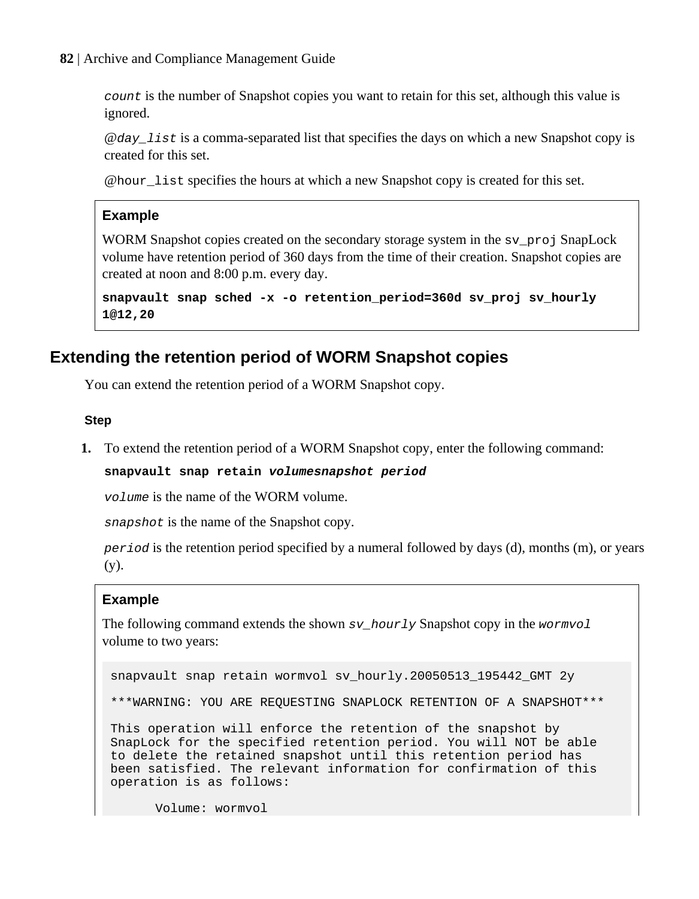**82** | Archive and Compliance Management Guide

count is the number of Snapshot copies you want to retain for this set, although this value is ignored.

 $\omega$ *day* list is a comma-separated list that specifies the days on which a new Snapshot copy is created for this set.

@hour\_list specifies the hours at which a new Snapshot copy is created for this set.

## **Example**

WORM Snapshot copies created on the secondary storage system in the sv\_proj SnapLock volume have retention period of 360 days from the time of their creation. Snapshot copies are created at noon and 8:00 p.m. every day.

**snapvault snap sched -x -o retention\_period=360d sv\_proj sv\_hourly 1@12,20**

## **Extending the retention period of WORM Snapshot copies**

You can extend the retention period of a WORM Snapshot copy.

### **Step**

**1.** To extend the retention period of a WORM Snapshot copy, enter the following command:

### **snapvault snap retain volumesnapshot period**

volume is the name of the WORM volume.

snapshot is the name of the Snapshot copy.

period is the retention period specified by a numeral followed by days (d), months (m), or years (y).

## **Example**

The following command extends the shown  $sv\_hourly$  Snapshot copy in the wormvol volume to two years:

snapvault snap retain wormvol sv\_hourly.20050513\_195442\_GMT 2y

\*\*\*WARNING: YOU ARE REQUESTING SNAPLOCK RETENTION OF A SNAPSHOT\*\*\*

This operation will enforce the retention of the snapshot by SnapLock for the specified retention period. You will NOT be able to delete the retained snapshot until this retention period has been satisfied. The relevant information for confirmation of this operation is as follows:

Volume: wormvol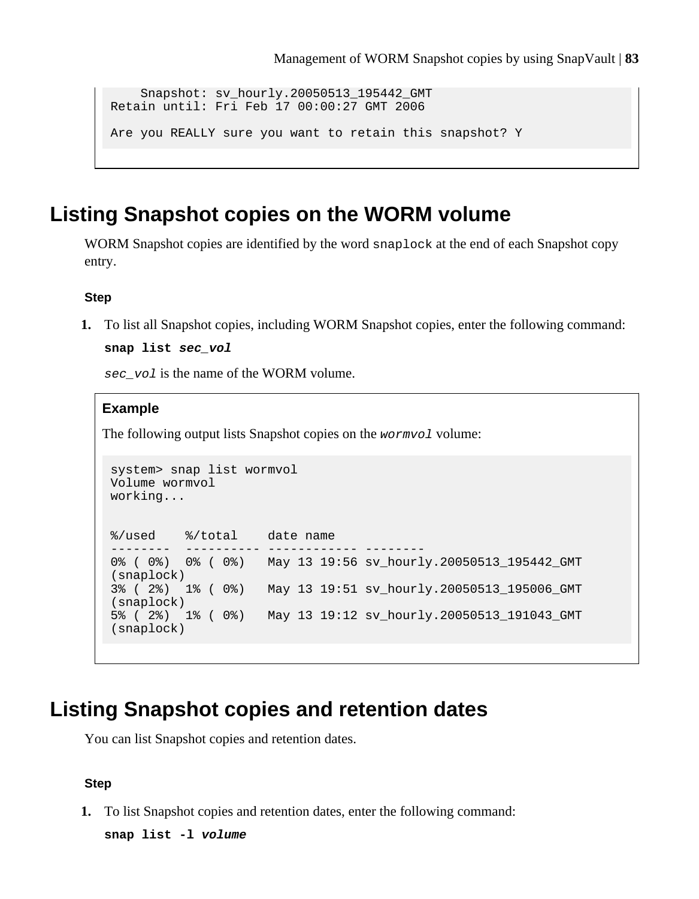```
 Snapshot: sv_hourly.20050513_195442_GMT
Retain until: Fri Feb 17 00:00:27 GMT 2006
Are you REALLY sure you want to retain this snapshot? Y
```
## **Listing Snapshot copies on the WORM volume**

WORM Snapshot copies are identified by the word snaplock at the end of each Snapshot copy entry.

### **Step**

**1.** To list all Snapshot copies, including WORM Snapshot copies, enter the following command:

**snap list sec\_vol**

sec\_vol is the name of the WORM volume.

#### **Example**

The following output lists Snapshot copies on the wormvol volume:

```
system> snap list wormvol
Volume wormvol
working...
%/used %/total date name
-------- ---------- ------------ --------
0% ( 0%) 0% ( 0%) May 13 19:56 sv_hourly.20050513_195442_GMT 
(snaplock)
3% ( 2%) 1% ( 0%) May 13 19:51 sv_hourly.20050513_195006_GMT 
(snaplock)
5% ( 2%) 1% ( 0%) May 13 19:12 sv_hourly.20050513_191043_GMT 
(snaplock)
```
## **Listing Snapshot copies and retention dates**

You can list Snapshot copies and retention dates.

#### **Step**

**1.** To list Snapshot copies and retention dates, enter the following command:

**snap list -l volume**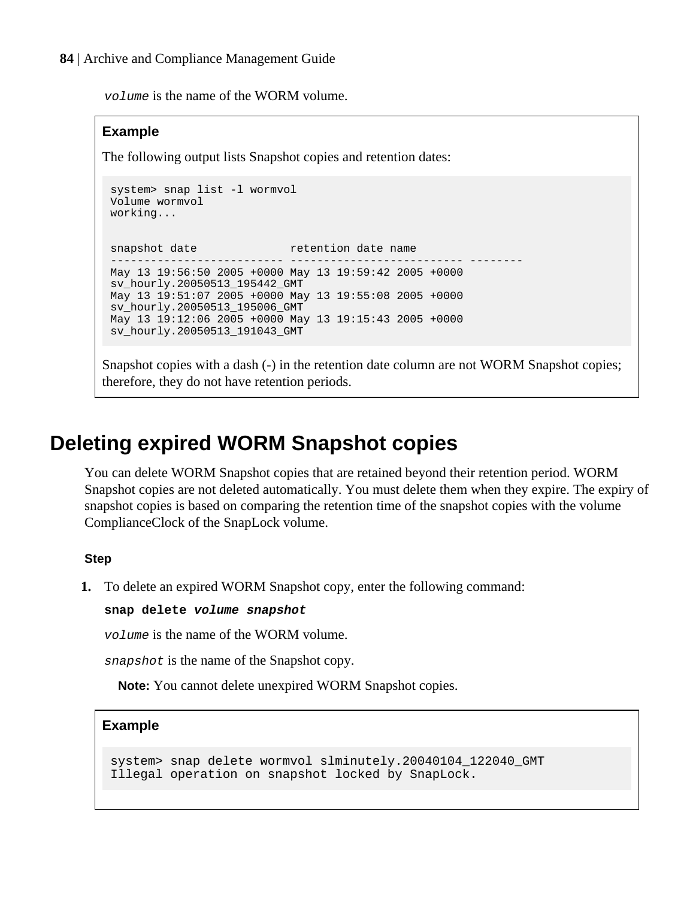volume is the name of the WORM volume.

#### **Example**

The following output lists Snapshot copies and retention dates:

```
system> snap list -l wormvol
Volume wormvol
working...
snapshot date retention date name
-------------------------- -------------------------- --------
May 13 19:56:50 2005 +0000 May 13 19:59:42 2005 +0000
sv_hourly.20050513_195442_GMT
May 13 19:51:07 2005 +0000 May 13 19:55:08 2005 +0000
sv_hourly.20050513_195006_GMT
May 13 19:12:06 2005 +0000 May 13 19:15:43 2005 +0000
sv_hourly.20050513_191043_GMT
```
Snapshot copies with a dash (-) in the retention date column are not WORM Snapshot copies; therefore, they do not have retention periods.

## **Deleting expired WORM Snapshot copies**

You can delete WORM Snapshot copies that are retained beyond their retention period. WORM Snapshot copies are not deleted automatically. You must delete them when they expire. The expiry of snapshot copies is based on comparing the retention time of the snapshot copies with the volume ComplianceClock of the SnapLock volume.

### **Step**

**1.** To delete an expired WORM Snapshot copy, enter the following command:

#### **snap delete volume snapshot**

volume is the name of the WORM volume.

snapshot is the name of the Snapshot copy.

**Note:** You cannot delete unexpired WORM Snapshot copies.

### **Example**

```
system> snap delete wormvol slminutely.20040104_122040_GMT
Illegal operation on snapshot locked by SnapLock.
```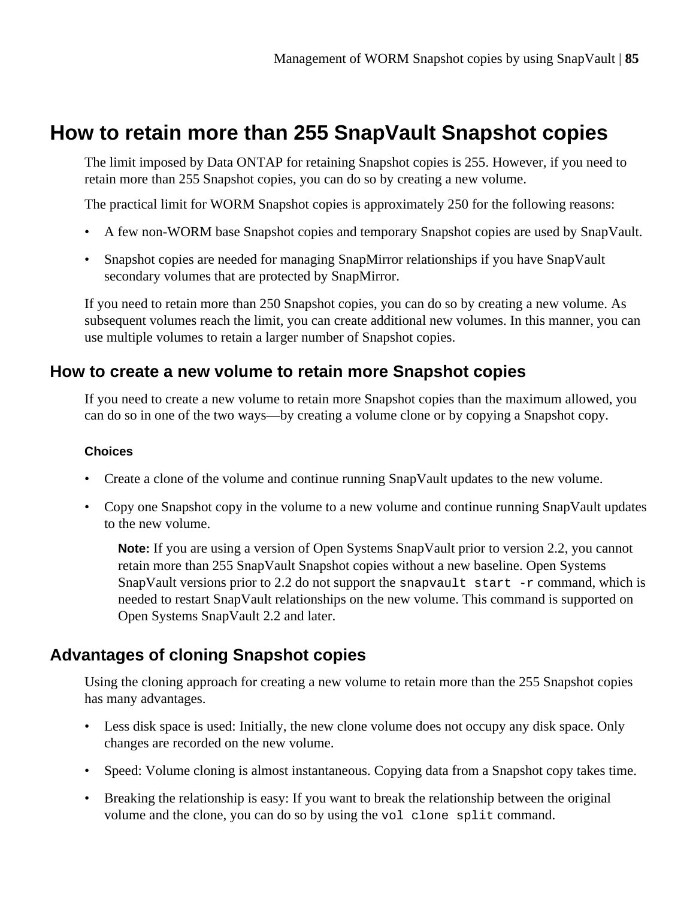## **How to retain more than 255 SnapVault Snapshot copies**

The limit imposed by Data ONTAP for retaining Snapshot copies is 255. However, if you need to retain more than 255 Snapshot copies, you can do so by creating a new volume.

The practical limit for WORM Snapshot copies is approximately 250 for the following reasons:

- A few non-WORM base Snapshot copies and temporary Snapshot copies are used by SnapVault.
- Snapshot copies are needed for managing SnapMirror relationships if you have SnapVault secondary volumes that are protected by SnapMirror.

If you need to retain more than 250 Snapshot copies, you can do so by creating a new volume. As subsequent volumes reach the limit, you can create additional new volumes. In this manner, you can use multiple volumes to retain a larger number of Snapshot copies.

## **How to create a new volume to retain more Snapshot copies**

If you need to create a new volume to retain more Snapshot copies than the maximum allowed, you can do so in one of the two ways—by creating a volume clone or by copying a Snapshot copy.

## **Choices**

- Create a clone of the volume and continue running SnapVault updates to the new volume.
- Copy one Snapshot copy in the volume to a new volume and continue running SnapVault updates to the new volume.

**Note:** If you are using a version of Open Systems SnapVault prior to version 2.2, you cannot retain more than 255 SnapVault Snapshot copies without a new baseline. Open Systems SnapVault versions prior to 2.2 do not support the snapvault start  $-$ r command, which is needed to restart SnapVault relationships on the new volume. This command is supported on Open Systems SnapVault 2.2 and later.

## **Advantages of cloning Snapshot copies**

Using the cloning approach for creating a new volume to retain more than the 255 Snapshot copies has many advantages.

- Less disk space is used: Initially, the new clone volume does not occupy any disk space. Only changes are recorded on the new volume.
- Speed: Volume cloning is almost instantaneous. Copying data from a Snapshot copy takes time.
- Breaking the relationship is easy: If you want to break the relationship between the original volume and the clone, you can do so by using the vol clone split command.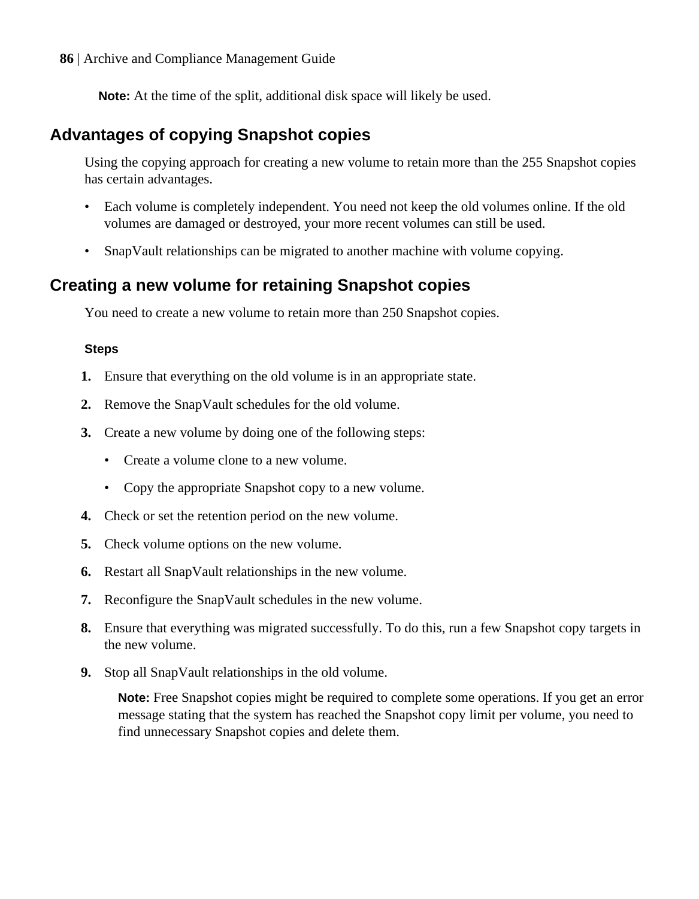**86** | Archive and Compliance Management Guide

**Note:** At the time of the split, additional disk space will likely be used.

## **Advantages of copying Snapshot copies**

Using the copying approach for creating a new volume to retain more than the 255 Snapshot copies has certain advantages.

- Each volume is completely independent. You need not keep the old volumes online. If the old volumes are damaged or destroyed, your more recent volumes can still be used.
- SnapVault relationships can be migrated to another machine with volume copying.

## **Creating a new volume for retaining Snapshot copies**

You need to create a new volume to retain more than 250 Snapshot copies.

## **Steps**

- **1.** Ensure that everything on the old volume is in an appropriate state.
- **2.** Remove the SnapVault schedules for the old volume.
- **3.** Create a new volume by doing one of the following steps:
	- Create a volume clone to a new volume.
	- Copy the appropriate Snapshot copy to a new volume.
- **4.** Check or set the retention period on the new volume.
- **5.** Check volume options on the new volume.
- **6.** Restart all SnapVault relationships in the new volume.
- **7.** Reconfigure the SnapVault schedules in the new volume.
- **8.** Ensure that everything was migrated successfully. To do this, run a few Snapshot copy targets in the new volume.
- **9.** Stop all SnapVault relationships in the old volume.

**Note:** Free Snapshot copies might be required to complete some operations. If you get an error message stating that the system has reached the Snapshot copy limit per volume, you need to find unnecessary Snapshot copies and delete them.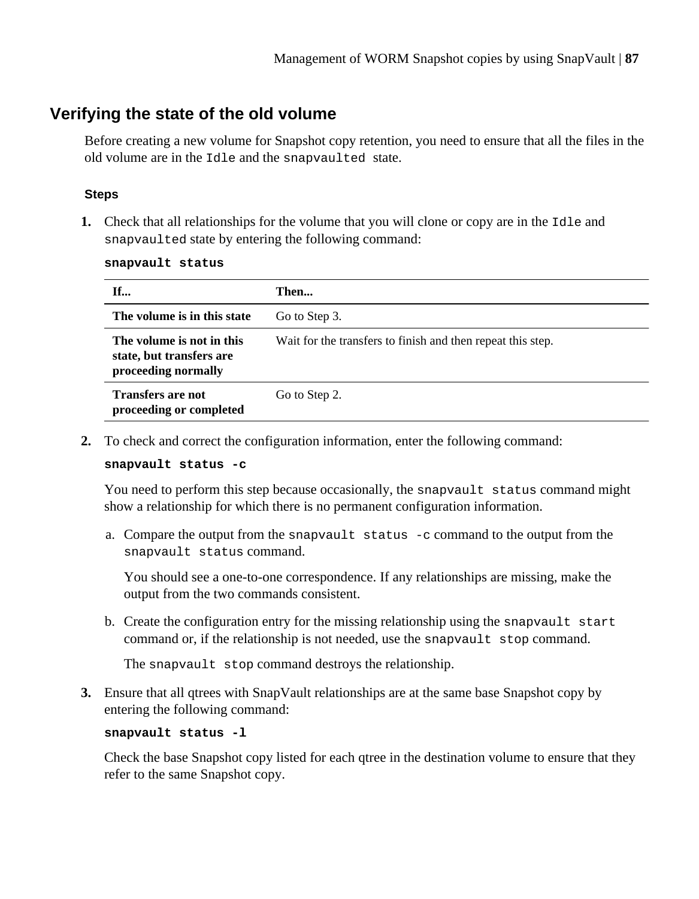## **Verifying the state of the old volume**

Before creating a new volume for Snapshot copy retention, you need to ensure that all the files in the old volume are in the Idle and the snapvaulted state.

### **Steps**

**1.** Check that all relationships for the volume that you will clone or copy are in the Idle and snapvaulted state by entering the following command:

| snapvault status |  |
|------------------|--|
|                  |  |

| If                                                                           | Then                                                        |
|------------------------------------------------------------------------------|-------------------------------------------------------------|
| The volume is in this state                                                  | Go to Step 3.                                               |
| The volume is not in this<br>state, but transfers are<br>proceeding normally | Wait for the transfers to finish and then repeat this step. |
| <b>Transfers are not</b><br>proceeding or completed                          | Go to Step 2.                                               |

**2.** To check and correct the configuration information, enter the following command:

#### **snapvault status -c**

You need to perform this step because occasionally, the snapvault status command might show a relationship for which there is no permanent configuration information.

a. Compare the output from the snapvault status -c command to the output from the snapvault status command.

You should see a one-to-one correspondence. If any relationships are missing, make the output from the two commands consistent.

b. Create the configuration entry for the missing relationship using the snapvault start command or, if the relationship is not needed, use the snapvault stop command.

The snapvault stop command destroys the relationship.

**3.** Ensure that all qtrees with SnapVault relationships are at the same base Snapshot copy by entering the following command:

#### **snapvault status -l**

Check the base Snapshot copy listed for each qtree in the destination volume to ensure that they refer to the same Snapshot copy.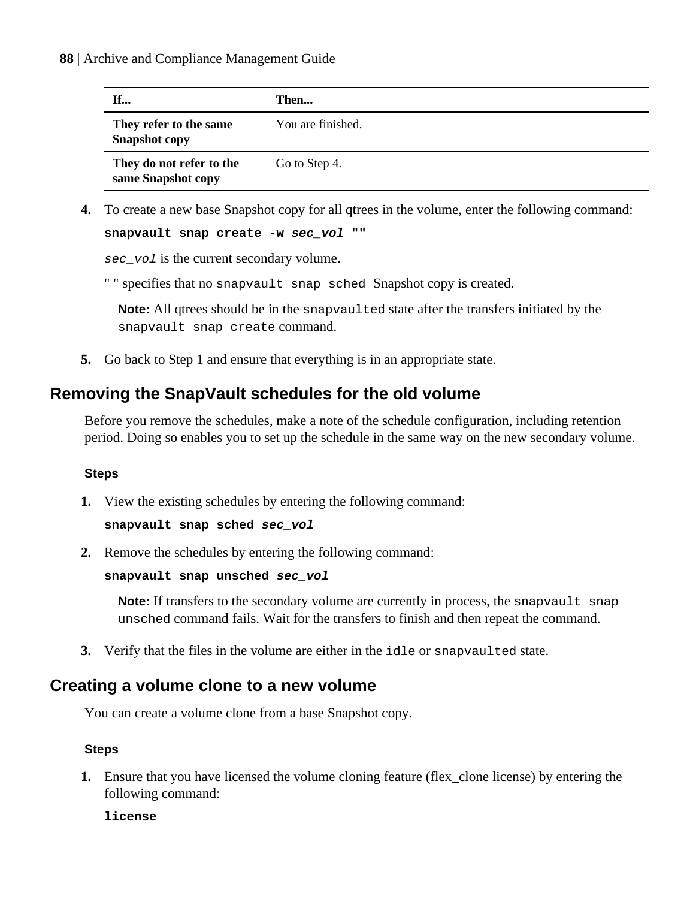| If                                             | Then              |
|------------------------------------------------|-------------------|
| They refer to the same<br><b>Snapshot</b> copy | You are finished. |
| They do not refer to the<br>same Snapshot copy | Go to Step 4.     |

**4.** To create a new base Snapshot copy for all qtrees in the volume, enter the following command:

```
snapvault snap create -w sec_vol ""
```
sec<sub>\_vol</sub> is the current secondary volume.

" " specifies that no snapvault snap sched Snapshot copy is created.

**Note:** All qtrees should be in the snapvaulted state after the transfers initiated by the snapvault snap create command.

**5.** Go back to Step 1 and ensure that everything is in an appropriate state.

## **Removing the SnapVault schedules for the old volume**

Before you remove the schedules, make a note of the schedule configuration, including retention period. Doing so enables you to set up the schedule in the same way on the new secondary volume.

### **Steps**

**1.** View the existing schedules by entering the following command:

```
snapvault snap sched sec_vol
```
**2.** Remove the schedules by entering the following command:

**snapvault snap unsched sec\_vol**

**Note:** If transfers to the secondary volume are currently in process, the snapvault snap unsched command fails. Wait for the transfers to finish and then repeat the command.

**3.** Verify that the files in the volume are either in the idle or snapvaulted state.

## **Creating a volume clone to a new volume**

You can create a volume clone from a base Snapshot copy.

### **Steps**

**1.** Ensure that you have licensed the volume cloning feature (flex\_clone license) by entering the following command:

**license**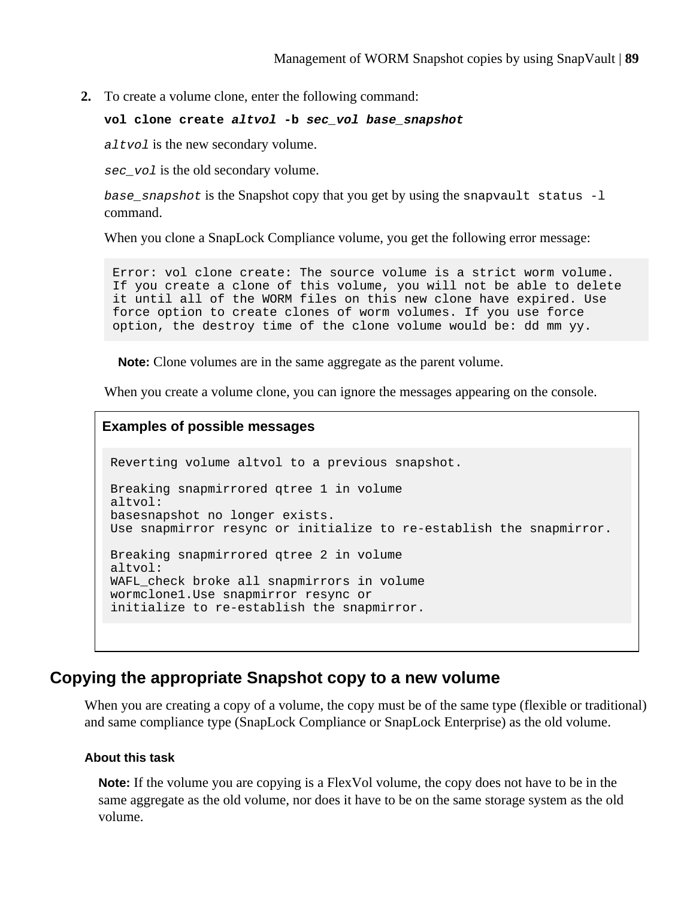**2.** To create a volume clone, enter the following command:

#### **vol clone create altvol -b sec\_vol base\_snapshot**

altvol is the new secondary volume.

sec\_vol is the old secondary volume.

base snapshot is the Snapshot copy that you get by using the snapvault status  $-l$ command.

When you clone a SnapLock Compliance volume, you get the following error message:

Error: vol clone create: The source volume is a strict worm volume. If you create a clone of this volume, you will not be able to delete it until all of the WORM files on this new clone have expired. Use force option to create clones of worm volumes. If you use force option, the destroy time of the clone volume would be: dd mm yy.

**Note:** Clone volumes are in the same aggregate as the parent volume.

When you create a volume clone, you can ignore the messages appearing on the console.

### **Examples of possible messages**

Reverting volume altvol to a previous snapshot. Breaking snapmirrored qtree 1 in volume altvol: basesnapshot no longer exists. Use snapmirror resync or initialize to re-establish the snapmirror. Breaking snapmirrored qtree 2 in volume altvol: WAFL\_check broke all snapmirrors in volume wormclone1.Use snapmirror resync or initialize to re-establish the snapmirror.

## **Copying the appropriate Snapshot copy to a new volume**

When you are creating a copy of a volume, the copy must be of the same type (flexible or traditional) and same compliance type (SnapLock Compliance or SnapLock Enterprise) as the old volume.

#### **About this task**

**Note:** If the volume you are copying is a FlexVol volume, the copy does not have to be in the same aggregate as the old volume, nor does it have to be on the same storage system as the old volume.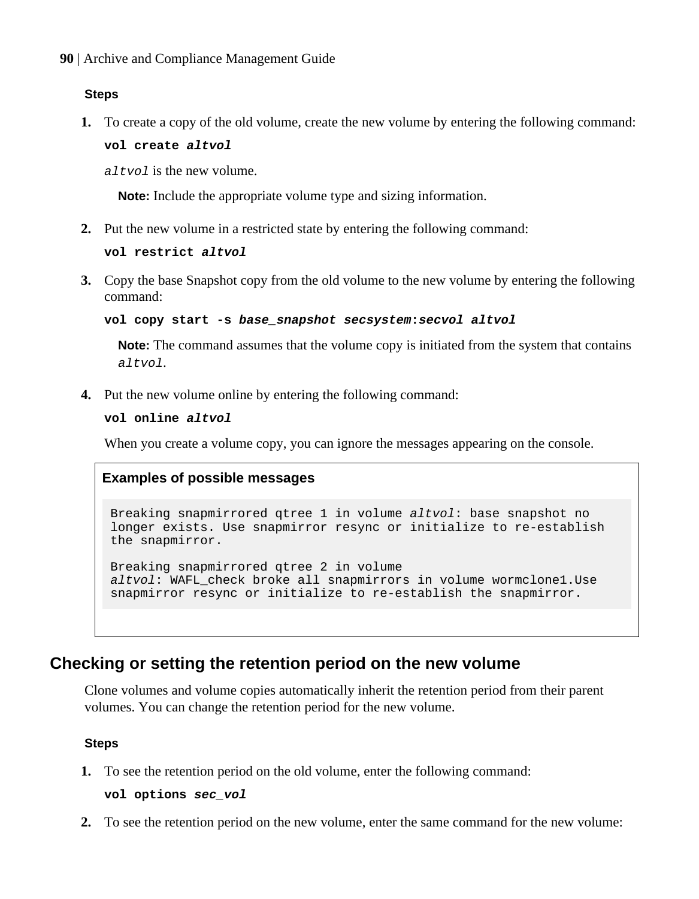#### **Steps**

**1.** To create a copy of the old volume, create the new volume by entering the following command:

**vol create altvol**

 $a$ ltvol is the new volume.

**Note:** Include the appropriate volume type and sizing information.

**2.** Put the new volume in a restricted state by entering the following command:

```
vol restrict altvol
```
**3.** Copy the base Snapshot copy from the old volume to the new volume by entering the following command:

**vol copy start -s base\_snapshot secsystem:secvol altvol**

**Note:** The command assumes that the volume copy is initiated from the system that contains altvol.

**4.** Put the new volume online by entering the following command:

**vol online altvol**

When you create a volume copy, you can ignore the messages appearing on the console.

### **Examples of possible messages**

Breaking snapmirrored qtree 1 in volume altvol: base snapshot no longer exists. Use snapmirror resync or initialize to re-establish the snapmirror.

Breaking snapmirrored qtree 2 in volume altvol: WAFL\_check broke all snapmirrors in volume wormclone1.Use snapmirror resync or initialize to re-establish the snapmirror.

## **Checking or setting the retention period on the new volume**

Clone volumes and volume copies automatically inherit the retention period from their parent volumes. You can change the retention period for the new volume.

#### **Steps**

**1.** To see the retention period on the old volume, enter the following command:

**vol options sec\_vol**

**2.** To see the retention period on the new volume, enter the same command for the new volume: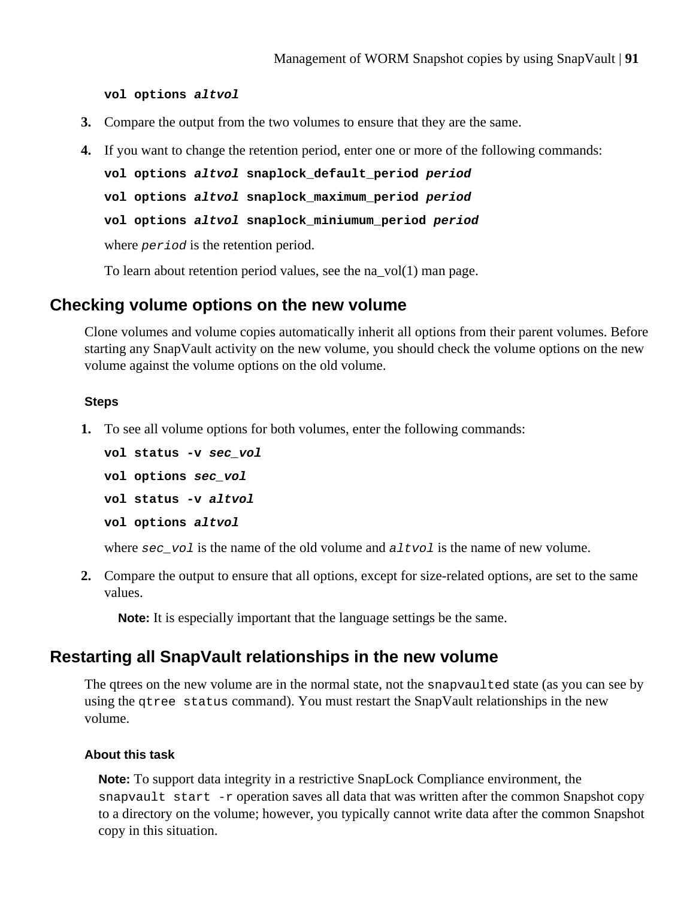**vol options altvol**

- **3.** Compare the output from the two volumes to ensure that they are the same.
- **4.** If you want to change the retention period, enter one or more of the following commands:

```
vol options altvol snaplock_default_period period
vol options altvol snaplock_maximum_period period
vol options altvol snaplock_miniumum_period period
```
where *period* is the retention period.

To learn about retention period values, see the na  $vol(1)$  man page.

## **Checking volume options on the new volume**

Clone volumes and volume copies automatically inherit all options from their parent volumes. Before starting any SnapVault activity on the new volume, you should check the volume options on the new volume against the volume options on the old volume.

#### **Steps**

**1.** To see all volume options for both volumes, enter the following commands:

```
vol status -v sec_vol
vol options sec_vol
vol status -v altvol
vol options altvol
```
where  $\sec_{\theta}$  volume of the old volume and  $\arctan \theta$  is the name of new volume.

**2.** Compare the output to ensure that all options, except for size-related options, are set to the same values.

**Note:** It is especially important that the language settings be the same.

## **Restarting all SnapVault relationships in the new volume**

The qtrees on the new volume are in the normal state, not the snapvaulted state (as you can see by using the qtree status command). You must restart the SnapVault relationships in the new volume.

### **About this task**

**Note:** To support data integrity in a restrictive SnapLock Compliance environment, the snapvault start  $-r$  operation saves all data that was written after the common Snapshot copy to a directory on the volume; however, you typically cannot write data after the common Snapshot copy in this situation.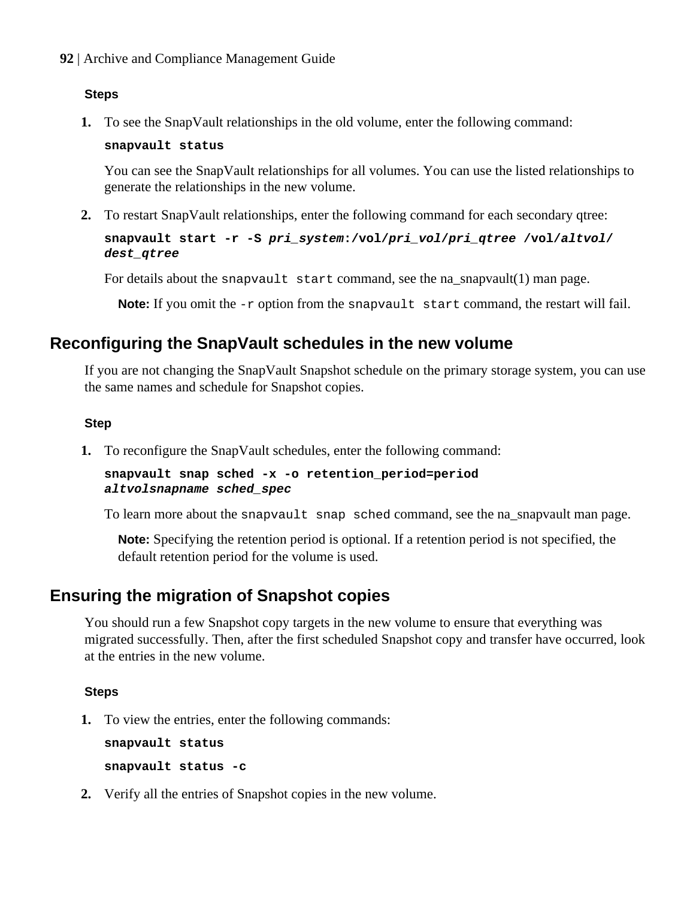**92** | Archive and Compliance Management Guide

#### **Steps**

**1.** To see the SnapVault relationships in the old volume, enter the following command:

#### **snapvault status**

You can see the SnapVault relationships for all volumes. You can use the listed relationships to generate the relationships in the new volume.

**2.** To restart SnapVault relationships, enter the following command for each secondary qtree:

## **snapvault start -r -S pri\_system:/vol/pri\_vol/pri\_qtree /vol/altvol/ dest\_qtree**

For details about the snapvault start command, see the na  $s$ napvault $(1)$  man page.

**Note:** If you omit the  $-r$  option from the snapvault start command, the restart will fail.

## **Reconfiguring the SnapVault schedules in the new volume**

If you are not changing the SnapVault Snapshot schedule on the primary storage system, you can use the same names and schedule for Snapshot copies.

#### **Step**

**1.** To reconfigure the SnapVault schedules, enter the following command:

**snapvault snap sched -x -o retention\_period=period altvolsnapname sched\_spec**

To learn more about the snapvault snap sched command, see the na\_snapvault man page.

**Note:** Specifying the retention period is optional. If a retention period is not specified, the default retention period for the volume is used.

## **Ensuring the migration of Snapshot copies**

You should run a few Snapshot copy targets in the new volume to ensure that everything was migrated successfully. Then, after the first scheduled Snapshot copy and transfer have occurred, look at the entries in the new volume.

### **Steps**

**1.** To view the entries, enter the following commands:

**snapvault status**

**snapvault status -c**

**2.** Verify all the entries of Snapshot copies in the new volume.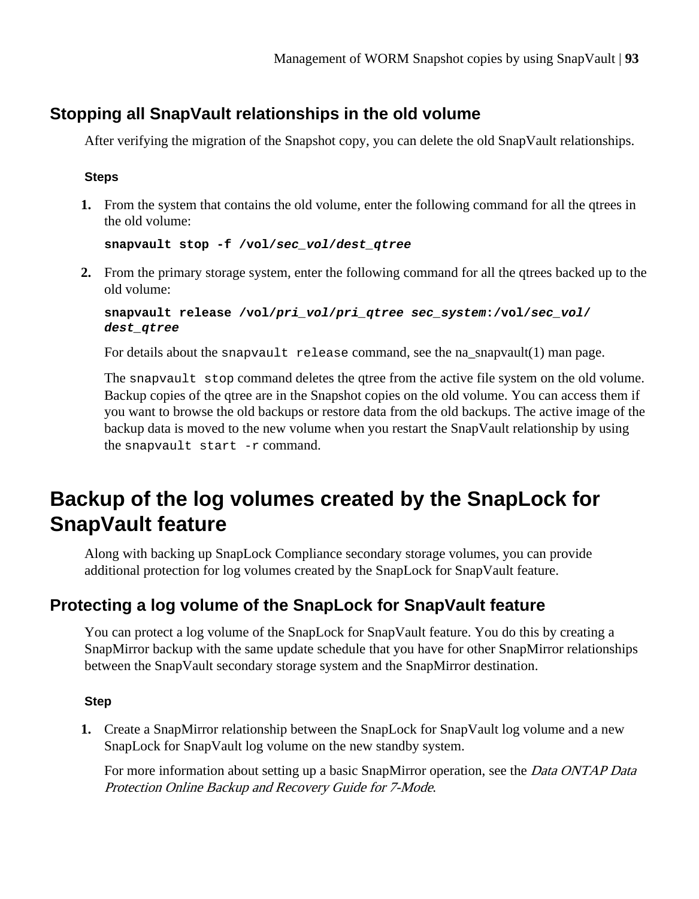## **Stopping all SnapVault relationships in the old volume**

After verifying the migration of the Snapshot copy, you can delete the old SnapVault relationships.

### **Steps**

**1.** From the system that contains the old volume, enter the following command for all the qtrees in the old volume:

```
snapvault stop -f /vol/sec_vol/dest_qtree
```
**2.** From the primary storage system, enter the following command for all the qtrees backed up to the old volume:

```
snapvault release /vol/pri_vol/pri_qtree sec_system:/vol/sec_vol/
dest_qtree
```
For details about the snapvault release command, see the na\_snapvault(1) man page.

The snapvault stop command deletes the qtree from the active file system on the old volume. Backup copies of the qtree are in the Snapshot copies on the old volume. You can access them if you want to browse the old backups or restore data from the old backups. The active image of the backup data is moved to the new volume when you restart the SnapVault relationship by using the snapvault start -r command.

## **Backup of the log volumes created by the SnapLock for SnapVault feature**

Along with backing up SnapLock Compliance secondary storage volumes, you can provide additional protection for log volumes created by the SnapLock for SnapVault feature.

## **Protecting a log volume of the SnapLock for SnapVault feature**

You can protect a log volume of the SnapLock for SnapVault feature. You do this by creating a SnapMirror backup with the same update schedule that you have for other SnapMirror relationships between the SnapVault secondary storage system and the SnapMirror destination.

## **Step**

**1.** Create a SnapMirror relationship between the SnapLock for SnapVault log volume and a new SnapLock for SnapVault log volume on the new standby system.

For more information about setting up a basic SnapMirror operation, see the *Data ONTAP Data* Protection Online Backup and Recovery Guide for 7-Mode.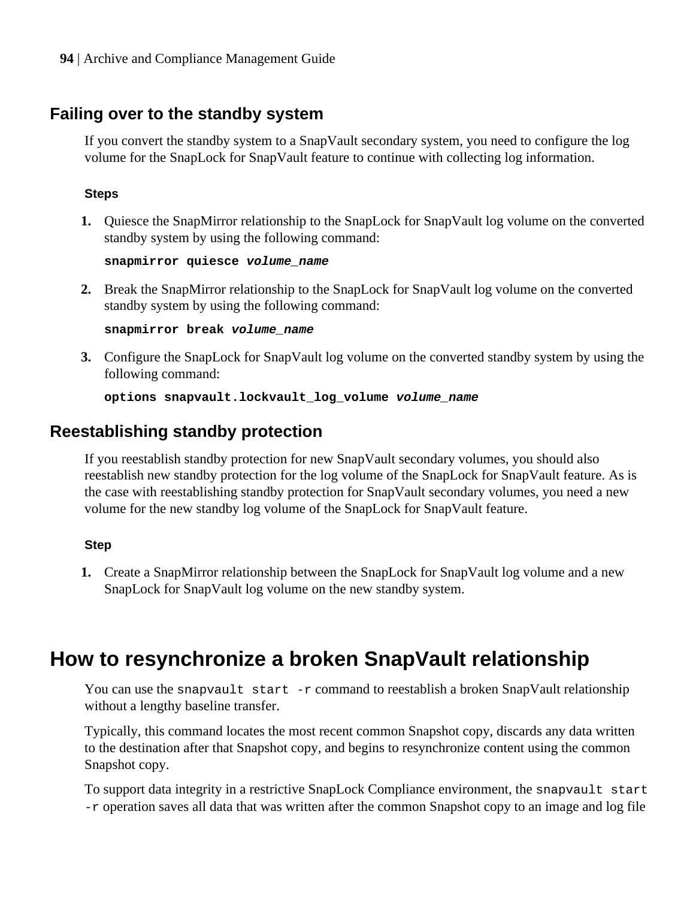## **Failing over to the standby system**

If you convert the standby system to a SnapVault secondary system, you need to configure the log volume for the SnapLock for SnapVault feature to continue with collecting log information.

### **Steps**

**1.** Quiesce the SnapMirror relationship to the SnapLock for SnapVault log volume on the converted standby system by using the following command:

**snapmirror quiesce volume\_name**

**2.** Break the SnapMirror relationship to the SnapLock for SnapVault log volume on the converted standby system by using the following command:

**snapmirror break volume\_name**

**3.** Configure the SnapLock for SnapVault log volume on the converted standby system by using the following command:

**options snapvault.lockvault\_log\_volume volume\_name**

## **Reestablishing standby protection**

If you reestablish standby protection for new SnapVault secondary volumes, you should also reestablish new standby protection for the log volume of the SnapLock for SnapVault feature. As is the case with reestablishing standby protection for SnapVault secondary volumes, you need a new volume for the new standby log volume of the SnapLock for SnapVault feature.

### **Step**

**1.** Create a SnapMirror relationship between the SnapLock for SnapVault log volume and a new SnapLock for SnapVault log volume on the new standby system.

## **How to resynchronize a broken SnapVault relationship**

You can use the snapvault start -r command to reestablish a broken SnapVault relationship without a lengthy baseline transfer.

Typically, this command locates the most recent common Snapshot copy, discards any data written to the destination after that Snapshot copy, and begins to resynchronize content using the common Snapshot copy.

To support data integrity in a restrictive SnapLock Compliance environment, the snapvault start -r operation saves all data that was written after the common Snapshot copy to an image and log file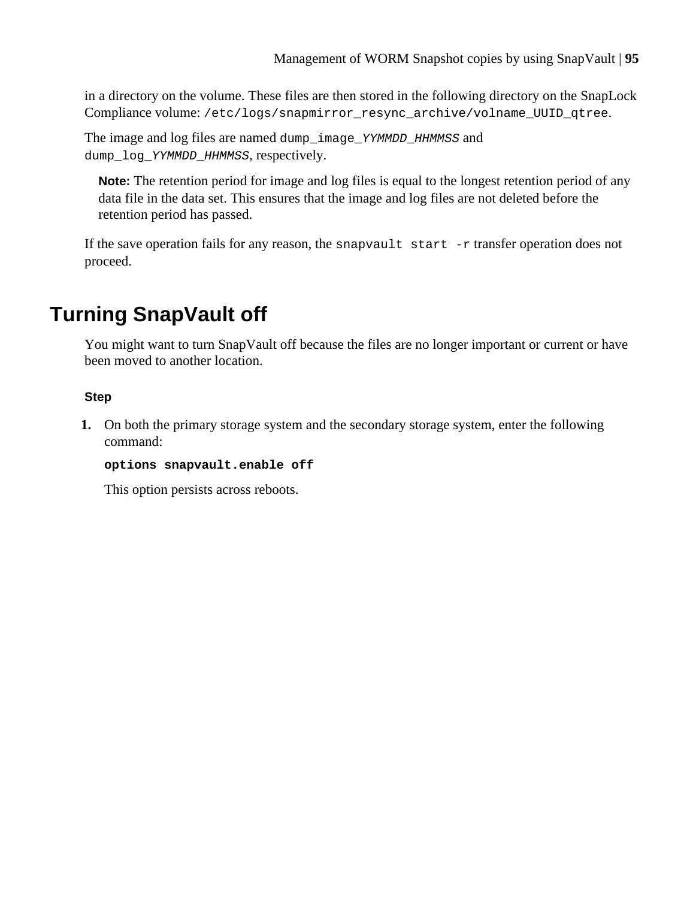in a directory on the volume. These files are then stored in the following directory on the SnapLock Compliance volume: /etc/logs/snapmirror\_resync\_archive/volname\_UUID\_qtree.

The image and log files are named dump\_image\_YYMMDD\_HHMMSS and dump\_log\_YYMMDD\_HHMMSS, respectively.

**Note:** The retention period for image and log files is equal to the longest retention period of any data file in the data set. This ensures that the image and log files are not deleted before the retention period has passed.

If the save operation fails for any reason, the snapvault start  $-r$  transfer operation does not proceed.

# **Turning SnapVault off**

You might want to turn SnapVault off because the files are no longer important or current or have been moved to another location.

## **Step**

**1.** On both the primary storage system and the secondary storage system, enter the following command:

### **options snapvault.enable off**

This option persists across reboots.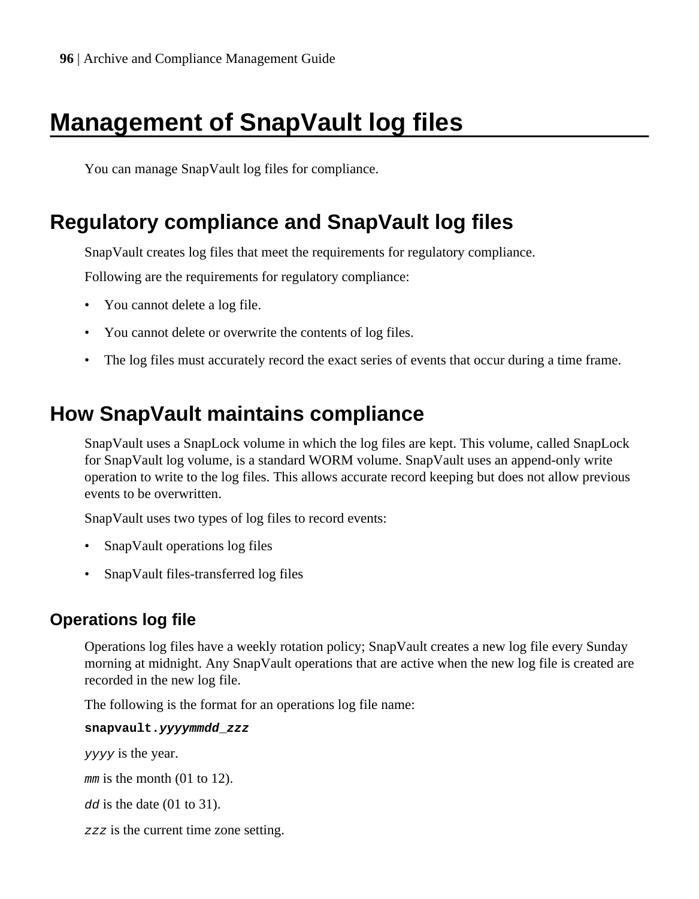# **Management of SnapVault log files**

You can manage SnapVault log files for compliance.

## **Regulatory compliance and SnapVault log files**

SnapVault creates log files that meet the requirements for regulatory compliance.

Following are the requirements for regulatory compliance:

- You cannot delete a log file.
- You cannot delete or overwrite the contents of log files.
- The log files must accurately record the exact series of events that occur during a time frame.

## **How SnapVault maintains compliance**

SnapVault uses a SnapLock volume in which the log files are kept. This volume, called SnapLock for SnapVault log volume, is a standard WORM volume. SnapVault uses an append-only write operation to write to the log files. This allows accurate record keeping but does not allow previous events to be overwritten.

SnapVault uses two types of log files to record events:

- SnapVault operations log files
- SnapVault files-transferred log files

## **Operations log file**

Operations log files have a weekly rotation policy; SnapVault creates a new log file every Sunday morning at midnight. Any SnapVault operations that are active when the new log file is created are recorded in the new log file.

The following is the format for an operations log file name:

**snapvault.yyyymmdd\_zzz**

yyyy is the year.

mm is the month (01 to 12).

dd is the date (01 to 31).

zzz is the current time zone setting.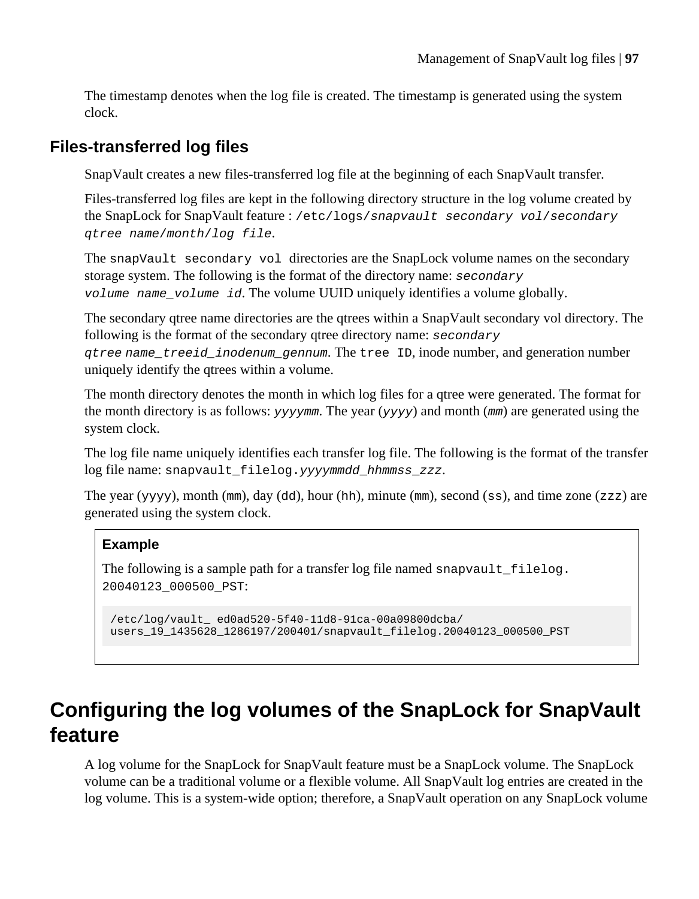The timestamp denotes when the log file is created. The timestamp is generated using the system clock.

## **Files-transferred log files**

SnapVault creates a new files-transferred log file at the beginning of each SnapVault transfer.

Files-transferred log files are kept in the following directory structure in the log volume created by the SnapLock for SnapVault feature : /etc/logs/snapvault secondary vol/secondary qtree name/month/log file.

The snapVault secondary vol directories are the SnapLock volume names on the secondary storage system. The following is the format of the directory name: secondary volume name\_volume id. The volume UUID uniquely identifies a volume globally.

The secondary qtree name directories are the qtrees within a SnapVault secondary vol directory. The following is the format of the secondary qtree directory name: secondary

qtree name\_treeid\_inodenum\_gennum. The tree ID, inode number, and generation number uniquely identify the qtrees within a volume.

The month directory denotes the month in which log files for a qtree were generated. The format for the month directory is as follows:  $y \rightarrow y \rightarrow y \rightarrow$  and month (mm) are generated using the system clock.

The log file name uniquely identifies each transfer log file. The following is the format of the transfer log file name: snapvault\_filelog.yyyymmdd\_hhmmss\_zzz.

The year (yyyy), month (mm), day (dd), hour (hh), minute (mm), second (ss), and time zone (zzz) are generated using the system clock.

## **Example**

The following is a sample path for a transfer log file named snapvault filelog. 20040123\_000500\_PST:

```
/etc/log/vault_ ed0ad520-5f40-11d8-91ca-00a09800dcba/
users_19_1435628_1286197/200401/snapvault_filelog.20040123_000500_PST
```
## **Configuring the log volumes of the SnapLock for SnapVault feature**

A log volume for the SnapLock for SnapVault feature must be a SnapLock volume. The SnapLock volume can be a traditional volume or a flexible volume. All SnapVault log entries are created in the log volume. This is a system-wide option; therefore, a SnapVault operation on any SnapLock volume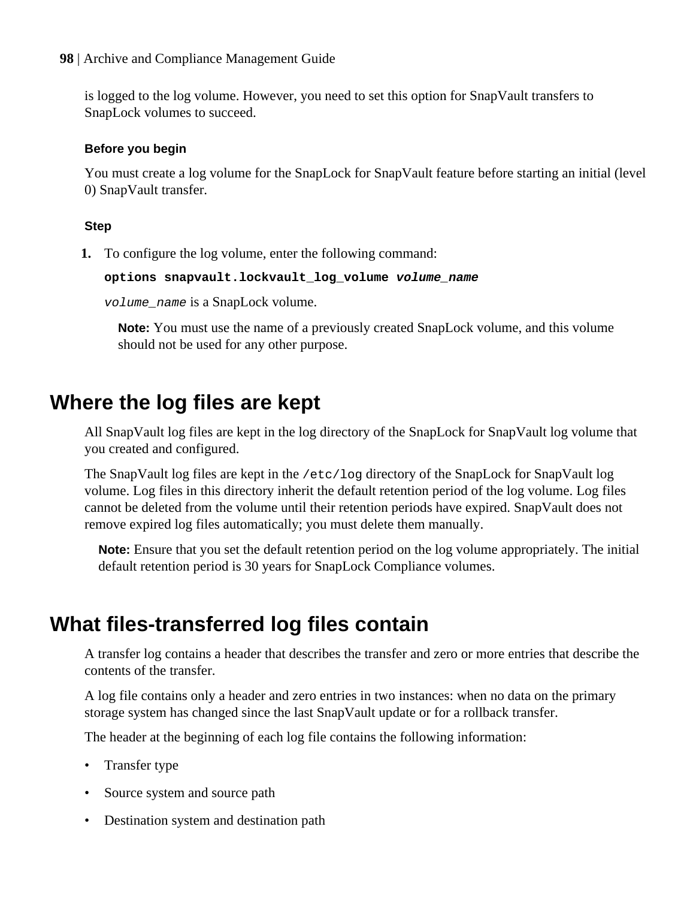**98** | Archive and Compliance Management Guide

is logged to the log volume. However, you need to set this option for SnapVault transfers to SnapLock volumes to succeed.

## **Before you begin**

You must create a log volume for the SnapLock for SnapVault feature before starting an initial (level 0) SnapVault transfer.

## **Step**

**1.** To configure the log volume, enter the following command:

**options snapvault.lockvault\_log\_volume volume\_name**

volume\_name is a SnapLock volume.

**Note:** You must use the name of a previously created SnapLock volume, and this volume should not be used for any other purpose.

## **Where the log files are kept**

All SnapVault log files are kept in the log directory of the SnapLock for SnapVault log volume that you created and configured.

The SnapVault log files are kept in the /etc/log directory of the SnapLock for SnapVault log volume. Log files in this directory inherit the default retention period of the log volume. Log files cannot be deleted from the volume until their retention periods have expired. SnapVault does not remove expired log files automatically; you must delete them manually.

**Note:** Ensure that you set the default retention period on the log volume appropriately. The initial default retention period is 30 years for SnapLock Compliance volumes.

## **What files-transferred log files contain**

A transfer log contains a header that describes the transfer and zero or more entries that describe the contents of the transfer.

A log file contains only a header and zero entries in two instances: when no data on the primary storage system has changed since the last SnapVault update or for a rollback transfer.

The header at the beginning of each log file contains the following information:

- Transfer type
- Source system and source path
- Destination system and destination path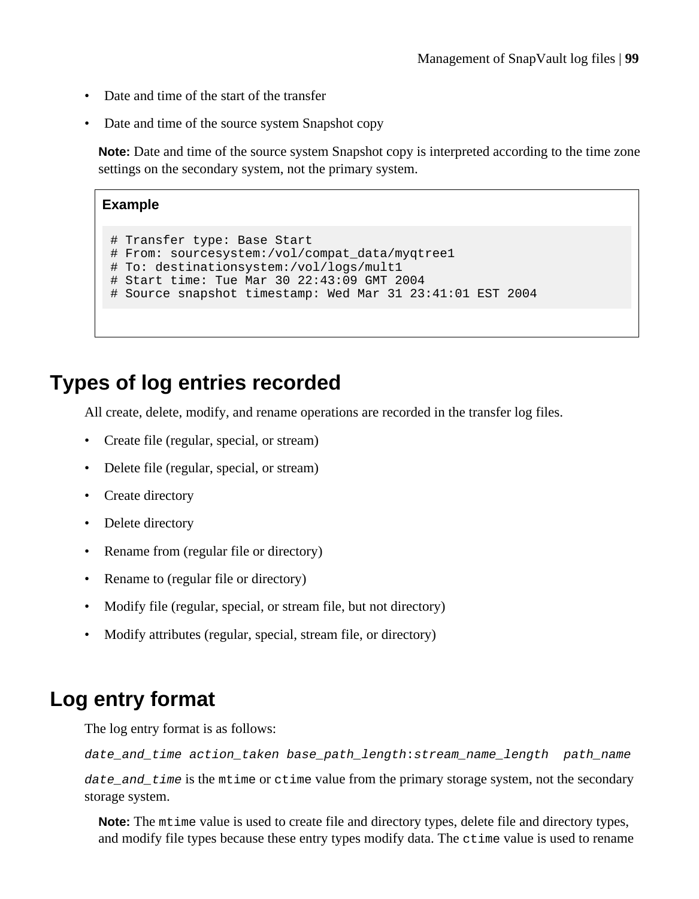- Date and time of the start of the transfer
- Date and time of the source system Snapshot copy

**Note:** Date and time of the source system Snapshot copy is interpreted according to the time zone settings on the secondary system, not the primary system.

## **Example**

```
# Transfer type: Base Start
# From: sourcesystem:/vol/compat_data/myqtree1
# To: destinationsystem:/vol/logs/mult1
# Start time: Tue Mar 30 22:43:09 GMT 2004
# Source snapshot timestamp: Wed Mar 31 23:41:01 EST 2004
```
## **Types of log entries recorded**

All create, delete, modify, and rename operations are recorded in the transfer log files.

- Create file (regular, special, or stream)
- Delete file (regular, special, or stream)
- Create directory
- Delete directory
- Rename from (regular file or directory)
- Rename to (regular file or directory)
- Modify file (regular, special, or stream file, but not directory)
- Modify attributes (regular, special, stream file, or directory)

## **Log entry format**

The log entry format is as follows:

```
date_and_time action_taken base_path_length:stream_name_length path_name
```
date and  $time$  is the mtime or ctime value from the primary storage system, not the secondary storage system.

**Note:** The mtime value is used to create file and directory types, delete file and directory types, and modify file types because these entry types modify data. The ctime value is used to rename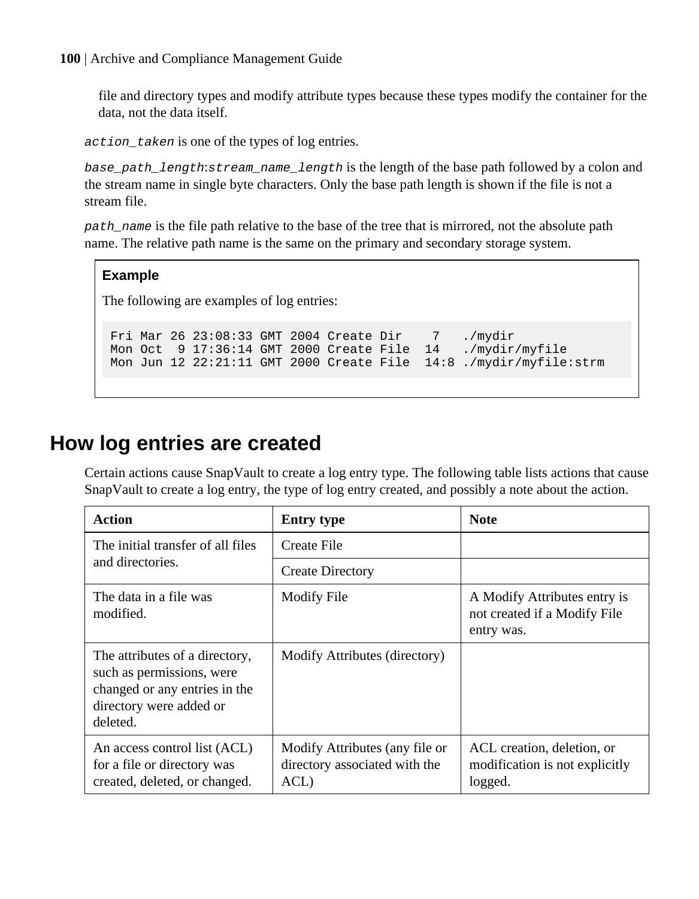file and directory types and modify attribute types because these types modify the container for the data, not the data itself.

action\_taken is one of the types of log entries.

base\_path\_length:stream\_name\_length is the length of the base path followed by a colon and the stream name in single byte characters. Only the base path length is shown if the file is not a stream file.

path\_name is the file path relative to the base of the tree that is mirrored, not the absolute path name. The relative path name is the same on the primary and secondary storage system.

## **Example**

The following are examples of log entries:

Fri Mar 26 23:08:33 GMT 2004 Create Dir 7 ./mydir<br>Mon Oct 9 17:36:14 GMT 2000 Create File 14 ./mydir/myfile Mon Oct 9 17:36:14 GMT 2000 Create File 14 Mon Jun 12 22:21:11 GMT 2000 Create File 14:8 ./mydir/myfile:strm

## **How log entries are created**

Certain actions cause SnapVault to create a log entry type. The following table lists actions that cause SnapVault to create a log entry, the type of log entry created, and possibly a note about the action.

| Action                                                                                                                              | <b>Entry type</b>                                                       | <b>Note</b>                                                                |
|-------------------------------------------------------------------------------------------------------------------------------------|-------------------------------------------------------------------------|----------------------------------------------------------------------------|
| The initial transfer of all files<br>and directories.                                                                               | Create File                                                             |                                                                            |
|                                                                                                                                     | <b>Create Directory</b>                                                 |                                                                            |
| The data in a file was<br>modified.                                                                                                 | <b>Modify File</b>                                                      | A Modify Attributes entry is<br>not created if a Modify File<br>entry was. |
| The attributes of a directory,<br>such as permissions, were<br>changed or any entries in the<br>directory were added or<br>deleted. | Modify Attributes (directory)                                           |                                                                            |
| An access control list (ACL)<br>for a file or directory was<br>created, deleted, or changed.                                        | Modify Attributes (any file or<br>directory associated with the<br>ACL) | ACL creation, deletion, or<br>modification is not explicitly<br>logged.    |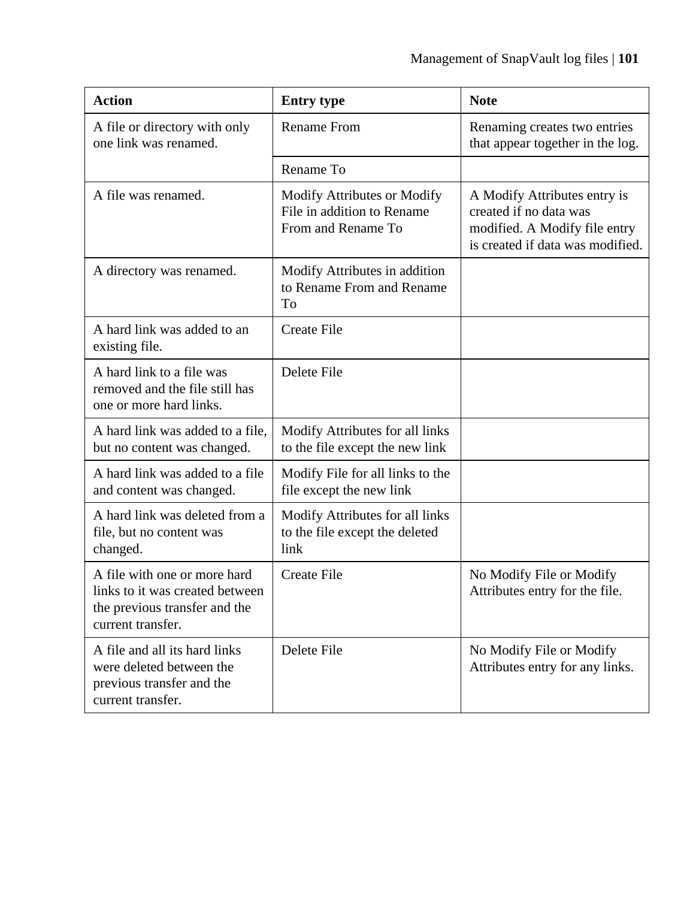| <b>Action</b>                                                                                                         | <b>Entry type</b>                                                               | <b>Note</b>                                                                                                                 |
|-----------------------------------------------------------------------------------------------------------------------|---------------------------------------------------------------------------------|-----------------------------------------------------------------------------------------------------------------------------|
| A file or directory with only<br>one link was renamed.                                                                | <b>Rename From</b>                                                              | Renaming creates two entries<br>that appear together in the log.                                                            |
|                                                                                                                       | Rename To                                                                       |                                                                                                                             |
| A file was renamed.                                                                                                   | Modify Attributes or Modify<br>File in addition to Rename<br>From and Rename To | A Modify Attributes entry is<br>created if no data was<br>modified. A Modify file entry<br>is created if data was modified. |
| A directory was renamed.                                                                                              | Modify Attributes in addition<br>to Rename From and Rename<br>To                |                                                                                                                             |
| A hard link was added to an<br>existing file.                                                                         | <b>Create File</b>                                                              |                                                                                                                             |
| A hard link to a file was<br>removed and the file still has<br>one or more hard links.                                | Delete File                                                                     |                                                                                                                             |
| A hard link was added to a file,<br>but no content was changed.                                                       | Modify Attributes for all links<br>to the file except the new link              |                                                                                                                             |
| A hard link was added to a file<br>and content was changed.                                                           | Modify File for all links to the<br>file except the new link                    |                                                                                                                             |
| A hard link was deleted from a<br>file, but no content was<br>changed.                                                | Modify Attributes for all links<br>to the file except the deleted<br>link       |                                                                                                                             |
| A file with one or more hard<br>links to it was created between<br>the previous transfer and the<br>current transfer. | <b>Create File</b>                                                              | No Modify File or Modify<br>Attributes entry for the file.                                                                  |
| A file and all its hard links<br>were deleted between the<br>previous transfer and the<br>current transfer.           | Delete File                                                                     | No Modify File or Modify<br>Attributes entry for any links.                                                                 |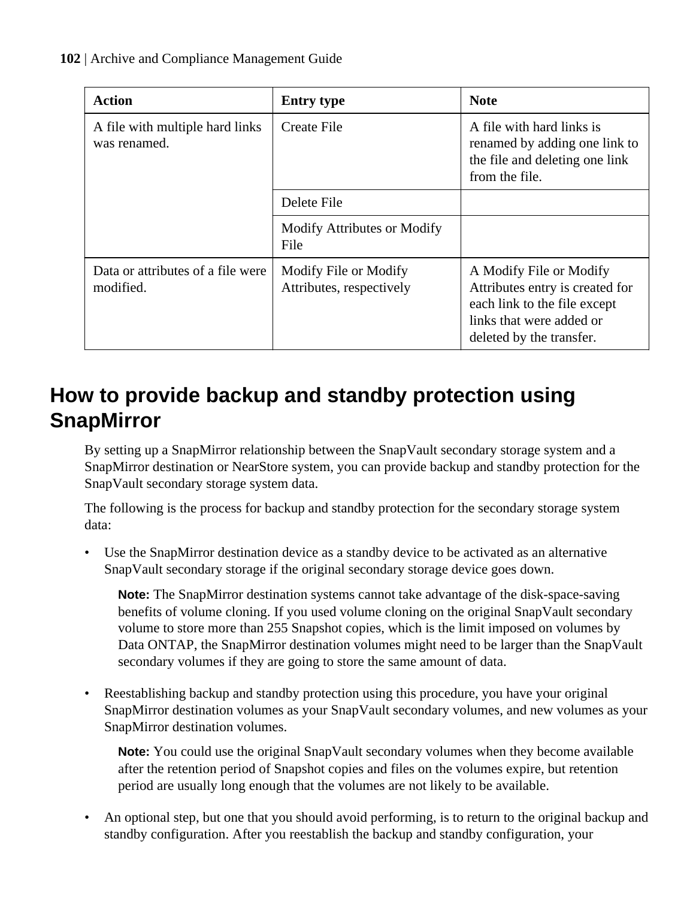| Action                                          | <b>Entry type</b>                                 | <b>Note</b>                                                                                                                                        |
|-------------------------------------------------|---------------------------------------------------|----------------------------------------------------------------------------------------------------------------------------------------------------|
| A file with multiple hard links<br>was renamed. | Create File                                       | A file with hard links is<br>renamed by adding one link to<br>the file and deleting one link<br>from the file.                                     |
|                                                 | Delete File                                       |                                                                                                                                                    |
|                                                 | Modify Attributes or Modify<br>File               |                                                                                                                                                    |
| Data or attributes of a file were<br>modified.  | Modify File or Modify<br>Attributes, respectively | A Modify File or Modify<br>Attributes entry is created for<br>each link to the file except<br>links that were added or<br>deleted by the transfer. |

## **How to provide backup and standby protection using SnapMirror**

By setting up a SnapMirror relationship between the SnapVault secondary storage system and a SnapMirror destination or NearStore system, you can provide backup and standby protection for the SnapVault secondary storage system data.

The following is the process for backup and standby protection for the secondary storage system data:

• Use the SnapMirror destination device as a standby device to be activated as an alternative SnapVault secondary storage if the original secondary storage device goes down.

**Note:** The SnapMirror destination systems cannot take advantage of the disk-space-saving benefits of volume cloning. If you used volume cloning on the original SnapVault secondary volume to store more than 255 Snapshot copies, which is the limit imposed on volumes by Data ONTAP, the SnapMirror destination volumes might need to be larger than the SnapVault secondary volumes if they are going to store the same amount of data.

• Reestablishing backup and standby protection using this procedure, you have your original SnapMirror destination volumes as your SnapVault secondary volumes, and new volumes as your SnapMirror destination volumes.

**Note:** You could use the original SnapVault secondary volumes when they become available after the retention period of Snapshot copies and files on the volumes expire, but retention period are usually long enough that the volumes are not likely to be available.

• An optional step, but one that you should avoid performing, is to return to the original backup and standby configuration. After you reestablish the backup and standby configuration, your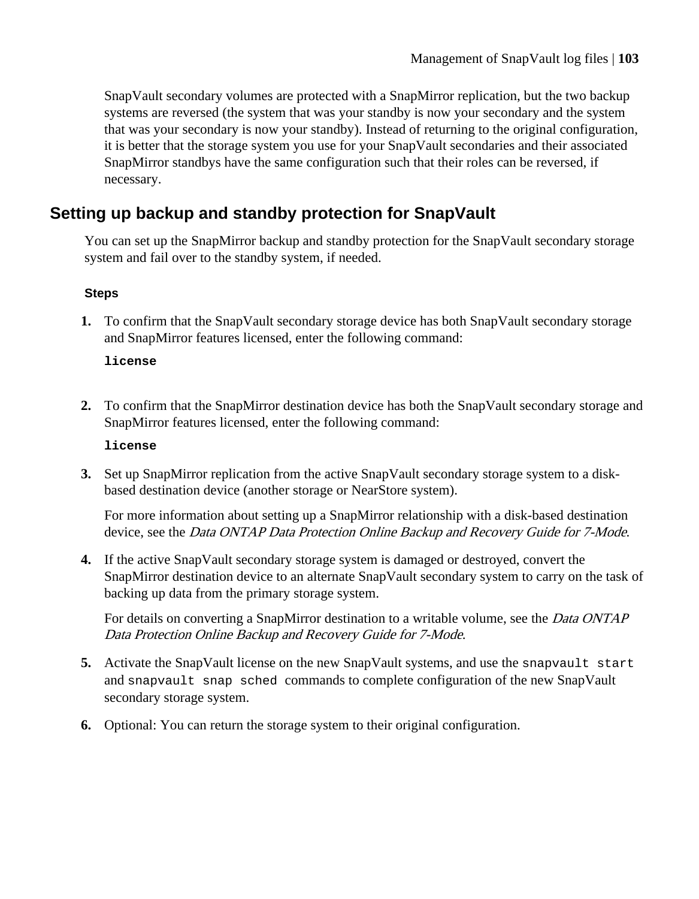SnapVault secondary volumes are protected with a SnapMirror replication, but the two backup systems are reversed (the system that was your standby is now your secondary and the system that was your secondary is now your standby). Instead of returning to the original configuration, it is better that the storage system you use for your SnapVault secondaries and their associated SnapMirror standbys have the same configuration such that their roles can be reversed, if necessary.

## **Setting up backup and standby protection for SnapVault**

You can set up the SnapMirror backup and standby protection for the SnapVault secondary storage system and fail over to the standby system, if needed.

### **Steps**

**1.** To confirm that the SnapVault secondary storage device has both SnapVault secondary storage and SnapMirror features licensed, enter the following command:

#### **license**

**2.** To confirm that the SnapMirror destination device has both the SnapVault secondary storage and SnapMirror features licensed, enter the following command:

#### **license**

**3.** Set up SnapMirror replication from the active SnapVault secondary storage system to a diskbased destination device (another storage or NearStore system).

For more information about setting up a SnapMirror relationship with a disk-based destination device, see the *Data ONTAP Data Protection Online Backup and Recovery Guide for 7-Mode.* 

**4.** If the active SnapVault secondary storage system is damaged or destroyed, convert the SnapMirror destination device to an alternate SnapVault secondary system to carry on the task of backing up data from the primary storage system.

For details on converting a SnapMirror destination to a writable volume, see the *Data ONTAP* Data Protection Online Backup and Recovery Guide for 7-Mode.

- **5.** Activate the SnapVault license on the new SnapVault systems, and use the snapvault start and snapvault snap sched commands to complete configuration of the new SnapVault secondary storage system.
- **6.** Optional: You can return the storage system to their original configuration.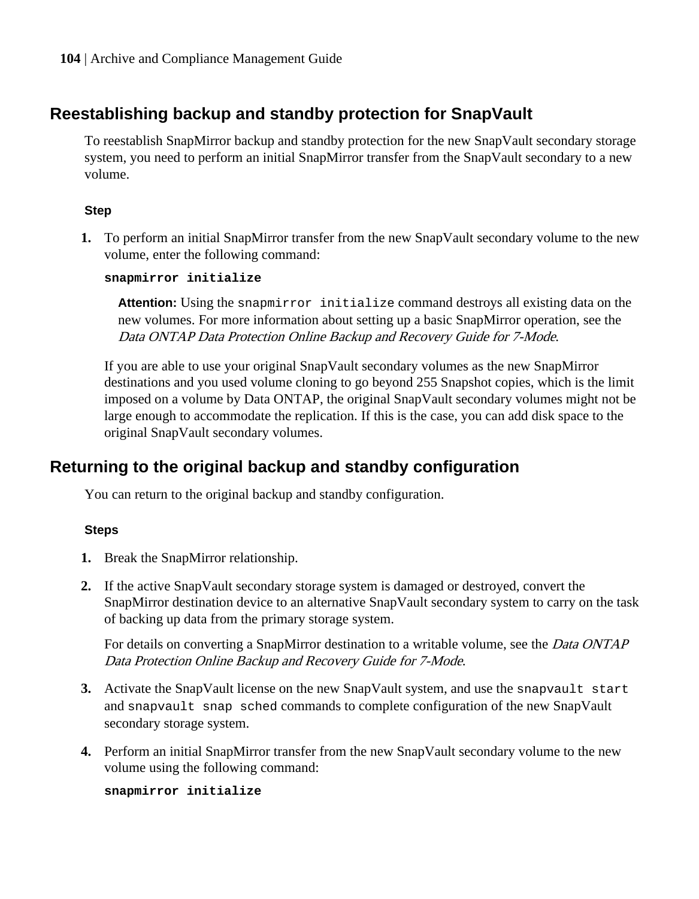## **Reestablishing backup and standby protection for SnapVault**

To reestablish SnapMirror backup and standby protection for the new SnapVault secondary storage system, you need to perform an initial SnapMirror transfer from the SnapVault secondary to a new volume.

## **Step**

**1.** To perform an initial SnapMirror transfer from the new SnapVault secondary volume to the new volume, enter the following command:

### **snapmirror initialize**

**Attention:** Using the snapmirror initialize command destroys all existing data on the new volumes. For more information about setting up a basic SnapMirror operation, see the Data ONTAP Data Protection Online Backup and Recovery Guide for 7-Mode.

If you are able to use your original SnapVault secondary volumes as the new SnapMirror destinations and you used volume cloning to go beyond 255 Snapshot copies, which is the limit imposed on a volume by Data ONTAP, the original SnapVault secondary volumes might not be large enough to accommodate the replication. If this is the case, you can add disk space to the original SnapVault secondary volumes.

## **Returning to the original backup and standby configuration**

You can return to the original backup and standby configuration.

## **Steps**

- **1.** Break the SnapMirror relationship.
- **2.** If the active SnapVault secondary storage system is damaged or destroyed, convert the SnapMirror destination device to an alternative SnapVault secondary system to carry on the task of backing up data from the primary storage system.

For details on converting a SnapMirror destination to a writable volume, see the *Data ONTAP* Data Protection Online Backup and Recovery Guide for 7-Mode.

- **3.** Activate the SnapVault license on the new SnapVault system, and use the snapvault start and snapvault snap sched commands to complete configuration of the new SnapVault secondary storage system.
- **4.** Perform an initial SnapMirror transfer from the new SnapVault secondary volume to the new volume using the following command:

**snapmirror initialize**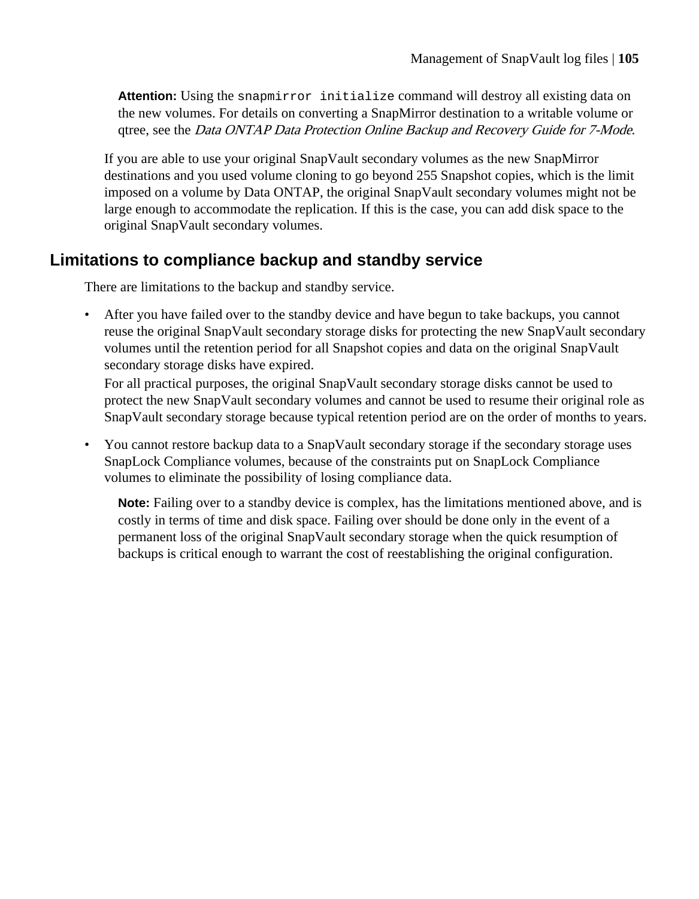**Attention:** Using the snapmirror initialize command will destroy all existing data on the new volumes. For details on converting a SnapMirror destination to a writable volume or qtree, see the Data ONTAP Data Protection Online Backup and Recovery Guide for 7-Mode.

If you are able to use your original SnapVault secondary volumes as the new SnapMirror destinations and you used volume cloning to go beyond 255 Snapshot copies, which is the limit imposed on a volume by Data ONTAP, the original SnapVault secondary volumes might not be large enough to accommodate the replication. If this is the case, you can add disk space to the original SnapVault secondary volumes.

## **Limitations to compliance backup and standby service**

There are limitations to the backup and standby service.

• After you have failed over to the standby device and have begun to take backups, you cannot reuse the original SnapVault secondary storage disks for protecting the new SnapVault secondary volumes until the retention period for all Snapshot copies and data on the original SnapVault secondary storage disks have expired.

For all practical purposes, the original SnapVault secondary storage disks cannot be used to protect the new SnapVault secondary volumes and cannot be used to resume their original role as SnapVault secondary storage because typical retention period are on the order of months to years.

• You cannot restore backup data to a SnapVault secondary storage if the secondary storage uses SnapLock Compliance volumes, because of the constraints put on SnapLock Compliance volumes to eliminate the possibility of losing compliance data.

**Note:** Failing over to a standby device is complex, has the limitations mentioned above, and is costly in terms of time and disk space. Failing over should be done only in the event of a permanent loss of the original SnapVault secondary storage when the quick resumption of backups is critical enough to warrant the cost of reestablishing the original configuration.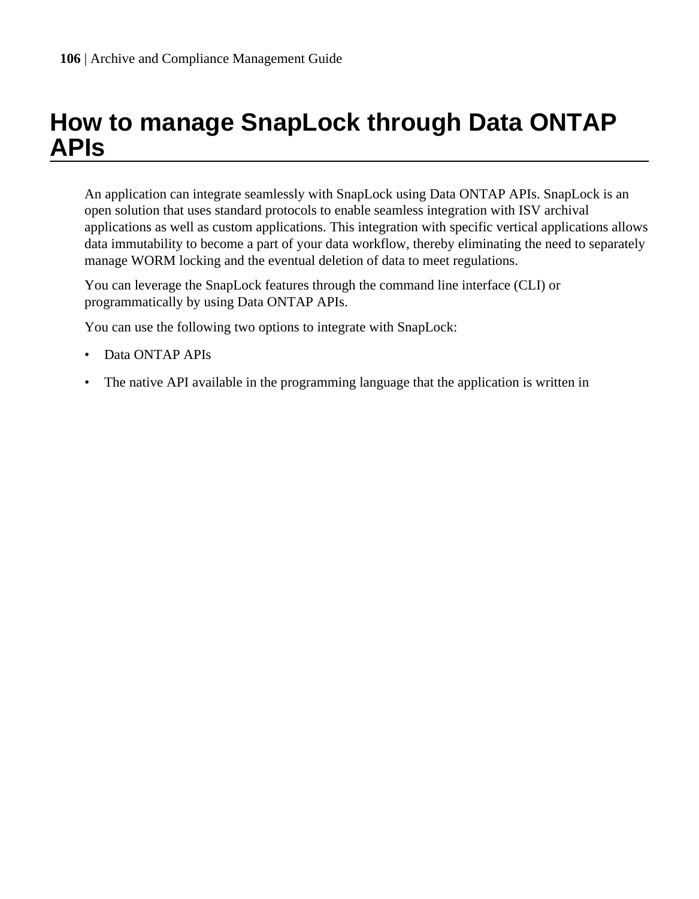# **How to manage SnapLock through Data ONTAP APIs**

An application can integrate seamlessly with SnapLock using Data ONTAP APIs. SnapLock is an open solution that uses standard protocols to enable seamless integration with ISV archival applications as well as custom applications. This integration with specific vertical applications allows data immutability to become a part of your data workflow, thereby eliminating the need to separately manage WORM locking and the eventual deletion of data to meet regulations.

You can leverage the SnapLock features through the command line interface (CLI) or programmatically by using Data ONTAP APIs.

You can use the following two options to integrate with SnapLock:

- Data ONTAP APIs
- The native API available in the programming language that the application is written in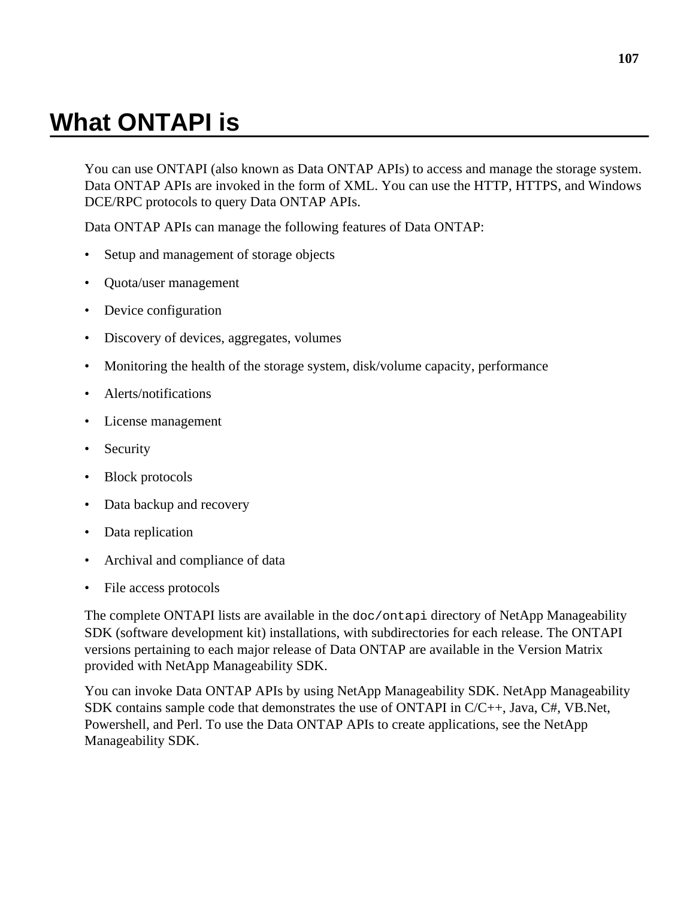# **What ONTAPI is**

You can use ONTAPI (also known as Data ONTAP APIs) to access and manage the storage system. Data ONTAP APIs are invoked in the form of XML. You can use the HTTP, HTTPS, and Windows DCE/RPC protocols to query Data ONTAP APIs.

Data ONTAP APIs can manage the following features of Data ONTAP:

- Setup and management of storage objects
- Quota/user management
- Device configuration
- Discovery of devices, aggregates, volumes
- Monitoring the health of the storage system, disk/volume capacity, performance
- Alerts/notifications
- License management
- Security
- Block protocols
- Data backup and recovery
- Data replication
- Archival and compliance of data
- File access protocols

The complete ONTAPI lists are available in the doc/ontapi directory of NetApp Manageability SDK (software development kit) installations, with subdirectories for each release. The ONTAPI versions pertaining to each major release of Data ONTAP are available in the Version Matrix provided with NetApp Manageability SDK.

You can invoke Data ONTAP APIs by using NetApp Manageability SDK. NetApp Manageability SDK contains sample code that demonstrates the use of ONTAPI in  $C/C_{++}$ , Java,  $C_{+}$ , VB.Net, Powershell, and Perl. To use the Data ONTAP APIs to create applications, see the NetApp Manageability SDK.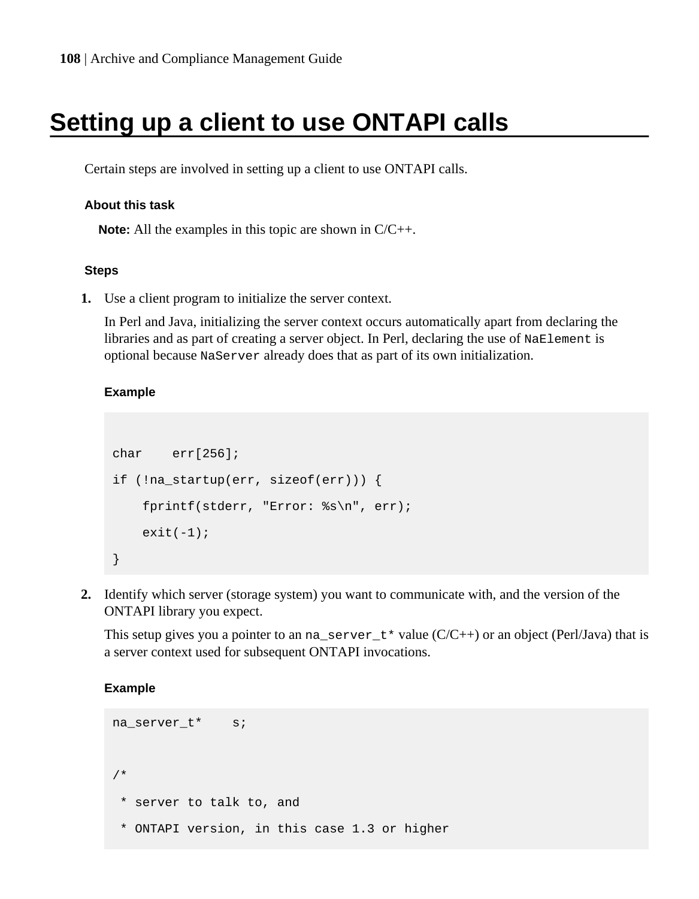# **Setting up a client to use ONTAPI calls**

Certain steps are involved in setting up a client to use ONTAPI calls.

#### **About this task**

**Note:** All the examples in this topic are shown in C/C++.

#### **Steps**

**1.** Use a client program to initialize the server context.

In Perl and Java, initializing the server context occurs automatically apart from declaring the libraries and as part of creating a server object. In Perl, declaring the use of NaElement is optional because NaServer already does that as part of its own initialization.

### **Example**

```
char err[256];
if (!na_startup(err, sizeof(err))) {
     fprintf(stderr, "Error: %s\n", err);
    exit(-1);}
```
**2.** Identify which server (storage system) you want to communicate with, and the version of the ONTAPI library you expect.

This setup gives you a pointer to an na\_server\_t\* value  $(C/C++)$  or an object (Perl/Java) that is a server context used for subsequent ONTAPI invocations.

#### **Example**

```
na server t* s;
/*
  * server to talk to, and
  * ONTAPI version, in this case 1.3 or higher
```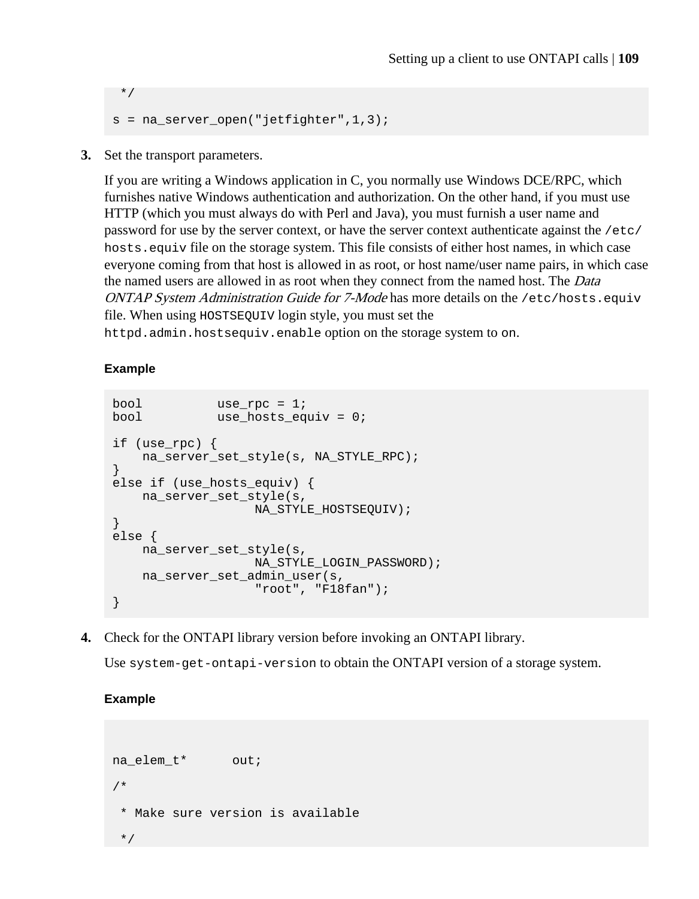```
 */
s = na server open("jetfighter", 1, 3);
```
**3.** Set the transport parameters.

If you are writing a Windows application in C, you normally use Windows DCE/RPC, which furnishes native Windows authentication and authorization. On the other hand, if you must use HTTP (which you must always do with Perl and Java), you must furnish a user name and password for use by the server context, or have the server context authenticate against the /etc/ hosts.equiv file on the storage system. This file consists of either host names, in which case everyone coming from that host is allowed in as root, or host name/user name pairs, in which case the named users are allowed in as root when they connect from the named host. The *Data* ONTAP System Administration Guide for 7-Mode has more details on the /etc/hosts.equiv file. When using HOSTSEQUIV login style, you must set the

httpd.admin.hostsequiv.enable option on the storage system to on.

#### **Example**

```
bool use_rpc = 1;
bool use_hosts_equiv = 0;
if (use_rpc) {
    na_server_set_style(s, NA_STYLE_RPC);
}
else if (use_hosts_equiv) {
    na_server_set_style(s,
                   NA_STYLE_HOSTSEQUIV);
}
else {
     na_server_set_style(s, 
                  NA_STYLE_LOGIN_PASSWORD);
    na_server_set_admin_user(s, 
                   "root", "F18fan");
}
```
**4.** Check for the ONTAPI library version before invoking an ONTAPI library.

Use system-get-ontapi-version to obtain the ONTAPI version of a storage system.

**Example**

```
na elem t* out;
/*
  * Make sure version is available
  */
```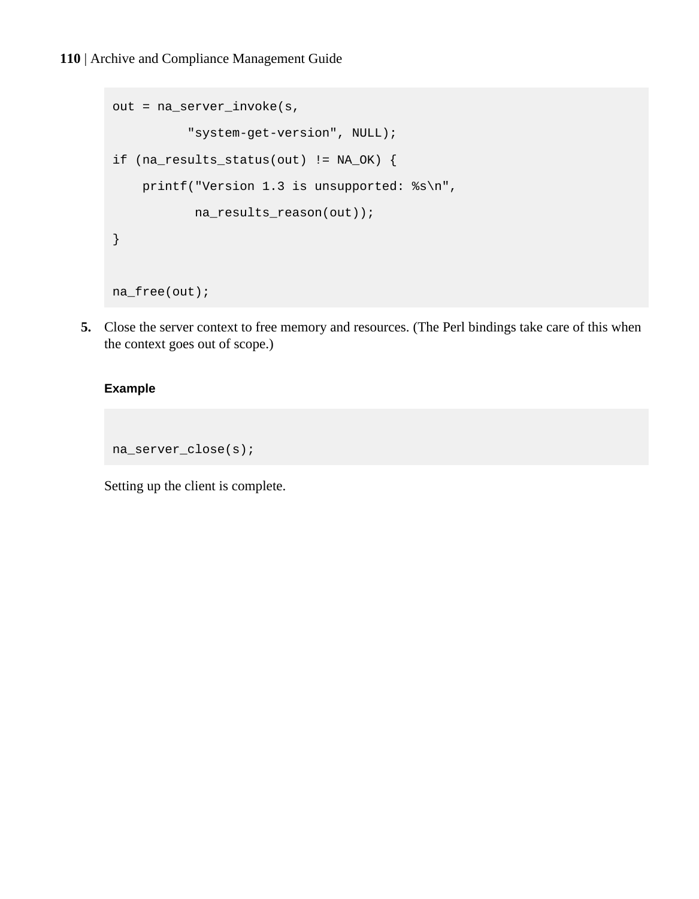```
out = na_server_invoke(s,
           "system-get-version", NULL);
if (na_results_status(out) != NA_OK) {
     printf("Version 1.3 is unsupported: %s\n",
           na_results_reason(out));
}
na_free(out);
```
**5.** Close the server context to free memory and resources. (The Perl bindings take care of this when the context goes out of scope.)

#### **Example**

```
na_server_close(s);
```
Setting up the client is complete.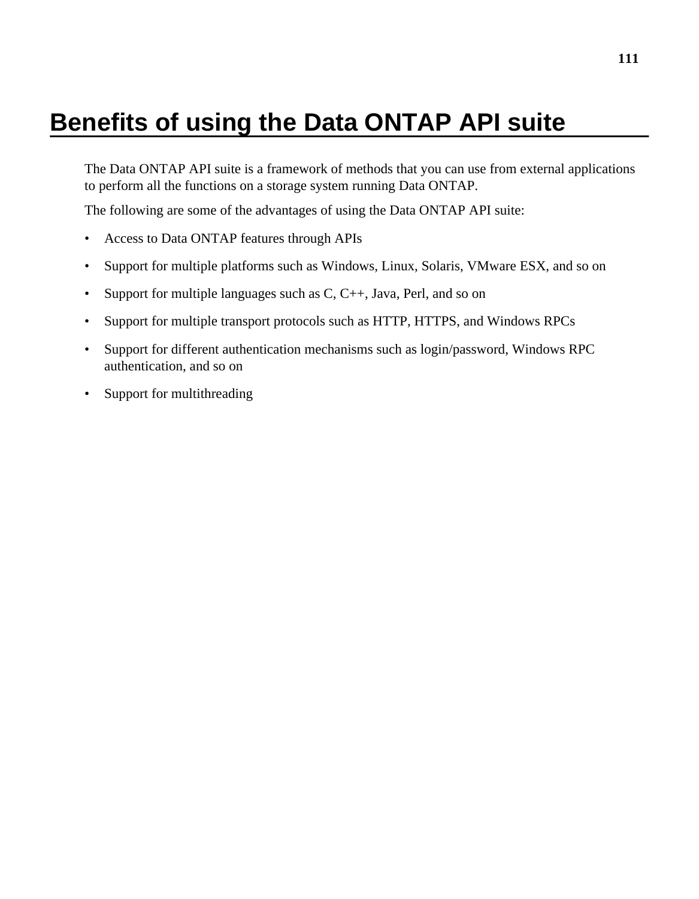# <span id="page-110-0"></span>**Benefits of using the Data ONTAP API suite**

The Data ONTAP API suite is a framework of methods that you can use from external applications to perform all the functions on a storage system running Data ONTAP.

The following are some of the advantages of using the Data ONTAP API suite:

- Access to Data ONTAP features through APIs
- Support for multiple platforms such as Windows, Linux, Solaris, VMware ESX, and so on
- Support for multiple languages such as  $C, C++, Java, Perl, and so on$
- Support for multiple transport protocols such as HTTP, HTTPS, and Windows RPCs
- Support for different authentication mechanisms such as login/password, Windows RPC authentication, and so on
- Support for multithreading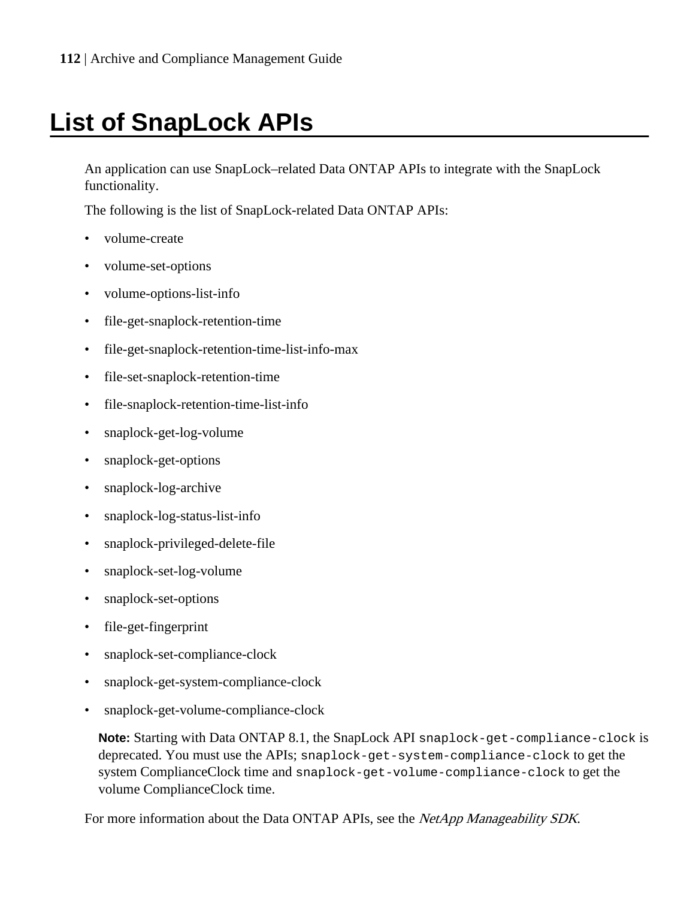# **List of SnapLock APIs**

An application can use SnapLock–related Data ONTAP APIs to integrate with the SnapLock functionality.

The following is the list of SnapLock-related Data ONTAP APIs:

- volume-create
- volume-set-options
- volume-options-list-info
- file-get-snaplock-retention-time
- file-get-snaplock-retention-time-list-info-max
- file-set-snaplock-retention-time
- file-snaplock-retention-time-list-info
- snaplock-get-log-volume
- snaplock-get-options
- snaplock-log-archive
- snaplock-log-status-list-info
- snaplock-privileged-delete-file
- snaplock-set-log-volume
- snaplock-set-options
- file-get-fingerprint
- snaplock-set-compliance-clock
- snaplock-get-system-compliance-clock
- snaplock-get-volume-compliance-clock

**Note:** Starting with Data ONTAP 8.1, the SnapLock API snaplock-get-compliance-clock is deprecated. You must use the APIs; snaplock-get-system-compliance-clock to get the system ComplianceClock time and snaplock-get-volume-compliance-clock to get the volume ComplianceClock time.

For more information about the Data ONTAP APIs, see the NetApp Manageability SDK.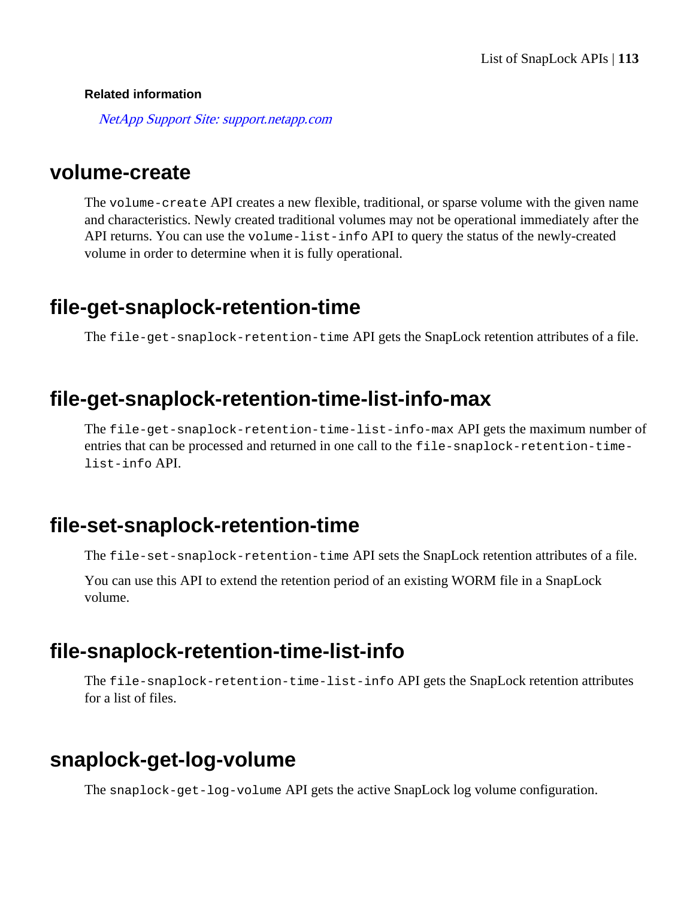#### **Related information**

[NetApp Support Site: support.netapp.com](http://support.netapp.com/)

### **volume-create**

The volume-create API creates a new flexible, traditional, or sparse volume with the given name and characteristics. Newly created traditional volumes may not be operational immediately after the API returns. You can use the volume-list-info API to query the status of the newly-created volume in order to determine when it is fully operational.

### **file-get-snaplock-retention-time**

The file-get-snaplock-retention-time API gets the SnapLock retention attributes of a file.

### **file-get-snaplock-retention-time-list-info-max**

The file-get-snaplock-retention-time-list-info-max API gets the maximum number of entries that can be processed and returned in one call to the file-snaplock-retention-timelist-info API.

### **file-set-snaplock-retention-time**

The file-set-snaplock-retention-time API sets the SnapLock retention attributes of a file.

You can use this API to extend the retention period of an existing WORM file in a SnapLock volume.

### **file-snaplock-retention-time-list-info**

The file-snaplock-retention-time-list-info API gets the SnapLock retention attributes for a list of files.

### **snaplock-get-log-volume**

The snaplock-get-log-volume API gets the active SnapLock log volume configuration.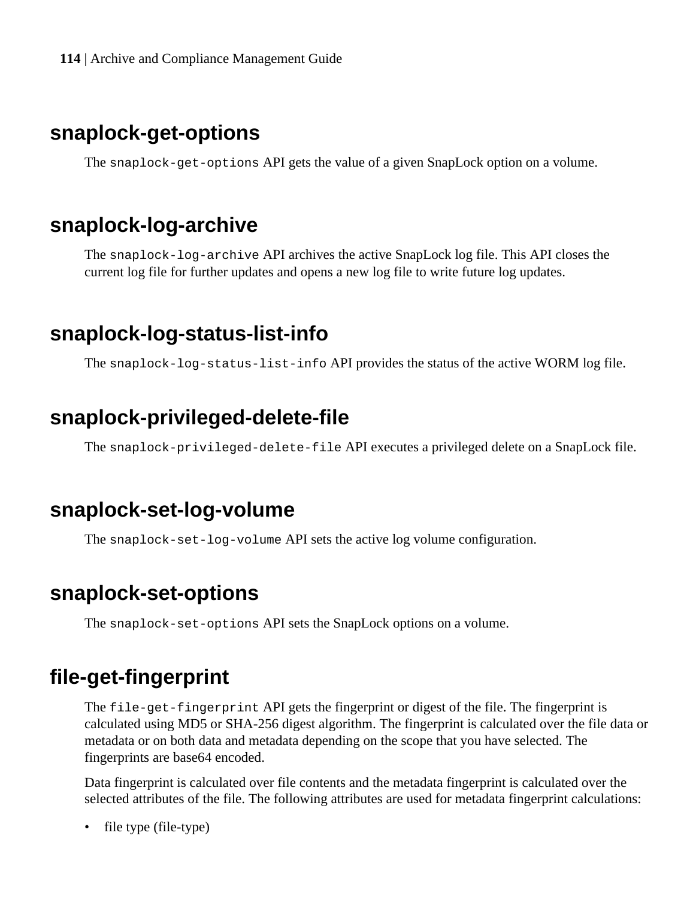<span id="page-113-0"></span>**114** | Archive and Compliance Management Guide

### **snaplock-get-options**

The snaplock-get-options API gets the value of a given SnapLock option on a volume.

### **snaplock-log-archive**

The snaplock-log-archive API archives the active SnapLock log file. This API closes the current log file for further updates and opens a new log file to write future log updates.

## **snaplock-log-status-list-info**

The snaplock-log-status-list-info API provides the status of the active WORM log file.

### **snaplock-privileged-delete-file**

The snaplock-privileged-delete-file API executes a privileged delete on a SnapLock file.

### **snaplock-set-log-volume**

The snaplock-set-log-volume API sets the active log volume configuration.

## **snaplock-set-options**

The snaplock-set-options API sets the SnapLock options on a volume.

## **file-get-fingerprint**

The file-get-fingerprint API gets the fingerprint or digest of the file. The fingerprint is calculated using MD5 or SHA-256 digest algorithm. The fingerprint is calculated over the file data or metadata or on both data and metadata depending on the scope that you have selected. The fingerprints are base64 encoded.

Data fingerprint is calculated over file contents and the metadata fingerprint is calculated over the selected attributes of the file. The following attributes are used for metadata fingerprint calculations:

• file type (file-type)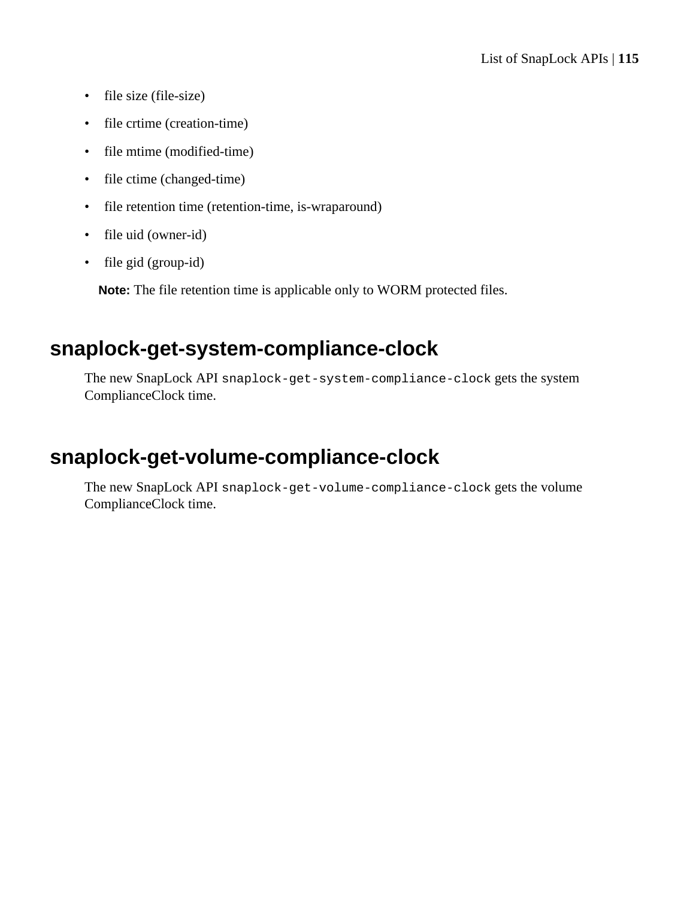- file size (file-size)
- file crtime (creation-time)
- file mtime (modified-time)
- file ctime (changed-time)
- file retention time (retention-time, is-wraparound)
- file uid (owner-id)
- file gid (group-id)

**Note:** The file retention time is applicable only to WORM protected files.

## **snaplock-get-system-compliance-clock**

The new SnapLock API snaplock-get-system-compliance-clock gets the system ComplianceClock time.

## **snaplock-get-volume-compliance-clock**

The new SnapLock API snaplock-get-volume-compliance-clock gets the volume ComplianceClock time.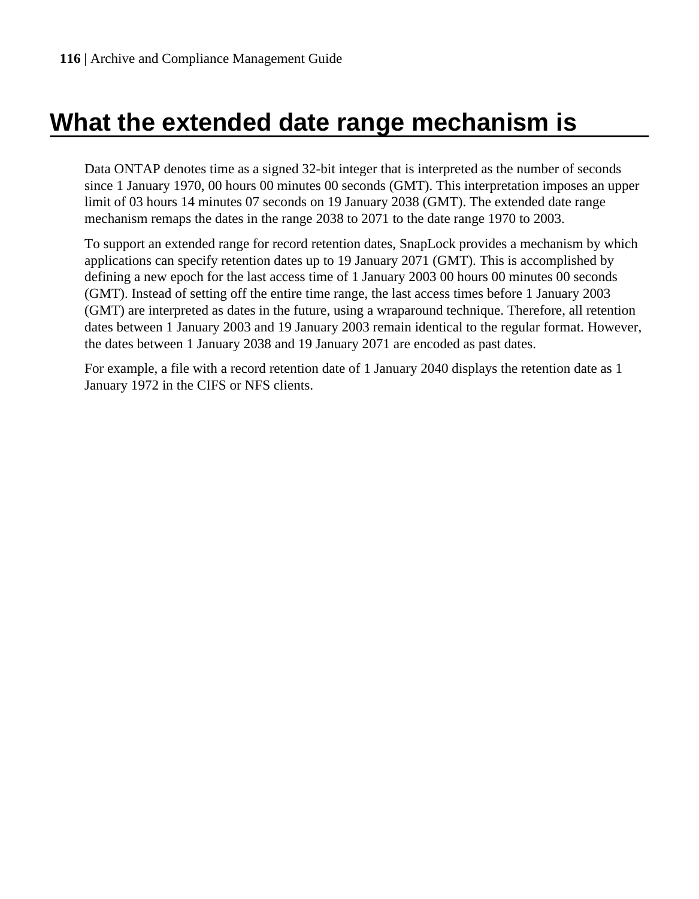# <span id="page-115-0"></span>**What the extended date range mechanism is**

Data ONTAP denotes time as a signed 32-bit integer that is interpreted as the number of seconds since 1 January 1970, 00 hours 00 minutes 00 seconds (GMT). This interpretation imposes an upper limit of 03 hours 14 minutes 07 seconds on 19 January 2038 (GMT). The extended date range mechanism remaps the dates in the range 2038 to 2071 to the date range 1970 to 2003.

To support an extended range for record retention dates, SnapLock provides a mechanism by which applications can specify retention dates up to 19 January 2071 (GMT). This is accomplished by defining a new epoch for the last access time of 1 January 2003 00 hours 00 minutes 00 seconds (GMT). Instead of setting off the entire time range, the last access times before 1 January 2003 (GMT) are interpreted as dates in the future, using a wraparound technique. Therefore, all retention dates between 1 January 2003 and 19 January 2003 remain identical to the regular format. However, the dates between 1 January 2038 and 19 January 2071 are encoded as past dates.

For example, a file with a record retention date of 1 January 2040 displays the retention date as 1 January 1972 in the CIFS or NFS clients.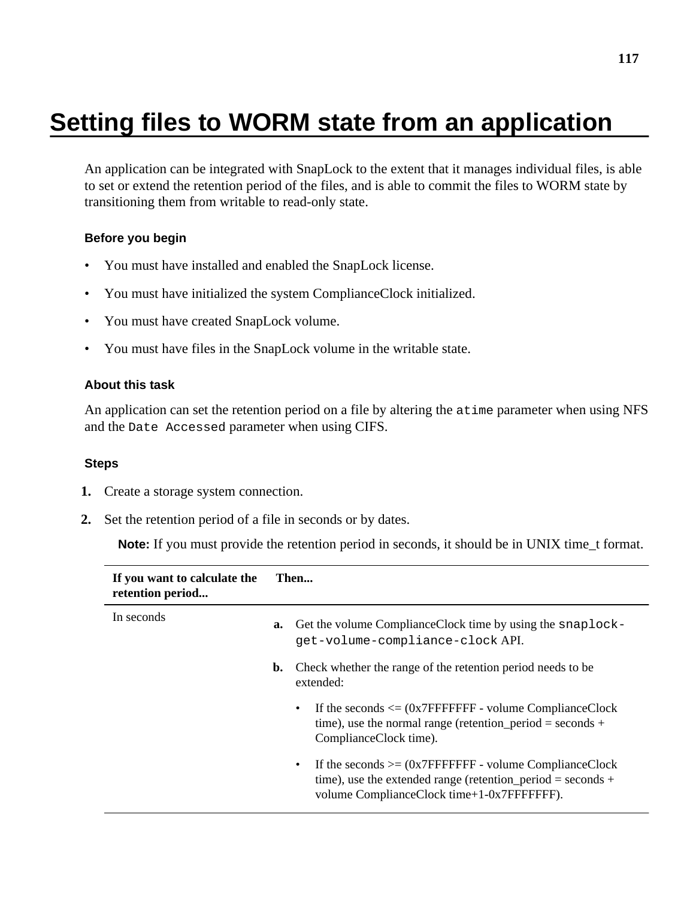# **Setting files to WORM state from an application**

An application can be integrated with SnapLock to the extent that it manages individual files, is able to set or extend the retention period of the files, and is able to commit the files to WORM state by transitioning them from writable to read-only state.

#### **Before you begin**

- You must have installed and enabled the SnapLock license.
- You must have initialized the system ComplianceClock initialized.
- You must have created SnapLock volume.
- You must have files in the SnapLock volume in the writable state.

#### **About this task**

An application can set the retention period on a file by altering the atime parameter when using NFS and the Date Accessed parameter when using CIFS.

#### **Steps**

- **1.** Create a storage system connection.
- **2.** Set the retention period of a file in seconds or by dates.

**Note:** If you must provide the retention period in seconds, it should be in UNIX time\_t format.

| If you want to calculate the<br>retention period |    | Then                                                                                                                                                                               |  |
|--------------------------------------------------|----|------------------------------------------------------------------------------------------------------------------------------------------------------------------------------------|--|
| In seconds                                       | a. | Get the volume Compliance Clock time by using the snaplock-<br>qet-volume-compliance-clock API.                                                                                    |  |
|                                                  | b. | Check whether the range of the retention period needs to be.<br>extended:                                                                                                          |  |
|                                                  |    | If the seconds $\leq$ (0x7FFFFFFFF - volume ComplianceClock<br>$\bullet$<br>time), use the normal range (retention period = seconds +<br>ComplianceClock time).                    |  |
|                                                  |    | If the seconds $>= (0x7FFFFFF) - volume ComplianceClock$<br>$\bullet$<br>time), use the extended range (retention period = seconds +<br>volume ComplianceClock time+1-0x7FFFFFFFF. |  |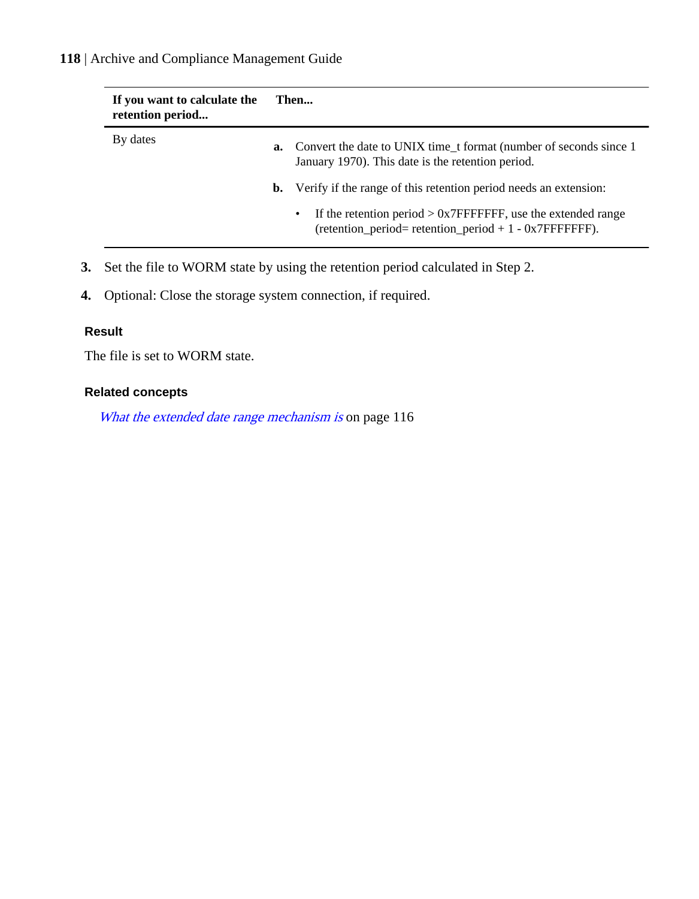#### **118** | Archive and Compliance Management Guide

| If you want to calculate the<br>retention period | Then |                                                                                                                                            |
|--------------------------------------------------|------|--------------------------------------------------------------------------------------------------------------------------------------------|
| By dates                                         | a.   | Convert the date to UNIX time t format (number of seconds since 1)<br>January 1970). This date is the retention period.                    |
|                                                  |      | <b>b.</b> Verify if the range of this retention period needs an extension:                                                                 |
|                                                  |      | If the retention period $> 0x7$ FFFFFFFF, use the extended range<br>$\bullet$<br>$retention\_period = retention\_period + 1 - 0x7FFFFFF).$ |

- **3.** Set the file to WORM state by using the retention period calculated in Step 2.
- **4.** Optional: Close the storage system connection, if required.

#### **Result**

The file is set to WORM state.

#### **Related concepts**

[What the extended date range mechanism is](#page-115-0) on page 116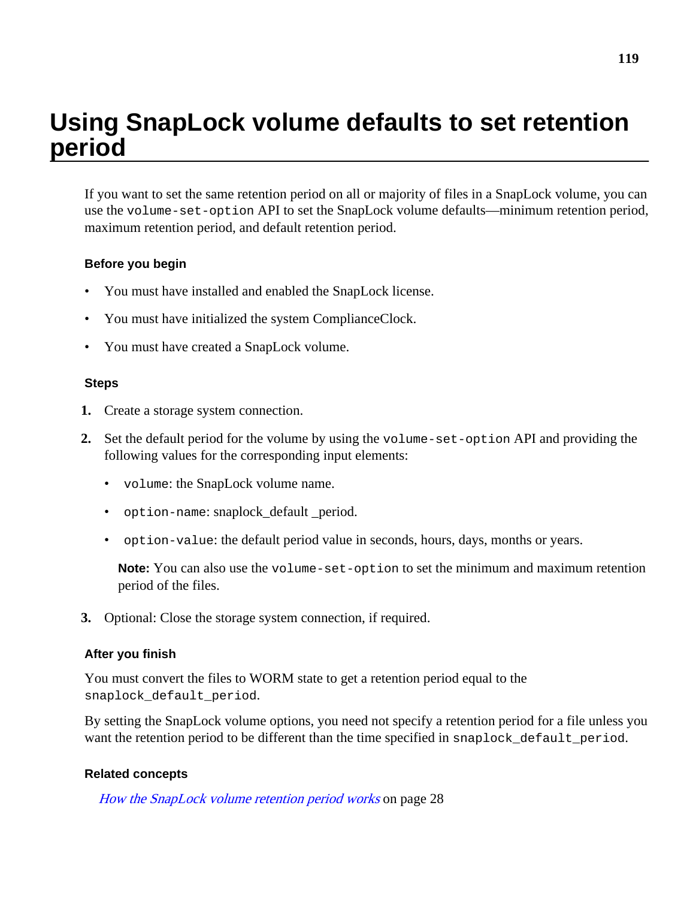# **Using SnapLock volume defaults to set retention period**

If you want to set the same retention period on all or majority of files in a SnapLock volume, you can use the volume-set-option API to set the SnapLock volume defaults—minimum retention period, maximum retention period, and default retention period.

#### **Before you begin**

- You must have installed and enabled the SnapLock license.
- You must have initialized the system ComplianceClock.
- You must have created a SnapLock volume.

#### **Steps**

- **1.** Create a storage system connection.
- **2.** Set the default period for the volume by using the volume-set-option API and providing the following values for the corresponding input elements:
	- volume: the SnapLock volume name.
	- option-name: snaplock\_default \_period.
	- option-value: the default period value in seconds, hours, days, months or years.

**Note:** You can also use the volume-set-option to set the minimum and maximum retention period of the files.

**3.** Optional: Close the storage system connection, if required.

#### **After you finish**

You must convert the files to WORM state to get a retention period equal to the snaplock\_default\_period.

By setting the SnapLock volume options, you need not specify a retention period for a file unless you want the retention period to be different than the time specified in snaplock default period.

#### **Related concepts**

[How the SnapLock volume retention period works](#page-27-0) on page 28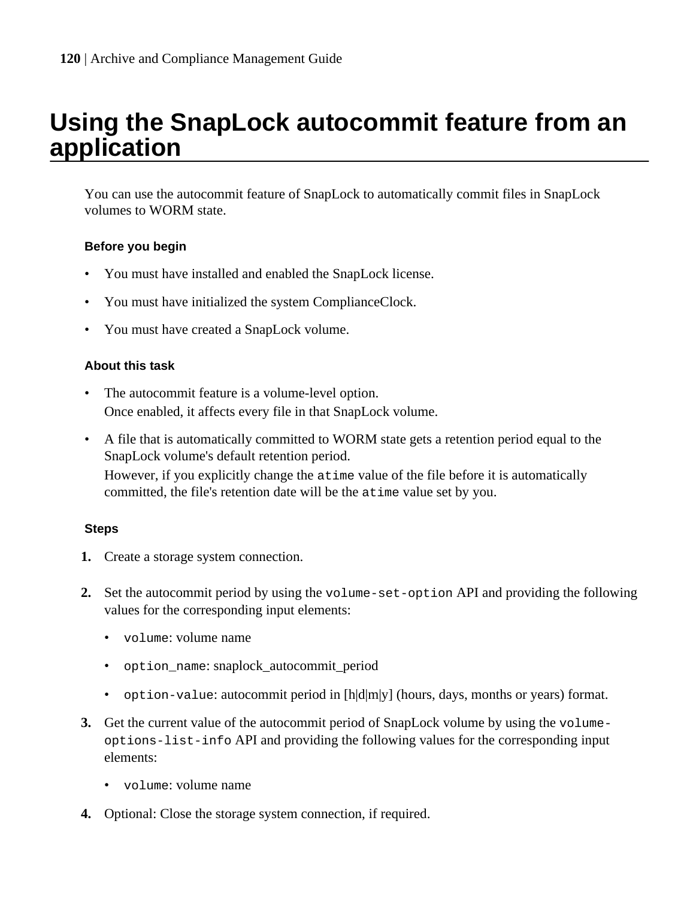## **Using the SnapLock autocommit feature from an application**

You can use the autocommit feature of SnapLock to automatically commit files in SnapLock volumes to WORM state.

#### **Before you begin**

- You must have installed and enabled the SnapLock license.
- You must have initialized the system ComplianceClock.
- You must have created a SnapLock volume.

#### **About this task**

- The autocommit feature is a volume-level option. Once enabled, it affects every file in that SnapLock volume.
- A file that is automatically committed to WORM state gets a retention period equal to the SnapLock volume's default retention period. However, if you explicitly change the atime value of the file before it is automatically committed, the file's retention date will be the atime value set by you.

#### **Steps**

- **1.** Create a storage system connection.
- **2.** Set the autocommit period by using the volume-set-option API and providing the following values for the corresponding input elements:
	- volume: volume name
	- option\_name: snaplock\_autocommit\_period
	- option-value: autocommit period in  $[h]d[m]y]$  (hours, days, months or years) format.
- **3.** Get the current value of the autocommit period of SnapLock volume by using the volumeoptions-list-info API and providing the following values for the corresponding input elements:
	- volume: volume name
- **4.** Optional: Close the storage system connection, if required.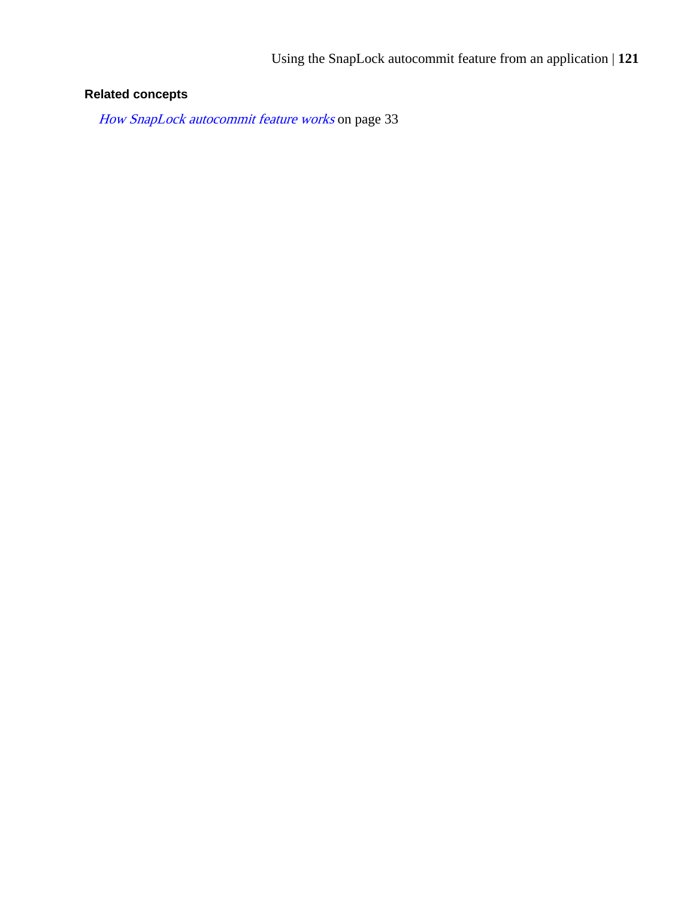### **Related concepts**

[How SnapLock autocommit feature works](#page-32-0) on page 33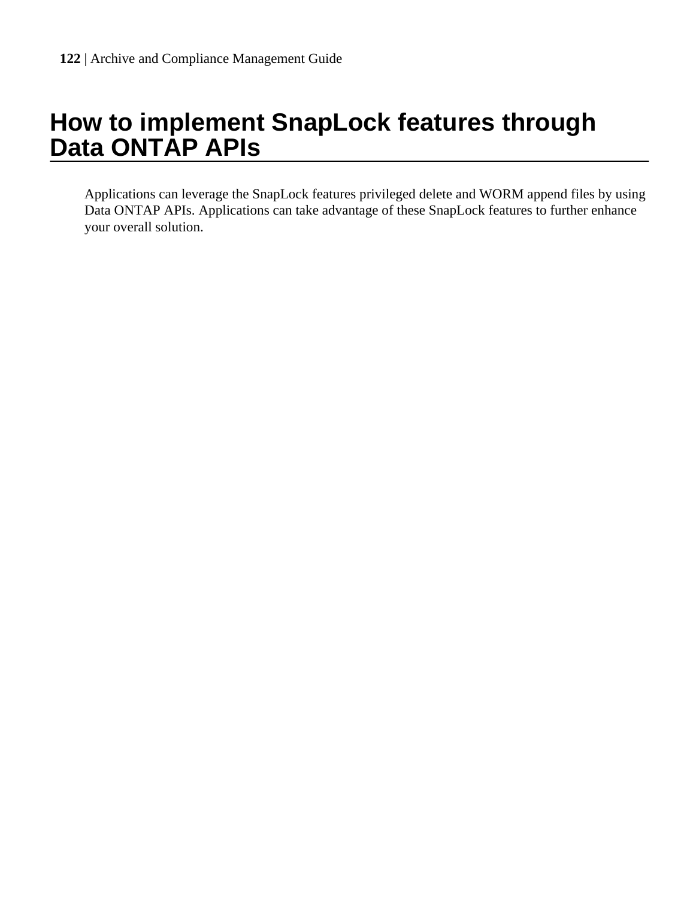# **How to implement SnapLock features through Data ONTAP APIs**

Applications can leverage the SnapLock features privileged delete and WORM append files by using Data ONTAP APIs. Applications can take advantage of these SnapLock features to further enhance your overall solution.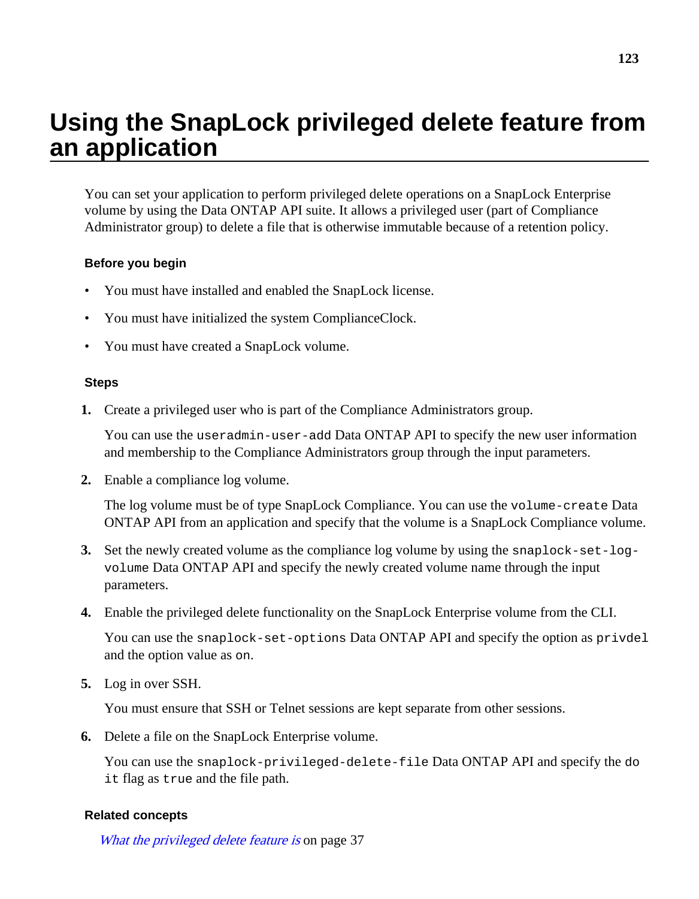# **Using the SnapLock privileged delete feature from an application**

You can set your application to perform privileged delete operations on a SnapLock Enterprise volume by using the Data ONTAP API suite. It allows a privileged user (part of Compliance Administrator group) to delete a file that is otherwise immutable because of a retention policy.

#### **Before you begin**

- You must have installed and enabled the SnapLock license.
- You must have initialized the system ComplianceClock.
- You must have created a SnapLock volume.

#### **Steps**

**1.** Create a privileged user who is part of the Compliance Administrators group.

You can use the useradmin-user-add Data ONTAP API to specify the new user information and membership to the Compliance Administrators group through the input parameters.

**2.** Enable a compliance log volume.

The log volume must be of type SnapLock Compliance. You can use the volume-create Data ONTAP API from an application and specify that the volume is a SnapLock Compliance volume.

- **3.** Set the newly created volume as the compliance log volume by using the snaplock-set-logvolume Data ONTAP API and specify the newly created volume name through the input parameters.
- **4.** Enable the privileged delete functionality on the SnapLock Enterprise volume from the CLI.

You can use the snaplock-set-options Data ONTAP API and specify the option as privdel and the option value as on.

**5.** Log in over SSH.

You must ensure that SSH or Telnet sessions are kept separate from other sessions.

**6.** Delete a file on the SnapLock Enterprise volume.

You can use the snaplock-privileged-delete-file Data ONTAP API and specify the do it flag as true and the file path.

#### **Related concepts**

[What the privileged delete feature is](#page-36-0) on page 37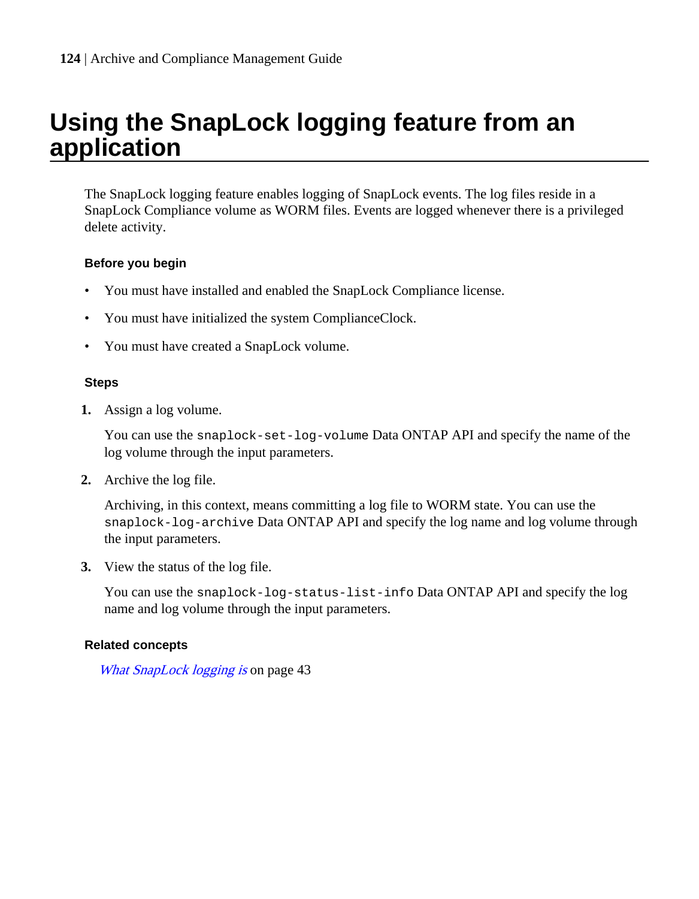## **Using the SnapLock logging feature from an application**

The SnapLock logging feature enables logging of SnapLock events. The log files reside in a SnapLock Compliance volume as WORM files. Events are logged whenever there is a privileged delete activity.

#### **Before you begin**

- You must have installed and enabled the SnapLock Compliance license.
- You must have initialized the system ComplianceClock.
- You must have created a SnapLock volume.

#### **Steps**

**1.** Assign a log volume.

You can use the snaplock-set-log-volume Data ONTAP API and specify the name of the log volume through the input parameters.

**2.** Archive the log file.

Archiving, in this context, means committing a log file to WORM state. You can use the snaplock-log-archive Data ONTAP API and specify the log name and log volume through the input parameters.

**3.** View the status of the log file.

You can use the snaplock-log-status-list-info Data ONTAP API and specify the log name and log volume through the input parameters.

#### **Related concepts**

[What SnapLock logging is](#page-42-0) on page 43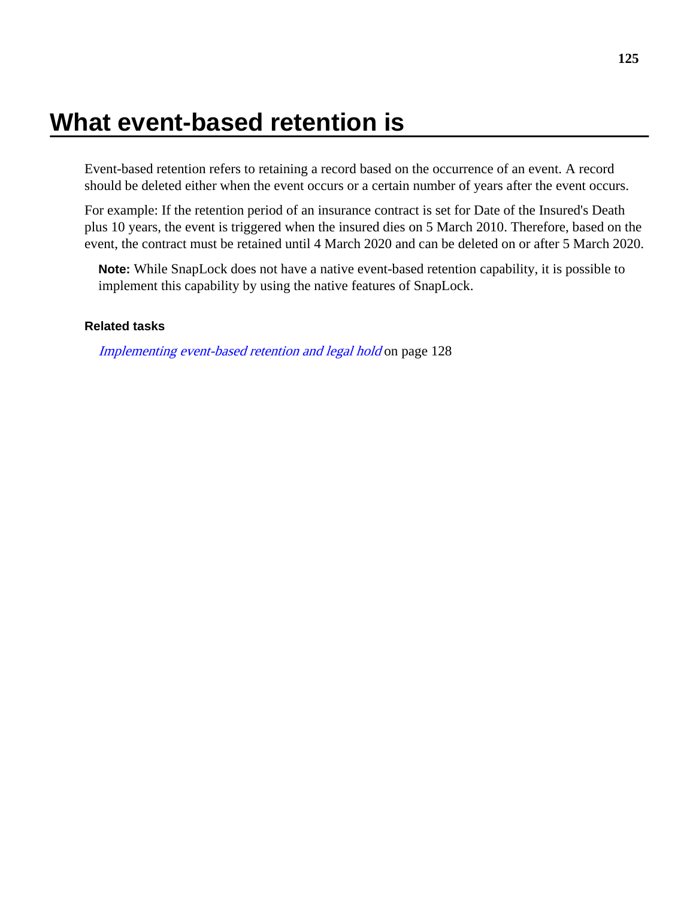# <span id="page-124-0"></span>**What event-based retention is**

Event-based retention refers to retaining a record based on the occurrence of an event. A record should be deleted either when the event occurs or a certain number of years after the event occurs.

For example: If the retention period of an insurance contract is set for Date of the Insured's Death plus 10 years, the event is triggered when the insured dies on 5 March 2010. Therefore, based on the event, the contract must be retained until 4 March 2020 and can be deleted on or after 5 March 2020.

**Note:** While SnapLock does not have a native event-based retention capability, it is possible to implement this capability by using the native features of SnapLock.

#### **Related tasks**

[Implementing event-based retention and legal hold](#page-127-0) on page 128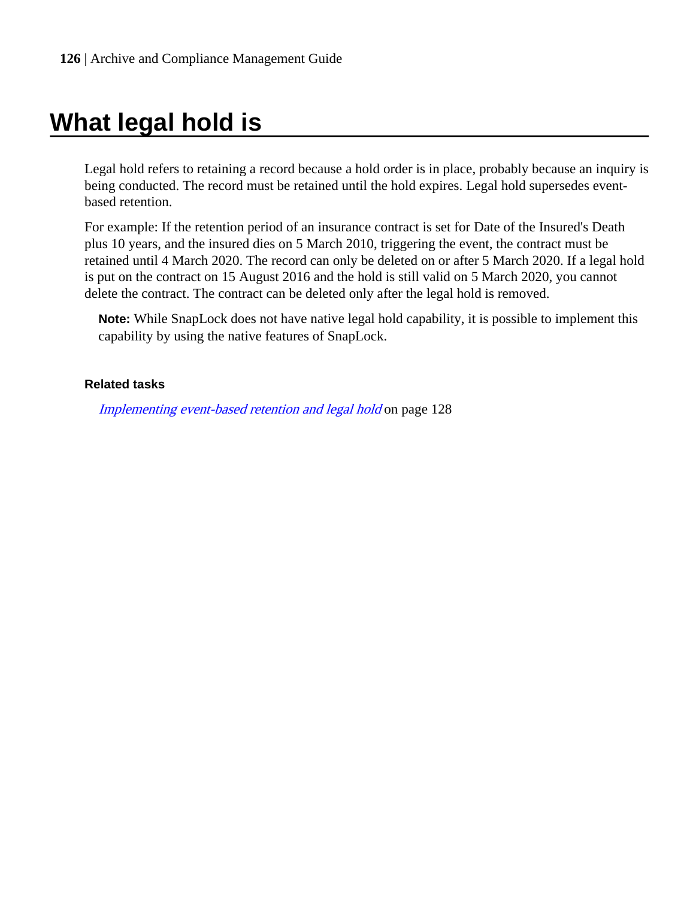# <span id="page-125-0"></span>**What legal hold is**

Legal hold refers to retaining a record because a hold order is in place, probably because an inquiry is being conducted. The record must be retained until the hold expires. Legal hold supersedes eventbased retention.

For example: If the retention period of an insurance contract is set for Date of the Insured's Death plus 10 years, and the insured dies on 5 March 2010, triggering the event, the contract must be retained until 4 March 2020. The record can only be deleted on or after 5 March 2020. If a legal hold is put on the contract on 15 August 2016 and the hold is still valid on 5 March 2020, you cannot delete the contract. The contract can be deleted only after the legal hold is removed.

**Note:** While SnapLock does not have native legal hold capability, it is possible to implement this capability by using the native features of SnapLock.

#### **Related tasks**

[Implementing event-based retention and legal hold](#page-127-0) on page 128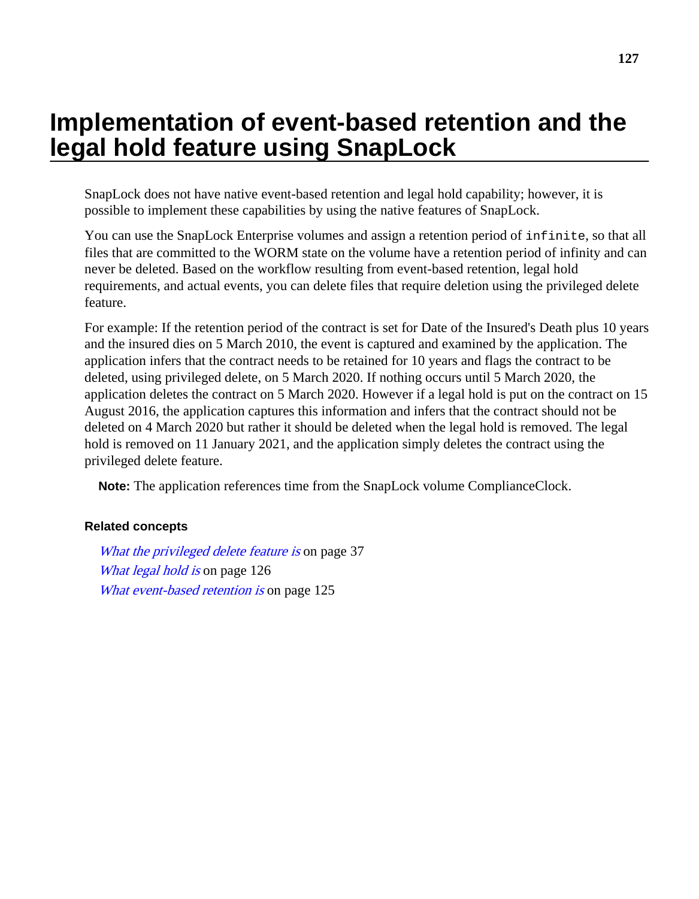## **Implementation of event-based retention and the legal hold feature using SnapLock**

SnapLock does not have native event-based retention and legal hold capability; however, it is possible to implement these capabilities by using the native features of SnapLock.

You can use the SnapLock Enterprise volumes and assign a retention period of infinite, so that all files that are committed to the WORM state on the volume have a retention period of infinity and can never be deleted. Based on the workflow resulting from event-based retention, legal hold requirements, and actual events, you can delete files that require deletion using the privileged delete feature.

For example: If the retention period of the contract is set for Date of the Insured's Death plus 10 years and the insured dies on 5 March 2010, the event is captured and examined by the application. The application infers that the contract needs to be retained for 10 years and flags the contract to be deleted, using privileged delete, on 5 March 2020. If nothing occurs until 5 March 2020, the application deletes the contract on 5 March 2020. However if a legal hold is put on the contract on 15 August 2016, the application captures this information and infers that the contract should not be deleted on 4 March 2020 but rather it should be deleted when the legal hold is removed. The legal hold is removed on 11 January 2021, and the application simply deletes the contract using the privileged delete feature.

**Note:** The application references time from the SnapLock volume ComplianceClock.

#### **Related concepts**

[What the privileged delete feature is](#page-36-0) on page 37 [What legal hold is](#page-125-0) on page 126 [What event-based retention is](#page-124-0) on page 125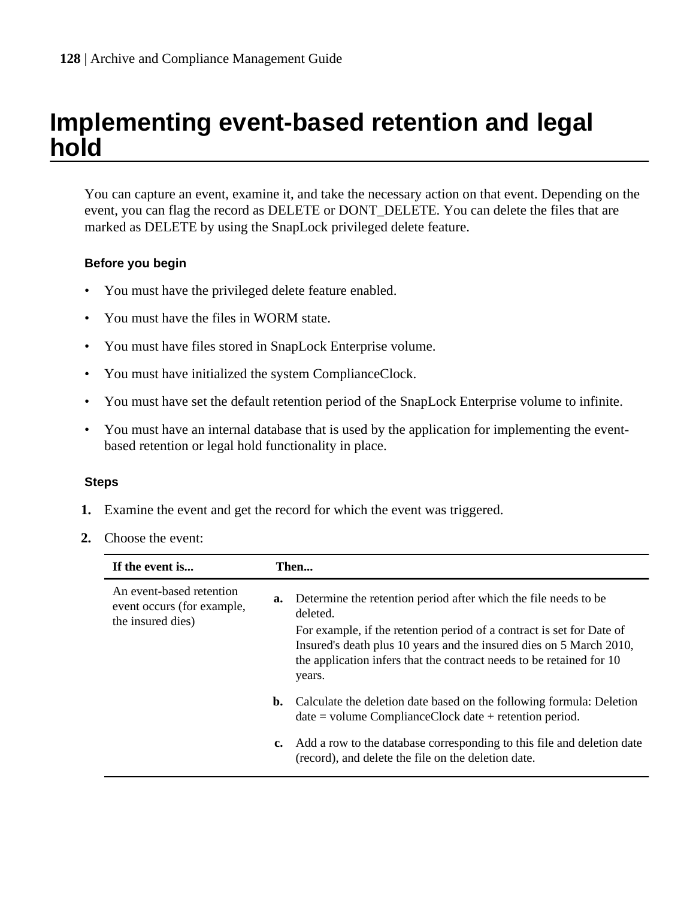## <span id="page-127-0"></span>**Implementing event-based retention and legal hold**

You can capture an event, examine it, and take the necessary action on that event. Depending on the event, you can flag the record as DELETE or DONT\_DELETE. You can delete the files that are marked as DELETE by using the SnapLock privileged delete feature.

#### **Before you begin**

- You must have the privileged delete feature enabled.
- You must have the files in WORM state.
- You must have files stored in SnapLock Enterprise volume.
- You must have initialized the system ComplianceClock.
- You must have set the default retention period of the SnapLock Enterprise volume to infinite.
- You must have an internal database that is used by the application for implementing the eventbased retention or legal hold functionality in place.

#### **Steps**

- **1.** Examine the event and get the record for which the event was triggered.
- **2.** Choose the event:

| If the event is                                                             |    | Then                                                                                                                                                                                                                           |  |
|-----------------------------------------------------------------------------|----|--------------------------------------------------------------------------------------------------------------------------------------------------------------------------------------------------------------------------------|--|
| An event-based retention<br>event occurs (for example,<br>the insured dies) | a. | Determine the retention period after which the file needs to be<br>deleted.                                                                                                                                                    |  |
|                                                                             |    | For example, if the retention period of a contract is set for Date of<br>Insured's death plus 10 years and the insured dies on 5 March 2010,<br>the application infers that the contract needs to be retained for 10<br>years. |  |
|                                                                             | b. | Calculate the deletion date based on the following formula: Deletion<br>$date = volume ComplianceClock date + retention period.$                                                                                               |  |
|                                                                             | c. | Add a row to the database corresponding to this file and deletion date<br>(record), and delete the file on the deletion date.                                                                                                  |  |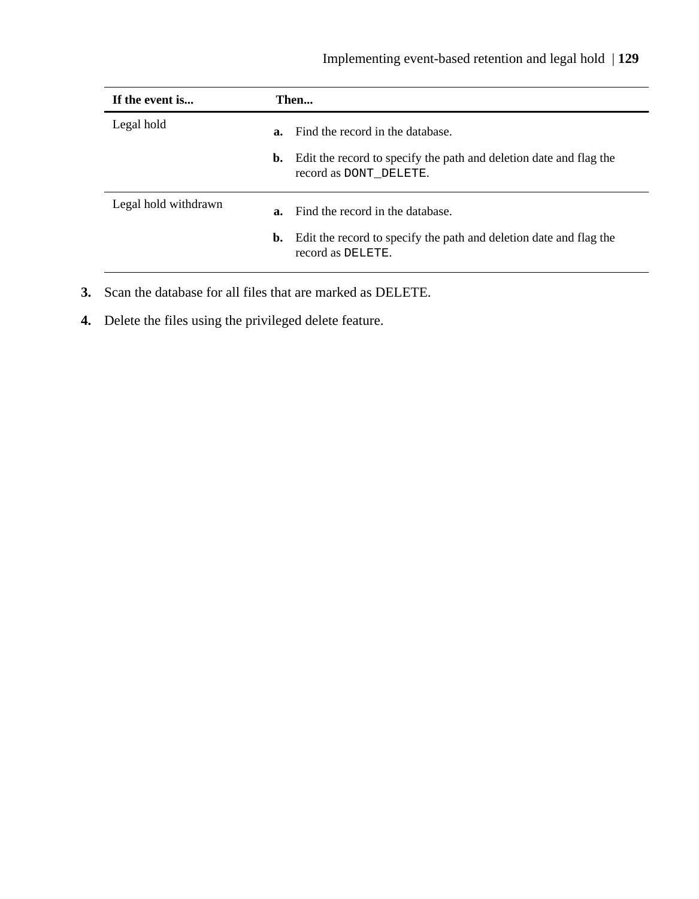| If the event is      |    | Then                                                                                                   |  |
|----------------------|----|--------------------------------------------------------------------------------------------------------|--|
| Legal hold           |    | <b>a.</b> Find the record in the database.                                                             |  |
|                      |    | <b>b.</b> Edit the record to specify the path and deletion date and flag the<br>record as DONT DELETE. |  |
| Legal hold withdrawn |    | <b>a.</b> Find the record in the database.                                                             |  |
|                      | b. | Edit the record to specify the path and deletion date and flag the<br>record as DELETE.                |  |

- **3.** Scan the database for all files that are marked as DELETE.
- **4.** Delete the files using the privileged delete feature.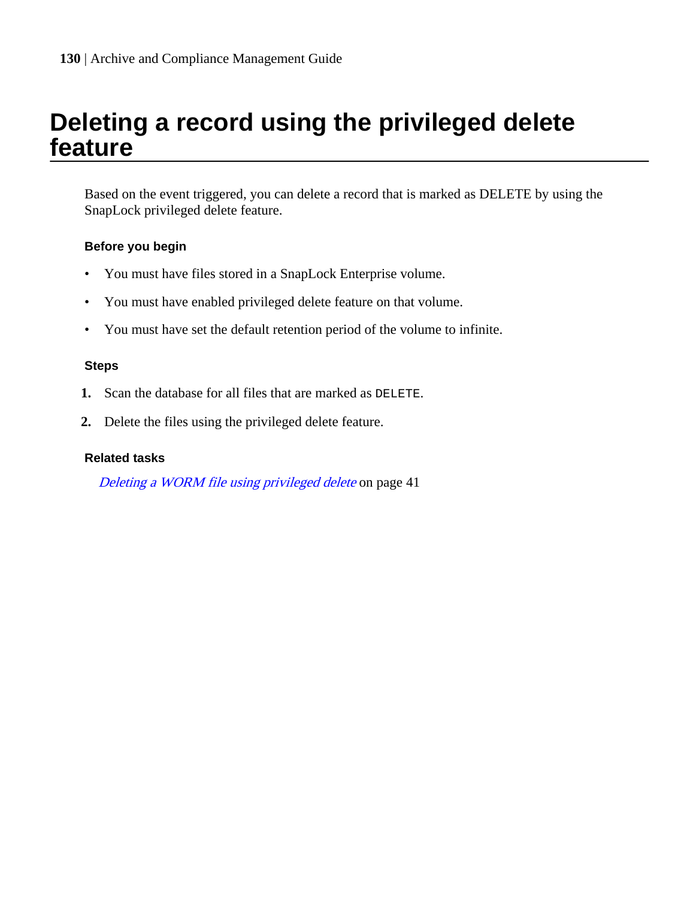## <span id="page-129-0"></span>**Deleting a record using the privileged delete feature**

Based on the event triggered, you can delete a record that is marked as DELETE by using the SnapLock privileged delete feature.

#### **Before you begin**

- You must have files stored in a SnapLock Enterprise volume.
- You must have enabled privileged delete feature on that volume.
- You must have set the default retention period of the volume to infinite.

#### **Steps**

- **1.** Scan the database for all files that are marked as DELETE.
- **2.** Delete the files using the privileged delete feature.

#### **Related tasks**

[Deleting a WORM file using privileged delete](#page-40-0) on page 41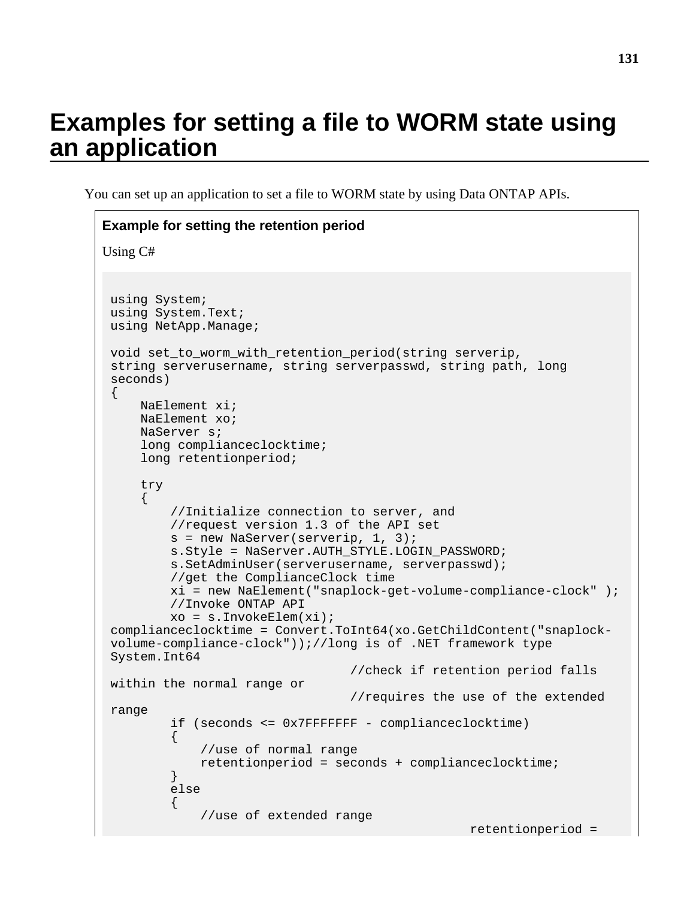# **Examples for setting a file to WORM state using an application**

You can set up an application to set a file to WORM state by using Data ONTAP APIs.

```
Example for setting the retention period
Using C#
 using System;
 using System.Text;
 using NetApp.Manage;
 void set_to_worm_with_retention_period(string serverip, 
 string serverusername, string serverpasswd, string path, long 
 seconds)
 {
      NaElement xi;
      NaElement xo;
      NaServer s;
      long complianceclocktime;
      long retentionperiod;
      try
      { 
           //Initialize connection to server, and
           //request version 1.3 of the API set 
           s = new NaServer(serverip, 1, 3);
           s.Style = NaServer.AUTH_STYLE.LOGIN_PASSWORD;
           s.SetAdminUser(serverusername, serverpasswd);
           //get the ComplianceClock time 
          xi = new NaElement("snaplock-get-volume-compliance-clock" );
           //Invoke ONTAP API
          xo = s.InvokeElem(xi);complianceclocktime = Convert.ToInt64(xo.GetChildContent("snaplock-
 volume-compliance-clock"));//long is of .NET framework type 
 System.Int64
                                     //check if retention period falls 
 within the normal range or 
                                     //requires the use of the extended 
 range
           if (seconds <= 0x7FFFFFFF - complianceclocktime)
 \left\{ \begin{array}{c} 1 & 0 \\ 0 & 1 \end{array} \right. //use of normal range
               retentionperiod = seconds + complianceclocktime;
           }
           else
          \{ //use of extended range
                                                       retentionperiod =
```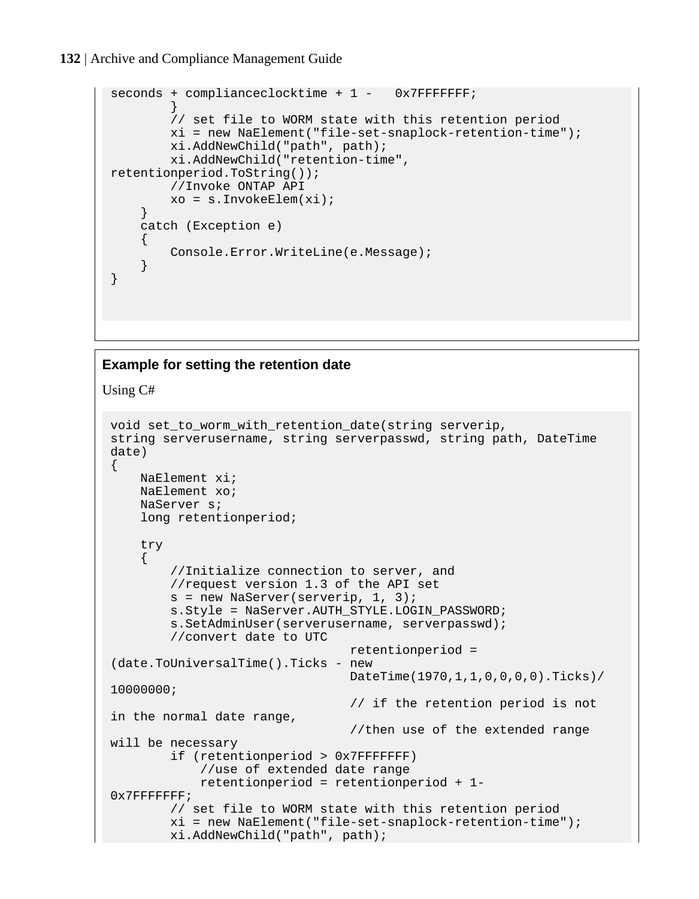#### **132** | Archive and Compliance Management Guide

```
seconds + complianceclocktime + 1 - 0x7FFFFFFF;
 }
         // set file to WORM state with this retention period
         xi = new NaElement("file-set-snaplock-retention-time");
         xi.AddNewChild("path", path);
         xi.AddNewChild("retention-time", 
retentionperiod.ToString());
         //Invoke ONTAP API
         xo = s.InvokeElem(xi);
     }
     catch (Exception e)
    \{ Console.Error.WriteLine(e.Message);
     }
}
```
#### **Example for setting the retention date**

Using C#

```
void set_to_worm_with_retention_date(string serverip, 
string serverusername, string serverpasswd, string path, DateTime 
date)
{
    NaElement xi;
     NaElement xo;
    NaServer s; 
     long retentionperiod;
     try
     { 
         //Initialize connection to server, and
         //request version 1.3 of the API set 
         s = new NaServer(serverip, 1, 3);
         s.Style = NaServer.AUTH_STYLE.LOGIN_PASSWORD;
         s.SetAdminUser(serverusername, serverpasswd);
         //convert date to UTC
                                  retentionperiod = 
(date.ToUniversalTime().Ticks - new 
                                  DateTime(1970,1,1,0,0,0,0).Ticks)/
10000000;
                                  // if the retention period is not 
in the normal date range, 
                                  //then use of the extended range 
will be necessary
         if (retentionperiod > 0x7FFFFFFF)
             //use of extended date range
             retentionperiod = retentionperiod + 1- 
0x7FFFFFFF; 
         // set file to WORM state with this retention period
         xi = new NaElement("file-set-snaplock-retention-time");
         xi.AddNewChild("path", path);
```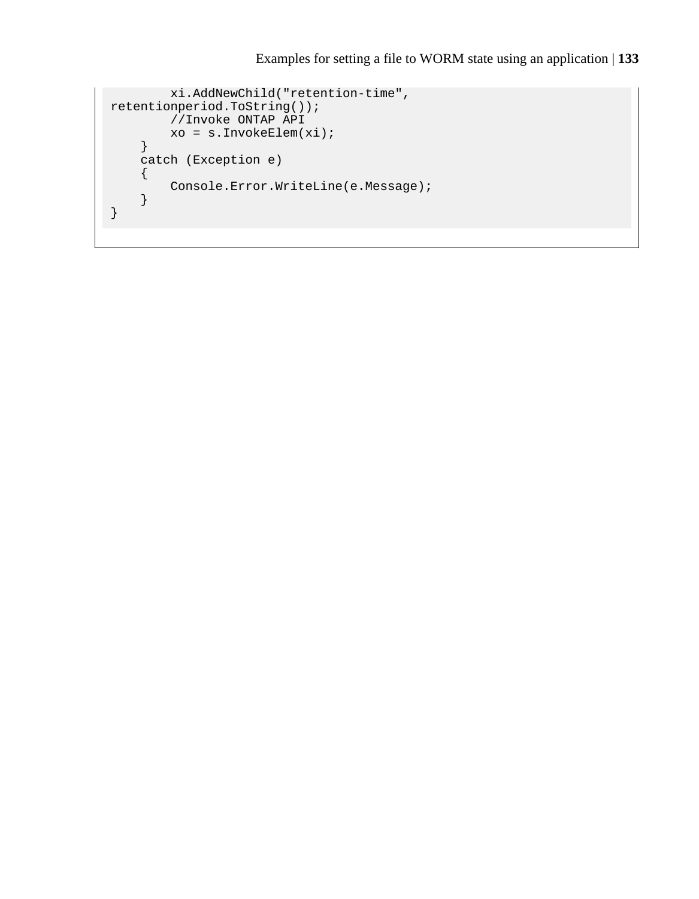```
 xi.AddNewChild("retention-time", 
retentionperiod.ToString());
         //Invoke ONTAP API
         xo = s.InvokeElem(xi);
     }
     catch (Exception e)
     {
         Console.Error.WriteLine(e.Message);
     }
}
```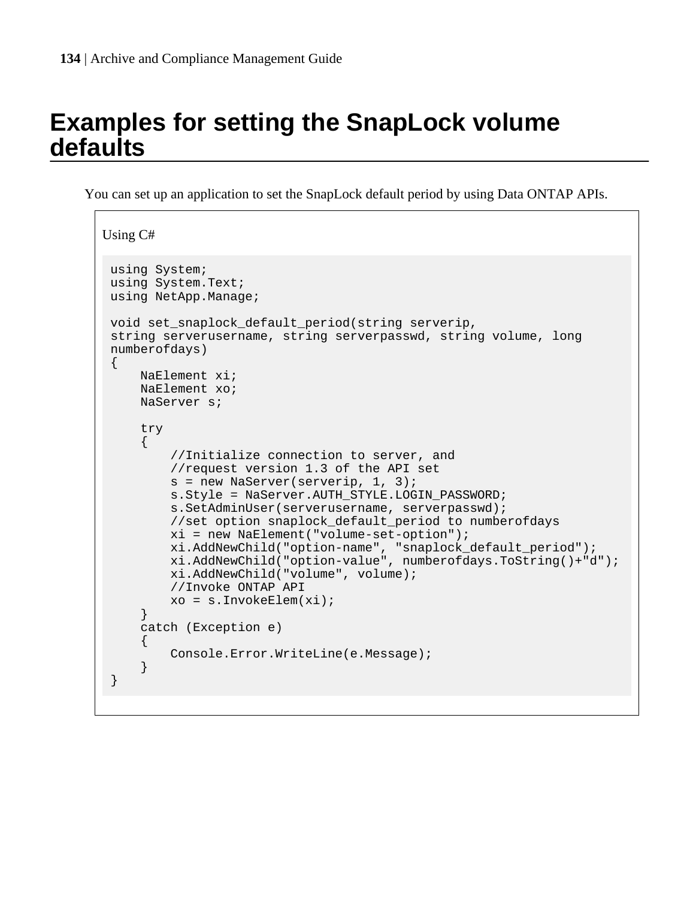# **Examples for setting the SnapLock volume defaults**

You can set up an application to set the SnapLock default period by using Data ONTAP APIs.

```
Using C#
 using System;
 using System.Text;
 using NetApp.Manage;
 void set_snaplock_default_period(string serverip, 
 string serverusername, string serverpasswd, string volume, long 
 numberofdays)
 {
      NaElement xi;
      NaElement xo;
      NaServer s;
      try
      { 
           //Initialize connection to server, and
           //request version 1.3 of the API set 
           s = new NaServer(serverip, 1, 3);
          s. Style = NaServer. AUTH STYLE. LOGIN PASSWORD;
           s.SetAdminUser(serverusername, serverpasswd);
           //set option snaplock_default_period to numberofdays
          xi = new NaElement("volume-set-option");
          xi.AddNewChild("option-name", "snaplock_default_period");
          xi.AddNewChild("option-value", numberofdays.ToString()+"d");
          xi.AddNewChild("volume", volume);
           //Invoke ONTAP API
          xo = s.InvokeElem(xi);
      }
      catch (Exception e)
 \left\{\begin{array}{ccc} \end{array}\right\} Console.Error.WriteLine(e.Message);
      }
 }
```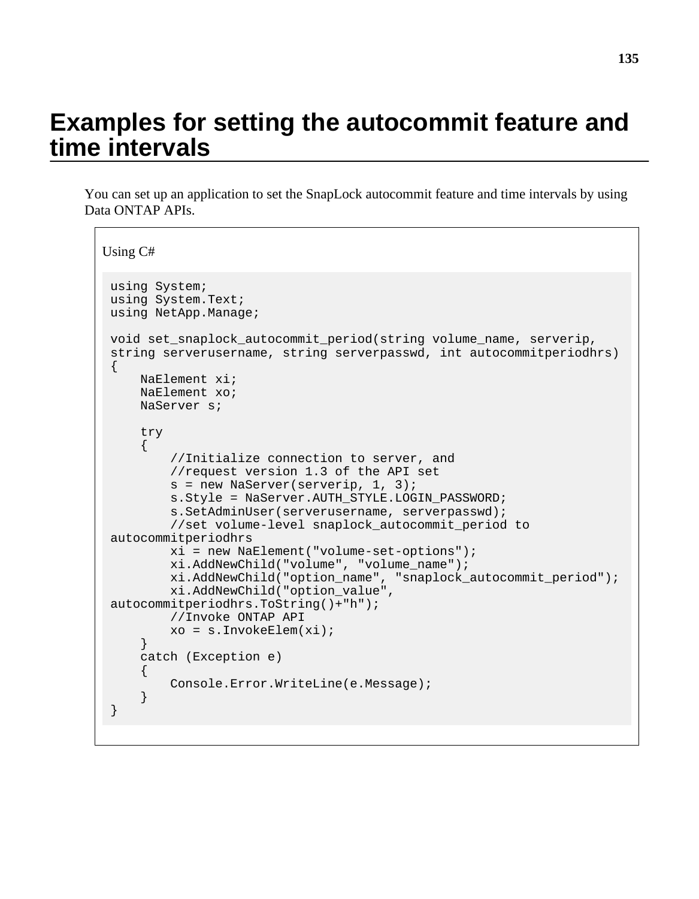## **Examples for setting the autocommit feature and time intervals**

You can set up an application to set the SnapLock autocommit feature and time intervals by using Data ONTAP APIs.

```
Using C#
 using System;
 using System.Text;
 using NetApp.Manage;
 void set_snaplock_autocommit_period(string volume_name, serverip, 
 string serverusername, string serverpasswd, int autocommitperiodhrs)
 {
      NaElement xi;
      NaElement xo;
      NaServer s;
      try
      { 
          //Initialize connection to server, and
          //request version 1.3 of the API set 
         s = new NaServer(serverip, 1, 3);
          s.Style = NaServer.AUTH_STYLE.LOGIN_PASSWORD;
          s.SetAdminUser(serverusername, serverpasswd);
          //set volume-level snaplock_autocommit_period to 
 autocommitperiodhrs
          xi = new NaElement("volume-set-options");
          xi.AddNewChild("volume", "volume_name");
          xi.AddNewChild("option_name", "snaplock_autocommit_period");
          xi.AddNewChild("option_value", 
 autocommitperiodhrs.ToString()+"h");
          //Invoke ONTAP API
          xo = s.InvokeElem(xi);
      }
      catch (Exception e)
      {
          Console.Error.WriteLine(e.Message);
  }
 }
```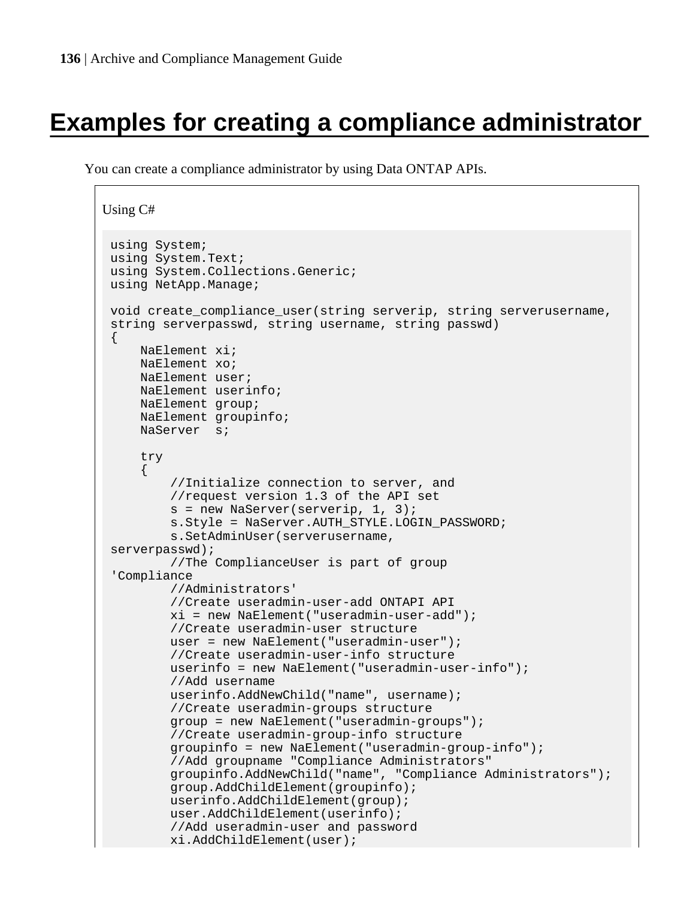# **Examples for creating a compliance administrator**

You can create a compliance administrator by using Data ONTAP APIs.

```
Using C#
 using System;
 using System.Text;
 using System.Collections.Generic;
 using NetApp.Manage;
 void create_compliance_user(string serverip, string serverusername, 
 string serverpasswd, string username, string passwd)
 {
     NaElement xi;
      NaElement xo;
      NaElement user;
      NaElement userinfo;
      NaElement group;
      NaElement groupinfo;
      NaServer s; 
      try
      { 
          //Initialize connection to server, and
          //request version 1.3 of the API set 
          s = new NaServer(serverip, 1, 3);
         s. Style = NaServer. AUTH_STYLE. LOGIN_PASSWORD;
          s.SetAdminUser(serverusername, 
 serverpasswd); 
          //The ComplianceUser is part of group 
 'Compliance 
          //Administrators'
          //Create useradmin-user-add ONTAPI API
          xi = new NaElement("useradmin-user-add");
          //Create useradmin-user structure
          user = new NaElement("useradmin-user");
          //Create useradmin-user-info structure
          userinfo = new NaElement("useradmin-user-info");
          //Add username
          userinfo.AddNewChild("name", username);
          //Create useradmin-groups structure
          group = new NaElement("useradmin-groups");
          //Create useradmin-group-info structure
          groupinfo = new NaElement("useradmin-group-info");
          //Add groupname "Compliance Administrators"
          groupinfo.AddNewChild("name", "Compliance Administrators");
          group.AddChildElement(groupinfo);
          userinfo.AddChildElement(group);
          user.AddChildElement(userinfo);
          //Add useradmin-user and password
          xi.AddChildElement(user);
```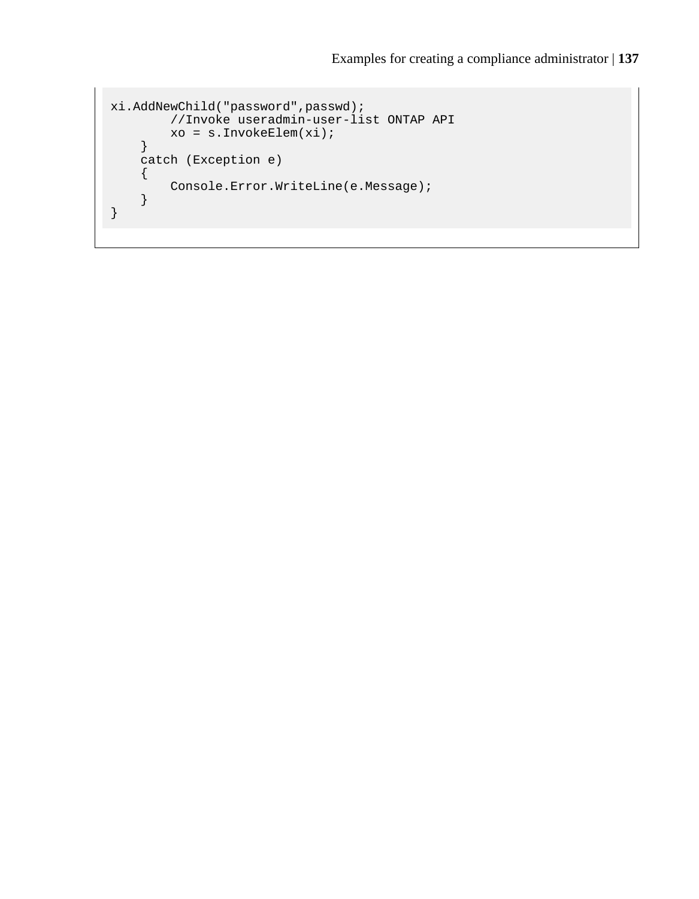```
xi.AddNewChild("password",passwd); 
         //Invoke useradmin-user-list ONTAP API
         xo = s.InvokeElem(xi);
     }
     catch (Exception e)
     {
         Console.Error.WriteLine(e.Message);
     }
}
```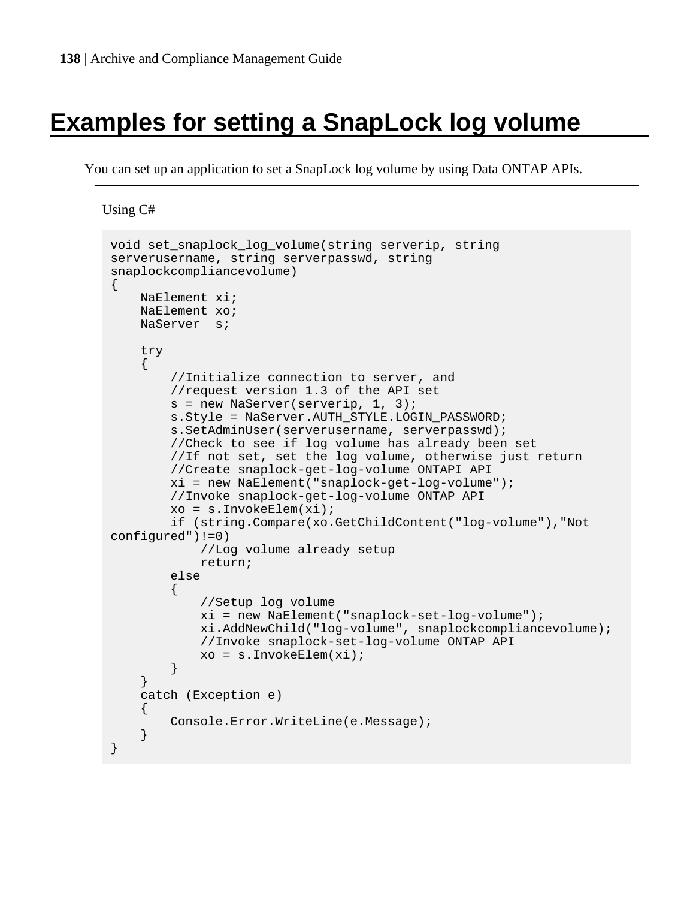# **Examples for setting a SnapLock log volume**

You can set up an application to set a SnapLock log volume by using Data ONTAP APIs.

```
Using C#
 void set_snaplock_log_volume(string serverip, string 
 serverusername, string serverpasswd, string 
 snaplockcompliancevolume)
 {
      NaElement xi;
      NaElement xo;
      NaServer s;
      try
      { 
           //Initialize connection to server, and
           //request version 1.3 of the API set
           s = new NaServer(serverip, 1, 3);
           s.Style = NaServer.AUTH_STYLE.LOGIN_PASSWORD;
           s.SetAdminUser(serverusername, serverpasswd);
           //Check to see if log volume has already been set
           //If not set, set the log volume, otherwise just return
           //Create snaplock-get-log-volume ONTAPI API
           xi = new NaElement("snaplock-get-log-volume");
           //Invoke snaplock-get-log-volume ONTAP API
           xo = s.InvokeElem(xi);
           if (string.Compare(xo.GetChildContent("log-volume"),"Not 
 configured")!=0)
                //Log volume already setup
               return;
           else
 \left\{ \begin{array}{c} 1 & 0 \\ 0 & 1 \end{array} \right. //Setup log volume
               xi = new NaElement("snaplock-set-log-volume");
               xi.AddNewChild("log-volume", snaplockcompliancevolume);
               //Invoke snaplock-set-log-volume ONTAP API
           xo = s.InvokeElem(xi);
  }
      }
      catch (Exception e)
 \left\{\begin{array}{ccc} \end{array}\right\} Console.Error.WriteLine(e.Message);
      }
 }
```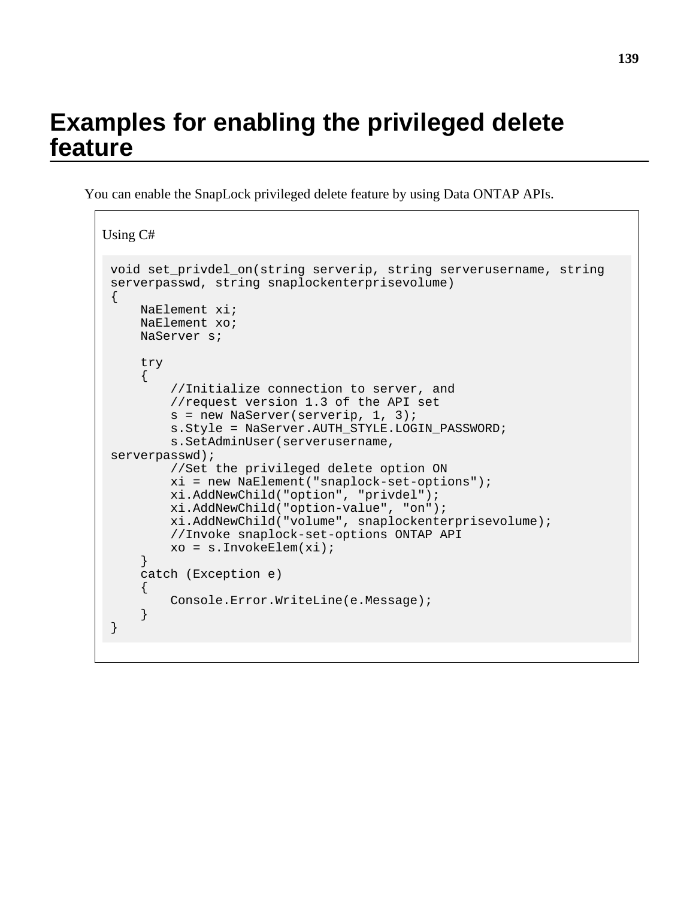## **Examples for enabling the privileged delete feature**

You can enable the SnapLock privileged delete feature by using Data ONTAP APIs.

```
Using C#
 void set_privdel_on(string serverip, string serverusername, string 
 serverpasswd, string snaplockenterprisevolume)
 \{ NaElement xi;
      NaElement xo;
      NaServer s;
      try
      { 
          //Initialize connection to server, and
          //request version 1.3 of the API set
         s = new NaServer(serverip, 1, 3);
          s.Style = NaServer.AUTH_STYLE.LOGIN_PASSWORD;
          s.SetAdminUser(serverusername, 
 serverpasswd); 
          //Set the privileged delete option ON
          xi = new NaElement("snaplock-set-options");
          xi.AddNewChild("option", "privdel");
          xi.AddNewChild("option-value", "on");
          xi.AddNewChild("volume", snaplockenterprisevolume);
          //Invoke snaplock-set-options ONTAP API
          xo = s.InvokeElem(xi); 
      }
      catch (Exception e)
     \left\{ \right. Console.Error.WriteLine(e.Message);
      }
 }
```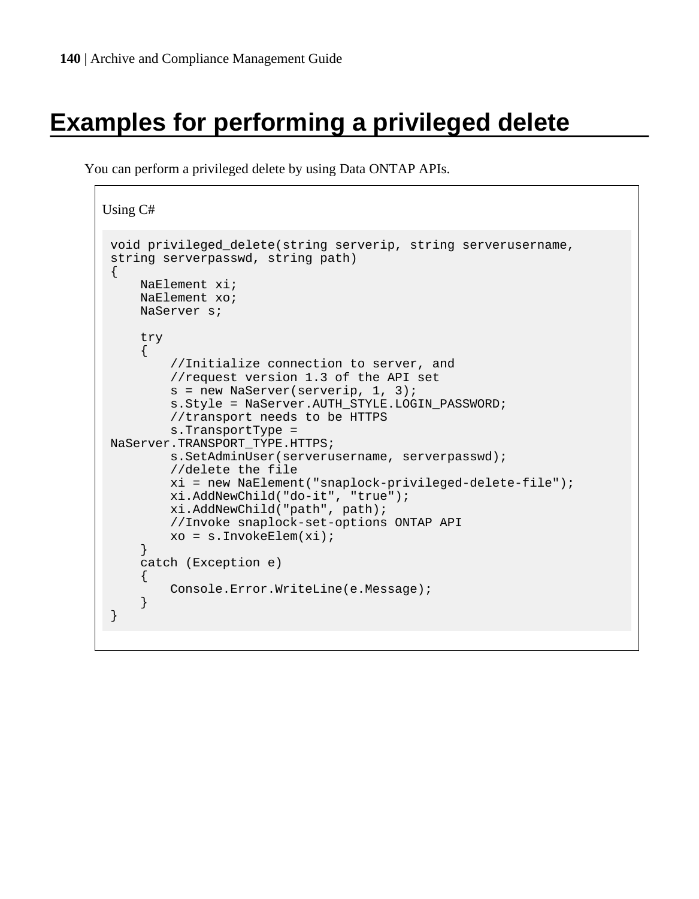# **Examples for performing a privileged delete**

You can perform a privileged delete by using Data ONTAP APIs.

```
Using C#
 void privileged_delete(string serverip, string serverusername, 
 string serverpasswd, string path)
 {
      NaElement xi;
      NaElement xo;
      NaServer s;
      try
      { 
          //Initialize connection to server, and
          //request version 1.3 of the API set 
          s = new NaServer(serverip, 1, 3); 
          s.Style = NaServer.AUTH_STYLE.LOGIN_PASSWORD;
          //transport needs to be HTTPS
          s.TransportType = 
 NaServer.TRANSPORT_TYPE.HTTPS; 
          s.SetAdminUser(serverusername, serverpasswd);
          //delete the file
          xi = new NaElement("snaplock-privileged-delete-file");
          xi.AddNewChild("do-it", "true");
          xi.AddNewChild("path", path); 
          //Invoke snaplock-set-options ONTAP API
          xo = s.InvokeElem(xi);
      }
      catch (Exception e)
     \{ Console.Error.WriteLine(e.Message);
      }
 }
```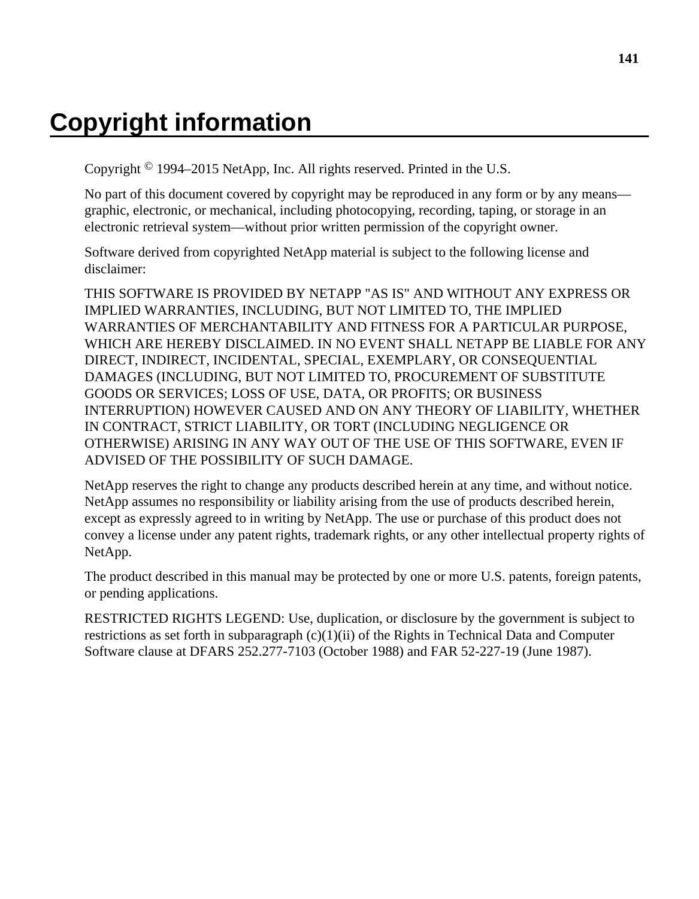# **Copyright information**

Copyright © 1994–2015 NetApp, Inc. All rights reserved. Printed in the U.S.

No part of this document covered by copyright may be reproduced in any form or by any means graphic, electronic, or mechanical, including photocopying, recording, taping, or storage in an electronic retrieval system—without prior written permission of the copyright owner.

Software derived from copyrighted NetApp material is subject to the following license and disclaimer:

THIS SOFTWARE IS PROVIDED BY NETAPP "AS IS" AND WITHOUT ANY EXPRESS OR IMPLIED WARRANTIES, INCLUDING, BUT NOT LIMITED TO, THE IMPLIED WARRANTIES OF MERCHANTABILITY AND FITNESS FOR A PARTICULAR PURPOSE, WHICH ARE HEREBY DISCLAIMED. IN NO EVENT SHALL NETAPP BE LIABLE FOR ANY DIRECT, INDIRECT, INCIDENTAL, SPECIAL, EXEMPLARY, OR CONSEQUENTIAL DAMAGES (INCLUDING, BUT NOT LIMITED TO, PROCUREMENT OF SUBSTITUTE GOODS OR SERVICES; LOSS OF USE, DATA, OR PROFITS; OR BUSINESS INTERRUPTION) HOWEVER CAUSED AND ON ANY THEORY OF LIABILITY, WHETHER IN CONTRACT, STRICT LIABILITY, OR TORT (INCLUDING NEGLIGENCE OR OTHERWISE) ARISING IN ANY WAY OUT OF THE USE OF THIS SOFTWARE, EVEN IF ADVISED OF THE POSSIBILITY OF SUCH DAMAGE.

NetApp reserves the right to change any products described herein at any time, and without notice. NetApp assumes no responsibility or liability arising from the use of products described herein, except as expressly agreed to in writing by NetApp. The use or purchase of this product does not convey a license under any patent rights, trademark rights, or any other intellectual property rights of NetApp.

The product described in this manual may be protected by one or more U.S. patents, foreign patents, or pending applications.

RESTRICTED RIGHTS LEGEND: Use, duplication, or disclosure by the government is subject to restrictions as set forth in subparagraph  $(c)(1)(ii)$  of the Rights in Technical Data and Computer Software clause at DFARS 252.277-7103 (October 1988) and FAR 52-227-19 (June 1987).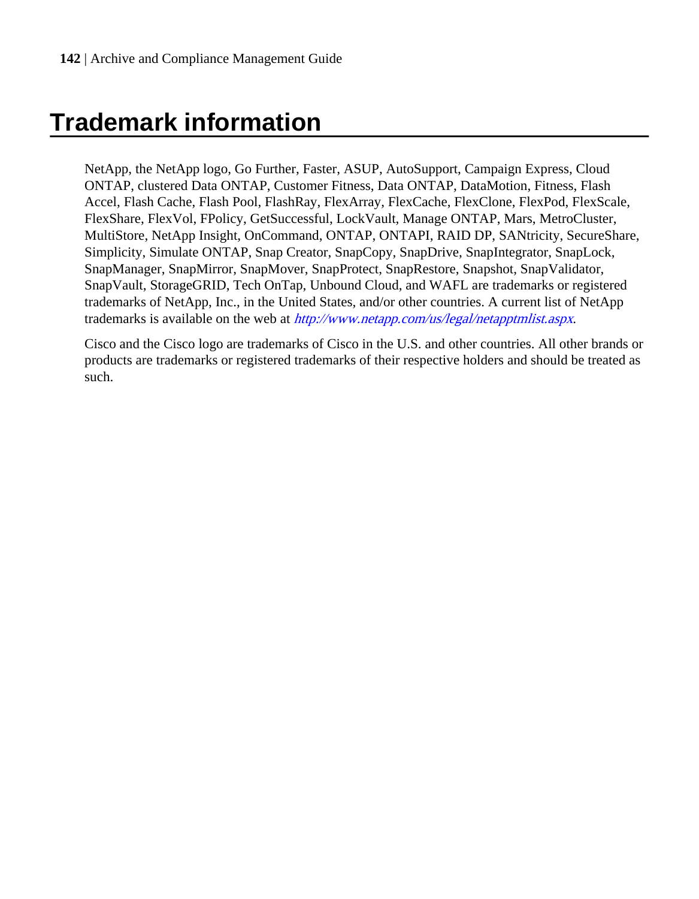# **Trademark information**

NetApp, the NetApp logo, Go Further, Faster, ASUP, AutoSupport, Campaign Express, Cloud ONTAP, clustered Data ONTAP, Customer Fitness, Data ONTAP, DataMotion, Fitness, Flash Accel, Flash Cache, Flash Pool, FlashRay, FlexArray, FlexCache, FlexClone, FlexPod, FlexScale, FlexShare, FlexVol, FPolicy, GetSuccessful, LockVault, Manage ONTAP, Mars, MetroCluster, MultiStore, NetApp Insight, OnCommand, ONTAP, ONTAPI, RAID DP, SANtricity, SecureShare, Simplicity, Simulate ONTAP, Snap Creator, SnapCopy, SnapDrive, SnapIntegrator, SnapLock, SnapManager, SnapMirror, SnapMover, SnapProtect, SnapRestore, Snapshot, SnapValidator, SnapVault, StorageGRID, Tech OnTap, Unbound Cloud, and WAFL are trademarks or registered trademarks of NetApp, Inc., in the United States, and/or other countries. A current list of NetApp trademarks is available on the web at <http://www.netapp.com/us/legal/netapptmlist.aspx>.

Cisco and the Cisco logo are trademarks of Cisco in the U.S. and other countries. All other brands or products are trademarks or registered trademarks of their respective holders and should be treated as such.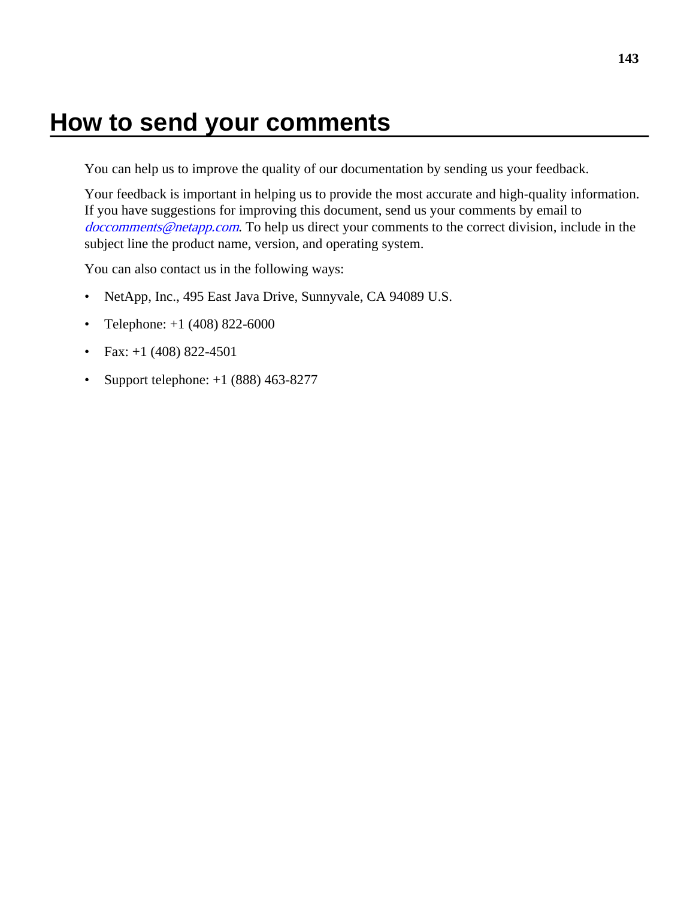## **How to send your comments**

You can help us to improve the quality of our documentation by sending us your feedback.

Your feedback is important in helping us to provide the most accurate and high-quality information. If you have suggestions for improving this document, send us your comments by email to [doccomments@netapp.com](mailto:doccomments@netapp.com). To help us direct your comments to the correct division, include in the subject line the product name, version, and operating system.

You can also contact us in the following ways:

- NetApp, Inc., 495 East Java Drive, Sunnyvale, CA 94089 U.S.
- Telephone:  $+1$  (408) 822-6000
- Fax:  $+1$  (408) 822-4501
- Support telephone:  $+1$  (888) 463-8277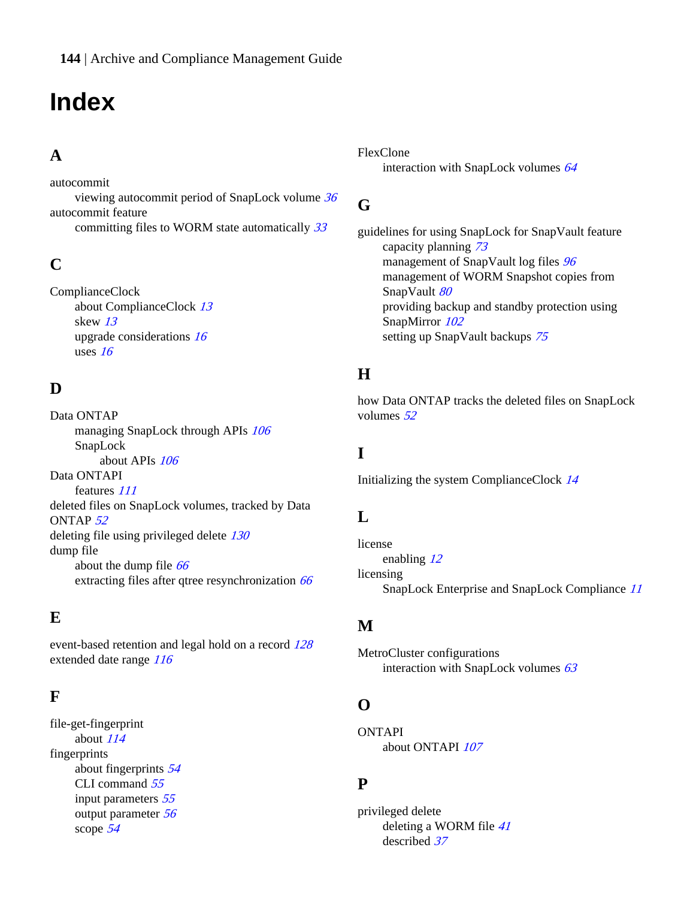# **Index**

### **A**

autocommit

viewing autocommit period of SnapLock volume [36](#page-35-0) autocommit feature committing files to WORM state automatically [33](#page-32-0)

### **C**

ComplianceClock about ComplianceClock [13](#page-12-0) skew [13](#page-12-0) upgrade considerations [16](#page-15-0) uses [16](#page-15-0)

### **D**

Data ONTAP managing SnapLock through APIs [106](#page-105-0) SnapLock about APIs [106](#page-105-0) Data ONTAPI features [111](#page-110-0) deleted files on SnapLock volumes, tracked by Data ONTAP [52](#page-51-0) deleting file using privileged delete  $130$ dump file about the dump file [66](#page-65-0) extracting files after qtree resynchronization [66](#page-65-0)

### **E**

event-based retention and legal hold on a record [128](#page-127-0) extended date range [116](#page-115-0)

### **F**

file-get-fingerprint about [114](#page-113-0) fingerprints about fingerprints [54](#page-53-0) CLI command [55](#page-54-0) input parameters [55](#page-54-0) output parameter [56](#page-55-0) scope [54](#page-53-0)

FlexClone interaction with SnapLock volumes [64](#page-63-0)

### **G**

guidelines for using SnapLock for SnapVault feature capacity planning [73](#page-72-0) management of SnapVault log files [96](#page-95-0) management of WORM Snapshot copies from SnapVault [80](#page-79-0) providing backup and standby protection using SnapMirror [102](#page-101-0) setting up SnapVault backups [75](#page-74-0)

### **H**

how Data ONTAP tracks the deleted files on SnapLock volumes [52](#page-51-0)

### **I**

Initializing the system ComplianceClock [14](#page-13-0)

### **L**

license enabling [12](#page-11-0) licensing SnapLock Enterprise and SnapLock Compliance [11](#page-10-0)

### **M**

MetroCluster configurations interaction with SnapLock volumes  $63$ 

### **O**

ONTAPI about ONTAPI [107](#page-106-0)

### **P**

privileged delete deleting a WORM file [41](#page-40-0) described [37](#page-36-0)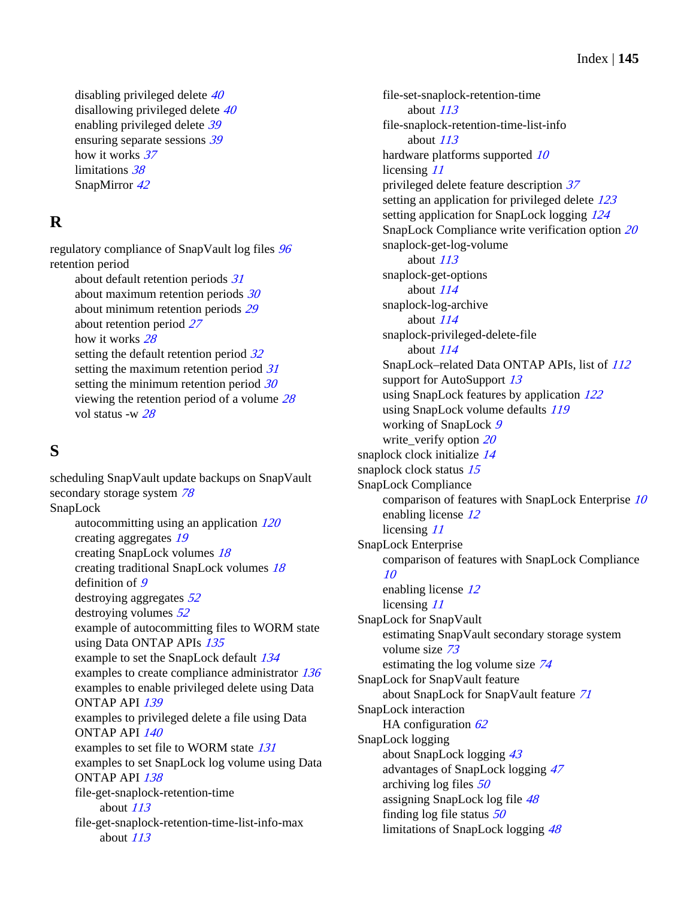disabling privileged delete [40](#page-39-0) disallowing privileged delete [40](#page-39-0) enabling privileged delete [39](#page-38-0) ensuring separate sessions [39](#page-38-0) how it works [37](#page-36-0) limitations [38](#page-37-0) SnapMirror [42](#page-41-0)

# **R**

regulatory compliance of SnapVault log files [96](#page-95-0) retention period about default retention periods [31](#page-30-0) about maximum retention periods  $30$ about minimum retention periods [29](#page-28-0) about retention period [27](#page-26-0) how it works [28](#page-27-0) setting the default retention period  $32$ setting the maximum retention period [31](#page-30-0) setting the minimum retention period  $30$ viewing the retention period of a volume [28](#page-27-0) vol status -w [28](#page-27-0)

## **S**

scheduling SnapVault update backups on SnapVault secondary storage system [78](#page-77-0) SnapLock autocommitting using an application [120](#page-119-0) creating aggregates [19](#page-18-0) creating SnapLock volumes [18](#page-17-0) creating traditional SnapLock volumes [18](#page-17-0) definition of [9](#page-8-0) destroying aggregates  $52$ destroying volumes [52](#page-51-0) example of autocommitting files to WORM state using Data ONTAP APIs [135](#page-134-0) example to set the SnapLock default [134](#page-133-0) examples to create compliance administrator [136](#page-135-0) examples to enable privileged delete using Data ONTAP API [139](#page-138-0) examples to privileged delete a file using Data ONTAP API [140](#page-139-0) examples to set file to WORM state [131](#page-130-0) examples to set SnapLock log volume using Data ONTAP API [138](#page-137-0) file-get-snaplock-retention-time about [113](#page-112-0) file-get-snaplock-retention-time-list-info-max about [113](#page-112-0)

file-set-snaplock-retention-time about [113](#page-112-0) file-snaplock-retention-time-list-info about [113](#page-112-0) hardware platforms supported [10](#page-9-0) licensing [11](#page-10-0) privileged delete feature description [37](#page-36-0) setting an application for privileged delete [123](#page-122-0) setting application for SnapLock logging [124](#page-123-0) SnapLock Compliance write verification option [20](#page-19-0) snaplock-get-log-volume about [113](#page-112-0) snaplock-get-options about [114](#page-113-0) snaplock-log-archive about [114](#page-113-0) snaplock-privileged-delete-file about [114](#page-113-0) SnapLock–related Data ONTAP APIs, list of [112](#page-111-0) support for AutoSupport [13](#page-12-0) using SnapLock features by application [122](#page-121-0) using SnapLock volume defaults [119](#page-118-0) working of SnapLock [9](#page-8-0) write verify option  $20$ snaplock clock initialize [14](#page-13-0) snaplock clock status [15](#page-14-0) SnapLock Compliance comparison of features with SnapLock Enterprise [10](#page-9-0) enabling license [12](#page-11-0) licensing [11](#page-10-0) SnapLock Enterprise comparison of features with SnapLock Compliance [10](#page-9-0) enabling license [12](#page-11-0) licensing [11](#page-10-0) SnapLock for SnapVault estimating SnapVault secondary storage system volume size [73](#page-72-0) estimating the log volume size [74](#page-73-0) SnapLock for SnapVault feature about SnapLock for SnapVault feature [71](#page-70-0) SnapLock interaction HA configuration  $62$ SnapLock logging about SnapLock logging [43](#page-42-0) advantages of SnapLock logging [47](#page-46-0) archiving log files [50](#page-49-0) assigning SnapLock log file [48](#page-47-0) finding log file status  $50$ limitations of SnapLock logging [48](#page-47-0)